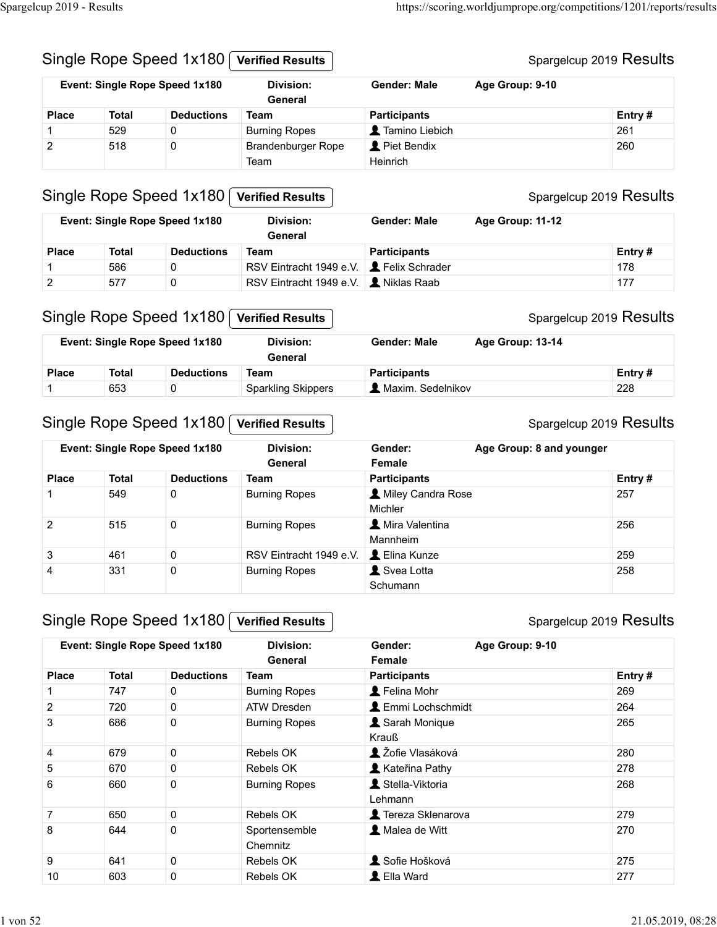| Spargelcup 2019 - Results |                                |                                |                                                 |                     |                                                                     |
|---------------------------|--------------------------------|--------------------------------|-------------------------------------------------|---------------------|---------------------------------------------------------------------|
|                           |                                |                                |                                                 |                     |                                                                     |
|                           |                                |                                |                                                 |                     |                                                                     |
|                           |                                |                                |                                                 |                     |                                                                     |
|                           |                                |                                |                                                 |                     |                                                                     |
|                           |                                |                                |                                                 |                     |                                                                     |
|                           |                                |                                |                                                 |                     |                                                                     |
|                           |                                |                                |                                                 |                     |                                                                     |
|                           |                                |                                |                                                 |                     |                                                                     |
|                           |                                |                                |                                                 |                     |                                                                     |
|                           |                                |                                |                                                 |                     |                                                                     |
|                           |                                |                                |                                                 |                     |                                                                     |
|                           |                                |                                |                                                 |                     | https://scoring.worldjumprope.org/competitions/1201/reports/results |
|                           |                                |                                |                                                 |                     |                                                                     |
|                           |                                |                                |                                                 |                     |                                                                     |
|                           |                                | Single Rope Speed 1x180        | <b>Verified Results</b>                         |                     | Spargelcup 2019 Results                                             |
|                           | Event: Single Rope Speed 1x180 |                                | <b>Division:</b><br>General                     | <b>Gender: Male</b> | Age Group: 9-10                                                     |
| <b>Place</b>              | <b>Total</b>                   | <b>Deductions</b>              | <b>Team</b>                                     | <b>Participants</b> | Entry#                                                              |
|                           | 529                            | 0                              | <b>Burning Ropes</b>                            | Tamino Liebich      | 261                                                                 |
| 2                         | 518                            | 0                              | Brandenburger Rope                              | Piet Bendix         | 260                                                                 |
|                           |                                |                                | Team                                            | Heinrich            |                                                                     |
|                           |                                |                                |                                                 |                     |                                                                     |
|                           |                                | Single Rope Speed 1x180        | <b>Verified Results</b>                         |                     | Spargelcup 2019 Results                                             |
|                           |                                | Event: Single Rope Speed 1x180 | Division:<br>General                            | <b>Gender: Male</b> | Age Group: 11-12                                                    |
| <b>Place</b>              | <b>Total</b>                   | <b>Deductions</b>              | <b>Team</b>                                     | <b>Participants</b> | Entry#                                                              |
|                           | 586                            | 0                              | RSV Eintracht 1949 e.V. <b>L</b> Felix Schrader |                     | 178                                                                 |
| $\boldsymbol{2}$          | 577                            | $\mathsf{O}$                   | RSV Eintracht 1949 e.V.   Niklas Raab           |                     | 177                                                                 |
|                           |                                |                                |                                                 |                     |                                                                     |
|                           |                                | Single Rope Speed 1x180        | <b>Verified Results</b>                         |                     | Spargelcup 2019 Results                                             |
|                           |                                |                                |                                                 |                     |                                                                     |
|                           |                                |                                | <b>Division:</b><br>General                     | <b>Gender: Male</b> | Age Group: 13-14                                                    |
|                           | Event: Single Rope Speed 1x180 |                                |                                                 |                     | Entry#                                                              |
| <b>Place</b>              | <b>Total</b>                   | <b>Deductions</b>              | <b>Team</b>                                     | <b>Participants</b> |                                                                     |
| $\mathbf 1$               | 653                            | $\mathsf{O}$                   | <b>Sparkling Skippers</b>                       | Maxim. Sedelnikov   | 228                                                                 |
|                           |                                |                                |                                                 |                     |                                                                     |
|                           |                                | Single Rope Speed 1x180        | <b>Verified Results</b>                         |                     | Spargelcup 2019 Results                                             |
|                           |                                | Event: Single Rope Speed 1x180 | <b>Division:</b>                                | Gender:             | Age Group: 8 and younger                                            |

## Single Rope Speed 1x180 Verified Results

#### Spargelcup 2019 Results

| Event: Single Rope Speed 1x180 |       |                   | Division:<br>General                            | Gender: Male        | Age Group: 11-12 |         |
|--------------------------------|-------|-------------------|-------------------------------------------------|---------------------|------------------|---------|
| <b>Place</b>                   | Total | <b>Deductions</b> | Team                                            | <b>Participants</b> |                  | Entry # |
|                                | 586   |                   | RSV Eintracht 1949 e.V. <b>2</b> Felix Schrader |                     |                  | 178     |
|                                | 577   |                   | RSV Eintracht 1949 e.V.   Niklas Raab           |                     |                  | 177     |

#### Single Rope Speed 1x180 Verified Results

|              |       | Event: Single Rope Speed 1x180 | Division:<br>General      | <b>Gender: Male</b><br>Age Group: 13-14 |  |         |
|--------------|-------|--------------------------------|---------------------------|-----------------------------------------|--|---------|
| <b>Place</b> | Total | <b>Deductions</b>              | Team                      | <b>Participants</b>                     |  | Entry # |
|              | 653   |                                | <b>Sparkling Skippers</b> | <b>A</b> Maxim. Sedelnikov              |  | 228     |

#### Single Rope Speed 1x180 Verified Results

#### Spargelcup 2019 Results

| $\overline{2}$ | 518          | 0                              | Brandenburger Rope<br>Team                   | Piet Bendix<br>Heinrich        | 260                      |
|----------------|--------------|--------------------------------|----------------------------------------------|--------------------------------|--------------------------|
|                |              | Single Rope Speed 1x180        | <b>Verified Results</b>                      |                                | Spargelcup 2019 Results  |
|                |              | Event: Single Rope Speed 1x180 | <b>Division:</b><br>General                  | <b>Gender: Male</b>            | Age Group: 11-12         |
| <b>Place</b>   | <b>Total</b> | <b>Deductions</b>              | <b>Team</b>                                  | <b>Participants</b>            | Entry#                   |
| -1             | 586          | 0                              | RSV Eintracht 1949 e.V.                      | Felix Schrader                 | 178                      |
| $\overline{2}$ | 577          | 0                              | RSV Eintracht 1949 e.V. <b>L</b> Niklas Raab |                                | 177                      |
|                |              | Single Rope Speed 1x180        | <b>Verified Results</b>                      |                                | Spargelcup 2019 Results  |
|                |              | Event: Single Rope Speed 1x180 | <b>Division:</b><br>General                  | <b>Gender: Male</b>            | Age Group: 13-14         |
| <b>Place</b>   | <b>Total</b> | <b>Deductions</b>              | <b>Team</b>                                  | <b>Participants</b>            | Entry#                   |
| $\mathbf{1}$   | 653          | 0                              | <b>Sparkling Skippers</b>                    | A Maxim. Sedelnikov            | 228                      |
|                |              | Event: Single Rope Speed 1x180 | <b>Division:</b><br>General                  | Gender:<br>Female              | Age Group: 8 and younger |
| <b>Place</b>   | <b>Total</b> | <b>Deductions</b>              | <b>Team</b>                                  | <b>Participants</b>            | Entry#                   |
| $\mathbf{1}$   | 549          | 0                              | <b>Burning Ropes</b>                         | A Miley Candra Rose<br>Michler | 257                      |
| $\overline{2}$ | 515          | 0                              | <b>Burning Ropes</b>                         | Mira Valentina<br>Mannheim     | 256                      |
| 3              | 461          | $\mathbf 0$                    | RSV Eintracht 1949 e.V.                      | L Elina Kunze                  | 259                      |
| $\overline{4}$ | 331          | 0                              | <b>Burning Ropes</b>                         | Svea Lotta<br>Schumann         | 258                      |
|                |              | Single Rope Speed 1x180        | <b>Verified Results</b>                      |                                | Spargelcup 2019 Results  |
|                |              | Event: Single Rope Speed 1x180 | <b>Division:</b><br>General                  | Gender:<br>Female              | Age Group: 9-10          |
| <b>Place</b>   | <b>Total</b> | <b>Deductions</b>              | <b>Team</b>                                  | <b>Participants</b>            | Entry#                   |
| $\mathbf 1$    | 747          | 0                              | <b>Burning Ropes</b>                         | Felina Mohr                    | 269                      |
| $\overline{2}$ | 720          | $\mathbf 0$                    | ATW Dresden                                  | <b>L</b> Emmi Lochschmidt      | 264                      |
| 3              | 686          | 0                              | <b>Burning Ropes</b>                         | Sarah Monique<br>Krauß         | 265                      |
| 4              | 679          | $\mathbf 0$                    | Rebels OK                                    | L Žofie Vlasáková              | 280                      |
| $\overline{5}$ | 670          | $\pmb{0}$                      | Rebels OK                                    | Kateřina Pathy                 | 278                      |
|                | $\sim$       |                                |                                              | $\bullet$ $O(1 - 1) = 3.014$   | 000                      |

## Single Rope Speed 1x180 Verified Results

|                |                                                           | Single Rope Speed 1x180 | <b>Verified Results</b>                                |                                | Spargelcup 2019 Results                    |
|----------------|-----------------------------------------------------------|-------------------------|--------------------------------------------------------|--------------------------------|--------------------------------------------|
|                | Event: Single Rope Speed 1x180                            |                         | Division:<br>General                                   | Gender:<br>Female              | Age Group: 8 and younger                   |
| <b>Place</b>   | <b>Total</b>                                              | <b>Deductions</b>       | <b>Team</b>                                            | <b>Participants</b>            | Entry#                                     |
| -1             | 549                                                       | $\mathsf{O}$            | <b>Burning Ropes</b>                                   | A Miley Candra Rose<br>Michler | 257                                        |
| $\overline{2}$ | 515                                                       | $\mathbf 0$             | <b>Burning Ropes</b>                                   | Mira Valentina<br>Mannheim     | 256                                        |
| $\mathbf{3}$   | 461                                                       | $\mathbf 0$             | RSV Eintracht 1949 e.V.                                | L Elina Kunze                  | 259                                        |
| 4              | 331                                                       | $\pmb{0}$               | <b>Burning Ropes</b>                                   | Svea Lotta<br>Schumann         | 258                                        |
|                | Single Rope Speed 1x180<br>Event: Single Rope Speed 1x180 |                         | <b>Verified Results</b><br><b>Division:</b><br>General | Gender:<br>Female              | Spargelcup 2019 Results<br>Age Group: 9-10 |
| <b>Place</b>   | <b>Total</b>                                              | <b>Deductions</b>       | <b>Team</b>                                            | <b>Participants</b>            | Entry#                                     |
| $\overline{1}$ | 747                                                       | 0                       | <b>Burning Ropes</b>                                   | L Felina Mohr                  | 269                                        |
| $\overline{2}$ | 720                                                       | 0                       | <b>ATW Dresden</b>                                     | <b>L</b> Emmi Lochschmidt      | 264                                        |
| 3              | 686                                                       | $\mathbf 0$             | <b>Burning Ropes</b>                                   | Sarah Monique<br>Krauß         | 265                                        |
|                | 679                                                       | $\mathbf 0$             | Rebels OK                                              | 2 Žofie Vlasáková              | 280                                        |
| 4              |                                                           |                         |                                                        |                                |                                            |
| $\sqrt{5}$     | 670                                                       | $\mathbf 0$             | Rebels OK                                              | Kateřina Pathy                 | 278                                        |
| 6              | 660                                                       | $\mathbf 0$             | <b>Burning Ropes</b>                                   | Stella-Viktoria<br>Lehmann     | 268                                        |
| $\overline{7}$ | 650                                                       | $\pmb{0}$               | Rebels OK                                              | Tereza Sklenarova              | 279                                        |
| 8              | 644                                                       | $\pmb{0}$               | Sportensemble<br>Chemnitz                              | Malea de Witt                  | 270                                        |
| 9              | 641                                                       | $\mathbf 0$             | Rebels OK                                              | Sofie Hošková                  | 275                                        |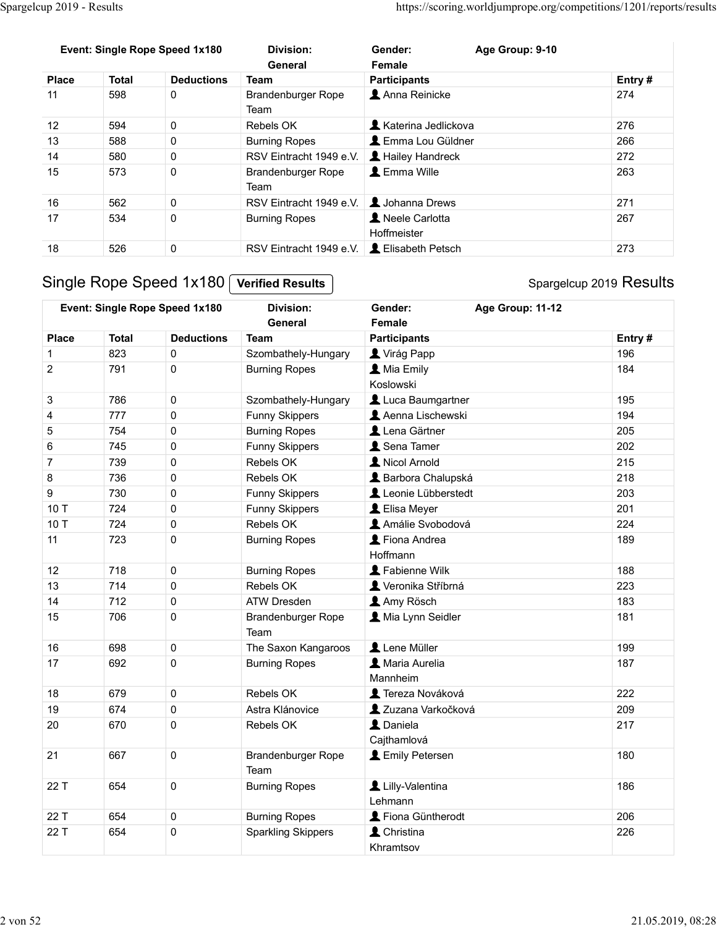| Spargelcup 2019 - Results      |              |                                |                                          | https://scoring.worldjumprope.org/competitions/1201/reports/results |                         |
|--------------------------------|--------------|--------------------------------|------------------------------------------|---------------------------------------------------------------------|-------------------------|
|                                |              |                                |                                          |                                                                     |                         |
|                                |              |                                |                                          |                                                                     |                         |
|                                |              | Event: Single Rope Speed 1x180 | <b>Division:</b><br>General              | Age Group: 9-10<br>Gender:<br>Female                                |                         |
| <b>Place</b>                   | <b>Total</b> | <b>Deductions</b>              | <b>Team</b>                              | <b>Participants</b>                                                 | Entry#                  |
| 11                             | 598          | $\mathbf 0$                    | Brandenburger Rope                       | Anna Reinicke                                                       | 274                     |
|                                |              |                                | Team                                     |                                                                     |                         |
| 12                             | 594          | $\mathbf 0$                    | Rebels OK                                | <b>A</b> Katerina Jedlickova                                        | 276                     |
| 13                             | 588          | $\mathsf{O}\xspace$            | <b>Burning Ropes</b>                     | <b>L</b> Emma Lou Güldner                                           | 266                     |
| 14                             | 580          | $\pmb{0}$                      | RSV Eintracht 1949 e.V.                  | Hailey Handreck                                                     | 272                     |
| 15                             | 573          | $\pmb{0}$                      | Brandenburger Rope                       | L Emma Wille                                                        | 263                     |
|                                |              |                                | Team                                     |                                                                     |                         |
| 16                             | 562          | 0                              | RSV Eintracht 1949 e.V. 1. Johanna Drews |                                                                     | 271                     |
|                                | 534          | $\mathbf 0$                    | <b>Burning Ropes</b>                     | Neele Carlotta                                                      | 267                     |
|                                |              |                                |                                          | Hoffmeister                                                         |                         |
|                                |              |                                |                                          |                                                                     |                         |
|                                | 526          | $\pmb{0}$                      | RSV Eintracht 1949 e.V.                  | L Elisabeth Petsch                                                  | 273                     |
|                                |              |                                |                                          |                                                                     |                         |
|                                |              | Single Rope Speed 1x180        | <b>Verified Results</b>                  |                                                                     | Spargelcup 2019 Results |
|                                |              |                                |                                          |                                                                     |                         |
| 17<br>18                       |              | Event: Single Rope Speed 1x180 | <b>Division:</b>                         | Age Group: 11-12<br>Gender:                                         |                         |
| <b>Place</b>                   | <b>Total</b> | <b>Deductions</b>              | General<br>Team                          | Female                                                              |                         |
|                                | 823          | $\mathsf{O}$                   | Szombathely-Hungary                      | <b>Participants</b><br>Virág Papp                                   | Entry#<br>196           |
| $\overline{c}$                 | 791          | $\pmb{0}$                      | <b>Burning Ropes</b>                     | <b>A</b> Mia Emily                                                  | 184                     |
|                                |              |                                |                                          | Koslowski                                                           |                         |
|                                | 786          | $\mathbf 0$                    | Szombathely-Hungary                      | Luca Baumgartner                                                    | 195                     |
| $\ensuremath{\mathsf{3}}$<br>4 | 777          | $\pmb{0}$                      | Funny Skippers                           | Aenna Lischewski                                                    | 194                     |
| $\mathbf 5$                    | 754<br>745   | $\pmb{0}$                      | <b>Burning Ropes</b>                     | Lena Gärtner                                                        | 205<br>000              |

| 11             | 598                            | U                   | Brandenburger Rope<br>Team                        | Anna Reinicke                         | 274                     |
|----------------|--------------------------------|---------------------|---------------------------------------------------|---------------------------------------|-------------------------|
| 12             | 594                            | 0                   | Rebels OK                                         | Katerina Jedlickova                   | 276                     |
| 13             | 588                            | 0                   | <b>Burning Ropes</b>                              | L Emma Lou Güldner                    | 266                     |
| 14             | 580                            | $\pmb{0}$           | RSV Eintracht 1949 e.V.                           | Hailey Handreck                       | 272                     |
| 15             | 573                            | $\pmb{0}$           | <b>Brandenburger Rope</b><br>Team                 | L Emma Wille                          | 263                     |
| 16             | 562                            | 0                   | RSV Eintracht 1949 e.V.                           | Johanna Drews                         | 271                     |
| 17             | 534                            | 0                   | <b>Burning Ropes</b>                              | Neele Carlotta                        | 267                     |
|                |                                |                     |                                                   | Hoffmeister                           |                         |
| 18             | 526                            | 0                   | RSV Eintracht 1949 e.V. <b>L</b> Elisabeth Petsch |                                       | 273                     |
|                | Single Rope Speed 1x180        |                     | <b>Verified Results</b>                           |                                       | Spargelcup 2019 Results |
|                | Event: Single Rope Speed 1x180 |                     | <b>Division:</b><br>General                       | Age Group: 11-12<br>Gender:<br>Female |                         |
|                | <b>Total</b><br><b>Place</b>   | <b>Deductions</b>   | <b>Team</b>                                       | <b>Participants</b>                   | Entry#                  |
| -1             | 823                            | 0                   | Szombathely-Hungary                               | Virág Papp                            | 196                     |
| $\overline{c}$ | 791                            | 0                   | <b>Burning Ropes</b>                              | <b>A</b> Mia Emily<br>Koslowski       | 184                     |
| 3              | 786                            | $\pmb{0}$           | Szombathely-Hungary                               | Luca Baumgartner                      | 195                     |
| 4              | 777                            | 0                   | Funny Skippers                                    | Aenna Lischewski                      | 194                     |
| $\mathbf 5$    | 754                            | $\pmb{0}$           | <b>Burning Ropes</b>                              | Lena Gärtner                          | 205                     |
| $\,6$          | 745                            | $\pmb{0}$           | Funny Skippers                                    | Sena Tamer                            | 202                     |
| $\overline{7}$ | 739                            | $\pmb{0}$           | Rebels OK                                         | Nicol Arnold                          | 215                     |
| 8              | 736                            | 0                   | Rebels OK                                         | <b>A</b> Barbora Chalupská            | 218                     |
| 9              | 730                            | 0                   | Funny Skippers                                    | Leonie Lübberstedt                    | 203                     |
| 10 T           | 724                            | $\mathbf 0$         | Funny Skippers                                    | L Elisa Meyer                         | 201                     |
| 10 T           | 724                            | 0                   | Rebels OK                                         | Amálie Svobodová                      | 224                     |
| 11             | 723                            | 0                   | <b>Burning Ropes</b>                              | Fiona Andrea<br>Hoffmann              | 189                     |
| 12             | 718                            | 0                   | <b>Burning Ropes</b>                              | Fabienne Wilk                         | 188                     |
| 13             | 714                            | 0                   | Rebels OK                                         | Veronika Stříbrná                     | 223                     |
| 14             | 712                            | 0                   | ATW Dresden                                       | Amy Rösch                             | 183                     |
| 15             | 706                            | $\Omega$            | Brandenburger Rope<br>Team                        | Mia Lynn Seidler                      | 181                     |
| 16             | 698                            | $\mathbf 0$         | The Saxon Kangaroos                               | Lene Müller                           | 199                     |
| 17             | 692                            | $\mathsf{O}\xspace$ | <b>Burning Ropes</b>                              | A Maria Aurelia<br>Mannheim           | 187                     |
| 18             | 679                            | $\mathbf 0$         | Rebels OK                                         | Tereza Nováková                       | 222                     |
| 19             | 674                            | $\mathbf 0$         | Astra Klánovice                                   | 2 Zuzana Varkočková                   | 209                     |
| 20             | 670                            | $\mathbf 0$         | Rebels OK                                         | L Daniela<br>Cajthamlová              | 217                     |
| 21             | 667                            | $\mathbf 0$         | Brandenburger Rope<br>Team                        | <b>L</b> Emily Petersen               | 180                     |
|                | 22 T<br>654                    | $\mathbf 0$         | <b>Burning Ropes</b>                              | Lilly-Valentina<br>Lehmann            | 186                     |
|                | 22 T<br>654                    | $\mathbf 0$         | <b>Burning Ropes</b>                              | Fiona Güntherodt                      | 206                     |
|                | 654<br>22 T                    | $\mathsf{O}\xspace$ | <b>Sparkling Skippers</b>                         | L Christina                           | 226                     |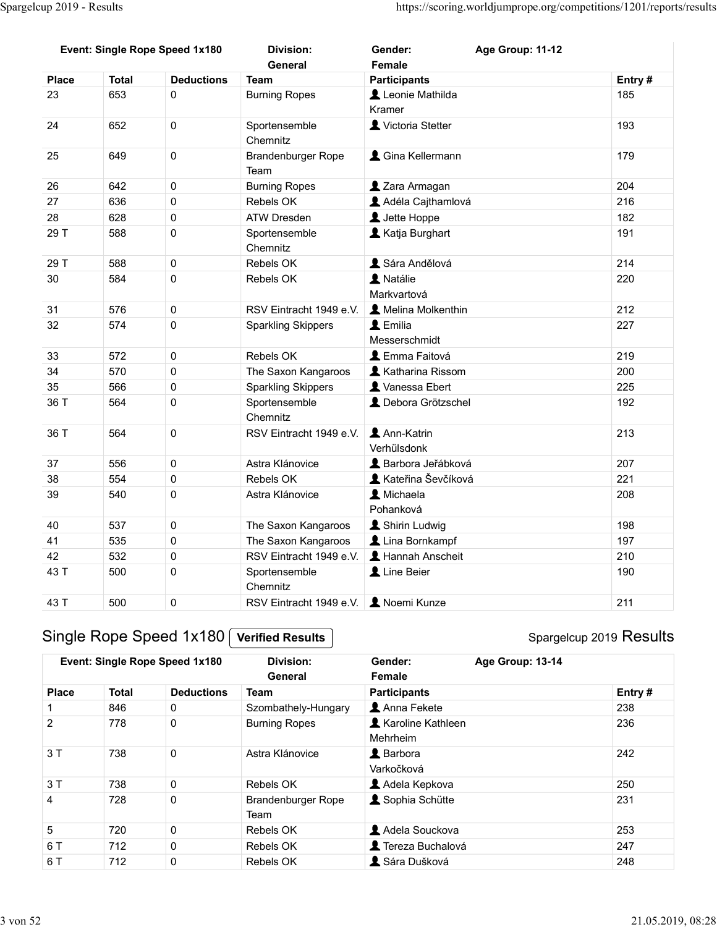| Spargelcup 2019 - Results |              |                                                           |                                                        |                                         | https://scoring.worldjumprope.org/competitions/1201/reports/results |            |
|---------------------------|--------------|-----------------------------------------------------------|--------------------------------------------------------|-----------------------------------------|---------------------------------------------------------------------|------------|
|                           |              |                                                           |                                                        |                                         |                                                                     |            |
|                           |              |                                                           |                                                        |                                         |                                                                     |            |
|                           |              |                                                           |                                                        |                                         |                                                                     |            |
|                           |              |                                                           |                                                        |                                         |                                                                     |            |
|                           |              |                                                           |                                                        |                                         |                                                                     |            |
|                           |              | Event: Single Rope Speed 1x180                            | <b>Division:</b><br>General                            | Gender:<br>Female                       | Age Group: 11-12                                                    |            |
| <b>Place</b>              | <b>Total</b> | <b>Deductions</b>                                         | <b>Team</b>                                            | <b>Participants</b>                     |                                                                     | Entry#     |
| 23                        | 653          | $\mathbf 0$                                               | <b>Burning Ropes</b>                                   | Leonie Mathilda<br>Kramer               |                                                                     | 185        |
| 24                        | 652          | $\pmb{0}$                                                 | Sportensemble<br>Chemnitz                              | Victoria Stetter                        |                                                                     | 193        |
| 25                        | 649          | $\mathbf 0$                                               | Brandenburger Rope<br>Team                             | & Gina Kellermann                       |                                                                     | 179        |
| 26                        | 642          | $\pmb{0}$                                                 | <b>Burning Ropes</b>                                   | 2 Zara Armagan                          |                                                                     | 204        |
| 27                        | 636          | $\mathbf 0$                                               | Rebels OK                                              | Adéla Cajthamlová                       |                                                                     | 216        |
| 28                        | 628          | $\mathbf 0$                                               | ATW Dresden                                            | L Jette Hoppe                           |                                                                     | 182        |
| 29 T                      | 588          | 0                                                         | Sportensemble<br>Chemnitz                              | Katja Burghart                          |                                                                     | 191        |
| 29 T                      | 588          | $\pmb{0}$                                                 | Rebels OK                                              | Sára Andělová<br>A Natálie              |                                                                     | 214        |
| 30                        | 584          | $\pmb{0}$                                                 | Rebels OK                                              | Markvartová                             |                                                                     | 220        |
| 31<br>32                  | 576<br>574   | $\pmb{0}$<br>$\pmb{0}$                                    | RSV Eintracht 1949 e.V.<br><b>Sparkling Skippers</b>   | A Melina Molkenthin<br>L Emilia         |                                                                     | 212<br>227 |
|                           |              |                                                           |                                                        | Messerschmidt                           |                                                                     |            |
| 33                        | 572          | $\pmb{0}$                                                 | Rebels OK                                              | L Emma Faitová                          |                                                                     | 219        |
| 34                        | 570          | $\pmb{0}$                                                 | The Saxon Kangaroos                                    | <b>1</b> Katharina Rissom               |                                                                     | 200        |
| 35                        | 566          | $\pmb{0}$                                                 | <b>Sparkling Skippers</b>                              | X Vanessa Ebert                         |                                                                     | 225        |
| 36 T                      | 564          | $\pmb{0}$                                                 | Sportensemble<br>Chemnitz                              | L Debora Grötzschel                     |                                                                     | 192        |
| 36 T                      | 564          | $\pmb{0}$                                                 | RSV Eintracht 1949 e.V. <b>1.</b> Ann-Katrin           | Verhülsdonk                             |                                                                     | 213        |
| 37<br>38                  | 556<br>554   | $\pmb{0}$                                                 | Astra Klánovice<br>Rebels OK                           | Barbora Jeřábková<br>Kateřina Ševčíková |                                                                     | 207<br>221 |
| 39                        | 540          | $\pmb{0}$<br>$\pmb{0}$                                    | Astra Klánovice                                        | L Michaela                              |                                                                     | 208        |
| 40                        | 537          | $\pmb{0}$                                                 | The Saxon Kangaroos                                    | Pohanková<br>Shirin Ludwig              |                                                                     | 198        |
| 41                        | 535          | $\pmb{0}$                                                 | The Saxon Kangaroos                                    | Lina Bornkampf                          |                                                                     | 197        |
| 42                        | 532          | $\pmb{0}$                                                 | RSV Eintracht 1949 e.V.                                | L Hannah Anscheit                       |                                                                     | 210        |
| 43 T                      | 500          | $\pmb{0}$                                                 | Sportensemble<br>Chemnitz                              | Line Beier                              |                                                                     | 190        |
| 43 T                      | 500          | $\mathbf 0$                                               | RSV Eintracht 1949 e.V. <b>L</b> Noemi Kunze           |                                         |                                                                     | 211        |
|                           |              | Single Rope Speed 1x180<br>Event: Single Rope Speed 1x180 | <b>Verified Results</b><br><b>Division:</b><br>General | Gender:<br>Female                       | Spargelcup 2019 Results<br>Age Group: 13-14                         |            |
| <b>Place</b>              | <b>Total</b> | <b>Deductions</b>                                         | <b>Team</b>                                            | <b>Participants</b>                     |                                                                     | Entry#     |
|                           | 846          | $\mathbf 0$                                               | Szombathely-Hungary                                    | Anna Fekete                             |                                                                     | 238        |
| $\overline{c}$            | 778          | 0                                                         | <b>Burning Ropes</b>                                   | Karoline Kathleen<br>Mehrheim           |                                                                     | 236        |
| $3T$                      | 738          | $\mathbf 0$                                               | Astra Klánovice                                        | <b>A</b> Barbora<br>Varkočková          |                                                                     | 242        |
| 3T                        | 738          | $\mathbf 0$<br>$\sim$                                     | Rebels OK                                              | Adela Kepkova                           |                                                                     | 250        |
|                           | 700          |                                                           | Drandonhurger Dene                                     | $\bullet$ Cappin Caputta                |                                                                     | 224        |

|                |              |                                |                                              | vernuisdonk                            |        |
|----------------|--------------|--------------------------------|----------------------------------------------|----------------------------------------|--------|
| 37             | 556          | $\pmb{0}$                      | Astra Klánovice                              | & Barbora Jeřábková                    | 207    |
| 38             | 554          | $\pmb{0}$                      | Rebels OK                                    | Kateřina Ševčíková                     | 221    |
| 39             | 540          | $\mathbf 0$                    | Astra Klánovice                              | L Michaela                             | 208    |
|                |              |                                |                                              | Pohanková                              |        |
| 40             | 537          | $\pmb{0}$                      | The Saxon Kangaroos                          | Shirin Ludwig                          | 198    |
| 41             | 535          | $\mathsf{O}\xspace$            | The Saxon Kangaroos                          | Lina Bornkampf                         | 197    |
| 42             | 532          | $\pmb{0}$                      | RSV Eintracht 1949 e.V.                      | <b>A</b> Hannah Anscheit               | 210    |
| 43 T           | 500          | $\pmb{0}$                      | Sportensemble<br>Chemnitz                    | Line Beier                             | 190    |
| 43 T           | 500          | $\mathbf 0$                    | RSV Eintracht 1949 e.V. <b>2</b> Noemi Kunze |                                        | 211    |
|                |              |                                |                                              |                                        |        |
|                |              | Event: Single Rope Speed 1x180 | <b>Division:</b><br>General                  | Age Group: 13-14<br>Gender:<br>Female  |        |
| <b>Place</b>   | <b>Total</b> | <b>Deductions</b>              | <b>Team</b>                                  | <b>Participants</b>                    | Entry# |
| $\overline{1}$ | 846          | $\mathbf 0$                    | Szombathely-Hungary                          | Anna Fekete                            | 238    |
| $\overline{2}$ | 778          | $\mathbf 0$                    | <b>Burning Ropes</b>                         | <b>A</b> Karoline Kathleen<br>Mehrheim | 236    |
| 3T             | 738          | $\mathsf 0$                    | Astra Klánovice                              | L Barbora<br>Varkočková                | 242    |
| 3T             | 738          | $\pmb{0}$                      | Rebels OK                                    | Adela Kepkova                          | 250    |
| $\overline{4}$ | 728          | $\pmb{0}$                      | Brandenburger Rope<br>Team                   | Sophia Schütte                         | 231    |
| 5              | 720          | $\mathbf 0$                    | Rebels OK                                    | Adela Souckova                         | 253    |
| 6 T            | 712          | $\mathsf{O}\xspace$            | Rebels OK                                    | Tereza Buchalová                       | 247    |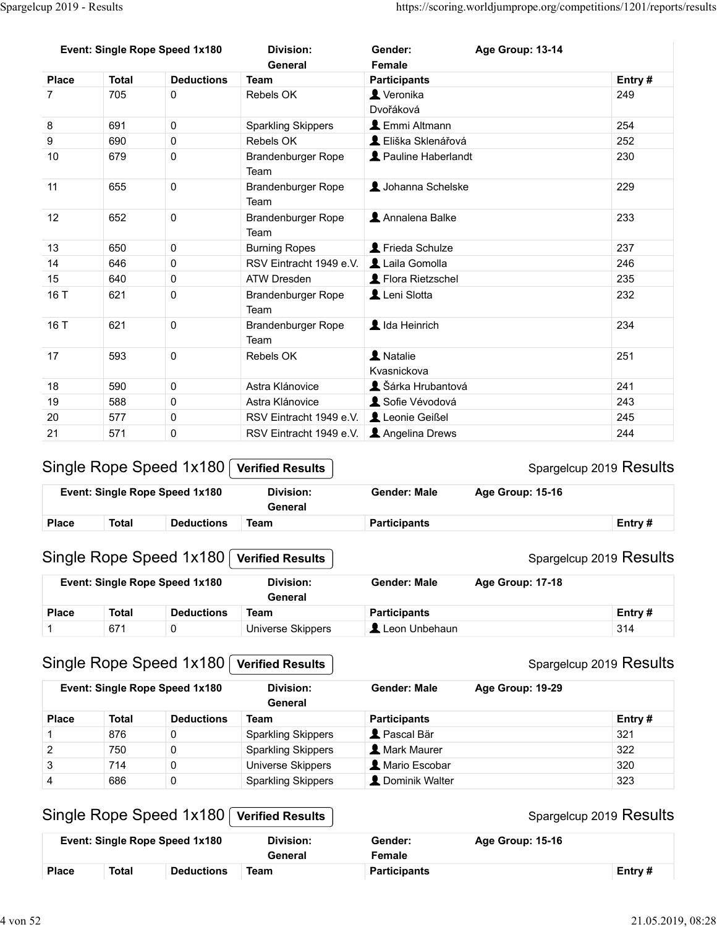| Spargelcup 2019 - Results |              |                                                           |                                                 |                          |                                                                     |                         |
|---------------------------|--------------|-----------------------------------------------------------|-------------------------------------------------|--------------------------|---------------------------------------------------------------------|-------------------------|
|                           |              |                                                           |                                                 |                          |                                                                     |                         |
|                           |              |                                                           |                                                 |                          |                                                                     |                         |
|                           |              |                                                           |                                                 |                          |                                                                     |                         |
|                           |              |                                                           |                                                 |                          |                                                                     |                         |
|                           |              |                                                           |                                                 |                          |                                                                     |                         |
|                           |              |                                                           |                                                 |                          | https://scoring.worldjumprope.org/competitions/1201/reports/results |                         |
|                           |              |                                                           |                                                 |                          |                                                                     |                         |
|                           |              | Event: Single Rope Speed 1x180                            | <b>Division:</b>                                | Gender:                  | Age Group: 13-14                                                    |                         |
|                           |              |                                                           | General                                         | Female                   |                                                                     |                         |
| <b>Place</b>              | <b>Total</b> | <b>Deductions</b>                                         | <b>Team</b>                                     | <b>Participants</b>      |                                                                     | Entry#                  |
| $\overline{7}$            | 705          | $\mathbf 0$                                               | Rebels OK                                       | Veronika                 |                                                                     | 249                     |
|                           |              |                                                           |                                                 | Dvořáková                |                                                                     |                         |
| 8                         | 691          | $\mathbf 0$                                               | <b>Sparkling Skippers</b>                       | <b>L</b> Emmi Altmann    |                                                                     | 254                     |
| 9                         | 690          | $\mathbf 0$                                               | Rebels OK                                       | L Eliška Sklenářová      |                                                                     | 252                     |
| 10                        | 679          | $\mathbf 0$                                               | Brandenburger Rope<br>Team                      | Pauline Haberlandt       |                                                                     | 230                     |
| 11                        | 655          | $\mathbf 0$                                               | Brandenburger Rope<br>Team                      | Johanna Schelske         |                                                                     | 229                     |
| 12                        | 652          | 0                                                         | Brandenburger Rope<br>Team                      | Annalena Balke           |                                                                     | 233                     |
| 13                        | 650          | $\pmb{0}$                                                 | <b>Burning Ropes</b>                            | Frieda Schulze           |                                                                     | 237                     |
| 14                        | 646          | $\pmb{0}$                                                 | RSV Eintracht 1949 e.V.   Laila Gomolla         |                          |                                                                     | 246                     |
| 15                        | 640          | $\pmb{0}$                                                 | <b>ATW Dresden</b>                              | Flora Rietzschel         |                                                                     | 235                     |
| 16 T                      | 621          | $\mathbf 0$                                               | Brandenburger Rope<br>Team                      | Leni Slotta              |                                                                     | 232                     |
| 16 T                      | 621          | $\pmb{0}$                                                 | Brandenburger Rope                              | L Ida Heinrich           |                                                                     | 234                     |
|                           |              |                                                           | Team                                            |                          |                                                                     |                         |
| 17                        | 593          | $\pmb{0}$                                                 | Rebels OK                                       | 1 Natalie<br>Kvasnickova |                                                                     | 251                     |
| 18                        | 590          | $\mathsf{O}\xspace$                                       | Astra Klánovice                                 | Sárka Hrubantová         |                                                                     | 241                     |
| 19                        | 588          | $\pmb{0}$                                                 | Astra Klánovice                                 | Sofie Vévodová           |                                                                     | 243                     |
| 20                        | 577          | $\pmb{0}$                                                 | RSV Eintracht 1949 e.V.                         | Leonie Geißel            |                                                                     | 245                     |
| 21                        | 571          | $\pmb{0}$                                                 | RSV Eintracht 1949 e.V. <b>1</b> Angelina Drews |                          |                                                                     | 244                     |
|                           |              | Single Rope Speed 1x180                                   | <b>Verified Results</b>                         |                          |                                                                     | Spargelcup 2019 Results |
|                           |              | Event: Single Rope Speed 1x180                            | <b>Division:</b><br>General                     | <b>Gender: Male</b>      | Age Group: 15-16                                                    |                         |
| <b>Place</b>              | <b>Total</b> | <b>Deductions</b>                                         | <b>Team</b>                                     | <b>Participants</b>      |                                                                     | Entry#                  |
|                           |              | Single Rope Speed 1x180                                   | <b>Verified Results</b>                         |                          |                                                                     | Spargelcup 2019 Results |
|                           |              | Event: Single Rope Speed 1x180                            | <b>Division:</b><br>General                     | <b>Gender: Male</b>      | Age Group: 17-18                                                    |                         |
|                           | <b>Total</b> | <b>Deductions</b>                                         | <b>Team</b>                                     | <b>Participants</b>      |                                                                     | Entry#                  |
| <b>Place</b>              | 671          | $\mathbf 0$                                               | <b>Universe Skippers</b>                        | Leon Unbehaun            |                                                                     | 314                     |
| 1                         |              |                                                           |                                                 |                          |                                                                     |                         |
|                           |              |                                                           |                                                 |                          |                                                                     |                         |
|                           |              | Single Rope Speed 1x180<br>Event: Single Rope Speed 1x180 | <b>Verified Results</b><br><b>Division:</b>     | <b>Gender: Male</b>      | Age Group: 19-29                                                    | Spargelcup 2019 Results |

|              |       | <b>Event: Single Rope Speed 1x180</b> | Division:<br>General | Gender: Male        | <b>Age Group: 15-16</b> |         |
|--------------|-------|---------------------------------------|----------------------|---------------------|-------------------------|---------|
| <b>Place</b> | Total | <b>Deductions</b>                     | Team                 | <b>Participants</b> |                         | Entry # |

## Single Rope Speed 1x180 Verified Results

|              | Event: Single Rope Speed 1x180 |                   | Division:<br>General | <b>Gender: Male</b> | <b>Age Group: 17-18</b> |           |
|--------------|--------------------------------|-------------------|----------------------|---------------------|-------------------------|-----------|
| <b>Place</b> | Total                          | <b>Deductions</b> | Team                 | <b>Participants</b> |                         | Entry $#$ |
|              | 671                            |                   | Universe Skippers    | Leon Unbehaun       |                         | 314       |

## Single Rope Speed 1x180 Verified Results

|                | 590          | 0                                                         | Astra Klánovice                                        | L Šárka Hrubantová   |                  | 241                               |
|----------------|--------------|-----------------------------------------------------------|--------------------------------------------------------|----------------------|------------------|-----------------------------------|
| 19             | 588          | 0                                                         | Astra Klánovice                                        | Sofie Vévodová       |                  | 243                               |
| 20             | 577          | 0                                                         | RSV Eintracht 1949 e.V.                                | Leonie Geißel        |                  | 245                               |
| 21             | 571          | 0                                                         | RSV Eintracht 1949 e.V.                                | Angelina Drews       |                  | 244                               |
|                |              | Single Rope Speed 1x180                                   | <b>Verified Results</b>                                |                      |                  | Spargelcup 2019 Results           |
|                |              | Event: Single Rope Speed 1x180                            | <b>Division:</b><br>General                            | <b>Gender: Male</b>  | Age Group: 15-16 |                                   |
| Place          | <b>Total</b> | <b>Deductions</b>                                         | <b>Team</b>                                            | <b>Participants</b>  |                  | Entry#                            |
|                |              | Single Rope Speed 1x180                                   | <b>Verified Results</b>                                |                      |                  | Spargelcup 2019 Results           |
|                |              | Event: Single Rope Speed 1x180                            | <b>Division:</b><br>General                            | <b>Gender: Male</b>  | Age Group: 17-18 |                                   |
| <b>Place</b>   | <b>Total</b> | <b>Deductions</b>                                         | <b>Team</b>                                            | <b>Participants</b>  |                  | Entry#                            |
| $\mathbf{1}$   | 671          | 0                                                         | <b>Universe Skippers</b>                               | Leon Unbehaun        |                  | 314                               |
|                |              |                                                           |                                                        |                      |                  |                                   |
|                |              | Single Rope Speed 1x180<br>Event: Single Rope Speed 1x180 | <b>Verified Results</b><br><b>Division:</b><br>General | <b>Gender: Male</b>  | Age Group: 19-29 |                                   |
| Place          | <b>Total</b> | <b>Deductions</b>                                         | <b>Team</b>                                            | <b>Participants</b>  |                  | Spargelcup 2019 Results<br>Entry# |
| $\overline{1}$ | 876          | 0                                                         | <b>Sparkling Skippers</b>                              | Pascal Bär           |                  | 321                               |
| $\overline{2}$ | 750          | 0                                                         | <b>Sparkling Skippers</b>                              | <b>A</b> Mark Maurer |                  | 322                               |
| 3              | 714          | 0                                                         | Universe Skippers                                      | A Mario Escobar      |                  | 320                               |
| $\overline{4}$ | 686          | 0                                                         | <b>Sparkling Skippers</b>                              | L Dominik Walter     |                  | 323                               |
|                |              | Single Rope Speed 1x180                                   | <b>Verified Results</b>                                |                      |                  |                                   |
|                |              | Event: Single Rope Speed 1x180                            | <b>Division:</b><br>General                            | Gender:<br>Female    | Age Group: 15-16 | Spargelcup 2019 Results<br>Entry# |

## Single Rope Speed 1x180 Verified Results

|              |       | <b>Event: Single Rope Speed 1x180</b> | Division:<br>General | Gender:<br>Female | <b>Age Group: 15-16</b> |           |
|--------------|-------|---------------------------------------|----------------------|-------------------|-------------------------|-----------|
| <b>Place</b> | Total | <b>Deductions</b>                     | Team                 | Participants      |                         | Entry $#$ |

#### Spargelcup 2019 Results

#### Spargelcup 2019 Results

#### Spargelcup 2019 Results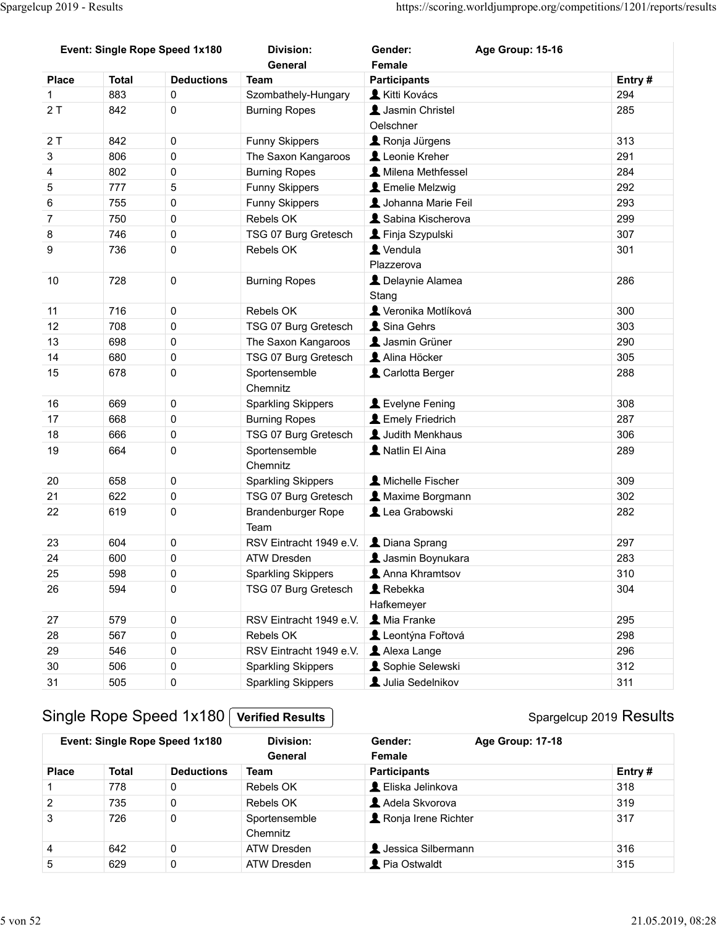| Spargelcup 2019 - Results |                     |                                |                                                   |                                                                     |                         |
|---------------------------|---------------------|--------------------------------|---------------------------------------------------|---------------------------------------------------------------------|-------------------------|
|                           |                     |                                |                                                   |                                                                     |                         |
|                           |                     |                                |                                                   |                                                                     |                         |
|                           |                     |                                |                                                   |                                                                     |                         |
|                           |                     |                                |                                                   | https://scoring.worldjumprope.org/competitions/1201/reports/results |                         |
|                           |                     |                                |                                                   |                                                                     |                         |
|                           |                     | Event: Single Rope Speed 1x180 | <b>Division:</b>                                  | Gender:<br>Age Group: 15-16                                         |                         |
|                           |                     |                                | General                                           | Female                                                              |                         |
| <b>Place</b>              | <b>Total</b><br>883 | <b>Deductions</b><br>0         | <b>Team</b><br>Szombathely-Hungary                | <b>Participants</b><br>Kitti Kovács                                 | Entry#<br>294           |
| 2T                        | 842                 | 0                              | <b>Burning Ropes</b>                              | Jasmin Christel                                                     | 285                     |
|                           |                     |                                |                                                   | Oelschner                                                           |                         |
| 2T                        | 842                 | $\mathbf 0$                    | Funny Skippers                                    | Ronja Jürgens                                                       | 313                     |
| 3<br>4                    | 806<br>802          | $\pmb{0}$<br>$\pmb{0}$         | The Saxon Kangaroos<br><b>Burning Ropes</b>       | Leonie Kreher<br>A Milena Methfessel                                | 291<br>284              |
| $\sqrt{5}$                | 777                 | 5                              | <b>Funny Skippers</b>                             | <b>L</b> Emelie Melzwig                                             | 292                     |
| 6                         | 755                 | $\mathbf 0$                    | Funny Skippers                                    | <b>1</b> Johanna Marie Feil                                         | 293                     |
| $\overline{7}$            | 750                 | $\mathbf 0$                    | Rebels OK                                         | Sabina Kischerova                                                   | 299                     |
| 8                         | 746                 | 0                              | TSG 07 Burg Gretesch                              | Finja Szypulski                                                     | 307                     |
| $\boldsymbol{9}$          | 736                 | 0                              | Rebels OK                                         | Vendula                                                             | 301                     |
| 10                        | 728                 |                                |                                                   | Plazzerova                                                          | 286                     |
|                           |                     | $\mathbf 0$                    | <b>Burning Ropes</b>                              | L Delaynie Alamea<br>Stang                                          |                         |
| 11                        | 716                 | $\mathbf 0$                    | Rebels OK                                         | Veronika Motlíková                                                  | 300                     |
| 12                        | 708                 | $\pmb{0}$                      | TSG 07 Burg Gretesch                              | Sina Gehrs                                                          | 303                     |
| 13                        | 698                 | $\pmb{0}$                      | The Saxon Kangaroos                               | <b>1</b> Jasmin Grüner                                              | 290                     |
| 14                        | 680                 | $\mathbf 0$                    | TSG 07 Burg Gretesch                              | Alina Höcker                                                        | 305                     |
| 15                        | 678                 | $\pmb{0}$                      | Sportensemble<br>Chemnitz                         | Carlotta Berger                                                     | 288                     |
| 16                        | 669                 | $\pmb{0}$                      | <b>Sparkling Skippers</b>                         | Levelyne Fening                                                     | 308                     |
| 17                        | 668                 | $\pmb{0}$                      | <b>Burning Ropes</b>                              | L Emely Friedrich                                                   | 287                     |
| 18                        | 666                 | $\pmb{0}$                      | TSG 07 Burg Gretesch                              | Judith Menkhaus                                                     | 306                     |
| 19                        | 664                 | $\mathbf 0$                    | Sportensemble                                     | A Natlin El Aina                                                    | 289                     |
|                           |                     |                                | Chemnitz                                          |                                                                     |                         |
| 20                        | 658                 | $\pmb{0}$                      | <b>Sparkling Skippers</b>                         | A Michelle Fischer                                                  | 309                     |
| 21<br>22                  | 622<br>619          | $\pmb{0}$<br>$\pmb{0}$         | TSG 07 Burg Gretesch<br><b>Brandenburger Rope</b> | A Maxime Borgmann<br>Lea Grabowski                                  | 302<br>282              |
|                           |                     |                                | Team                                              |                                                                     |                         |
| 23                        | 604                 | $\pmb{0}$                      | RSV Eintracht 1949 e.V.                           | L Diana Sprang                                                      | 297                     |
| 24                        | 600                 | $\pmb{0}$                      | ATW Dresden                                       | Jasmin Boynukara                                                    | 283                     |
| 25                        | 598                 | $\mathbf 0$                    | <b>Sparkling Skippers</b>                         | Anna Khramtsov                                                      | 310                     |
| 26                        | 594                 | $\mathbf 0$                    | TSG 07 Burg Gretesch                              | Rebekka                                                             | 304                     |
|                           |                     |                                |                                                   | Hafkemeyer                                                          |                         |
| 27<br>28                  | 579<br>567          | $\pmb{0}$<br>$\pmb{0}$         | RSV Eintracht 1949 e.V.<br>Rebels OK              | Mia Franke<br>Leontýna Fořtová                                      | 295<br>298              |
| 29                        | 546                 | $\pmb{0}$                      | RSV Eintracht 1949 e.V.   Alexa Lange             |                                                                     | 296                     |
| 30                        | 506                 | $\pmb{0}$                      | <b>Sparkling Skippers</b>                         | Sophie Selewski                                                     | 312                     |
| 31                        | 505                 | $\pmb{0}$                      | <b>Sparkling Skippers</b>                         | Julia Sedelnikov                                                    | 311                     |
|                           |                     |                                |                                                   |                                                                     |                         |
|                           |                     | Single Rope Speed 1x180        | <b>Verified Results</b>                           |                                                                     | Spargelcup 2019 Results |
|                           |                     | Event: Single Rope Speed 1x180 | <b>Division:</b>                                  | Age Group: 17-18<br>Gender:                                         |                         |
| <b>Place</b>              | <b>Total</b>        | <b>Deductions</b>              | General<br><b>Team</b>                            | Female<br><b>Participants</b>                                       | Entry#                  |
|                           | 778                 | $\mathsf{O}$                   | Rebels OK                                         | L Eliska Jelinkova                                                  | 318                     |
| $\overline{\mathbf{c}}$   | 735                 | $\pmb{0}$                      | Rebels OK                                         | Adela Skvorova                                                      | 319                     |
| $\ensuremath{\mathsf{3}}$ | 726                 | $\pmb{0}$                      | Sportensemble                                     | Ronja Irene Richter                                                 | 317                     |
|                           |                     |                                | Chemnitz                                          |                                                                     |                         |
| 4<br>$\mathbf 5$          | 642                 | $\mathsf{O}$                   | ATW Dresden                                       | L Jessica Silbermann                                                | 316                     |
|                           | 629                 | $\mathbf 0$                    | ATW Dresden                                       | Pia Ostwaldt                                                        | 315                     |

| 24             | <b>OUU</b>   | U                                                         | AT VV DIESGEH                               | A Jashiin Doynukara         | ∠໐ວ                     |
|----------------|--------------|-----------------------------------------------------------|---------------------------------------------|-----------------------------|-------------------------|
| 25             | 598          | $\mathsf 0$                                               | <b>Sparkling Skippers</b>                   | Anna Khramtsov              | 310                     |
| 26             | 594          | $\mathsf{O}\xspace$                                       | TSG 07 Burg Gretesch                        | Rebekka                     | 304                     |
|                |              |                                                           |                                             | Hafkemeyer                  |                         |
| 27             | 579          | $\mathsf{O}\xspace$                                       | RSV Eintracht 1949 e.V.                     | <b>A</b> Mia Franke         | 295                     |
| 28             | 567          | $\mathsf{O}\xspace$                                       | Rebels OK                                   | Leontýna Fořtová            | 298                     |
| 29             | 546          | $\mathsf{O}\xspace$                                       | RSV Eintracht 1949 e.V.                     | Alexa Lange                 | 296                     |
| 30             | 506          | $\mathsf{O}\xspace$                                       | <b>Sparkling Skippers</b>                   | Sophie Selewski             | 312                     |
| 31             | 505          | $\mathsf{O}\xspace$                                       | Sparkling Skippers                          | Julia Sedelnikov            | 311                     |
|                |              | Single Rope Speed 1x180<br>Event: Single Rope Speed 1x180 | <b>Verified Results</b><br><b>Division:</b> | Gender:<br>Age Group: 17-18 | Spargelcup 2019 Results |
|                |              |                                                           | General                                     | Female                      |                         |
| <b>Place</b>   | <b>Total</b> | <b>Deductions</b>                                         | <b>Team</b>                                 | <b>Participants</b>         | Entry#                  |
| $\mathbf{1}$   | 778          | $\mathbf 0$                                               | Rebels OK                                   | L Eliska Jelinkova          | 318                     |
| $\overline{c}$ | 735          | $\mathsf{O}\xspace$                                       | Rebels OK                                   | Adela Skvorova              | 319                     |
| 3              | 726          | $\pmb{0}$                                                 | Sportensemble<br>Chemnitz                   | Ronja Irene Richter         | 317                     |
| $\overline{4}$ | 642          | $\mathsf 0$                                               | ATW Dresden                                 | <b>L</b> Jessica Silbermann | 316                     |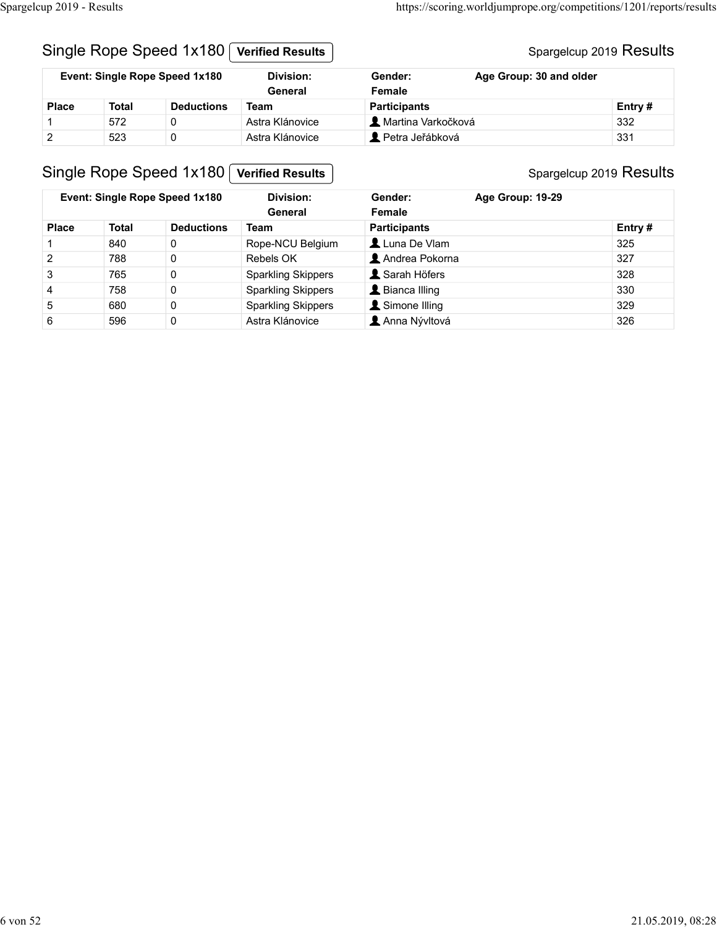#### Spargelcup 2019 Results

| Spargelcup 2019 - Results |              |                                |                             |                      | https://scoring.worldjumprope.org/competitions/1201/reports/results |  |
|---------------------------|--------------|--------------------------------|-----------------------------|----------------------|---------------------------------------------------------------------|--|
|                           |              |                                |                             |                      |                                                                     |  |
|                           |              | Single Rope Speed 1x180        | <b>Verified Results</b>     |                      | Spargelcup 2019 Results                                             |  |
|                           |              | Event: Single Rope Speed 1x180 | <b>Division:</b><br>General | Gender:<br>Female    | Age Group: 30 and older                                             |  |
| <b>Place</b>              | <b>Total</b> | <b>Deductions</b>              | <b>Team</b>                 | <b>Participants</b>  | Entry#                                                              |  |
|                           | 572          | 0                              | Astra Klánovice             | A Martina Varkočková | 332                                                                 |  |
| $\overline{c}$            | 523          | $\mathbf 0$                    | Astra Klánovice             | Petra Jeřábková      | 331                                                                 |  |
|                           |              | Single Rope Speed 1x180        | <b>Verified Results</b>     |                      | Spargelcup 2019 Results                                             |  |
|                           |              | Event: Single Rope Speed 1x180 | <b>Division:</b>            | Gender:              | Age Group: 19-29                                                    |  |

## Single Rope Speed 1x180 Verified Results

|                |              | Single Rope Speed 1x180                                   | <b>Verified Results</b>                      |                                     | Spargelcup 2019 Results                     |               |
|----------------|--------------|-----------------------------------------------------------|----------------------------------------------|-------------------------------------|---------------------------------------------|---------------|
|                |              | Event: Single Rope Speed 1x180                            | <b>Division:</b><br>General                  | Gender:<br>Female                   | Age Group: 30 and older                     |               |
| <b>Place</b>   | <b>Total</b> | <b>Deductions</b>                                         | <b>Team</b>                                  | <b>Participants</b>                 |                                             | Entry#        |
| 1              | 572          | 0                                                         | Astra Klánovice                              | A Martina Varkočková                |                                             | 332           |
| $\sqrt{2}$     | 523          | $\mathbf 0$                                               | Astra Klánovice                              | Petra Jeřábková                     |                                             | 331           |
|                |              | Single Rope Speed 1x180<br>Event: Single Rope Speed 1x180 | <b>Verified Results</b><br><b>Division:</b>  | Gender:                             | Spargelcup 2019 Results<br>Age Group: 19-29 |               |
|                |              |                                                           | General                                      | Female                              |                                             |               |
|                | <b>Total</b> | <b>Deductions</b>                                         | <b>Team</b>                                  | <b>Participants</b><br>Luna De Vlam |                                             | Entry#<br>325 |
| <b>Place</b>   |              |                                                           |                                              |                                     |                                             |               |
| $\mathbf{1}$   | 840          | $\mathbf 0$                                               | Rope-NCU Belgium                             |                                     |                                             |               |
| $\overline{2}$ | 788          | 0                                                         | Rebels OK                                    | Andrea Pokorna                      |                                             | 327           |
| $\sqrt{3}$     | 765          | $\pmb{0}$                                                 | <b>Sparkling Skippers</b>                    | Sarah Höfers                        |                                             | 328           |
| 4              | 758          | 0                                                         | <b>Sparkling Skippers</b>                    | L Bianca Illing                     |                                             | 330           |
| 5<br>6         | 680<br>596   | $\mathbf 0$<br>$\mathbf 0$                                | <b>Sparkling Skippers</b><br>Astra Klánovice | Simone Illing<br>Anna Nývltová      |                                             | 329<br>326    |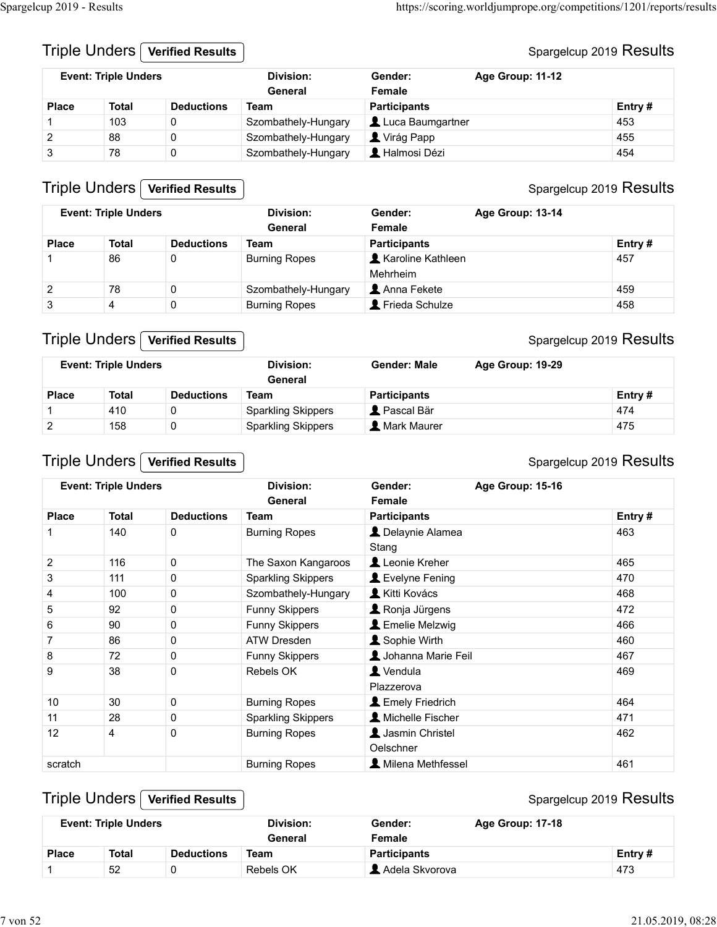#### Triple Unders **Verified Results**

#### Spargelcup 2019 Results

| Spargelcup 2019 - Results |                             |                         |                             |                               | https://scoring.worldjumprope.org/competitions/1201/reports/results |        |
|---------------------------|-----------------------------|-------------------------|-----------------------------|-------------------------------|---------------------------------------------------------------------|--------|
|                           | Triple Unders [             | <b>Verified Results</b> |                             |                               |                                                                     |        |
|                           | <b>Event: Triple Unders</b> |                         | <b>Division:</b><br>General | Gender:<br>Female             | Spargelcup 2019 Results<br>Age Group: 11-12                         |        |
| <b>Place</b>              | <b>Total</b>                | <b>Deductions</b>       | <b>Team</b>                 | <b>Participants</b>           |                                                                     | Entry# |
| $\mathbf{1}$              | 103                         | $\mathbf 0$             | Szombathely-Hungary         | Luca Baumgartner              |                                                                     | 453    |
| $\overline{c}$            | 88                          | $\pmb{0}$               | Szombathely-Hungary         | Virág Papp                    |                                                                     | 455    |
| $\mathsf 3$               | 78                          | $\mathbf 0$             | Szombathely-Hungary         | L Halmosi Dézi                |                                                                     | 454    |
|                           | Triple Unders               | <b>Verified Results</b> |                             |                               | Spargelcup 2019 Results                                             |        |
|                           | <b>Event: Triple Unders</b> |                         | <b>Division:</b><br>General | Gender:<br>Female             | Age Group: 13-14                                                    |        |
| <b>Place</b>              | <b>Total</b>                | <b>Deductions</b>       | <b>Team</b>                 | <b>Participants</b>           |                                                                     | Entry# |
| 1                         | 86                          | $\mathbf{0}$            | <b>Burning Ropes</b>        | Karoline Kathleen<br>Mehrheim |                                                                     | 457    |

#### Triple Unders **Verified Results**

#### Spargelcup 2019 Results

| cup 2019 - Results            |                                                |                                  |                                                        |                                                          | https://scoring.worldjumprope.org/competitions/1201/reports/results |                         |
|-------------------------------|------------------------------------------------|----------------------------------|--------------------------------------------------------|----------------------------------------------------------|---------------------------------------------------------------------|-------------------------|
|                               | Triple Unders                                  | <b>Verified Results</b>          |                                                        |                                                          |                                                                     | Spargelcup 2019 Results |
|                               | <b>Event: Triple Unders</b>                    |                                  | <b>Division:</b><br>General                            | Gender:<br>Female                                        | Age Group: 11-12                                                    |                         |
| <b>Place</b>                  | <b>Total</b>                                   | <b>Deductions</b>                | <b>Team</b>                                            | <b>Participants</b>                                      |                                                                     | Entry#                  |
| -1                            | 103                                            | $\pmb{0}$                        | Szombathely-Hungary                                    | Luca Baumgartner                                         |                                                                     | 453                     |
| $\overline{2}$                | 88                                             | 0                                | Szombathely-Hungary                                    | Virág Papp                                               |                                                                     | 455                     |
| 3                             | 78                                             | $\pmb{0}$                        | Szombathely-Hungary                                    | A Halmosi Dézi                                           |                                                                     | 454                     |
|                               | Triple Unders [<br><b>Event: Triple Unders</b> | <b>Verified Results</b>          | <b>Division:</b><br>General                            | Gender:<br>Female                                        | Age Group: 13-14                                                    | Spargelcup 2019 Results |
| <b>Place</b>                  | <b>Total</b>                                   | <b>Deductions</b>                | <b>Team</b>                                            | <b>Participants</b>                                      |                                                                     | Entry#                  |
| $\mathbf{1}$                  | 86                                             | 0                                | <b>Burning Ropes</b>                                   | <b>A</b> Karoline Kathleen<br>Mehrheim                   |                                                                     | 457                     |
| $\overline{2}$                | 78                                             | $\mathbf 0$                      | Szombathely-Hungary                                    | Anna Fekete                                              |                                                                     | 459                     |
| $\mathbf{3}$                  | 4                                              | $\mathbf 0$                      | <b>Burning Ropes</b>                                   | Frieda Schulze                                           |                                                                     | 458                     |
|                               | Triple Unders  <br><b>Event: Triple Unders</b> | <b>Verified Results</b>          | <b>Division:</b>                                       | <b>Gender: Male</b>                                      | Age Group: 19-29                                                    | Spargelcup 2019 Results |
|                               |                                                |                                  | General                                                |                                                          |                                                                     |                         |
| <b>Place</b>                  | <b>Total</b>                                   | <b>Deductions</b>                | <b>Team</b>                                            | <b>Participants</b><br>Pascal Bär                        |                                                                     | Entry#<br>474           |
| $\mathbf 1$<br>$\overline{2}$ | 410<br>158                                     | 0<br>$\pmb{0}$                   | <b>Sparkling Skippers</b><br><b>Sparkling Skippers</b> | <b>A</b> Mark Maurer                                     |                                                                     | 475                     |
|                               |                                                |                                  |                                                        |                                                          |                                                                     |                         |
|                               |                                                | Triple Unders   Verified Results |                                                        |                                                          |                                                                     | Spargelcup 2019 Results |
|                               | <b>Event: Triple Unders</b>                    |                                  | <b>Division:</b><br>General                            | Gender:<br>Female                                        | Age Group: 15-16                                                    |                         |
| <b>Place</b>                  | <b>Total</b>                                   | <b>Deductions</b>                | <b>Team</b>                                            | <b>Participants</b>                                      |                                                                     | Entry#                  |
|                               |                                                |                                  |                                                        |                                                          |                                                                     |                         |
| $\mathbf{1}$                  | 140<br>44C                                     | 0                                | <b>Burning Ropes</b>                                   | L Delaynie Alamea<br>Stang<br>$\blacksquare$ Lands Kocks |                                                                     | 463<br>ACF              |

#### Triple Unders **Verified Results**

|              | <b>Event: Triple Unders</b> |                   | Division:<br>General      | Gender: Male                | Age Group: 19-29 |         |
|--------------|-----------------------------|-------------------|---------------------------|-----------------------------|------------------|---------|
| <b>Place</b> | Total                       | <b>Deductions</b> | Team                      | <b>Participants</b>         |                  | Entry # |
|              | 410                         |                   | <b>Sparkling Skippers</b> | $\blacktriangle$ Pascal Bär |                  | 474     |
|              | 158                         |                   | <b>Sparkling Skippers</b> | <b>A</b> Mark Maurer        |                  | 475     |

#### Triple Unders Verified Results

#### Spargelcup 2019 Results

|                | <b>Event: Triple Unders</b> |                         | Division:<br>General        | Gender:<br>Female            | <b>Age Group: 13-14</b> |                         |
|----------------|-----------------------------|-------------------------|-----------------------------|------------------------------|-------------------------|-------------------------|
| <b>Place</b>   | <b>Total</b>                | <b>Deductions</b>       | <b>Team</b>                 | <b>Participants</b>          |                         | Entry#                  |
| -1             | 86                          | $\mathbf 0$             | <b>Burning Ropes</b>        | <b>A</b> Karoline Kathleen   |                         | 457                     |
|                |                             |                         |                             | Mehrheim                     |                         |                         |
| $\overline{2}$ | 78                          | $\mathbf 0$             | Szombathely-Hungary         | Anna Fekete                  |                         | 459                     |
| 3              | $\overline{4}$              | $\mathbf 0$             | <b>Burning Ropes</b>        | Frieda Schulze               |                         | 458                     |
|                |                             |                         |                             |                              |                         |                         |
|                | Triple Unders [             | <b>Verified Results</b> |                             |                              |                         | Spargelcup 2019 Results |
|                | <b>Event: Triple Unders</b> |                         | <b>Division:</b><br>General | <b>Gender: Male</b>          | Age Group: 19-29        |                         |
| <b>Place</b>   | <b>Total</b>                | <b>Deductions</b>       | <b>Team</b>                 | <b>Participants</b>          |                         | Entry#                  |
| 1              | 410                         | 0                       | <b>Sparkling Skippers</b>   | Pascal Bär                   |                         | 474                     |
| $\overline{2}$ | 158                         | $\pmb{0}$               | <b>Sparkling Skippers</b>   | <b>A</b> Mark Maurer         |                         | 475                     |
|                | Triple Unders               | <b>Verified Results</b> |                             |                              |                         | Spargelcup 2019 Results |
|                | <b>Event: Triple Unders</b> |                         | <b>Division:</b><br>General | Gender:<br>Female            | Age Group: 15-16        |                         |
| <b>Place</b>   | <b>Total</b>                | <b>Deductions</b>       | <b>Team</b>                 | <b>Participants</b>          |                         | Entry#                  |
| 1              | 140                         | $\mathbf 0$             | <b>Burning Ropes</b>        | L Delaynie Alamea<br>Stang   |                         | 463                     |
| $\overline{2}$ | 116                         | $\mathbf 0$             | The Saxon Kangaroos         | Leonie Kreher                |                         | 465                     |
| $\mathbf{3}$   | 111                         | $\mathsf 0$             | <b>Sparkling Skippers</b>   | Levelyne Fening              |                         | 470                     |
| 4              | 100                         | $\mathsf 0$             | Szombathely-Hungary         | Kitti Kovács                 |                         | 468                     |
| 5              | 92                          | $\pmb{0}$               | Funny Skippers              | Ronja Jürgens                |                         | 472                     |
| 6              | 90                          | $\pmb{0}$               | Funny Skippers              | <b>L</b> Emelie Melzwig      |                         | 466                     |
| $\overline{7}$ | 86                          | $\mathbf 0$             | <b>ATW Dresden</b>          | Sophie Wirth                 |                         | 460                     |
| 8              | 72                          | $\mathbf 0$             | Funny Skippers              | Johanna Marie Feil           |                         | 467                     |
| 9              | 38                          | $\pmb{0}$               | Rebels OK                   | L Vendula<br>Plazzerova      |                         | 469                     |
| 10             | $30\,$                      | $\mathbf 0$             | <b>Burning Ropes</b>        | <b>L</b> Emely Friedrich     |                         | 464                     |
| 11             | 28                          | $\pmb{0}$               | <b>Sparkling Skippers</b>   | Michelle Fischer             |                         | 471                     |
| 12             | 4                           | $\Omega$                | <b>Burning Ropes</b>        | Jasmin Christel<br>Oelschner |                         | 462                     |
| scratch        |                             |                         | <b>Burning Ropes</b>        | A Milena Methfessel          |                         | 461                     |
|                |                             |                         |                             |                              |                         |                         |
|                | Triple Unders [             | <b>Verified Results</b> |                             |                              |                         | Spargelcup 2019 Results |
|                | <b>Event: Triple Unders</b> |                         | <b>Division:</b><br>General | Gender:<br>Female            | Age Group: 17-18        |                         |
| <b>Place</b>   | <b>Total</b>                | <b>Deductions</b>       | <b>Team</b>                 | <b>Participants</b>          |                         | Entry#                  |
| $\overline{1}$ | 52                          | $\mathbf 0$             | Rebels OK                   | Adela Skvorova               |                         | 473                     |

#### Triple Unders **Verified Results**

|              | <b>Event: Triple Unders</b> |                   | Division:        | Gender:             | <b>Age Group: 17-18</b> |           |
|--------------|-----------------------------|-------------------|------------------|---------------------|-------------------------|-----------|
|              |                             |                   | General          | Female              |                         |           |
| <b>Place</b> | Total                       | <b>Deductions</b> | Team             | <b>Participants</b> |                         | Entry $#$ |
|              | 52                          |                   | <b>Rebels OK</b> | . Adela Skvorova    |                         | 473       |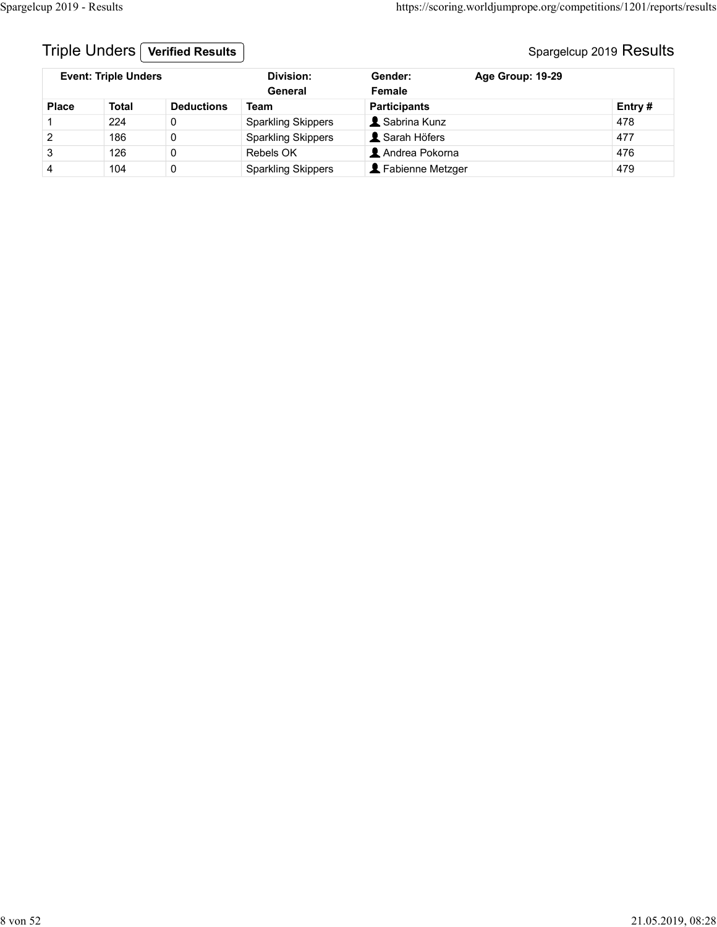## Triple Unders **Verified Results** Number 2019 Results Spargelcup 2019 Results

| Spargelcup 2019 - Results |                             |                         |                                        |                     | https://scoring.worldjumprope.org/competitions/1201/reports/results |        |  |
|---------------------------|-----------------------------|-------------------------|----------------------------------------|---------------------|---------------------------------------------------------------------|--------|--|
|                           |                             |                         |                                        |                     |                                                                     |        |  |
|                           | Triple Unders [             | <b>Verified Results</b> |                                        |                     | Spargelcup 2019 Results                                             |        |  |
|                           | <b>Event: Triple Unders</b> |                         | <b>Division:</b><br>General            | Gender:<br>Female   | Age Group: 19-29                                                    |        |  |
| Place                     | <b>Total</b>                | <b>Deductions</b>       | <b>Team</b>                            | <b>Participants</b> |                                                                     | Entry# |  |
| -1                        | 224                         | $\mathbf 0$             | <b>Sparkling Skippers</b>              | Sabrina Kunz        |                                                                     | 478    |  |
| $\boldsymbol{2}$          | 186                         | $\mathbf 0$             |                                        | Sarah Höfers        |                                                                     | 477    |  |
| $\ensuremath{\mathsf{3}}$ | 126                         | $\mathbf 0$             | <b>Sparkling Skippers</b><br>Rebels OK | Andrea Pokorna      |                                                                     | 476    |  |
|                           |                             |                         |                                        |                     |                                                                     |        |  |
| $\overline{4}$            | 104                         | $\mathbf{0}$            | <b>Sparkling Skippers</b>              | Fabienne Metzger    |                                                                     | 479    |  |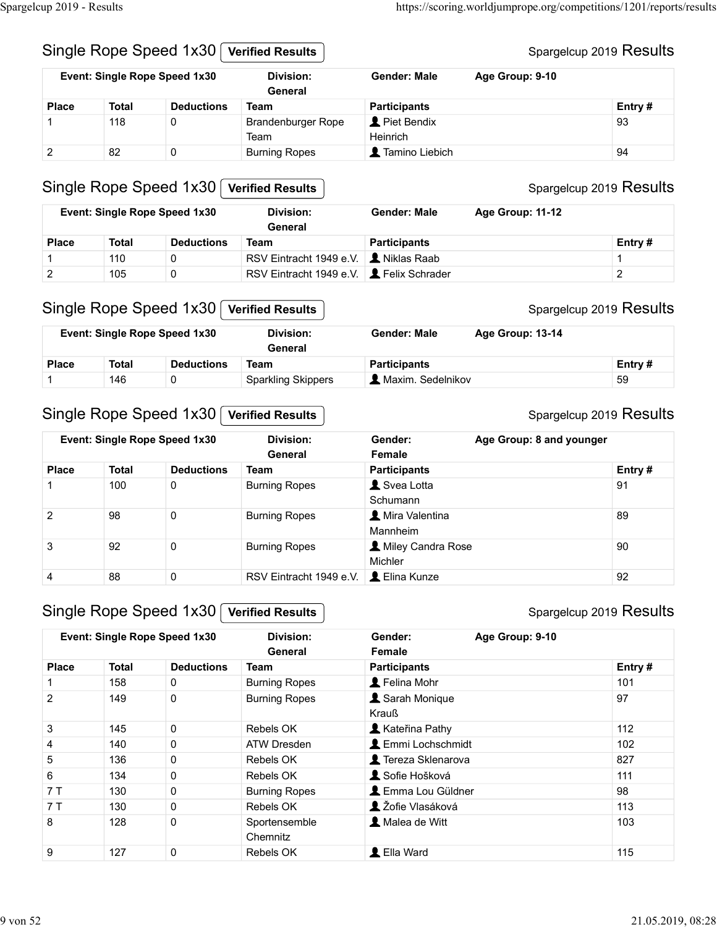| Spargelcup 2019 - Results |                                                                                              |                                           |                                              |                     | https://scoring.worldjumprope.org/competitions/1201/reports/results |
|---------------------------|----------------------------------------------------------------------------------------------|-------------------------------------------|----------------------------------------------|---------------------|---------------------------------------------------------------------|
|                           |                                                                                              |                                           |                                              |                     |                                                                     |
|                           |                                                                                              |                                           | <b>Verified Results</b>                      |                     | Spargelcup 2019 Results                                             |
|                           | Single Rope Speed 1x30<br>Event: Single Rope Speed 1x30<br><b>Deductions</b><br><b>Total</b> |                                           |                                              |                     |                                                                     |
|                           |                                                                                              |                                           | <b>Division:</b><br>General                  | <b>Gender: Male</b> | Age Group: 9-10                                                     |
| <b>Place</b>              |                                                                                              |                                           | <b>Team</b>                                  | <b>Participants</b> | Entry#                                                              |
| 1                         | 118                                                                                          | 0                                         | Brandenburger Rope                           | Piet Bendix         | 93                                                                  |
|                           |                                                                                              |                                           | Team                                         | Heinrich            |                                                                     |
| $\boldsymbol{2}$          | 82                                                                                           | $\mathsf{O}$                              | <b>Burning Ropes</b>                         | Tamino Liebich      | 94                                                                  |
|                           |                                                                                              |                                           |                                              |                     |                                                                     |
|                           |                                                                                              | Single Rope Speed 1x30                    | <b>Verified Results</b>                      |                     | Spargelcup 2019 Results                                             |
|                           |                                                                                              | Event: Single Rope Speed 1x30             | <b>Division:</b><br>General                  | <b>Gender: Male</b> | Age Group: 11-12                                                    |
| <b>Place</b>              | <b>Total</b>                                                                                 | <b>Deductions</b>                         | <b>Team</b>                                  | <b>Participants</b> | Entry#                                                              |
|                           | 110                                                                                          | $\mathbf 0$                               | RSV Eintracht 1949 e.V. <b>L</b> Niklas Raab |                     | $\mathbf{1}$                                                        |
| 1                         | 105                                                                                          | $\mathbf 0$                               | RSV Eintracht 1949 e.V.   Lelix Schrader     |                     | $\overline{a}$                                                      |
| $\overline{c}$            |                                                                                              |                                           |                                              |                     |                                                                     |
|                           |                                                                                              | Single Rope Speed 1x30   Verified Results |                                              |                     | Spargelcup 2019 Results                                             |
|                           |                                                                                              |                                           | <b>Division:</b>                             | <b>Gender: Male</b> | Age Group: 13-14                                                    |
|                           |                                                                                              |                                           |                                              |                     |                                                                     |
|                           |                                                                                              | Event: Single Rope Speed 1x30             | General                                      |                     |                                                                     |
| <b>Place</b>              | <b>Total</b>                                                                                 | <b>Deductions</b>                         | <b>Team</b>                                  | <b>Participants</b> | Entry#                                                              |
| 1                         | 146                                                                                          | 0                                         | <b>Sparkling Skippers</b>                    | A Maxim. Sedelnikov | 59                                                                  |
|                           |                                                                                              |                                           |                                              |                     |                                                                     |
|                           |                                                                                              | Single Rope Speed 1x30                    | <b>Verified Results</b>                      |                     | Spargelcup 2019 Results                                             |
|                           |                                                                                              | Event: Single Rope Speed 1x30             | <b>Division:</b>                             | Gender:             | Age Group: 8 and younger                                            |

#### Single Rope Speed 1x30 Verified Results

|              | Event: Single Rope Speed 1x30 |                   | Division:<br>General                             | Gender: Male        | <b>Age Group: 11-12</b> |         |
|--------------|-------------------------------|-------------------|--------------------------------------------------|---------------------|-------------------------|---------|
| <b>Place</b> | Total                         | <b>Deductions</b> | Team                                             | <b>Participants</b> |                         | Entry # |
|              | 110                           |                   | RSV Eintracht 1949 e.V. │ <i>L</i> . Niklas Raab |                     |                         |         |
|              | 105                           |                   | RSV Eintracht 1949 e.V. <b>2</b> Felix Schrader  |                     |                         |         |

#### Single Rope Speed 1x30 Verified Results

|              |       | <b>Event: Single Rope Speed 1x30</b> | Division:<br>General      | <b>Gender: Male</b>              | Age Group: 13-14 |           |
|--------------|-------|--------------------------------------|---------------------------|----------------------------------|------------------|-----------|
| <b>Place</b> | Total | <b>Deductions</b>                    | Team                      | <b>Participants</b>              |                  | Entry $#$ |
|              | 146   |                                      | <b>Sparkling Skippers</b> | $\blacksquare$ Maxim. Sedelnikov |                  | 59        |

## Single Rope Speed 1x30 Verified Results

#### Spargelcup 2019 Results

|                |                               |                        | Team                                                          | Heinrich                            |                          |                         |
|----------------|-------------------------------|------------------------|---------------------------------------------------------------|-------------------------------------|--------------------------|-------------------------|
| $\overline{2}$ | 82                            | $\pmb{0}$              | <b>Burning Ropes</b>                                          | Tamino Liebich                      |                          | 94                      |
|                |                               | Single Rope Speed 1x30 | <b>Verified Results</b>                                       |                                     |                          | Spargelcup 2019 Results |
|                | Event: Single Rope Speed 1x30 |                        | <b>Division:</b><br>General                                   | <b>Gender: Male</b>                 | Age Group: 11-12         |                         |
| <b>Place</b>   | <b>Total</b>                  | <b>Deductions</b>      | <b>Team</b>                                                   | <b>Participants</b>                 |                          | Entry#                  |
| 1              | 110                           | 0                      | RSV Eintracht 1949 e.V.                                       | Niklas Raab                         |                          | $\mathbf{1}$            |
| $\overline{2}$ | 105                           | $\mathbf 0$            | RSV Eintracht 1949 e.V. <b>1.</b> Felix Schrader              |                                     |                          | $\overline{2}$          |
|                |                               | Single Rope Speed 1x30 | <b>Verified Results</b>                                       |                                     |                          | Spargelcup 2019 Results |
|                | Event: Single Rope Speed 1x30 |                        | <b>Division:</b><br><b>General</b>                            | <b>Gender: Male</b>                 | Age Group: 13-14         |                         |
| <b>Place</b>   | <b>Total</b>                  | <b>Deductions</b>      | <b>Team</b>                                                   | <b>Participants</b>                 |                          | Entry#                  |
| 1.             | 146                           | 0                      | <b>Sparkling Skippers</b>                                     | A Maxim. Sedelnikov                 |                          | 59                      |
|                | Event: Single Rope Speed 1x30 | Single Rope Speed 1x30 | <b>Verified Results</b><br><b>Division:</b><br><b>General</b> | Gender:<br>Female                   | Age Group: 8 and younger | Spargelcup 2019 Results |
| <b>Place</b>   | <b>Total</b>                  | <b>Deductions</b>      | Team                                                          | <b>Participants</b>                 |                          | Entry#                  |
| 1              | 100                           | 0                      | <b>Burning Ropes</b>                                          | Svea Lotta                          |                          | 91                      |
|                |                               |                        |                                                               | Schumann                            |                          |                         |
| $\overline{2}$ | 98                            | 0                      | <b>Burning Ropes</b>                                          | <b>A</b> Mira Valentina<br>Mannheim |                          | 89                      |
| 3              | 92                            | $\mathbf 0$            | <b>Burning Ropes</b>                                          | Miley Candra Rose<br>Michler        |                          | 90                      |
| 4              | 88                            | $\mathbf 0$            | RSV Eintracht 1949 e.V.                                       | L Elina Kunze                       |                          | 92                      |
|                | Event: Single Rope Speed 1x30 | Single Rope Speed 1x30 | <b>Verified Results</b><br><b>Division:</b>                   | Gender:                             | Age Group: 9-10          | Spargelcup 2019 Results |
|                |                               |                        | General                                                       | Female                              |                          |                         |
| <b>Place</b>   | <b>Total</b>                  | <b>Deductions</b>      | <b>Team</b>                                                   | <b>Participants</b>                 |                          | Entry#                  |
| $\mathbf{1}$   | 158                           | 0                      | <b>Burning Ropes</b>                                          | Felina Mohr                         |                          | 101                     |
| $\overline{2}$ | 149                           | $\mathbf 0$            | <b>Burning Ropes</b>                                          | Sarah Monique<br>Krauß              |                          | 97                      |
| $\mathbf{3}$   | 145                           | $\mathbf 0$            | Rebels OK                                                     | Kateřina Pathy                      |                          | 112                     |
| 4              | 140                           | $\pmb{0}$              | ATW Dresden                                                   | LEmmi Lochschmidt                   |                          | 102                     |
| 5              | 136                           | $\pmb{0}$              | Rebels OK                                                     | Tereza Sklenarova                   |                          | 827                     |
|                |                               |                        | $\sim$                                                        | $0.6 - 11 - 21$                     |                          |                         |

#### Single Rope Speed 1x30 Verified Results

#### Spargelcup 2019 Results

|                | Event: Single Rope Speed 1x30                           |                   | <b>Division:</b><br>General                            | Gender:<br>Female                    | Age Group: 8 and younger |
|----------------|---------------------------------------------------------|-------------------|--------------------------------------------------------|--------------------------------------|--------------------------|
| <b>Place</b>   | <b>Total</b>                                            | <b>Deductions</b> | <b>Team</b>                                            | <b>Participants</b>                  | Entry#                   |
|                | 100                                                     | 0                 | <b>Burning Ropes</b>                                   | Svea Lotta<br>Schumann               | 91                       |
| $\overline{2}$ | 98                                                      | $\pmb{0}$         | <b>Burning Ropes</b>                                   | A Mira Valentina<br>Mannheim         | 89                       |
| $\mathbf{3}$   | 92                                                      | $\mathbf 0$       | <b>Burning Ropes</b>                                   | A Miley Candra Rose<br>Michler       | 90                       |
| $\overline{4}$ | 88                                                      | $\mathbf 0$       | RSV Eintracht 1949 e.V.                                | L Elina Kunze                        | 92                       |
|                | Single Rope Speed 1x30<br>Event: Single Rope Speed 1x30 |                   | <b>Verified Results</b><br><b>Division:</b><br>General | Gender:<br>Age Group: 9-10<br>Female | Spargelcup 2019 Results  |
| <b>Place</b>   | <b>Total</b>                                            | <b>Deductions</b> | <b>Team</b>                                            | <b>Participants</b>                  | Entry#                   |
| -1             | 158                                                     | 0                 | <b>Burning Ropes</b>                                   | L Felina Mohr                        | 101                      |
| $\overline{2}$ | 149                                                     | $\mathsf{O}$      | <b>Burning Ropes</b>                                   | Sarah Monique<br>Krauß               | 97                       |
| $\mathbf{3}$   | 145                                                     | $\mathbf 0$       | Rebels OK                                              | Kateřina Pathy                       | 112                      |
|                | 140                                                     | $\pmb{0}$         | <b>ATW Dresden</b>                                     | <b>L</b> Emmi Lochschmidt            | 102                      |
| $\overline{4}$ |                                                         | $\pmb{0}$         | Rebels OK                                              | Tereza Sklenarova                    | 827                      |
| $\overline{5}$ | 136                                                     |                   |                                                        |                                      |                          |
| 6              | 134                                                     | $\mathbf 0$       | Rebels OK                                              | Sofie Hošková                        | 111                      |
| 7T             | 130                                                     | $\pmb{0}$         | <b>Burning Ropes</b>                                   | <b>L</b> Emma Lou Güldner            | 98                       |
| 7T             | 130                                                     | $\pmb{0}$         | Rebels OK                                              | L Žofie Vlasáková                    | 113                      |
| 8              | 128                                                     | $\mathbf 0$       | Sportensemble<br>Chemnitz                              | Malea de Witt                        | 103                      |

#### Spargelcup 2019 Results

#### Spargelcup 2019 Results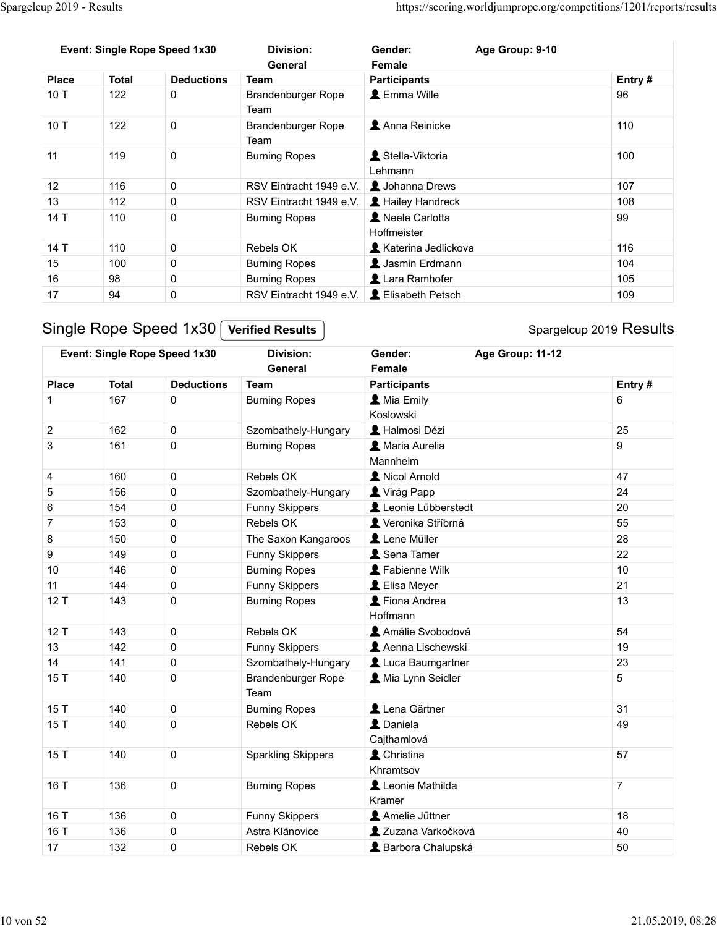|                           |                                                                                                                                                                  |                        |                                             |                                                  | https://scoring.worldjumprope.org/competitions/1201/reports/results |                |
|---------------------------|------------------------------------------------------------------------------------------------------------------------------------------------------------------|------------------------|---------------------------------------------|--------------------------------------------------|---------------------------------------------------------------------|----------------|
|                           |                                                                                                                                                                  |                        |                                             |                                                  |                                                                     |                |
|                           | Spargelcup 2019 - Results<br>Event: Single Rope Speed 1x30<br><b>Total</b><br>$\mathbf 0$<br>122<br>122<br>$\mathbf 0$<br>119<br>$\mathbf 0$<br>116<br>$\pmb{0}$ |                        | <b>Division:</b>                            | Gender:                                          | Age Group: 9-10                                                     |                |
|                           |                                                                                                                                                                  |                        | General                                     | Female                                           |                                                                     |                |
| <b>Place</b>              |                                                                                                                                                                  | <b>Deductions</b>      | <b>Team</b>                                 | <b>Participants</b>                              |                                                                     | Entry#         |
| 10T                       |                                                                                                                                                                  |                        | Brandenburger Rope                          | L Emma Wille                                     |                                                                     | 96             |
|                           |                                                                                                                                                                  |                        | Team                                        |                                                  |                                                                     |                |
| 10T                       |                                                                                                                                                                  |                        | Brandenburger Rope                          | Anna Reinicke                                    |                                                                     | 110            |
|                           |                                                                                                                                                                  |                        | Team                                        |                                                  |                                                                     |                |
| 11                        |                                                                                                                                                                  |                        | <b>Burning Ropes</b>                        | Stella-Viktoria                                  |                                                                     | 100            |
|                           |                                                                                                                                                                  |                        |                                             | Lehmann                                          |                                                                     |                |
| 12                        |                                                                                                                                                                  |                        | RSV Eintracht 1949 e.V.   1 Johanna Drews   |                                                  |                                                                     | 107            |
| 13                        | 112                                                                                                                                                              | $\mathbf 0$            | RSV Eintracht 1949 e.V.   1 Hailey Handreck |                                                  |                                                                     | 108            |
| 14 T                      | 110                                                                                                                                                              | $\mathbf 0$            | <b>Burning Ropes</b>                        | Neele Carlotta                                   |                                                                     | 99             |
|                           |                                                                                                                                                                  |                        |                                             | Hoffmeister                                      |                                                                     |                |
| 14 T                      | 110                                                                                                                                                              | $\pmb{0}$              | Rebels OK                                   | <b>A</b> Katerina Jedlickova                     |                                                                     | 116            |
| 15                        | 100                                                                                                                                                              | $\pmb{0}$              | <b>Burning Ropes</b>                        | L Jasmin Erdmann                                 |                                                                     | 104            |
| 16                        | 98                                                                                                                                                               | $\pmb{0}$              | <b>Burning Ropes</b>                        | Lara Ramhofer                                    |                                                                     | 105            |
| 17                        | 94                                                                                                                                                               | $\mathsf{O}\xspace$    | RSV Eintracht 1949 e.V.                     | L Elisabeth Petsch                               |                                                                     | 109            |
|                           |                                                                                                                                                                  |                        |                                             |                                                  |                                                                     |                |
|                           |                                                                                                                                                                  | Single Rope Speed 1x30 | <b>Verified Results</b>                     |                                                  | Spargelcup 2019 Results                                             |                |
|                           |                                                                                                                                                                  |                        |                                             |                                                  |                                                                     |                |
|                           |                                                                                                                                                                  |                        | <b>Division:</b><br>General                 | Gender:<br>Female                                | Age Group: 11-12                                                    |                |
|                           | Event: Single Rope Speed 1x30                                                                                                                                    |                        |                                             | <b>Participants</b>                              |                                                                     | Entry#         |
|                           |                                                                                                                                                                  |                        |                                             |                                                  |                                                                     |                |
|                           | <b>Total</b>                                                                                                                                                     | <b>Deductions</b>      | <b>Team</b>                                 |                                                  |                                                                     |                |
| <b>Place</b>              | 167                                                                                                                                                              | $\mathbf 0$            | <b>Burning Ropes</b>                        | <b>A</b> Mia Emily                               |                                                                     | 6              |
|                           |                                                                                                                                                                  |                        |                                             | Koslowski                                        |                                                                     |                |
| $\overline{\mathbf{c}}$   | 162                                                                                                                                                              | $\mathbf 0$            | Szombathely-Hungary                         | Halmosi Dézi                                     |                                                                     | 25             |
| $\ensuremath{\mathsf{3}}$ | 161                                                                                                                                                              | $\pmb{0}$              | <b>Burning Ropes</b>                        | A Maria Aurelia                                  |                                                                     | 9              |
|                           |                                                                                                                                                                  |                        |                                             | Mannheim                                         |                                                                     |                |
|                           | 160                                                                                                                                                              | $\mathbf 0$            | Rebels OK                                   | Nicol Arnold                                     |                                                                     | 47             |
| 4<br>$\mathbf 5$          | 156<br>4E                                                                                                                                                        | $\pmb{0}$<br>$\sim$    | Szombathely-Hungary<br>r<br>$\bigcap$       | Virág Papp<br><b>A I</b> a suite I Welcometrials |                                                                     | 24<br>$\Omega$ |

|                |                                                         |                   | Team                                              |                                 |                         |
|----------------|---------------------------------------------------------|-------------------|---------------------------------------------------|---------------------------------|-------------------------|
| 11             | 119                                                     | $\pmb{0}$         | <b>Burning Ropes</b>                              | Stella-Viktoria<br>Lehmann      | 100                     |
| 12             | 116                                                     | $\pmb{0}$         | RSV Eintracht 1949 e.V.                           | Johanna Drews                   | 107                     |
| 13             | 112                                                     | $\pmb{0}$         | RSV Eintracht 1949 e.V.                           | Hailey Handreck                 | 108                     |
| 14 T           | 110                                                     | $\pmb{0}$         | <b>Burning Ropes</b>                              | Neele Carlotta<br>Hoffmeister   | 99                      |
| 14 T           | 110                                                     | $\mathsf 0$       | Rebels OK                                         | <b>A</b> Katerina Jedlickova    | 116                     |
| 15             | 100                                                     | $\pmb{0}$         | <b>Burning Ropes</b>                              | Jasmin Erdmann                  | 104                     |
| 16             | 98                                                      | $\pmb{0}$         | <b>Burning Ropes</b>                              | Lara Ramhofer                   | 105                     |
| 17             | 94                                                      | $\pmb{0}$         | RSV Eintracht 1949 e.V. <b>L</b> Elisabeth Petsch |                                 | 109                     |
|                | Single Rope Speed 1x30<br>Event: Single Rope Speed 1x30 |                   | <b>Verified Results</b><br><b>Division:</b>       | Age Group: 11-12<br>Gender:     | Spargelcup 2019 Results |
|                |                                                         |                   | General                                           | Female                          |                         |
| <b>Place</b>   | <b>Total</b>                                            | <b>Deductions</b> | <b>Team</b>                                       | <b>Participants</b>             | Entry#                  |
| -1             | 167                                                     | 0                 | <b>Burning Ropes</b>                              | <b>A</b> Mia Emily<br>Koslowski | 6                       |
| $\overline{2}$ | 162                                                     | $\mathbf 0$       | Szombathely-Hungary                               | Halmosi Dézi                    | 25                      |
| $\mathbf{3}$   | 161                                                     | $\pmb{0}$         | <b>Burning Ropes</b>                              | A Maria Aurelia<br>Mannheim     | 9                       |
| $\overline{4}$ | 160                                                     | $\mathbf 0$       | Rebels OK                                         | Nicol Arnold                    | 47                      |
| $\mathbf 5$    | 156                                                     | $\mathsf 0$       | Szombathely-Hungary                               | Virág Papp                      | 24                      |
| $\,6\,$        | 154                                                     | $\pmb{0}$         | Funny Skippers                                    | Leonie Lübberstedt              | 20                      |
| $\overline{7}$ | 153                                                     | $\pmb{0}$         | Rebels OK                                         | Veronika Stříbrná               | 55                      |
| 8              | 150                                                     | $\pmb{0}$         | The Saxon Kangaroos                               | Lene Müller                     | 28                      |
| 9              | 149                                                     | $\mathsf 0$       | Funny Skippers                                    | Sena Tamer                      | 22                      |
| 10             | 146                                                     | $\pmb{0}$         | <b>Burning Ropes</b>                              | Fabienne Wilk                   | 10                      |
| 11             | 144                                                     | $\pmb{0}$         | Funny Skippers                                    | LElisa Meyer                    | 21                      |
| 12T            | 143                                                     | $\pmb{0}$         | <b>Burning Ropes</b>                              | Fiona Andrea<br>Hoffmann        | 13                      |
| 12T            | 143                                                     | $\mathbf 0$       | Rebels OK                                         | Amálie Svobodová                | 54                      |
| 13             | 142                                                     | $\pmb{0}$         | Funny Skippers                                    | Aenna Lischewski                | 19                      |
| 14             | 141                                                     | $\mathbf 0$       | Szombathely-Hungary                               | Luca Baumgartner                | 23                      |
| 15T            | 140                                                     | $\pmb{0}$         | Brandenburger Rope<br>Team                        | Mia Lynn Seidler                | 5                       |
| 15T            | 140                                                     | $\mathbf 0$       | <b>Burning Ropes</b>                              | Lena Gärtner                    | 31                      |
| 15T            | 140                                                     | $\pmb{0}$         | Rebels OK                                         | L Daniela<br>Cajthamlová        | 49                      |
| 15T            | 140                                                     | $\pmb{0}$         | <b>Sparkling Skippers</b>                         | L Christina<br>Khramtsov        | 57                      |
| 16 T           | 136                                                     | $\mathbf 0$       | <b>Burning Ropes</b>                              | Leonie Mathilda<br>Kramer       | $\overline{7}$          |
| 16 T           | 136                                                     | $\mathbf 0$       | Funny Skippers                                    | Amelie Jüttner                  | 18                      |
| 16 T           | 136                                                     | $\mathbf 0$       | Astra Klánovice                                   | 2 Zuzana Varkočková             | 40                      |
| 17             | 132                                                     | $\mathbf 0$       | Rebels OK                                         | & Barbora Chalupská             | 50                      |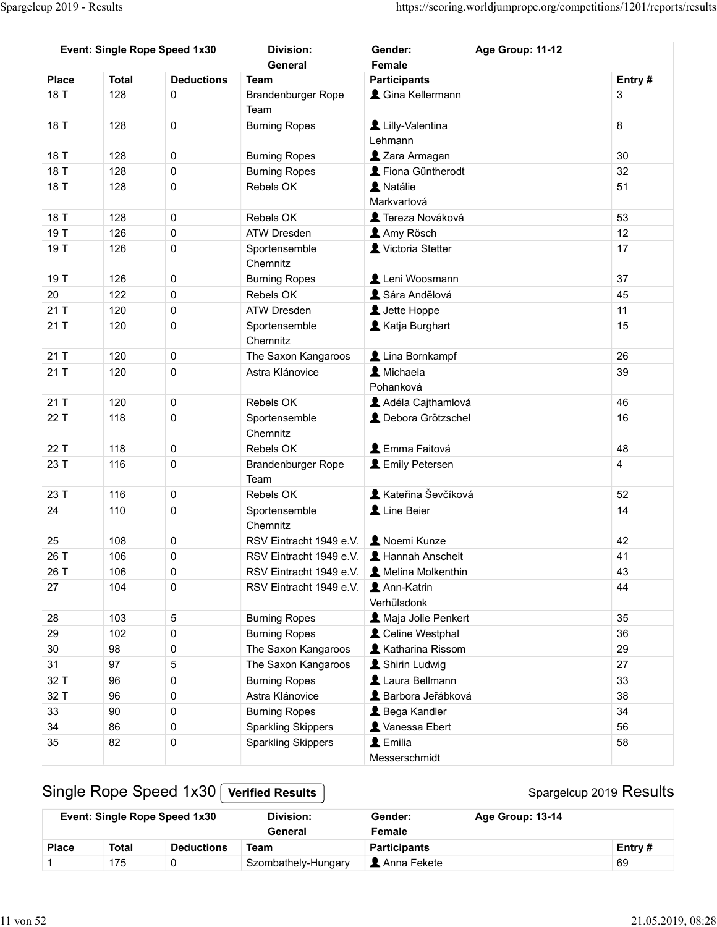| Event: Single Rope Speed 1x30<br><b>Division:</b><br>Gender:<br>General<br>Female<br><b>Deductions</b><br><b>Participants</b><br><b>Total</b><br><b>Team</b><br><b>Place</b><br>& Gina Kellermann<br>$\mathbf 0$<br>18 T<br>128<br>Brandenburger Rope<br>Team<br>18 T<br>128<br>$\mathbf 0$<br>Lilly-Valentina<br><b>Burning Ropes</b><br>Lehmann<br>18 T<br>128<br>$\mathbf 0$<br><b>Burning Ropes</b><br>2 Zara Armagan<br>18 T<br>128<br>$\mathbf 0$<br>Fiona Güntherodt<br><b>Burning Ropes</b><br>A Natálie<br>18 T<br>128<br>$\mathbf 0$<br>Rebels OK<br>Markvartová<br>18 T<br>128<br>$\mathbf 0$<br><b>C</b> Tereza Nováková<br>Rebels OK<br>19 T<br>126<br>$\pmb{0}$<br><b>ATW Dresden</b><br>Amy Rösch<br>19 T<br>126<br>$\pmb{0}$<br>Victoria Stetter<br>Sportensemble<br>Chemnitz<br>126<br>Leni Woosmann<br>19 T<br>$\pmb{0}$<br><b>Burning Ropes</b><br>20<br>122<br>$\mathsf{O}\xspace$<br>Sára Andělová<br>Rebels OK<br>21 T<br>120<br>L Jette Hoppe<br>$\mathbf 0$<br>ATW Dresden<br>Katja Burghart<br>21T<br>120<br>$\mathbf 0$<br>Sportensemble<br>Chemnitz<br>Lina Bornkampf<br>21 T<br>120<br>$\mathbf 0$<br>The Saxon Kangaroos<br>21 T<br>120<br>$\pmb{0}$<br>L Michaela<br>Astra Klánovice<br>Pohanková<br>Rebels OK<br>Adéla Cajthamlová<br>21 T<br>120<br>$\pmb{0}$<br>22 T<br>118<br>$\mathsf{O}\xspace$<br>Sportensemble<br>Chemnitz | Age Group: 11-12                            | Entry#<br>$\mathfrak{S}$<br>8<br>30<br>32<br>51<br>53<br>12<br>17<br>37<br>45<br>11<br>15 |
|------------------------------------------------------------------------------------------------------------------------------------------------------------------------------------------------------------------------------------------------------------------------------------------------------------------------------------------------------------------------------------------------------------------------------------------------------------------------------------------------------------------------------------------------------------------------------------------------------------------------------------------------------------------------------------------------------------------------------------------------------------------------------------------------------------------------------------------------------------------------------------------------------------------------------------------------------------------------------------------------------------------------------------------------------------------------------------------------------------------------------------------------------------------------------------------------------------------------------------------------------------------------------------------------------------------------------------------------------------------|---------------------------------------------|-------------------------------------------------------------------------------------------|
|                                                                                                                                                                                                                                                                                                                                                                                                                                                                                                                                                                                                                                                                                                                                                                                                                                                                                                                                                                                                                                                                                                                                                                                                                                                                                                                                                                  |                                             |                                                                                           |
|                                                                                                                                                                                                                                                                                                                                                                                                                                                                                                                                                                                                                                                                                                                                                                                                                                                                                                                                                                                                                                                                                                                                                                                                                                                                                                                                                                  |                                             |                                                                                           |
|                                                                                                                                                                                                                                                                                                                                                                                                                                                                                                                                                                                                                                                                                                                                                                                                                                                                                                                                                                                                                                                                                                                                                                                                                                                                                                                                                                  |                                             |                                                                                           |
|                                                                                                                                                                                                                                                                                                                                                                                                                                                                                                                                                                                                                                                                                                                                                                                                                                                                                                                                                                                                                                                                                                                                                                                                                                                                                                                                                                  |                                             |                                                                                           |
|                                                                                                                                                                                                                                                                                                                                                                                                                                                                                                                                                                                                                                                                                                                                                                                                                                                                                                                                                                                                                                                                                                                                                                                                                                                                                                                                                                  |                                             |                                                                                           |
|                                                                                                                                                                                                                                                                                                                                                                                                                                                                                                                                                                                                                                                                                                                                                                                                                                                                                                                                                                                                                                                                                                                                                                                                                                                                                                                                                                  |                                             |                                                                                           |
|                                                                                                                                                                                                                                                                                                                                                                                                                                                                                                                                                                                                                                                                                                                                                                                                                                                                                                                                                                                                                                                                                                                                                                                                                                                                                                                                                                  |                                             |                                                                                           |
|                                                                                                                                                                                                                                                                                                                                                                                                                                                                                                                                                                                                                                                                                                                                                                                                                                                                                                                                                                                                                                                                                                                                                                                                                                                                                                                                                                  |                                             |                                                                                           |
|                                                                                                                                                                                                                                                                                                                                                                                                                                                                                                                                                                                                                                                                                                                                                                                                                                                                                                                                                                                                                                                                                                                                                                                                                                                                                                                                                                  |                                             |                                                                                           |
|                                                                                                                                                                                                                                                                                                                                                                                                                                                                                                                                                                                                                                                                                                                                                                                                                                                                                                                                                                                                                                                                                                                                                                                                                                                                                                                                                                  |                                             |                                                                                           |
|                                                                                                                                                                                                                                                                                                                                                                                                                                                                                                                                                                                                                                                                                                                                                                                                                                                                                                                                                                                                                                                                                                                                                                                                                                                                                                                                                                  |                                             |                                                                                           |
|                                                                                                                                                                                                                                                                                                                                                                                                                                                                                                                                                                                                                                                                                                                                                                                                                                                                                                                                                                                                                                                                                                                                                                                                                                                                                                                                                                  |                                             |                                                                                           |
|                                                                                                                                                                                                                                                                                                                                                                                                                                                                                                                                                                                                                                                                                                                                                                                                                                                                                                                                                                                                                                                                                                                                                                                                                                                                                                                                                                  |                                             |                                                                                           |
|                                                                                                                                                                                                                                                                                                                                                                                                                                                                                                                                                                                                                                                                                                                                                                                                                                                                                                                                                                                                                                                                                                                                                                                                                                                                                                                                                                  |                                             |                                                                                           |
|                                                                                                                                                                                                                                                                                                                                                                                                                                                                                                                                                                                                                                                                                                                                                                                                                                                                                                                                                                                                                                                                                                                                                                                                                                                                                                                                                                  |                                             |                                                                                           |
|                                                                                                                                                                                                                                                                                                                                                                                                                                                                                                                                                                                                                                                                                                                                                                                                                                                                                                                                                                                                                                                                                                                                                                                                                                                                                                                                                                  |                                             | 26                                                                                        |
|                                                                                                                                                                                                                                                                                                                                                                                                                                                                                                                                                                                                                                                                                                                                                                                                                                                                                                                                                                                                                                                                                                                                                                                                                                                                                                                                                                  |                                             | 39                                                                                        |
|                                                                                                                                                                                                                                                                                                                                                                                                                                                                                                                                                                                                                                                                                                                                                                                                                                                                                                                                                                                                                                                                                                                                                                                                                                                                                                                                                                  |                                             | 46                                                                                        |
|                                                                                                                                                                                                                                                                                                                                                                                                                                                                                                                                                                                                                                                                                                                                                                                                                                                                                                                                                                                                                                                                                                                                                                                                                                                                                                                                                                  | L Debora Grötzschel                         | 16                                                                                        |
|                                                                                                                                                                                                                                                                                                                                                                                                                                                                                                                                                                                                                                                                                                                                                                                                                                                                                                                                                                                                                                                                                                                                                                                                                                                                                                                                                                  |                                             |                                                                                           |
| 118<br>L Emma Faitová<br>22 T<br>$\mathbf 0$<br>Rebels OK                                                                                                                                                                                                                                                                                                                                                                                                                                                                                                                                                                                                                                                                                                                                                                                                                                                                                                                                                                                                                                                                                                                                                                                                                                                                                                        |                                             | 48                                                                                        |
| 23 T<br>116<br><b>L</b> Emily Petersen<br>$\mathbf 0$<br>Brandenburger Rope<br>Team                                                                                                                                                                                                                                                                                                                                                                                                                                                                                                                                                                                                                                                                                                                                                                                                                                                                                                                                                                                                                                                                                                                                                                                                                                                                              |                                             | $\overline{\mathbf{4}}$                                                                   |
| Rebels OK<br>23 T<br>116<br>$\mathbf 0$                                                                                                                                                                                                                                                                                                                                                                                                                                                                                                                                                                                                                                                                                                                                                                                                                                                                                                                                                                                                                                                                                                                                                                                                                                                                                                                          | Kateřina Ševčíková                          | 52                                                                                        |
| Line Beier<br>24<br>110<br>$\pmb{0}$<br>Sportensemble                                                                                                                                                                                                                                                                                                                                                                                                                                                                                                                                                                                                                                                                                                                                                                                                                                                                                                                                                                                                                                                                                                                                                                                                                                                                                                            |                                             | 14                                                                                        |
| Chemnitz                                                                                                                                                                                                                                                                                                                                                                                                                                                                                                                                                                                                                                                                                                                                                                                                                                                                                                                                                                                                                                                                                                                                                                                                                                                                                                                                                         |                                             |                                                                                           |
| $\mathsf{O}\xspace$<br>RSV Eintracht 1949 e.V. <b>2</b> Noemi Kunze<br>25<br>108                                                                                                                                                                                                                                                                                                                                                                                                                                                                                                                                                                                                                                                                                                                                                                                                                                                                                                                                                                                                                                                                                                                                                                                                                                                                                 |                                             | 42                                                                                        |
| 26 T<br>106<br>$\mathsf{O}\xspace$<br>RSV Eintracht 1949 e.V.   1 Hannah Anscheit                                                                                                                                                                                                                                                                                                                                                                                                                                                                                                                                                                                                                                                                                                                                                                                                                                                                                                                                                                                                                                                                                                                                                                                                                                                                                |                                             | 41                                                                                        |
| 26 T<br>106<br>$\pmb{0}$<br>RSV Eintracht 1949 e.V.   1 Melina Molkenthin                                                                                                                                                                                                                                                                                                                                                                                                                                                                                                                                                                                                                                                                                                                                                                                                                                                                                                                                                                                                                                                                                                                                                                                                                                                                                        |                                             | 43                                                                                        |
| RSV Eintracht 1949 e.V. <b>LA</b> nn-Katrin<br>27<br>104<br>$\mathbf 0$                                                                                                                                                                                                                                                                                                                                                                                                                                                                                                                                                                                                                                                                                                                                                                                                                                                                                                                                                                                                                                                                                                                                                                                                                                                                                          |                                             | 44                                                                                        |
| Verhülsdonk<br>$5\phantom{.0}$<br>103<br><b>Burning Ropes</b><br>28                                                                                                                                                                                                                                                                                                                                                                                                                                                                                                                                                                                                                                                                                                                                                                                                                                                                                                                                                                                                                                                                                                                                                                                                                                                                                              | A Maja Jolie Penkert                        | 35                                                                                        |
| 29<br>Celine Westphal<br>102<br>$\pmb{0}$<br><b>Burning Ropes</b>                                                                                                                                                                                                                                                                                                                                                                                                                                                                                                                                                                                                                                                                                                                                                                                                                                                                                                                                                                                                                                                                                                                                                                                                                                                                                                |                                             | 36                                                                                        |
| Katharina Rissom<br>$30\,$<br>98<br>$\pmb{0}$<br>The Saxon Kangaroos                                                                                                                                                                                                                                                                                                                                                                                                                                                                                                                                                                                                                                                                                                                                                                                                                                                                                                                                                                                                                                                                                                                                                                                                                                                                                             |                                             | 29                                                                                        |
| 31<br>97<br>$\mathbf 5$<br>Shirin Ludwig<br>The Saxon Kangaroos                                                                                                                                                                                                                                                                                                                                                                                                                                                                                                                                                                                                                                                                                                                                                                                                                                                                                                                                                                                                                                                                                                                                                                                                                                                                                                  |                                             | 27                                                                                        |
| 96<br>Laura Bellmann<br>32 T<br>$\pmb{0}$<br><b>Burning Ropes</b>                                                                                                                                                                                                                                                                                                                                                                                                                                                                                                                                                                                                                                                                                                                                                                                                                                                                                                                                                                                                                                                                                                                                                                                                                                                                                                |                                             | 33                                                                                        |
| 96<br>32 T<br>$\mathbf 0$<br>Astra Klánovice                                                                                                                                                                                                                                                                                                                                                                                                                                                                                                                                                                                                                                                                                                                                                                                                                                                                                                                                                                                                                                                                                                                                                                                                                                                                                                                     | Barbora Jeřábková                           | 38                                                                                        |
| 33<br>90<br>$\pmb{0}$<br><b>A</b> Bega Kandler<br><b>Burning Ropes</b>                                                                                                                                                                                                                                                                                                                                                                                                                                                                                                                                                                                                                                                                                                                                                                                                                                                                                                                                                                                                                                                                                                                                                                                                                                                                                           |                                             | 34                                                                                        |
| $34\,$<br>86<br>$\pmb{0}$<br>Vanessa Ebert<br><b>Sparkling Skippers</b>                                                                                                                                                                                                                                                                                                                                                                                                                                                                                                                                                                                                                                                                                                                                                                                                                                                                                                                                                                                                                                                                                                                                                                                                                                                                                          |                                             | 56                                                                                        |
| $\blacktriangle$ Emilia<br>82<br>35<br>$\pmb{0}$<br><b>Sparkling Skippers</b>                                                                                                                                                                                                                                                                                                                                                                                                                                                                                                                                                                                                                                                                                                                                                                                                                                                                                                                                                                                                                                                                                                                                                                                                                                                                                    |                                             | 58                                                                                        |
| Messerschmidt                                                                                                                                                                                                                                                                                                                                                                                                                                                                                                                                                                                                                                                                                                                                                                                                                                                                                                                                                                                                                                                                                                                                                                                                                                                                                                                                                    |                                             |                                                                                           |
| Single Rope Speed 1x30<br><b>Verified Results</b><br>Event: Single Rope Speed 1x30<br><b>Division:</b><br>Gender:                                                                                                                                                                                                                                                                                                                                                                                                                                                                                                                                                                                                                                                                                                                                                                                                                                                                                                                                                                                                                                                                                                                                                                                                                                                | Spargelcup 2019 Results<br>Age Group: 13-14 |                                                                                           |
| Female<br>General                                                                                                                                                                                                                                                                                                                                                                                                                                                                                                                                                                                                                                                                                                                                                                                                                                                                                                                                                                                                                                                                                                                                                                                                                                                                                                                                                |                                             |                                                                                           |
| <b>Total</b><br><b>Deductions</b><br><b>Team</b><br><b>Participants</b><br><b>Place</b><br>Szombathely-Hungary<br>Anna Fekete<br>175<br>$\mathbf 0$<br>1                                                                                                                                                                                                                                                                                                                                                                                                                                                                                                                                                                                                                                                                                                                                                                                                                                                                                                                                                                                                                                                                                                                                                                                                         |                                             | Entry#<br>69                                                                              |

|              |       | <b>Event: Single Rope Speed 1x30</b> | Division:<br>General | Gender:<br>Female   | Age Group: 13-14 |           |
|--------------|-------|--------------------------------------|----------------------|---------------------|------------------|-----------|
| <b>Place</b> | Total | <b>Deductions</b>                    | Team                 | <b>Participants</b> |                  | Entry $#$ |
|              | 175   |                                      | Szombathely-Hungary  | Anna Fekete         |                  | 69        |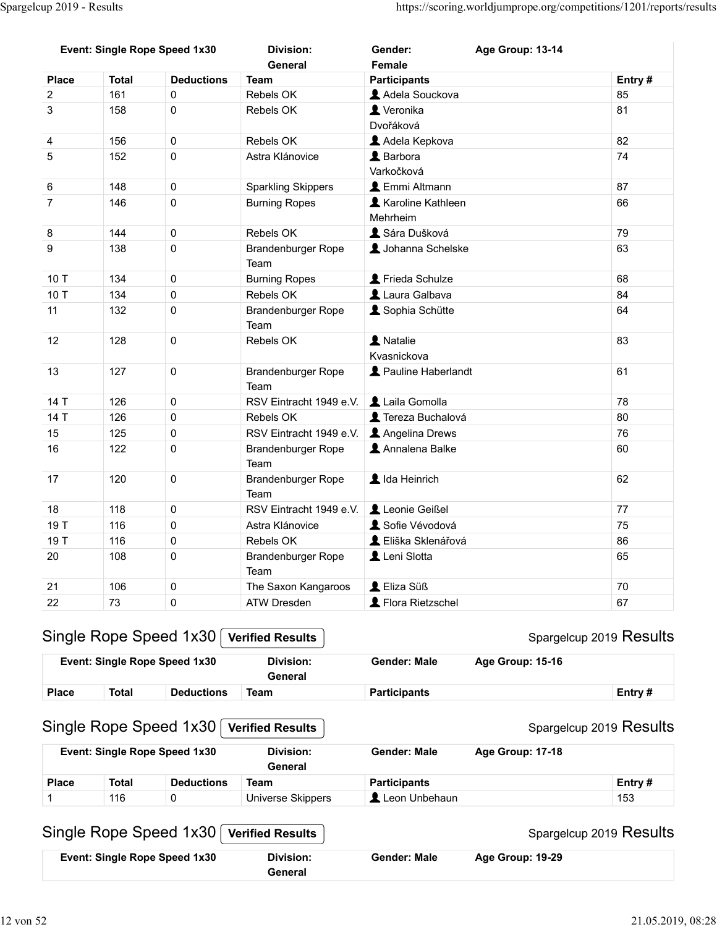| Spargelcup 2019 - Results               |                     |                                |                                          |                                       |                                                                     |              |
|-----------------------------------------|---------------------|--------------------------------|------------------------------------------|---------------------------------------|---------------------------------------------------------------------|--------------|
|                                         |                     |                                |                                          |                                       |                                                                     |              |
|                                         |                     |                                |                                          |                                       |                                                                     |              |
|                                         |                     |                                |                                          |                                       |                                                                     |              |
|                                         |                     |                                |                                          |                                       |                                                                     |              |
|                                         |                     |                                |                                          |                                       |                                                                     |              |
|                                         |                     |                                |                                          |                                       |                                                                     |              |
|                                         |                     |                                |                                          |                                       | https://scoring.worldjumprope.org/competitions/1201/reports/results |              |
|                                         |                     |                                |                                          |                                       |                                                                     |              |
|                                         |                     | Event: Single Rope Speed 1x30  | <b>Division:</b>                         | Gender:                               | Age Group: 13-14                                                    |              |
|                                         |                     |                                | General                                  | Female                                |                                                                     |              |
| <b>Place</b><br>$\overline{\mathbf{c}}$ | <b>Total</b><br>161 | <b>Deductions</b><br>$\pmb{0}$ | <b>Team</b><br>Rebels OK                 | <b>Participants</b><br>Adela Souckova |                                                                     | Entry#<br>85 |
| $\sqrt{3}$                              | 158                 | $\mathbf 0$                    | Rebels OK                                | Veronika                              |                                                                     | 81           |
|                                         |                     |                                |                                          | Dvořáková                             |                                                                     |              |
| $\overline{\mathbf{4}}$                 | 156                 | $\mathsf{O}\xspace$            | Rebels OK                                | Adela Kepkova                         |                                                                     | 82           |
| 5                                       | 152                 | $\mathbf 0$                    | Astra Klánovice                          | L Barbora<br>Varkočková               |                                                                     | 74           |
| 6                                       | 148                 | $\pmb{0}$                      | <b>Sparkling Skippers</b>                | <b>L</b> Emmi Altmann                 |                                                                     | 87           |
| $\overline{7}$                          | 146                 | 0                              | <b>Burning Ropes</b>                     | Karoline Kathleen                     |                                                                     | 66           |
|                                         | 144                 | 0                              | Rebels OK                                | Mehrheim<br>Sára Dušková              |                                                                     | 79           |
| 8<br>$\boldsymbol{9}$                   | 138                 | $\pmb{0}$                      | Brandenburger Rope                       | Johanna Schelske                      |                                                                     | 63           |
|                                         |                     |                                | Team                                     |                                       |                                                                     |              |
| 10 T                                    | 134                 | $\pmb{0}$                      | <b>Burning Ropes</b>                     | Frieda Schulze                        |                                                                     | 68           |
| 10 T<br>11                              | 134<br>132          | $\pmb{0}$<br>$\pmb{0}$         | Rebels OK<br>Brandenburger Rope          | Laura Galbava<br>Sophia Schütte       |                                                                     | 84<br>64     |
|                                         |                     |                                | Team                                     |                                       |                                                                     |              |
| 12                                      | 128                 | $\mathbf 0$                    | Rebels OK                                | A Natalie                             |                                                                     | 83           |
|                                         |                     |                                |                                          | Kvasnickova                           |                                                                     |              |
| 13                                      | 127                 | $\pmb{0}$                      | Brandenburger Rope<br>Team               | Pauline Haberlandt                    |                                                                     | 61           |
| 14 T                                    | 126                 | $\mathbf 0$                    | RSV Eintracht 1949 e.V.                  | Laila Gomolla                         |                                                                     | 78           |
| 14 T                                    | 126                 | $\pmb{0}$                      | Rebels OK                                | Tereza Buchalová                      |                                                                     | 80           |
| 15                                      | 125                 | $\pmb{0}$                      | RSV Eintracht 1949 e.V.   Angelina Drews |                                       |                                                                     | 76           |
| 16                                      | 122                 | $\pmb{0}$                      | Brandenburger Rope                       | Annalena Balke                        |                                                                     | 60           |
| 17                                      | 120                 | $\pmb{0}$                      | Team<br>Brandenburger Rope               | LI Ida Heinrich                       |                                                                     | 62           |
|                                         |                     |                                | Team                                     |                                       |                                                                     |              |
| 18                                      | 118                 | $\pmb{0}$                      | RSV Eintracht 1949 e.V.                  | Leonie Geißel                         |                                                                     | 77           |
| 19 T                                    | 116                 | $\pmb{0}$                      | Astra Klánovice                          | Sofie Vévodová                        |                                                                     | 75           |
| 19 T                                    | 116                 | $\pmb{0}$                      | Rebels OK                                | L Eliška Sklenářová                   |                                                                     | 86           |
| 20                                      | 108                 | $\pmb{0}$                      | Brandenburger Rope                       | Leni Slotta                           |                                                                     | 65           |
| $21$                                    | 106                 | $\pmb{0}$                      | Team<br>The Saxon Kangaroos              | L Eliza Süß                           |                                                                     | $70\,$       |
| 22                                      | 73                  | $\mathbf 0$                    | ATW Dresden                              | Flora Rietzschel                      |                                                                     | 67           |
|                                         |                     |                                |                                          |                                       |                                                                     |              |
|                                         |                     | Single Rope Speed 1x30         | <b>Verified Results</b>                  |                                       | Spargelcup 2019 Results                                             |              |
|                                         |                     | Event: Single Rope Speed 1x30  | <b>Division:</b>                         | <b>Gender: Male</b>                   | Age Group: 15-16                                                    |              |
|                                         |                     |                                | General                                  |                                       |                                                                     |              |
| <b>Place</b>                            | <b>Total</b>        | <b>Deductions</b>              | <b>Team</b>                              | <b>Participants</b>                   |                                                                     | Entry#       |
|                                         |                     |                                |                                          |                                       |                                                                     |              |
|                                         |                     | Single Rope Speed 1x30         | <b>Verified Results</b>                  |                                       | Spargelcup 2019 Results                                             |              |
|                                         |                     | Event: Single Rope Speed 1x30  | <b>Division:</b>                         | <b>Gender: Male</b>                   | Age Group: 17-18                                                    |              |
| <b>Place</b>                            | <b>Total</b>        | <b>Deductions</b>              | General<br><b>Team</b>                   | <b>Participants</b>                   |                                                                     | Entry#       |
| 1                                       | 116                 | $\mathbf{0}$                   | <b>Universe Skippers</b>                 | Leon Unbehaun                         |                                                                     | 153          |
|                                         |                     |                                |                                          |                                       |                                                                     |              |
|                                         |                     | Single Rope Speed 1x30         | <b>Verified Results</b>                  |                                       | Spargelcup 2019 Results                                             |              |
|                                         |                     | Event: Single Rope Speed 1x30  | <b>Division:</b>                         | <b>Gender: Male</b>                   |                                                                     |              |
|                                         |                     |                                |                                          |                                       | Age Group: 19-29                                                    |              |

|                              |                   | $\mathsf{g}$ le Rope Speed 1x30 $\mathcal \lceil$ Verified Results $\mathcal \lceil$ |                     |                         | Spargelcup 2019 Results |
|------------------------------|-------------------|--------------------------------------------------------------------------------------|---------------------|-------------------------|-------------------------|
| ent: Single Rope Speed 1x30/ |                   | Division:<br>General                                                                 | <b>Gender: Male</b> | <b>Age Group: 15-16</b> |                         |
| Total                        | <b>Deductions</b> | Team                                                                                 | <b>Particinants</b> |                         | Fntry #                 |

## Single Rope Speed 1x30 Verified Results

| 20           | 108          | $\mathbf 0$                                 | <b>Brandenburger Rope</b><br>Team            | Leni Slotta         |                  | 65                                                        |
|--------------|--------------|---------------------------------------------|----------------------------------------------|---------------------|------------------|-----------------------------------------------------------|
| 21           | 106          | $\mathbf 0$                                 | The Saxon Kangaroos                          | L Eliza Süß         |                  | 70                                                        |
| 22           | 73           | 0                                           | ATW Dresden                                  | Flora Rietzschel    |                  | 67                                                        |
|              |              | Single Rope Speed 1x30                      | <b>Verified Results</b>                      |                     |                  | Spargelcup 2019 Results                                   |
|              |              | Event: Single Rope Speed 1x30               | Division:<br>General                         | <b>Gender: Male</b> | Age Group: 15-16 |                                                           |
|              |              |                                             |                                              |                     |                  |                                                           |
| <b>Place</b> | <b>Total</b> | <b>Deductions</b><br>Single Rope Speed 1x30 | <b>Team</b><br><b>Verified Results</b>       | <b>Participants</b> |                  | Entry#                                                    |
|              |              | Event: Single Rope Speed 1x30               | <b>Division:</b><br>General                  | <b>Gender: Male</b> | Age Group: 17-18 |                                                           |
| <b>Place</b> | <b>Total</b> | <b>Deductions</b>                           | <b>Team</b>                                  | <b>Participants</b> |                  | Entry#                                                    |
| $\mathbf 1$  | 116          | 0<br>Single Rope Speed 1x30                 | Universe Skippers<br><b>Verified Results</b> | Leon Unbehaun       |                  | Spargelcup 2019 Results<br>153<br>Spargelcup 2019 Results |

## Single Rope Speed 1x30 Verified Results

#### Spargelcup 2019 Results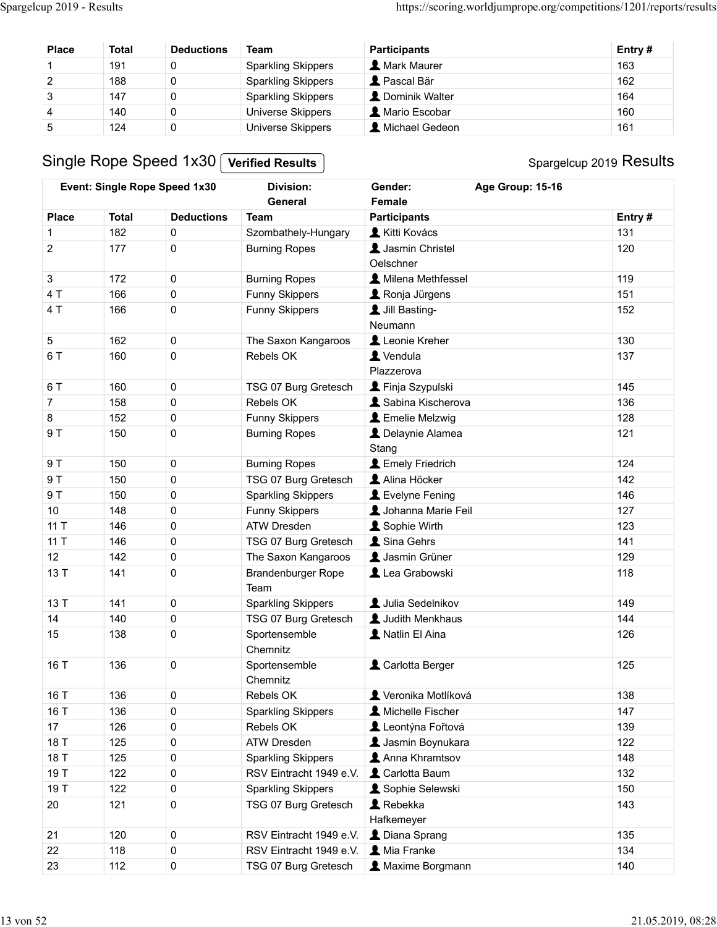| Spargelcup 2019 - Results        |              |                               |                                             |                                   | https://scoring.worldjumprope.org/competitions/1201/reports/results |  |
|----------------------------------|--------------|-------------------------------|---------------------------------------------|-----------------------------------|---------------------------------------------------------------------|--|
|                                  |              |                               |                                             |                                   |                                                                     |  |
|                                  |              |                               |                                             |                                   |                                                                     |  |
|                                  |              |                               |                                             |                                   |                                                                     |  |
| <b>Place</b>                     | <b>Total</b> | <b>Deductions</b>             | Team                                        | <b>Participants</b>               | Entry#                                                              |  |
| $\mathbf{1}$                     | 191          | $\mathsf 0$                   | <b>Sparkling Skippers</b>                   | <b>A</b> Mark Maurer              | 163                                                                 |  |
| $\boldsymbol{2}$                 | 188          | $\pmb{0}$                     | <b>Sparkling Skippers</b>                   | Pascal Bär                        | 162                                                                 |  |
| $\ensuremath{\mathsf{3}}$        | 147          | $\pmb{0}$                     | <b>Sparkling Skippers</b>                   | L Dominik Walter                  | 164                                                                 |  |
| $\overline{4}$<br>$\overline{5}$ | 140<br>124   | $\pmb{0}$<br>$\pmb{0}$        | Universe Skippers                           | A Mario Escobar<br>Michael Gedeon | 160<br>161                                                          |  |
|                                  |              |                               | Universe Skippers                           |                                   |                                                                     |  |
|                                  |              | Single Rope Speed 1x30        | <b>Verified Results</b>                     |                                   | Spargelcup 2019 Results                                             |  |
|                                  |              | Event: Single Rope Speed 1x30 | <b>Division:</b>                            | Gender:                           | Age Group: 15-16                                                    |  |
|                                  |              |                               | General                                     | Female                            |                                                                     |  |
| <b>Place</b>                     | <b>Total</b> | <b>Deductions</b>             | <b>Team</b>                                 | <b>Participants</b>               | Entry#                                                              |  |
| $\overline{c}$                   | 182<br>177   | $\mathbf 0$<br>$\mathbf 0$    | Szombathely-Hungary<br><b>Burning Ropes</b> | Kitti Kovács<br>Jasmin Christel   | 131<br>120                                                          |  |

| <b>Place</b><br>1<br>$\boldsymbol{2}$<br>3<br>$\overline{\mathbf{4}}$<br>$\mathbf 5$ | <b>Total</b><br>191<br>188                        | <b>Deductions</b><br>$\pmb{0}$ | <b>Team</b>                               | <b>Participants</b>          | Entry#                  |  |
|--------------------------------------------------------------------------------------|---------------------------------------------------|--------------------------------|-------------------------------------------|------------------------------|-------------------------|--|
|                                                                                      |                                                   |                                | <b>Sparkling Skippers</b>                 | <b>A</b> Mark Maurer         | 163                     |  |
|                                                                                      |                                                   | $\pmb{0}$                      | <b>Sparkling Skippers</b>                 | Pascal Bär                   | 162                     |  |
|                                                                                      | 147                                               | 0                              | <b>Sparkling Skippers</b>                 | L Dominik Walter             | 164                     |  |
|                                                                                      | 140                                               | 0                              | Universe Skippers                         | A Mario Escobar              | 160                     |  |
|                                                                                      | 124                                               | $\pmb{0}$                      | <b>Universe Skippers</b>                  | Michael Gedeon               | 161                     |  |
|                                                                                      |                                                   | Single Rope Speed 1x30         | <b>Verified Results</b>                   |                              | Spargelcup 2019 Results |  |
|                                                                                      | Event: Single Rope Speed 1x30<br><b>Division:</b> |                                | General                                   | Gender:<br>Female            | Age Group: 15-16        |  |
| <b>Place</b>                                                                         | <b>Total</b>                                      | <b>Deductions</b>              | <b>Team</b>                               | <b>Participants</b>          | Entry#                  |  |
| 1                                                                                    | 182                                               | $\pmb{0}$                      | Szombathely-Hungary                       | Kitti Kovács                 | 131                     |  |
| $\sqrt{2}$                                                                           | 177                                               | 0                              | <b>Burning Ropes</b>                      | Jasmin Christel<br>Oelschner | 120                     |  |
| $\mathbf{3}$                                                                         | 172                                               | $\pmb{0}$                      | <b>Burning Ropes</b>                      | Milena Methfessel            | 119                     |  |
| 4 T                                                                                  | 166                                               | $\pmb{0}$                      | <b>Funny Skippers</b>                     | Ronja Jürgens                | 151                     |  |
| 4 T                                                                                  | 166                                               | $\pmb{0}$                      | Funny Skippers                            | Jill Basting-<br>Neumann     | 152                     |  |
| 5                                                                                    | 162                                               | $\mathbf 0$                    | The Saxon Kangaroos                       | Leonie Kreher                | 130                     |  |
| 6 T                                                                                  | 160                                               | 0                              | Rebels OK                                 | Vendula<br>Plazzerova        | 137                     |  |
| 6 T                                                                                  | 160                                               | $\pmb{0}$                      | TSG 07 Burg Gretesch                      | Finja Szypulski              | 145                     |  |
| $\overline{7}$                                                                       | 158                                               | 0                              | Rebels OK                                 | Sabina Kischerova            | 136                     |  |
| 8                                                                                    | 152                                               | $\pmb{0}$                      | Funny Skippers                            | Emelie Melzwig               | 128                     |  |
| 9 T                                                                                  | 150                                               | 0                              | <b>Burning Ropes</b>                      | Delaynie Alamea<br>Stang     | 121                     |  |
| 9T                                                                                   | 150                                               | $\mathsf 0$                    | <b>Burning Ropes</b>                      | Lemely Friedrich             | 124                     |  |
| 9 T                                                                                  | 150                                               | $\mathsf 0$                    | TSG 07 Burg Gretesch                      | Alina Höcker                 | 142                     |  |
| 9T                                                                                   | 150                                               | $\mathsf{O}\xspace$            | <b>Sparkling Skippers</b>                 | Levelyne Fening              | 146                     |  |
| $10$                                                                                 | 148                                               | $\mathbf 0$                    | <b>Funny Skippers</b>                     | Johanna Marie Feil           | 127                     |  |
| 11T                                                                                  | 146                                               | $\mathbf 0$                    | ATW Dresden                               | Sophie Wirth                 | 123                     |  |
| 11T                                                                                  | 146                                               | $\mathbf 0$                    | TSG 07 Burg Gretesch                      | Sina Gehrs                   | 141                     |  |
| 12                                                                                   | 142                                               | $\mathsf 0$                    | The Saxon Kangaroos                       | Jasmin Grüner                | 129                     |  |
| 13 T                                                                                 | 141                                               | $\mathbf 0$                    | Brandenburger Rope<br>Team                | Lea Grabowski                | 118                     |  |
| 13 T                                                                                 | 141                                               | $\mathbf 0$                    | <b>Sparkling Skippers</b>                 | Julia Sedelnikov             | 149                     |  |
| 14                                                                                   | 140                                               | $\mathsf 0$                    | TSG 07 Burg Gretesch                      | Judith Menkhaus              | 144                     |  |
| 15                                                                                   | 138                                               | $\mathbf 0$                    | Sportensemble<br>Chemnitz                 | Natlin El Aina               | 126                     |  |
| 16 T                                                                                 | 136                                               | 0                              | Sportensemble<br>Chemnitz                 | Carlotta Berger              | 125                     |  |
| 16 T                                                                                 | 136                                               | $\mathsf 0$                    | Rebels OK                                 | Veronika Motlíková           | 138                     |  |
| 16 T                                                                                 | 136                                               | $\mathbf 0$                    | <b>Sparkling Skippers</b>                 | Michelle Fischer             | 147                     |  |
| 17                                                                                   | 126                                               | $\mathsf 0$                    | Rebels OK                                 | Leontýna Fořtová             | 139                     |  |
| 18 T                                                                                 | 125                                               | $\mathsf 0$                    | ATW Dresden                               | Jasmin Boynukara             | 122                     |  |
| 18 T                                                                                 | 125                                               | $\mathbf 0$                    | <b>Sparkling Skippers</b>                 | Anna Khramtsov               | 148                     |  |
| 19 T                                                                                 | 122                                               | $\mathbf 0$                    | RSV Eintracht 1949 e.V.   & Carlotta Baum |                              | 132                     |  |
| 19 T                                                                                 | 122                                               | $\mathsf 0$                    | <b>Sparkling Skippers</b>                 | Sophie Selewski              | 150                     |  |
| 20                                                                                   | 121                                               | $\mathbf 0$                    | TSG 07 Burg Gretesch                      | Rebekka<br>Hafkemeyer        | 143                     |  |
| 21                                                                                   | 120                                               | $\mathbf 0$                    | RSV Eintracht 1949 e.V.                   | L Diana Sprang               | 135                     |  |
| 22                                                                                   | 118                                               | $\mathsf 0$                    | RSV Eintracht 1949 e.V.   Mia Franke      |                              | 134                     |  |
| 23                                                                                   | 112                                               | $\mathsf 0$                    | TSG 07 Burg Gretesch                      | <b>A</b> Maxime Borgmann     | 140                     |  |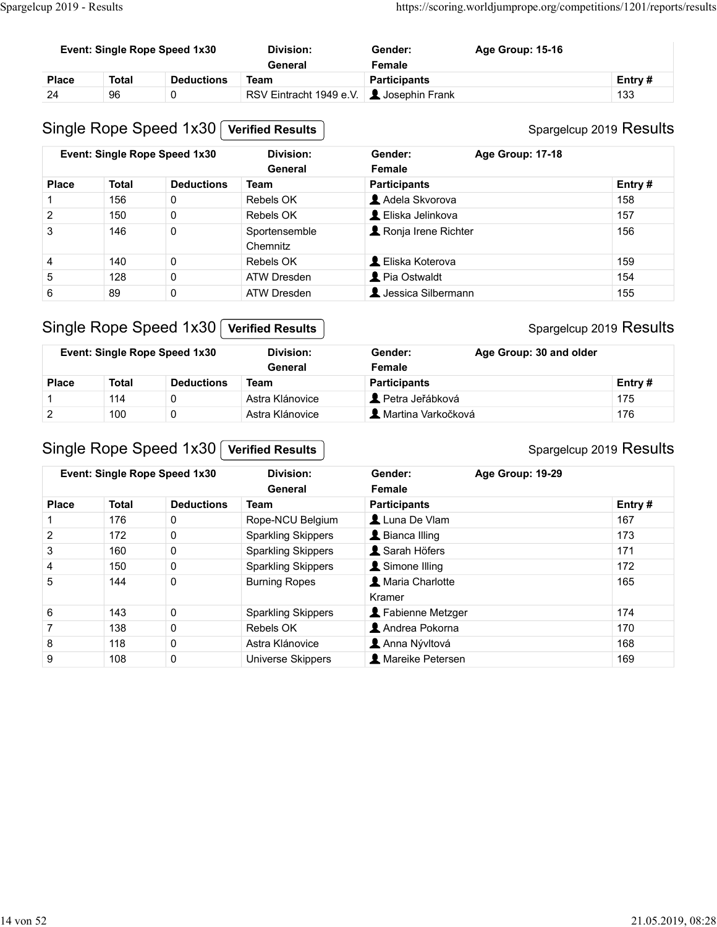| Spargelcup 2019 - Results |              |                               |                         |                               | https://scoring.worldjumprope.org/competitions/1201/reports/results |               |  |
|---------------------------|--------------|-------------------------------|-------------------------|-------------------------------|---------------------------------------------------------------------|---------------|--|
|                           |              |                               |                         |                               |                                                                     |               |  |
|                           |              | Event: Single Rope Speed 1x30 | <b>Division:</b>        | Gender:                       | Age Group: 15-16                                                    |               |  |
| <b>Place</b>              | <b>Total</b> | <b>Deductions</b>             | General<br><b>Team</b>  | Female<br><b>Participants</b> |                                                                     |               |  |
| 24                        | 96           | $\mathbf 0$                   | RSV Eintracht 1949 e.V. | Josephin Frank                |                                                                     | Entry#<br>133 |  |
|                           |              | Single Rope Speed 1x30        | <b>Verified Results</b> |                               | Spargelcup 2019 Results                                             |               |  |
|                           |              | Event: Single Rope Speed 1x30 | <b>Division:</b>        | Gender:                       | Age Group: 17-18                                                    |               |  |

#### Spargelcup 2019 Results

|                |               | Event: Single Rope Speed 1x30 | <b>Division:</b><br>General | Gender:<br>Female    | Age Group: 15-16        |                         |
|----------------|---------------|-------------------------------|-----------------------------|----------------------|-------------------------|-------------------------|
| <b>Place</b>   | <b>Total</b>  | <b>Deductions</b>             | <b>Team</b>                 | <b>Participants</b>  |                         | Entry#                  |
| 24             | 96            | 0                             | RSV Eintracht 1949 e.V.     | Josephin Frank       |                         | 133                     |
|                |               | Single Rope Speed 1x30        | <b>Verified Results</b>     |                      |                         | Spargelcup 2019 Results |
|                |               | Event: Single Rope Speed 1x30 | <b>Division:</b><br>General | Gender:<br>Female    | Age Group: 17-18        |                         |
| <b>Place</b>   | <b>Total</b>  | <b>Deductions</b>             | <b>Team</b>                 | <b>Participants</b>  |                         | Entry#                  |
| $\mathbf{1}$   | 156           | 0                             | Rebels OK                   | Adela Skvorova       |                         | 158                     |
| $\overline{2}$ | 150           | 0                             | Rebels OK                   | L Eliska Jelinkova   |                         | 157                     |
| 3              | 146           | 0                             | Sportensemble<br>Chemnitz   | Ronja Irene Richter  |                         | 156                     |
| 4              | 140           | 0                             | Rebels OK                   | L Eliska Koterova    |                         | 159                     |
| 5              | 128           | 0                             | <b>ATW Dresden</b>          | Pia Ostwaldt         |                         | 154                     |
| 6              | 89            | 0                             | <b>ATW Dresden</b>          | L Jessica Silbermann |                         | 155                     |
|                |               | Single Rope Speed 1x30        | <b>Verified Results</b>     |                      |                         | Spargelcup 2019 Results |
|                |               |                               | General                     | Female               |                         |                         |
| <b>Place</b>   | <b>Total</b>  | <b>Deductions</b>             | <b>Team</b>                 | <b>Participants</b>  |                         | Entry#                  |
| $\mathbf{1}$   | 114           | 0                             | Astra Klánovice             | Petra Jeřábková      |                         | 175                     |
| $\overline{c}$ | 100           | 0                             | Astra Klánovice             | A Martina Varkočková |                         | 176                     |
|                |               | Event: Single Rope Speed 1x30 | <b>Division:</b>            | Gender:              | Age Group: 30 and older |                         |
|                |               | Single Rope Speed 1x30        | <b>Verified Results</b>     |                      |                         | Spargelcup 2019 Results |
|                |               | Event: Single Rope Speed 1x30 | <b>Division:</b>            | Gender:              | Age Group: 19-29        |                         |
|                |               |                               | General                     | Female               |                         |                         |
|                | <b>Total</b>  | <b>Deductions</b>             | <b>Team</b>                 | <b>Participants</b>  |                         | Entry#                  |
| <b>Place</b>   | 176           | $\mathbf 0$                   | Rope-NCU Belgium            | Luna De Vlam         |                         | 167                     |
| $\mathbf 1$    |               |                               |                             |                      |                         |                         |
| $\overline{c}$ | 172<br>$\sim$ | 0                             | <b>Sparkling Skippers</b>   | Bianca Illing        |                         | 173<br>474              |

## Single Rope Speed 1x30 Verified Results

## Spargelcup 2019 Results

|              |       | Event: Single Rope Speed 1x30 | Division:<br>General | Gender:<br>Female              | Age Group: 30 and older |
|--------------|-------|-------------------------------|----------------------|--------------------------------|-------------------------|
| <b>Place</b> | Total | <b>Deductions</b>             | Team                 | <b>Participants</b>            | Entry $#$               |
|              | 114   |                               | Astra Klánovice      | $\blacksquare$ Petra Jeřábková | 175                     |
|              | 100   |                               | Astra Klánovice      | L Martina Varkočková           | 176                     |

## Single Rope Speed 1x30 Verified Results

| $\mathbf{1}$   | 156          | 0                                             | Rebels OK                                  | Adela Skvorova                        | 158                            |
|----------------|--------------|-----------------------------------------------|--------------------------------------------|---------------------------------------|--------------------------------|
| $\overline{2}$ | 150          | $\pmb{0}$                                     | Rebels OK                                  | L Eliska Jelinkova                    | 157                            |
| 3              | 146          | $\pmb{0}$                                     | Sportensemble<br>Chemnitz                  | Ronja Irene Richter                   | 156                            |
| 4              | 140          | 0                                             | Rebels OK                                  | L Eliska Koterova                     | 159                            |
| $\sqrt{5}$     | 128          | $\mathsf{O}\xspace$                           | <b>ATW Dresden</b>                         | Pia Ostwaldt                          | 154                            |
| $\,6\,$        | 89           | $\mathsf{O}\xspace$                           | ATW Dresden                                | L Jessica Silbermann                  | 155                            |
|                |              | Single Rope Speed 1x30                        | <b>Verified Results</b>                    |                                       | Spargelcup 2019 Results        |
|                |              | Event: Single Rope Speed 1x30                 | <b>Division:</b>                           | Age Group: 30 and older<br>Gender:    |                                |
|                |              |                                               | General                                    | Female                                |                                |
| <b>Place</b>   | <b>Total</b> | <b>Deductions</b>                             | <b>Team</b>                                | <b>Participants</b>                   | Entry#                         |
|                |              |                                               |                                            |                                       |                                |
| $\mathbf{1}$   | 114          | 0                                             | Astra Klánovice                            | Petra Jeřábková                       | 175                            |
| $\overline{2}$ | 100          | $\mathsf{O}\xspace$<br>Single Rope Speed 1x30 | Astra Klánovice<br><b>Verified Results</b> | A Martina Varkočková                  | 176<br>Spargelcup 2019 Results |
|                |              | Event: Single Rope Speed 1x30                 | <b>Division:</b><br>General                | Age Group: 19-29<br>Gender:<br>Female |                                |
| <b>Place</b>   | <b>Total</b> | <b>Deductions</b>                             | <b>Team</b>                                | <b>Participants</b>                   | Entry#                         |
| $\overline{1}$ | 176          | $\mathbf 0$                                   | Rope-NCU Belgium                           | Luna De Vlam                          | 167                            |
| $\overline{2}$ | 172          | $\mathbf 0$                                   | <b>Sparkling Skippers</b>                  | Bianca Illing                         | 173                            |
| 3              | 160          | $\mathbf 0$                                   | <b>Sparkling Skippers</b>                  | Sarah Höfers                          | 171                            |
| $\overline{4}$ | 150          | $\mathbf 0$                                   | <b>Sparkling Skippers</b>                  | Simone Illing                         | 172                            |
| 5              | 144          | $\mathbf 0$                                   | <b>Burning Ropes</b>                       | A Maria Charlotte<br>Kramer           | 165                            |
| $\,6\,$        | 143          | $\mathbf 0$                                   | <b>Sparkling Skippers</b>                  | Fabienne Metzger                      | 174                            |
| $\overline{7}$ | 138          | $\mathbf 0$                                   | Rebels OK                                  | Andrea Pokorna                        | 170                            |
| 8              | 118          | $\mathbf 0$                                   | Astra Klánovice                            | Anna Nývltová                         | 168                            |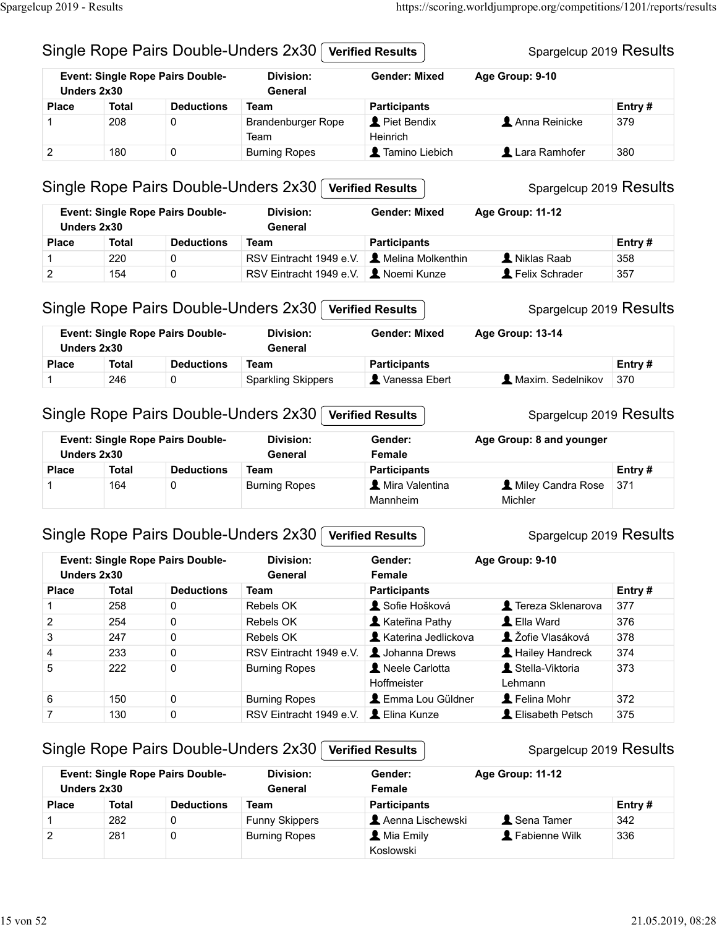# Spargelcup 2019 Results Single Rope Pairs Double-Unders 2x30 Verified Results Spargelcup 2019 - Results<br>
Single Rope Pairs Double-Unders 2x30 *Verified Results* Spargelcup 2019 Results<br>
Event: Single Rope Pairs Double- Division: Gender: Mixed Age Group: 9-10

| cup 2019 - Results |              |                                         |                                              |                         | https://scoring.worldjumprope.org/competitions/1201/reports/results |        |
|--------------------|--------------|-----------------------------------------|----------------------------------------------|-------------------------|---------------------------------------------------------------------|--------|
|                    |              |                                         |                                              |                         |                                                                     |        |
|                    |              |                                         |                                              |                         |                                                                     |        |
|                    |              |                                         | Single Rope Pairs Double-Unders 2x30         | <b>Verified Results</b> | Spargelcup 2019 Results                                             |        |
|                    | Unders 2x30  | <b>Event: Single Rope Pairs Double-</b> | <b>Division:</b><br>General                  | <b>Gender: Mixed</b>    | Age Group: 9-10                                                     |        |
| <b>Place</b>       | Total        | <b>Deductions</b>                       | Team                                         | <b>Participants</b>     |                                                                     | Entry# |
| 1                  | 208          | 0                                       | <b>Brandenburger Rope</b><br>Team            | Piet Bendix<br>Heinrich | Anna Reinicke                                                       | 379    |
| $\overline{2}$     | 180          | 0                                       | <b>Burning Ropes</b>                         | Tamino Liebich          | Lara Ramhofer                                                       | 380    |
|                    |              |                                         | Single Rope Pairs Double-Unders 2x30         | <b>Verified Results</b> | Spargelcup 2019 Results                                             |        |
|                    | Unders 2x30  | <b>Event: Single Rope Pairs Double-</b> | <b>Division:</b><br>General                  | <b>Gender: Mixed</b>    | Age Group: 11-12                                                    |        |
| <b>Place</b>       | <b>Total</b> | <b>Deductions</b>                       | Team                                         | <b>Participants</b>     |                                                                     | Entry# |
| 1                  | 220          | 0                                       | RSV Eintracht 1949 e.V.                      | A Melina Molkenthin     | Niklas Raab                                                         | 358    |
| $\overline{2}$     | 154          | $\mathbf 0$                             | RSV Eintracht 1949 e.V. <b>2</b> Noemi Kunze |                         | Felix Schrader                                                      | 357    |
|                    |              |                                         | Single Rope Pairs Double-Unders 2x30         | <b>Verified Results</b> | Spargelcup 2019 Results                                             |        |
|                    | Unders 2x30  | <b>Event: Single Rope Pairs Double-</b> | <b>Division:</b><br>General                  | <b>Gender: Mixed</b>    | Age Group: 13-14                                                    |        |
| <b>Place</b>       | <b>Total</b> | <b>Deductions</b>                       | <b>Team</b>                                  | <b>Participants</b>     |                                                                     | Entry# |
| 1                  | 246          | $\mathbf 0$                             | <b>Sparkling Skippers</b>                    | X Vanessa Ebert         | <b>A</b> Maxim. Sedelnikov                                          | 370    |
|                    |              |                                         | Single Rope Pairs Double-Unders 2x30         | <b>Verified Results</b> | Spargelcup 2019 Results                                             |        |
|                    |              |                                         | <b>Division:</b>                             |                         |                                                                     |        |

#### Single Rope Pairs Double-Unders 2x30 Verified Results

| <b>Deductions</b><br><b>Total</b><br><b>Place</b><br>220<br>0<br>$\overline{2}$<br>154<br>0    | <b>Team</b><br>RSV Eintracht 1949 e.V.       | <b>Participants</b>                                 |                                                     |        |
|------------------------------------------------------------------------------------------------|----------------------------------------------|-----------------------------------------------------|-----------------------------------------------------|--------|
|                                                                                                |                                              |                                                     |                                                     | Entry# |
|                                                                                                |                                              | Melina Molkenthin                                   | Niklas Raab                                         | 358    |
|                                                                                                | RSV Eintracht 1949 e.V. <b>L</b> Noemi Kunze |                                                     | Felix Schrader                                      | 357    |
| <b>Event: Single Rope Pairs Double-</b><br>Unders 2x30                                         | Division:<br>General                         | <b>Gender: Mixed</b>                                | Age Group: 13-14                                    |        |
| <b>Deductions</b><br><b>Total</b><br><b>Place</b>                                              | <b>Team</b>                                  | <b>Participants</b>                                 |                                                     | Entry# |
| 246<br>0                                                                                       | <b>Sparkling Skippers</b>                    | Vanessa Ebert                                       | A Maxim. Sedelnikov                                 | 370    |
| Single Rope Pairs Double-Unders 2x30<br><b>Event: Single Rope Pairs Double-</b><br>Unders 2x30 | <b>Division:</b><br>General                  | <b>Verified Results</b><br>Gender:<br><b>Female</b> | Spargelcup 2019 Results<br>Age Group: 8 and younger |        |
| <b>Deductions</b><br><b>Total</b><br><b>Place</b>                                              | Team                                         | <b>Participants</b>                                 |                                                     | Entry# |
| 0<br>164                                                                                       | <b>Burning Ropes</b>                         | Mira Valentina<br>Mannheim                          | A Miley Candra Rose<br>Michler                      | 371    |
|                                                                                                |                                              |                                                     |                                                     |        |

#### Single Rope Pairs Double-Unders 2x30 Verified Results

| Unders 2x30  |              | <b>Event: Single Rope Pairs Double-</b> | Division:<br>General      | <b>Gender: Mixed</b> | Age Group: 13-14  |         |
|--------------|--------------|-----------------------------------------|---------------------------|----------------------|-------------------|---------|
| <b>Place</b> | <b>Total</b> | <b>Deductions</b>                       | Team                      | <b>Participants</b>  |                   | Entry # |
|              | 246          |                                         | <b>Sparkling Skippers</b> | Vanessa Ebert        | Maxim. Sedelnikov | 370     |

#### Single Rope Pairs Double-Unders 2x30 | Verified Results

|              | Unders 2x30  | <b>Event: Single Rope Pairs Double-</b> | Division:<br>General | Gender:<br>Female          | Age Group: 8 and younger                     |           |
|--------------|--------------|-----------------------------------------|----------------------|----------------------------|----------------------------------------------|-----------|
| <b>Place</b> | <b>Total</b> | <b>Deductions</b>                       | Team                 | <b>Participants</b>        |                                              | Entry $#$ |
|              | 164          |                                         | <b>Burning Ropes</b> | Mira Valentina<br>Mannheim | <b>L</b> Miley Candra Rose<br><b>Michler</b> | 371       |

#### Single Rope Pairs Double-Unders 2x30 Verified Results

# Single Rope Pairs Double-Unders 2x30 **(verified Results**) Spargeleup 2019 Results<br>
Event: Single Rope Pairs Double-<br>
1 246 0<br>
1 246 0<br>
1 246 0<br>
1 246 0<br>
1 246 0<br>
1 246 0<br>
1 246 0<br>
1 246 0<br>
1 246 0<br>
2 258 0<br>
2 258 0<br>
2 258 Contribution and the Results<br>
Event Single Rope Pairs Double-Unders 2x30 (verified Results<br>
Unders 2x30 Ceneral<br>
248 0 General<br>
248 0 General<br>
248 0 General<br>
248 0 General<br>
248 0 General<br>
248 Dingle Rope Pairs Double-Unde Event: Single Rope Pairs Double-<br>
Unders 2x30<br>
236 0 Rebels OK 1<br>
226 0 Rebels Ok 376<br>
226 0 Represent Pairce Total Deductions Team<br>
226 0 Pairs Double-Unders 2x30 Verified Results<br>
228 0 Results<br>
238 0 Rebels OK 376<br>
237 Event Single Rope Pairs Double-Unders 2x30 (Verified Results)<br>
19 December 2x30 Contributions Team<br>
246 0 Boarding Skippers Participants<br>
3 30 Pairs Double-Unders 2x30 (Verified Results)<br>
5 Spargeleup 2019 Results<br>
5 Spar Unders 2x30<br>
233 0 Robers Disconnections Team (Place Total Deductions Team (Place Total Deductions Spartling Skippers **1** Vianosa Ebert **1** Maxim. Sedelnikov 370<br>
233 0 Robers 2019 Results<br>
234 0 Robers 2x30 Derified Resu Place Total Deductions Team<br>
1246 0 Sparkling Skippers **1** Waxim. Sedelnikov 370<br>
Single Rope Pairs Double-Unders 2x30 <del>Verified Results</del> Spargelcup 2019 Results<br>
12 Search 2019 Results<br>
12 Spare Pairs Double-Unders 2x30 Single Rope Pairs Double-Unders 2x30 [verified Results<br> **Event:** Single Rope Pairs Double-<br>
Unders 2x30 [verified Results<br>
Team and Conters and younger<br>
The Texa State of Texa State State State State State State State Sta Single Rope Pairs Double-Unders 2x30 [verified Results | Spargelcup 2019 Results<br>
Unders 2x30 Connections Team<br>
Place Total Deductions Team<br>
<sup>Place</sup> Total Deductions Team<br>
<sup>2</sup> 164 0 Burning Ropes **2x10** Certifical Results Mannheim Michler<br>
Export Single Rope Pairs Double-Unders 2x30 Verified Results<br>
Unders 2x30 Verified Results<br>
Unders 2x30 General<br>
Place Total Deductions Team<br>
256 General Participants<br>
224 0 Rebels OK & Katelina Pathy<br>
2 Single Rope Pairs Double-Unders 2x30 (verified Results)<br>
Unders 2x30 (verified Results)<br>
Den Charles 2x30 Funny Spare<br>
254 0 Rebels OK A Sofie Hošková (Verified Results)<br>
254 0 Rebels OK A Sofie Hošková (Verified Results) Contribution is the matrix of the state of the state of the state of the state of the state of the state of the state of the state of the state of the state of the state of the state of the state of the state of the state Event: Single Rope Pairs Double-Unders 2x30 Division: **General** Gender: Age Group: 9-10 Female **1 Sofie Hošková 1 Tereza Sklenarova** 377  $\triangle$  Kateřina Pathy  $\triangle$  Ella Ward 376 **1 Katerina Jedlickova 12 Žofie Vlasáková** 378 **L** Johanna Drews **L** Hailey Handreck 374 Neele Carlotta **& Stella-Viktoria** 1373 Hoffmeister Lehmann **L** Emma Lou Güldner **L** Felina Mohr 372 **A** Elina Kunze **A** Elisabeth Petsch 375

#### Single Rope Pairs Double-Unders 2x30 Verified Results

#### Event: Single Rope Pairs Double-Unders 2x30 Division: General Female Gender: Age Group: 11-12 Aenna Lischewski Alena Tamer 342 Mia Emily **Exercise 1** Fabienne Wilk 336 Koslowski

# Spargelcup 2019 Results

#### Spargelcup 2019 Results

#### Spargelcup 2019 Results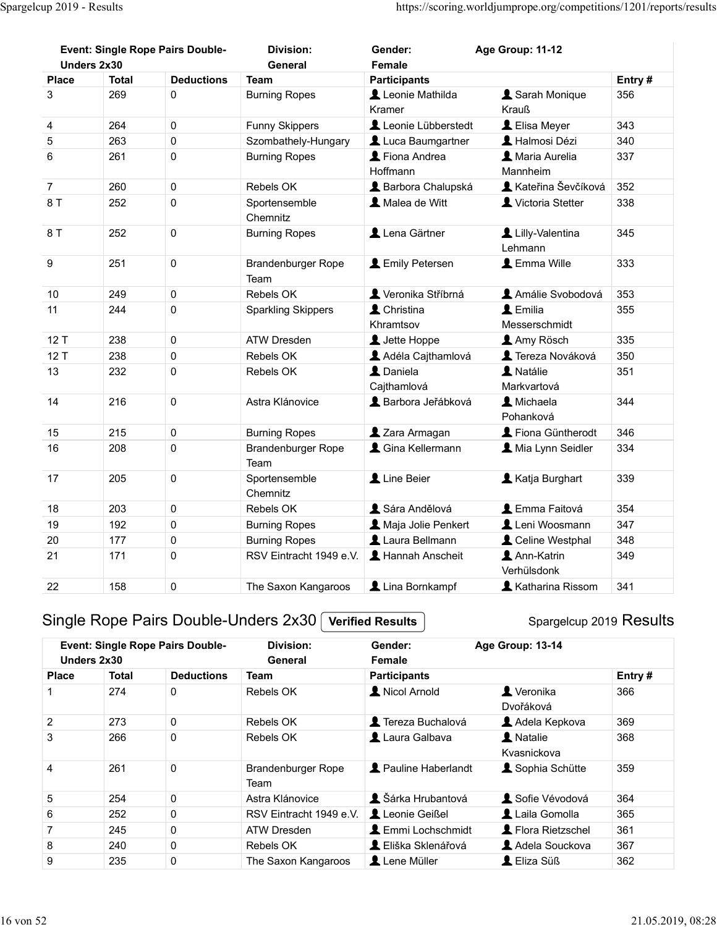|                  | Spargelcup 2019 - Results |                                         |                             |                                                  | https://scoring.worldjumprope.org/competitions/1201/reports/results |        |
|------------------|---------------------------|-----------------------------------------|-----------------------------|--------------------------------------------------|---------------------------------------------------------------------|--------|
| Unders 2x30      |                           | <b>Event: Single Rope Pairs Double-</b> | <b>Division:</b><br>General | Gender:<br>Female                                | Age Group: 11-12                                                    |        |
| <b>Place</b>     | <b>Total</b>              | <b>Deductions</b>                       | <b>Team</b>                 |                                                  |                                                                     | Entry# |
| 3                | 269                       | $\mathbf 0$                             | <b>Burning Ropes</b>        | <b>Participants</b><br>Leonie Mathilda<br>Kramer | Sarah Monique<br>Krauß                                              | 356    |
| $\overline{4}$   | 264                       | $\mathbf 0$                             | Funny Skippers              | Leonie Lübberstedt                               | LElisa Meyer                                                        | 343    |
| $\mathbf 5$      | 263                       | $\mathbf 0$                             | Szombathely-Hungary         | Luca Baumgartner                                 | L Halmosi Dézi                                                      | 340    |
| $6\phantom{1}$   | 261                       | $\mathbf 0$                             | <b>Burning Ropes</b>        | Fiona Andrea<br>Hoffmann                         | A Maria Aurelia<br>Mannheim                                         | 337    |
| $\overline{7}$   | 260                       | $\mathbf 0$                             | Rebels OK                   | Barbora Chalupská                                | Kateřina Ševčíková 352                                              |        |
| 8 T              | 252                       | 0                                       | Sportensemble<br>Chemnitz   | Malea de Witt                                    | Victoria Stetter                                                    | 338    |
| 8 T              | 252                       | 0                                       | <b>Burning Ropes</b>        | Lena Gärtner                                     | Lilly-Valentina<br>Lehmann                                          | 345    |
| $\boldsymbol{9}$ | 251                       | $\pmb{0}$                               | Brandenburger Rope<br>Team  | <b>L</b> Emily Petersen                          | L Emma Wille                                                        | 333    |
| $10$             | 249                       | $\pmb{0}$                               | Rebels OK                   | Veronika Stříbrná                                | Amálie Svobodová                                                    | 353    |
| 11               | 244                       | $\mathbf 0$                             | <b>Sparkling Skippers</b>   | L Christina<br>Khramtsov                         | $\blacktriangle$ Emilia<br>Messerschmidt                            | 355    |
| 12T              | 238                       | $\pmb{0}$                               | <b>ATW Dresden</b>          | L Jette Hoppe                                    | Amy Rösch                                                           | 335    |
| 12T              | 238                       | $\pmb{0}$                               | Rebels OK                   | Adéla Cajthamlová                                | <b>1</b> Tereza Nováková                                            | 350    |
| 13               | 232                       | $\pmb{0}$                               | Rebels OK                   | L Daniela<br>Cajthamlová                         | A Natálie<br>Markvartová                                            | 351    |
| 14               | 216                       | $\mathbf 0$                             | Astra Klánovice             | Barbora Jeřábková                                | L Michaela<br>Pohanková                                             | 344    |
| 15               | 215                       | $\pmb{0}$                               | <b>Burning Ropes</b>        | 2 Zara Armagan                                   | Fiona Güntherodt                                                    | 346    |
| 16               | 208                       | 0                                       | Brandenburger Rope<br>Team  | Cina Kellermann                                  | Mia Lynn Seidler                                                    | 334    |
| 17               | 205                       | $\mathbf 0$                             | Sportensemble<br>Chemnitz   | Line Beier                                       | Katja Burghart                                                      | 339    |
| 18               | 203                       | $\pmb{0}$                               | Rebels OK                   | Sára Andělová                                    | <b>L</b> Emma Faitová                                               | 354    |
| 19               | 192                       | $\pmb{0}$                               | <b>Burning Ropes</b>        | Maja Jolie Penkert                               | Leni Woosmann                                                       | 347    |
| $20\,$           | 177                       | $\mathbf 0$                             | <b>Burning Ropes</b>        | Laura Bellmann                                   | Celine Westphal                                                     | 348    |
| 21               | 171                       | $\pmb{0}$                               | RSV Eintracht 1949 e.V.     | L Hannah Anscheit                                | Ann-Katrin<br>Verhülsdonk                                           | 349    |
| 22               | 158                       | $\mathsf{O}\xspace$                     | The Saxon Kangaroos         | Lina Bornkampf                                   | Katharina Rissom                                                    | 341    |

## Single Rope Pairs Double-Unders 2x30 Verified Results

|                  | 215          | U                                       | <b>Burning Ropes</b>              | ▲ Zara Armagan                     | $\blacktriangle$ Fiona Guntherodt | 346    |
|------------------|--------------|-----------------------------------------|-----------------------------------|------------------------------------|-----------------------------------|--------|
| 16               | 208          | $\mathsf{O}\xspace$                     | <b>Brandenburger Rope</b><br>Team | <b>A</b> Gina Kellermann           | Mia Lynn Seidler                  | 334    |
| 17               | 205          | $\pmb{0}$                               | Sportensemble<br>Chemnitz         | Line Beier                         | Katja Burghart                    | 339    |
| 18               | 203          | 0                                       | Rebels OK                         | Sára Andělová                      | L Emma Faitová                    | 354    |
| 19               | 192          | $\mathsf{O}\xspace$                     | <b>Burning Ropes</b>              | A Maja Jolie Penkert               | Leni Woosmann                     | 347    |
| 20               | 177          | $\mathsf 0$                             | <b>Burning Ropes</b>              | Laura Bellmann                     | Celine Westphal                   | 348    |
| 21               | 171          | $\mathsf 0$                             | RSV Eintracht 1949 e.V.           | Hannah Anscheit                    | Ann-Katrin<br>Verhülsdonk         | 349    |
| 22               | 158          | $\mathsf{O}\xspace$                     | The Saxon Kangaroos               | Lina Bornkampf                     | Katharina Rissom                  | 341    |
|                  | Unders 2x30  | <b>Event: Single Rope Pairs Double-</b> | <b>Division:</b><br>General       | Gender:<br>Female                  | Age Group: 13-14                  |        |
|                  |              |                                         |                                   |                                    |                                   |        |
| <b>Place</b>     | <b>Total</b> | <b>Deductions</b>                       | <b>Team</b>                       | <b>Participants</b>                |                                   | Entry# |
| 1                | 274          | $\mathbf 0$                             | Rebels OK                         | Nicol Arnold                       | Veronika<br>Dvořáková             | 366    |
| $\boldsymbol{2}$ | 273          | $\mathbf 0$                             | Rebels OK                         | Tereza Buchalová                   | Adela Kepkova                     | 369    |
| 3                | 266          | $\mathsf 0$                             | Rebels OK                         | Laura Galbava                      | A Natalie<br>Kvasnickova          | 368    |
| 4                | 261          | $\mathsf{O}\xspace$                     | Brandenburger Rope<br>Team        | Pauline Haberlandt                 | Sophia Schütte                    | 359    |
| $\,$ 5 $\,$      | 254          | $\mathsf 0$                             | Astra Klánovice                   | Sárka Hrubantová                   | Sofie Vévodová                    | 364    |
| 6                | 252          | $\mathsf 0$                             | RSV Eintracht 1949 e.V.           | Leonie Geißel                      | Laila Gomolla                     | 365    |
| $\overline{7}$   | 245          | $\mathbf 0$                             | <b>ATW Dresden</b>                | <b>L</b> Emmi Lochschmidt          | Flora Rietzschel                  | 361    |
| 8                | 240          | $\mathsf 0$                             | Rebels OK                         | L Eliška Sklenářová<br>Lene Müller | Adela Souckova<br>L Eliza Süß     | 367    |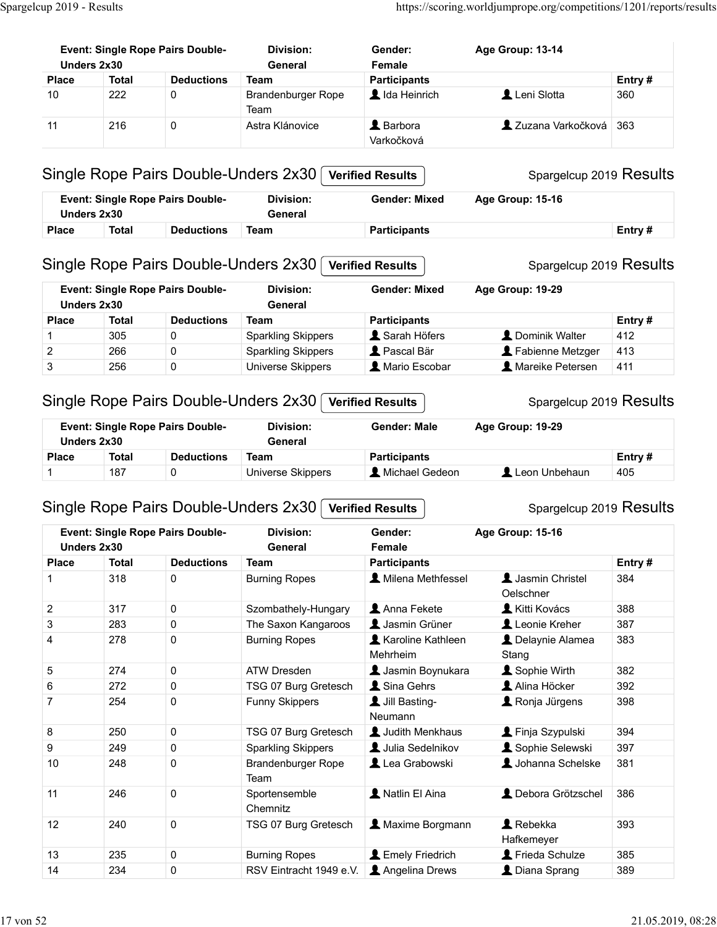|                           |                     | <b>Event: Single Rope Pairs Double-</b> | Division:                                                           | Gender:                                         | Age Group: 13-14                            |               |
|---------------------------|---------------------|-----------------------------------------|---------------------------------------------------------------------|-------------------------------------------------|---------------------------------------------|---------------|
| Unders 2x30               |                     |                                         | General                                                             | Female                                          |                                             |               |
| <b>Place</b><br>10        | <b>Total</b><br>222 | <b>Deductions</b><br>0                  | <b>Team</b><br>Brandenburger Rope<br>Team                           | <b>Participants</b><br>Ida Heinrich             | Leni Slotta                                 | Entry#<br>360 |
| 11                        | 216                 | 0                                       | Astra Klánovice                                                     | <b>A</b> Barbora<br>Varkočková                  | Zuzana Varkočková 363                       |               |
|                           |                     |                                         | Single Rope Pairs Double-Unders 2x30                                | <b>Verified Results</b>                         | Spargelcup 2019 Results                     |               |
|                           | Unders 2x30         | <b>Event: Single Rope Pairs Double-</b> | <b>Division:</b><br>General                                         | <b>Gender: Mixed</b>                            | Age Group: 15-16                            |               |
| <b>Place</b>              |                     | Total Deductions Team                   |                                                                     | <b>Participants</b>                             |                                             | Entry #       |
| Unders 2x30               |                     | <b>Event: Single Rope Pairs Double-</b> | Single Rope Pairs Double-Unders 2x30<br><b>Division:</b><br>General | <b>Verified Results</b><br><b>Gender: Mixed</b> | Spargelcup 2019 Results<br>Age Group: 19-29 |               |
| <b>Place</b>              | <b>Total</b>        | <b>Deductions</b>                       | <b>Team</b>                                                         | <b>Participants</b>                             |                                             | Entry#        |
|                           | 305                 | 0                                       | <b>Sparkling Skippers</b>                                           | Sarah Höfers                                    | L Dominik Walter                            | 412           |
| $\overline{\mathbf{c}}$   | 266                 | 0                                       | <b>Sparkling Skippers</b>                                           | Pascal Bär                                      | Fabienne Metzger                            | 413           |
| $\ensuremath{\mathsf{3}}$ | 256                 | $\mathbf 0$                             | Universe Skippers                                                   | Mario Escobar                                   | Mareike Petersen                            | 411           |
|                           |                     |                                         | Single Rope Pairs Double-Unders 2x30                                | <b>Verified Results</b>                         | Spargelcup 2019 Results                     |               |
| Unders 2x30               |                     | <b>Event: Single Rope Pairs Double-</b> | <b>Division:</b>                                                    | <b>Gender: Male</b>                             | Age Group: 19-29                            |               |
|                           |                     |                                         | General                                                             |                                                 |                                             |               |
|                           | <b>Total</b>        | <b>Deductions</b>                       | <b>Team</b>                                                         | <b>Participants</b>                             |                                             | Entry#        |
| <b>Place</b><br>1         | 187                 | 0                                       | <b>Universe Skippers</b>                                            | Michael Gedeon                                  | Leon Unbehaun                               | 405           |
|                           |                     |                                         | Single Rope Pairs Double-Unders 2x30                                | <b>Verified Results</b>                         | Spargelcup 2019 Results                     |               |
|                           | Unders 2x30         | Event: Single Rope Pairs Double-        | <b>Division:</b><br>General                                         | Gender:<br>Female                               | Age Group: 15-16                            |               |
| <b>Place</b>              | <b>Total</b><br>318 | <b>Deductions</b><br>0                  | <b>Team</b><br><b>Burning Ropes</b>                                 | <b>Participants</b><br>Milena Methfessel        | Jasmin Christel<br>Oelschner                | Entry#<br>384 |
| $\overline{c}$            | 317                 | $\mathbf 0$                             | Szombathely-Hungary                                                 | Anna Fekete                                     | Kitti Kovács                                | 388           |
| 3<br>$\overline{4}$       | 283<br>278          | $\mathbf 0$<br>0                        | The Saxon Kangaroos<br><b>Burning Ropes</b>                         | Jasmin Grüner<br><b>1</b> Karoline Kathleen     | Leonie Kreher<br>L Delaynie Alamea          | 387<br>383    |
|                           |                     |                                         |                                                                     | Mehrheim                                        | Stang                                       |               |
| 5                         | 274                 | $\pmb{0}$                               | ATW Dresden                                                         | L Jasmin Boynukara                              | Sophie Wirth                                | 382           |
| 6<br>$\overline{7}$       | 272<br>254          | $\mathbf 0$<br>0                        | TSG 07 Burg Gretesch<br>Funny Skippers                              | Sina Gehrs<br>Jill Basting-<br>Neumann          | Alina Höcker<br>Ronja Jürgens               | 392<br>398    |
| 8                         | 250                 | 0                                       | TSG 07 Burg Gretesch                                                | Judith Menkhaus                                 | Finja Szypulski                             | 394           |
| 9                         | 249                 | 0                                       | <b>Sparkling Skippers</b>                                           | Julia Sedelnikov                                | Sophie Selewski                             | 397           |
| 10                        | 248                 | 0                                       | Brandenburger Rope<br>Team                                          | Lea Grabowski                                   | Johanna Schelske                            | 381           |
| 11                        | 246                 | $\mathbf 0$                             | Sportensemble<br>Chemnitz                                           | Natlin El Aina                                  | L Debora Grötzschel                         | 386           |
| 12<br>13                  | 240<br>235          | $\mathbf 0$<br>$\mathbf 0$              | TSG 07 Burg Gretesch<br><b>Burning Ropes</b>                        | A Maxime Borgmann<br><b>L</b> Emely Friedrich   | Rebekka<br>Hafkemeyer<br>Frieda Schulze     | 393<br>385    |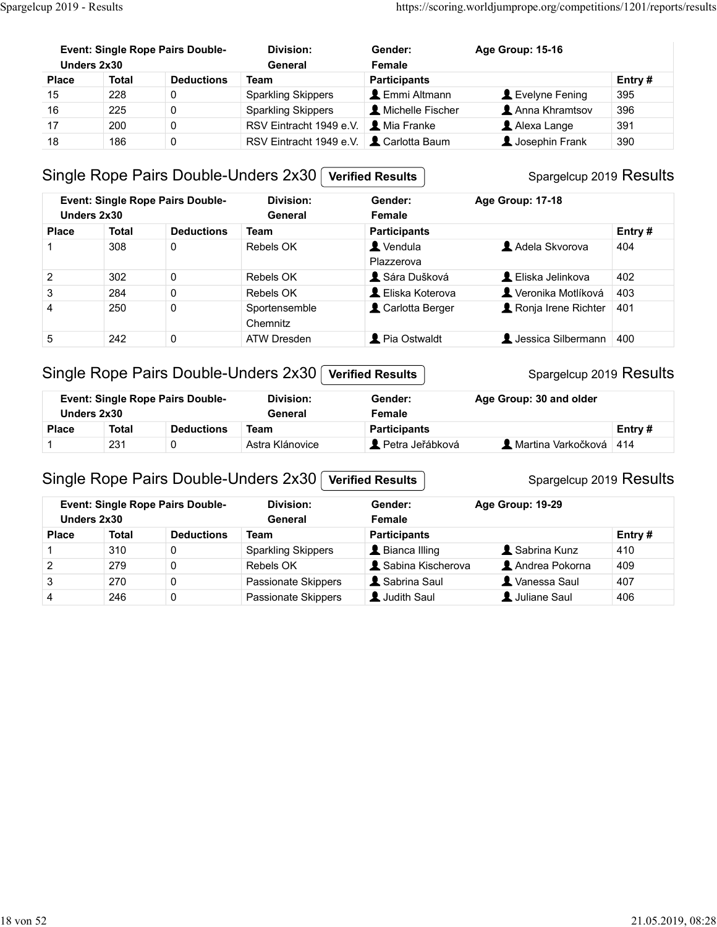| Spargelcup 2019 - Results |              |                                         |                                      |                                              | https://scoring.worldjumprope.org/competitions/1201/reports/results |               |  |
|---------------------------|--------------|-----------------------------------------|--------------------------------------|----------------------------------------------|---------------------------------------------------------------------|---------------|--|
|                           |              |                                         |                                      |                                              |                                                                     |               |  |
|                           |              |                                         |                                      |                                              |                                                                     |               |  |
|                           | Unders 2x30  | <b>Event: Single Rope Pairs Double-</b> | <b>Division:</b><br>General          | Gender:                                      | Age Group: 15-16                                                    |               |  |
| <b>Place</b>              | <b>Total</b> | <b>Deductions</b>                       | <b>Team</b>                          | Female                                       |                                                                     |               |  |
| 15                        | 228          | 0                                       | <b>Sparkling Skippers</b>            | <b>Participants</b><br><b>L</b> Emmi Altmann | Levelyne Fening                                                     | Entry#<br>395 |  |
| 16                        | 225          | $\pmb{0}$                               | <b>Sparkling Skippers</b>            | Michelle Fischer                             | Anna Khramtsov                                                      | 396           |  |
| 17                        | 200          | 0                                       | RSV Eintracht 1949 e.V.              | L Mia Franke                                 | Alexa Lange                                                         | 391           |  |
| 18                        | 186          | $\mathsf 0$                             | RSV Eintracht 1949 e.V.              | Carlotta Baum                                | <b>A</b> Josephin Frank                                             | 390           |  |
|                           |              |                                         |                                      |                                              |                                                                     |               |  |
|                           |              |                                         | Single Rope Pairs Double-Unders 2x30 | <b>Verified Results</b>                      | Spargelcup 2019 Results                                             |               |  |
|                           |              | <b>Event: Single Rope Pairs Double-</b> | <b>Division:</b>                     | Gender:                                      | Age Group: 17-18                                                    |               |  |

#### Single Rope Pairs Double-Unders 2x30 Verified Results

| <b>Event: Single Rope Pairs Double-</b><br><b>Division:</b><br>Age Group: 15-16<br>Gender:<br>Unders 2x30<br>General<br>Female<br><b>Total</b><br><b>Deductions</b><br><b>Participants</b><br>Entry#<br><b>Place</b><br><b>Team</b><br>228<br><b>Sparkling Skippers</b><br>Emmi Altmann<br>Levelyne Fening<br>15<br>0<br>395<br>16<br>Michelle Fischer<br>Anna Khramtsov<br>396<br>225<br>0<br><b>Sparkling Skippers</b><br>Mia Franke<br>200<br>0<br>RSV Eintracht 1949 e.V.<br>Alexa Lange<br>391<br>17<br>0<br>Carlotta Baum<br>18<br>186<br>Josephin Frank<br>RSV Eintracht 1949 e.V.<br>390<br>Single Rope Pairs Double-Unders 2x30<br>Spargelcup 2019 Results<br><b>Verified Results</b><br><b>Division:</b><br><b>Event: Single Rope Pairs Double-</b><br>Gender:<br>Age Group: 17-18<br>Unders 2x30<br>General<br>Female<br><b>Deductions</b><br><b>Participants</b><br>Entry#<br><b>Place</b><br><b>Total</b><br>Team<br>Vendula<br>Adela Skvorova<br>308<br>0<br>404<br>Rebels OK<br>1<br>Plazzerova<br>L Eliska Jelinkova<br>$\overline{c}$<br>302<br>0<br>Rebels OK<br>Sára Dušková<br>402<br>3<br>L Eliska Koterova<br>Veronika Motlíková<br>403<br>284<br>0<br>Rebels OK<br>250<br>0<br>$\overline{4}$<br>Sportensemble<br>Carlotta Berger<br>Ronja Irene Richter<br>401<br>Chemnitz<br>Pia Ostwaldt<br><b>L</b> Jessica Silbermann 400<br>5<br>242<br>0<br><b>ATW Dresden</b><br>Single Rope Pairs Double-Unders 2x30<br>Spargelcup 2019 Results<br><b>Verified Results</b><br><b>Event: Single Rope Pairs Double-</b><br><b>Division:</b><br>Gender:<br>Age Group: 30 and older<br>Unders 2x30<br>General<br>Female<br><b>Deductions</b><br><b>Participants</b><br>Entry#<br><b>Total</b><br><b>Team</b><br><b>Place</b><br>Petra Jeřábková<br>Astra Klánovice<br>Martina Varkočková 414<br>231<br>0<br>1<br>Single Rope Pairs Double-Unders 2x30<br>Spargelcup 2019 Results<br><b>Verified Results</b><br><b>Event: Single Rope Pairs Double-</b><br><b>Division:</b><br>Gender:<br>Age Group: 19-29<br>Unders 2x30<br>Female<br>General<br><b>Deductions</b><br>Entry#<br><b>Total</b><br><b>Team</b><br><b>Participants</b><br><b>Place</b><br>Sabrina Kunz<br><b>Sparkling Skippers</b><br>L Bianca Illing<br>410<br>310<br>$\mathbf 0$<br>$\mathbf{1}$<br>$\boldsymbol{2}$<br>Sabina Kischerova<br>279<br>$\pmb{0}$<br>Andrea Pokorna<br>409<br>Rebels OK<br>3<br>270<br>$\pmb{0}$<br>Passionate Skippers<br>Sabrina Saul<br>Vanessa Saul<br>407<br>$\pmb{0}$<br>Judith Saul<br>Juliane Saul<br>246<br>Passionate Skippers<br>406<br>4 | up 2019 - Results |  |  | https://scoring.worldjumprope.org/competitions/1201/reports/results |  |
|-------------------------------------------------------------------------------------------------------------------------------------------------------------------------------------------------------------------------------------------------------------------------------------------------------------------------------------------------------------------------------------------------------------------------------------------------------------------------------------------------------------------------------------------------------------------------------------------------------------------------------------------------------------------------------------------------------------------------------------------------------------------------------------------------------------------------------------------------------------------------------------------------------------------------------------------------------------------------------------------------------------------------------------------------------------------------------------------------------------------------------------------------------------------------------------------------------------------------------------------------------------------------------------------------------------------------------------------------------------------------------------------------------------------------------------------------------------------------------------------------------------------------------------------------------------------------------------------------------------------------------------------------------------------------------------------------------------------------------------------------------------------------------------------------------------------------------------------------------------------------------------------------------------------------------------------------------------------------------------------------------------------------------------------------------------------------------------------------------------------------------------------------------------------------------------------------------------------------------------------------------------------------------------------------------------------------------------------------------------------------------------------------------------------------------------------------------------------------------------------------------------------------------------------------------------|-------------------|--|--|---------------------------------------------------------------------|--|
|                                                                                                                                                                                                                                                                                                                                                                                                                                                                                                                                                                                                                                                                                                                                                                                                                                                                                                                                                                                                                                                                                                                                                                                                                                                                                                                                                                                                                                                                                                                                                                                                                                                                                                                                                                                                                                                                                                                                                                                                                                                                                                                                                                                                                                                                                                                                                                                                                                                                                                                                                             |                   |  |  |                                                                     |  |
|                                                                                                                                                                                                                                                                                                                                                                                                                                                                                                                                                                                                                                                                                                                                                                                                                                                                                                                                                                                                                                                                                                                                                                                                                                                                                                                                                                                                                                                                                                                                                                                                                                                                                                                                                                                                                                                                                                                                                                                                                                                                                                                                                                                                                                                                                                                                                                                                                                                                                                                                                             |                   |  |  |                                                                     |  |
|                                                                                                                                                                                                                                                                                                                                                                                                                                                                                                                                                                                                                                                                                                                                                                                                                                                                                                                                                                                                                                                                                                                                                                                                                                                                                                                                                                                                                                                                                                                                                                                                                                                                                                                                                                                                                                                                                                                                                                                                                                                                                                                                                                                                                                                                                                                                                                                                                                                                                                                                                             |                   |  |  |                                                                     |  |
|                                                                                                                                                                                                                                                                                                                                                                                                                                                                                                                                                                                                                                                                                                                                                                                                                                                                                                                                                                                                                                                                                                                                                                                                                                                                                                                                                                                                                                                                                                                                                                                                                                                                                                                                                                                                                                                                                                                                                                                                                                                                                                                                                                                                                                                                                                                                                                                                                                                                                                                                                             |                   |  |  |                                                                     |  |
|                                                                                                                                                                                                                                                                                                                                                                                                                                                                                                                                                                                                                                                                                                                                                                                                                                                                                                                                                                                                                                                                                                                                                                                                                                                                                                                                                                                                                                                                                                                                                                                                                                                                                                                                                                                                                                                                                                                                                                                                                                                                                                                                                                                                                                                                                                                                                                                                                                                                                                                                                             |                   |  |  |                                                                     |  |
|                                                                                                                                                                                                                                                                                                                                                                                                                                                                                                                                                                                                                                                                                                                                                                                                                                                                                                                                                                                                                                                                                                                                                                                                                                                                                                                                                                                                                                                                                                                                                                                                                                                                                                                                                                                                                                                                                                                                                                                                                                                                                                                                                                                                                                                                                                                                                                                                                                                                                                                                                             |                   |  |  |                                                                     |  |
|                                                                                                                                                                                                                                                                                                                                                                                                                                                                                                                                                                                                                                                                                                                                                                                                                                                                                                                                                                                                                                                                                                                                                                                                                                                                                                                                                                                                                                                                                                                                                                                                                                                                                                                                                                                                                                                                                                                                                                                                                                                                                                                                                                                                                                                                                                                                                                                                                                                                                                                                                             |                   |  |  |                                                                     |  |
|                                                                                                                                                                                                                                                                                                                                                                                                                                                                                                                                                                                                                                                                                                                                                                                                                                                                                                                                                                                                                                                                                                                                                                                                                                                                                                                                                                                                                                                                                                                                                                                                                                                                                                                                                                                                                                                                                                                                                                                                                                                                                                                                                                                                                                                                                                                                                                                                                                                                                                                                                             |                   |  |  |                                                                     |  |
|                                                                                                                                                                                                                                                                                                                                                                                                                                                                                                                                                                                                                                                                                                                                                                                                                                                                                                                                                                                                                                                                                                                                                                                                                                                                                                                                                                                                                                                                                                                                                                                                                                                                                                                                                                                                                                                                                                                                                                                                                                                                                                                                                                                                                                                                                                                                                                                                                                                                                                                                                             |                   |  |  |                                                                     |  |
|                                                                                                                                                                                                                                                                                                                                                                                                                                                                                                                                                                                                                                                                                                                                                                                                                                                                                                                                                                                                                                                                                                                                                                                                                                                                                                                                                                                                                                                                                                                                                                                                                                                                                                                                                                                                                                                                                                                                                                                                                                                                                                                                                                                                                                                                                                                                                                                                                                                                                                                                                             |                   |  |  |                                                                     |  |
|                                                                                                                                                                                                                                                                                                                                                                                                                                                                                                                                                                                                                                                                                                                                                                                                                                                                                                                                                                                                                                                                                                                                                                                                                                                                                                                                                                                                                                                                                                                                                                                                                                                                                                                                                                                                                                                                                                                                                                                                                                                                                                                                                                                                                                                                                                                                                                                                                                                                                                                                                             |                   |  |  |                                                                     |  |
|                                                                                                                                                                                                                                                                                                                                                                                                                                                                                                                                                                                                                                                                                                                                                                                                                                                                                                                                                                                                                                                                                                                                                                                                                                                                                                                                                                                                                                                                                                                                                                                                                                                                                                                                                                                                                                                                                                                                                                                                                                                                                                                                                                                                                                                                                                                                                                                                                                                                                                                                                             |                   |  |  |                                                                     |  |
|                                                                                                                                                                                                                                                                                                                                                                                                                                                                                                                                                                                                                                                                                                                                                                                                                                                                                                                                                                                                                                                                                                                                                                                                                                                                                                                                                                                                                                                                                                                                                                                                                                                                                                                                                                                                                                                                                                                                                                                                                                                                                                                                                                                                                                                                                                                                                                                                                                                                                                                                                             |                   |  |  |                                                                     |  |
|                                                                                                                                                                                                                                                                                                                                                                                                                                                                                                                                                                                                                                                                                                                                                                                                                                                                                                                                                                                                                                                                                                                                                                                                                                                                                                                                                                                                                                                                                                                                                                                                                                                                                                                                                                                                                                                                                                                                                                                                                                                                                                                                                                                                                                                                                                                                                                                                                                                                                                                                                             |                   |  |  |                                                                     |  |
|                                                                                                                                                                                                                                                                                                                                                                                                                                                                                                                                                                                                                                                                                                                                                                                                                                                                                                                                                                                                                                                                                                                                                                                                                                                                                                                                                                                                                                                                                                                                                                                                                                                                                                                                                                                                                                                                                                                                                                                                                                                                                                                                                                                                                                                                                                                                                                                                                                                                                                                                                             |                   |  |  |                                                                     |  |
|                                                                                                                                                                                                                                                                                                                                                                                                                                                                                                                                                                                                                                                                                                                                                                                                                                                                                                                                                                                                                                                                                                                                                                                                                                                                                                                                                                                                                                                                                                                                                                                                                                                                                                                                                                                                                                                                                                                                                                                                                                                                                                                                                                                                                                                                                                                                                                                                                                                                                                                                                             |                   |  |  |                                                                     |  |
|                                                                                                                                                                                                                                                                                                                                                                                                                                                                                                                                                                                                                                                                                                                                                                                                                                                                                                                                                                                                                                                                                                                                                                                                                                                                                                                                                                                                                                                                                                                                                                                                                                                                                                                                                                                                                                                                                                                                                                                                                                                                                                                                                                                                                                                                                                                                                                                                                                                                                                                                                             |                   |  |  |                                                                     |  |
|                                                                                                                                                                                                                                                                                                                                                                                                                                                                                                                                                                                                                                                                                                                                                                                                                                                                                                                                                                                                                                                                                                                                                                                                                                                                                                                                                                                                                                                                                                                                                                                                                                                                                                                                                                                                                                                                                                                                                                                                                                                                                                                                                                                                                                                                                                                                                                                                                                                                                                                                                             |                   |  |  |                                                                     |  |
|                                                                                                                                                                                                                                                                                                                                                                                                                                                                                                                                                                                                                                                                                                                                                                                                                                                                                                                                                                                                                                                                                                                                                                                                                                                                                                                                                                                                                                                                                                                                                                                                                                                                                                                                                                                                                                                                                                                                                                                                                                                                                                                                                                                                                                                                                                                                                                                                                                                                                                                                                             |                   |  |  |                                                                     |  |
|                                                                                                                                                                                                                                                                                                                                                                                                                                                                                                                                                                                                                                                                                                                                                                                                                                                                                                                                                                                                                                                                                                                                                                                                                                                                                                                                                                                                                                                                                                                                                                                                                                                                                                                                                                                                                                                                                                                                                                                                                                                                                                                                                                                                                                                                                                                                                                                                                                                                                                                                                             |                   |  |  |                                                                     |  |
|                                                                                                                                                                                                                                                                                                                                                                                                                                                                                                                                                                                                                                                                                                                                                                                                                                                                                                                                                                                                                                                                                                                                                                                                                                                                                                                                                                                                                                                                                                                                                                                                                                                                                                                                                                                                                                                                                                                                                                                                                                                                                                                                                                                                                                                                                                                                                                                                                                                                                                                                                             |                   |  |  |                                                                     |  |
|                                                                                                                                                                                                                                                                                                                                                                                                                                                                                                                                                                                                                                                                                                                                                                                                                                                                                                                                                                                                                                                                                                                                                                                                                                                                                                                                                                                                                                                                                                                                                                                                                                                                                                                                                                                                                                                                                                                                                                                                                                                                                                                                                                                                                                                                                                                                                                                                                                                                                                                                                             |                   |  |  |                                                                     |  |

#### Single Rope Pairs Double-Unders 2x30 Verified Results

#### Spargelcup 2019 Results Event: Single Rope Pairs Double-Unders 2x30 General Division: General Female Gender: Age Group: 30 and older

## Single Rope Pairs Double-Unders 2x30 Verified Results

#### Spargelcup 2019 Results

| -1             | 308                         | 0                                       | Rebels OK                                                | $\blacktriangle$ Vendula             | Adela Skvorova                                     | 404           |
|----------------|-----------------------------|-----------------------------------------|----------------------------------------------------------|--------------------------------------|----------------------------------------------------|---------------|
|                |                             |                                         |                                                          | Plazzerova                           |                                                    |               |
| $\overline{2}$ | 302                         | $\pmb{0}$                               | Rebels OK                                                | Sára Dušková                         | L Eliska Jelinkova                                 | 402           |
| $\sqrt{3}$     | 284                         | $\pmb{0}$                               | Rebels OK                                                | L Eliska Koterova                    | Veronika Motlíková                                 | 403           |
| $\overline{4}$ | 250                         | 0                                       | Sportensemble<br>Chemnitz                                | Carlotta Berger                      | Ronja Irene Richter                                | 401           |
| $\sqrt{5}$     | 242                         | $\pmb{0}$                               | <b>ATW Dresden</b>                                       | Pia Ostwaldt                         | L Jessica Silbermann 400                           |               |
|                |                             | Event: Single Rope Pairs Double-        | Single Rope Pairs Double-Unders 2x30<br><b>Division:</b> | <b>Verified Results</b><br>Gender:   | Spargelcup 2019 Results<br>Age Group: 30 and older |               |
|                | Unders 2x30                 |                                         | General                                                  | Female                               |                                                    |               |
| <b>Place</b>   | <b>Total</b>                | <b>Deductions</b>                       | <b>Team</b>                                              | <b>Participants</b>                  |                                                    | Entry#        |
|                | 231                         | 0                                       | Astra Klánovice                                          | Petra Jeřábková                      | Martina Varkočková 414                             |               |
|                |                             | <b>Event: Single Rope Pairs Double-</b> | Single Rope Pairs Double-Unders 2x30<br><b>Division:</b> | <b>Verified Results</b><br>Gender:   | Spargelcup 2019 Results<br>Age Group: 19-29        |               |
|                | Unders 2x30<br><b>Total</b> | <b>Deductions</b>                       | General<br><b>Team</b>                                   | Female                               |                                                    |               |
| <b>Place</b>   | 310                         | 0                                       |                                                          | <b>Participants</b>                  | Sabrina Kunz                                       | Entry#<br>410 |
| $\overline{2}$ | 279                         | 0                                       | <b>Sparkling Skippers</b><br>Rebels OK                   | L Bianca Illing<br>Sabina Kischerova | Andrea Pokorna                                     | 409           |
| 3              | 270                         | $\pmb{0}$                               | Passionate Skippers                                      | Sabrina Saul                         | X Vanessa Saul                                     | 407           |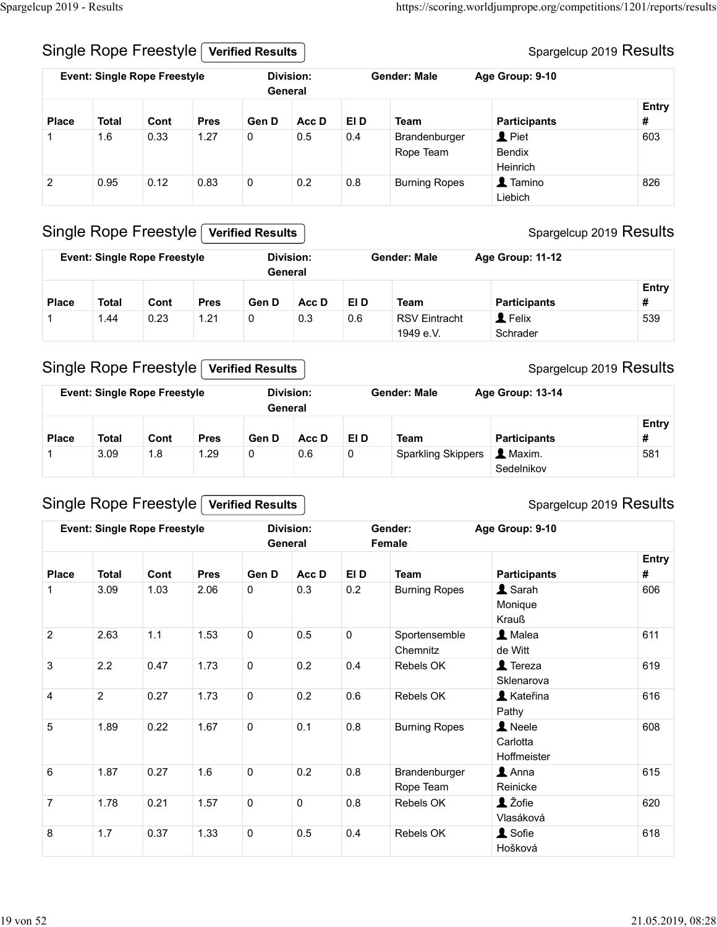#### Spargelcup 2019 Results

|                   | Spargelcup 2019 - Results           |                                     |                     |                         |                             |                     |                                     |                                                                     |          |
|-------------------|-------------------------------------|-------------------------------------|---------------------|-------------------------|-----------------------------|---------------------|-------------------------------------|---------------------------------------------------------------------|----------|
|                   |                                     |                                     |                     |                         |                             |                     |                                     |                                                                     |          |
|                   |                                     |                                     |                     |                         |                             |                     |                                     |                                                                     |          |
|                   |                                     |                                     |                     |                         |                             |                     |                                     |                                                                     |          |
|                   |                                     |                                     |                     |                         |                             |                     |                                     |                                                                     |          |
|                   |                                     |                                     |                     |                         |                             |                     |                                     |                                                                     |          |
|                   |                                     |                                     |                     |                         |                             |                     |                                     | https://scoring.worldjumprope.org/competitions/1201/reports/results |          |
|                   |                                     | Single Rope Freestyle               |                     | <b>Verified Results</b> |                             |                     |                                     | Spargelcup 2019 Results                                             |          |
|                   |                                     | <b>Event: Single Rope Freestyle</b> |                     |                         | <b>Division:</b><br>General |                     | <b>Gender: Male</b>                 | Age Group: 9-10                                                     |          |
|                   |                                     |                                     |                     |                         |                             |                     |                                     |                                                                     | Entry    |
| <b>Place</b><br>1 | <b>Total</b><br>1.6                 | Cont<br>0.33                        | <b>Pres</b><br>1.27 | Gen D<br>$\mathbf 0$    | Acc D<br>0.5                | EI D<br>0.4         | <b>Team</b><br>Brandenburger        | <b>Participants</b><br>$\mathbf 1$ Piet                             | #<br>603 |
|                   |                                     |                                     |                     |                         |                             |                     | Rope Team                           | Bendix                                                              |          |
| $\overline{2}$    | 0.95                                | 0.12                                | 0.83                | $\mathsf{O}\xspace$     | 0.2                         | 0.8                 | <b>Burning Ropes</b>                | Heinrich<br>1 Tamino                                                | 826      |
|                   |                                     |                                     |                     |                         |                             |                     |                                     | Liebich                                                             |          |
|                   |                                     | Single Rope Freestyle               |                     | <b>Verified Results</b> |                             |                     |                                     | Spargelcup 2019 Results                                             |          |
|                   |                                     | <b>Event: Single Rope Freestyle</b> |                     |                         | <b>Division:</b>            |                     | <b>Gender: Male</b>                 | Age Group: 11-12                                                    |          |
|                   |                                     |                                     |                     |                         | General                     |                     |                                     |                                                                     | Entry    |
| <b>Place</b><br>1 | <b>Total</b><br>1.44                | Cont<br>0.23                        | <b>Pres</b><br>1.21 | Gen D<br>$\mathbf 0$    | Acc D<br>0.3                | EI D<br>0.6         | <b>Team</b><br><b>RSV Eintracht</b> | <b>Participants</b><br>$\blacktriangle$ Felix                       | #<br>539 |
|                   |                                     |                                     |                     |                         |                             |                     | 1949 e.V.                           | Schrader                                                            |          |
|                   |                                     |                                     |                     |                         |                             |                     |                                     |                                                                     |          |
|                   |                                     | Single Rope Freestyle               |                     | <b>Verified Results</b> |                             |                     |                                     | Spargelcup 2019 Results                                             |          |
|                   |                                     |                                     |                     |                         | <b>Division:</b><br>General |                     | <b>Gender: Male</b>                 | Age Group: 13-14                                                    |          |
|                   | <b>Event: Single Rope Freestyle</b> |                                     |                     |                         |                             |                     |                                     |                                                                     | Entry    |
|                   |                                     |                                     |                     |                         |                             |                     |                                     | <b>Participants</b>                                                 | #        |
| <b>Place</b><br>1 | <b>Total</b><br>3.09                | Cont<br>1.8                         | <b>Pres</b><br>1.29 | Gen D<br>$\mathbf 0$    | Acc D<br>0.6                | EI D<br>$\mathbf 0$ | <b>Team</b><br>Sparkling Skippers   | 1 Maxim.                                                            | 581      |

#### Single Rope Freestyle Verified Results

|              |       | <b>Event: Single Rope Freestyle</b> |             |       | Division:<br>General |      | <b>Gender: Male</b>               | Age Group: 11-12                   |            |
|--------------|-------|-------------------------------------|-------------|-------|----------------------|------|-----------------------------------|------------------------------------|------------|
| <b>Place</b> | Total | Cont                                | <b>Pres</b> | Gen D | Acc D                | EI D | Team                              | <b>Participants</b>                | Entry<br># |
|              | 1.44  | 0.23                                | 1.21        |       | 0.3                  | 0.6  | <b>RSV Eintracht</b><br>1949 e.V. | $\blacktriangle$ Felix<br>Schrader | 539        |

## Single Rope Freestyle Verified Results

| $\mathbf{1}$   | 1.6          | 0.33                                                                | 1.27        | $\mathbf{0}$            | 0.5                                | 0.4  | Brandenburger<br>Rope Team        | $\mathbf 1$ Piet<br>Bendix<br>Heinrich | 603                     |
|----------------|--------------|---------------------------------------------------------------------|-------------|-------------------------|------------------------------------|------|-----------------------------------|----------------------------------------|-------------------------|
| $\overline{2}$ | 0.95         | 0.12                                                                | 0.83        | $\mathbf 0$             | 0.2                                | 0.8  | <b>Burning Ropes</b>              | 1 Tamino<br>Liebich                    | 826                     |
|                |              | <b>Single Rope Freestyle</b>                                        |             | <b>Verified Results</b> |                                    |      |                                   |                                        | Spargelcup 2019 Results |
|                |              | <b>Event: Single Rope Freestyle</b>                                 |             |                         | <b>Division:</b><br>General        |      | <b>Gender: Male</b>               | Age Group: 11-12                       |                         |
| <b>Place</b>   | <b>Total</b> | Cont                                                                | <b>Pres</b> | Gen D                   | Acc D                              | EI D | <b>Team</b>                       | <b>Participants</b>                    | Entry<br>#              |
| -1             | 1.44         | 0.23                                                                | 1.21        | 0                       | 0.3                                | 0.6  | <b>RSV Eintracht</b><br>1949 e.V. | <b>1</b> Felix<br>Schrader             | 539                     |
|                |              | <b>Single Rope Freestyle</b><br><b>Event: Single Rope Freestyle</b> |             | <b>Verified Results</b> | <b>Division:</b><br>General        |      | <b>Gender: Male</b>               | Age Group: 13-14                       | Spargelcup 2019 Results |
| <b>Place</b>   | <b>Total</b> | Cont                                                                | <b>Pres</b> | Gen D                   | Acc D                              | EI D | <b>Team</b>                       | <b>Participants</b>                    | Entry<br>#              |
| -1             | 3.09         | 1.8                                                                 | 1.29        | 0                       | 0.6                                | 0    | <b>Sparkling Skippers</b>         | 1 Maxim.<br>Sedelnikov                 | 581                     |
|                |              | <b>Single Rope Freestyle</b>                                        |             | <b>Verified Results</b> |                                    |      |                                   |                                        | Spargelcup 2019 Results |
|                |              | <b>Event: Single Rope Freestyle</b>                                 |             |                         | <b>Division:</b><br><b>General</b> |      | Gender:<br><b>Female</b>          | Age Group: 9-10                        |                         |
| <b>Place</b>   | <b>Total</b> | Cont                                                                | <b>Pres</b> | Gen D                   | Acc D                              | EI D | <b>Team</b>                       | <b>Participants</b>                    | <b>Entry</b><br>#       |
| -1             | 3.09         | 1.03                                                                | 2.06        | $\mathbf 0$             | 0.3                                | 0.2  | <b>Burning Ropes</b>              | & Sarah<br>$M$ oniguo                  | 606                     |

## Single Rope Freestyle Verified Results

#### Spargelcup 2019 Results

|                |                |                                     |             | General                 |                  |                     |                           |                              |                         |
|----------------|----------------|-------------------------------------|-------------|-------------------------|------------------|---------------------|---------------------------|------------------------------|-------------------------|
|                |                |                                     |             |                         |                  |                     |                           |                              | Entry                   |
| <b>Place</b>   | <b>Total</b>   | Cont                                | <b>Pres</b> | Gen D                   | Acc D            | EI D                | <b>Team</b>               | <b>Participants</b>          | #                       |
| -1             | 1.44           | 0.23                                | 1.21        | 0                       | 0.3              | 0.6                 | <b>RSV Eintracht</b>      | $\mathbf 1$ Felix            | 539                     |
|                |                |                                     |             |                         |                  |                     | 1949 e.V.                 | Schrader                     |                         |
|                |                | Single Rope Freestyle               |             | <b>Verified Results</b> |                  |                     |                           |                              | Spargelcup 2019 Results |
|                |                | <b>Event: Single Rope Freestyle</b> |             | General                 | <b>Division:</b> |                     | <b>Gender: Male</b>       | Age Group: 13-14             |                         |
|                |                |                                     |             |                         |                  |                     |                           |                              | <b>Entry</b>            |
| Place          | <b>Total</b>   | Cont                                | <b>Pres</b> | Gen D                   | Acc D            | EI D                | <b>Team</b>               | <b>Participants</b>          | #                       |
| $\mathbf 1$    | 3.09           | 1.8                                 | 1.29        | 0                       | 0.6              | $\mathsf{O}\xspace$ | <b>Sparkling Skippers</b> | $\blacktriangle$ Maxim.      | 581                     |
|                |                |                                     |             |                         |                  |                     |                           | Sedelnikov                   |                         |
|                |                |                                     |             |                         |                  |                     |                           |                              |                         |
|                |                | Single Rope Freestyle               |             | <b>Verified Results</b> |                  |                     |                           |                              | Spargelcup 2019 Results |
|                |                | <b>Event: Single Rope Freestyle</b> |             | General                 | <b>Division:</b> |                     | Gender:<br>Female         | Age Group: 9-10              |                         |
|                |                |                                     |             |                         |                  |                     |                           |                              | <b>Entry</b>            |
| Place          | <b>Total</b>   | Cont                                | <b>Pres</b> | Gen D                   | Acc D            | EI D                | <b>Team</b>               | <b>Participants</b>          | #                       |
| $\mathbf{1}$   | 3.09           | 1.03                                | 2.06        | $\mathbf 0$             | 0.3              | 0.2                 | <b>Burning Ropes</b>      | 1 Sarah                      | 606                     |
|                |                |                                     |             |                         |                  |                     |                           | Monique<br>Krauß             |                         |
| $\overline{2}$ | 2.63           | $1.1$                               | 1.53        | $\mathbf 0$             | 0.5              | $\mathbf 0$         | Sportensemble             | 1 Malea                      | 611                     |
|                |                |                                     |             |                         |                  |                     | Chemnitz                  | de Witt                      |                         |
| 3              | 2.2            | 0.47                                | 1.73        | $\mathbf 0$             | 0.2              | 0.4                 | Rebels OK                 | $\blacktriangle$ Tereza      | 619                     |
|                |                |                                     |             |                         |                  |                     |                           | Sklenarova                   |                         |
| $\overline{4}$ | $\overline{2}$ | 0.27                                | 1.73        | $\mathbf 0$             | 0.2              | 0.6                 | Rebels OK                 | <b>A</b> Kateřina<br>Pathy   | 616                     |
| 5              | 1.89           | 0.22                                | 1.67        | $\mathbf 0$             | 0.1              | 0.8                 | <b>Burning Ropes</b>      | 1 Neele                      | 608                     |
|                |                |                                     |             |                         |                  |                     |                           | Carlotta                     |                         |
|                |                |                                     |             |                         |                  |                     |                           | Hoffmeister                  |                         |
| 6              | 1.87           | 0.27                                | 1.6         | $\mathbf 0$             | 0.2              | 0.8                 | Brandenburger             | $\triangle$ Anna<br>Reinicke | 615                     |
| $\overline{7}$ | 1.78           | 0.21                                | 1.57        | $\pmb{0}$               | $\mathbf 0$      | $0.8\,$             | Rope Team<br>Rebels OK    | 1 Žofie                      | 620                     |
|                |                |                                     |             |                         |                  |                     |                           | Vlasáková                    |                         |
|                | 1.7            | 0.37                                | 1.33        | $\mathbf 0$             | 0.5              | 0.4                 | Rebels OK                 | <b>1</b> Sofie               | 618                     |
|                |                |                                     |             |                         |                  |                     |                           | Hošková                      |                         |
| 8              |                |                                     |             |                         |                  |                     |                           |                              |                         |

#### Spargelcup 2019 Results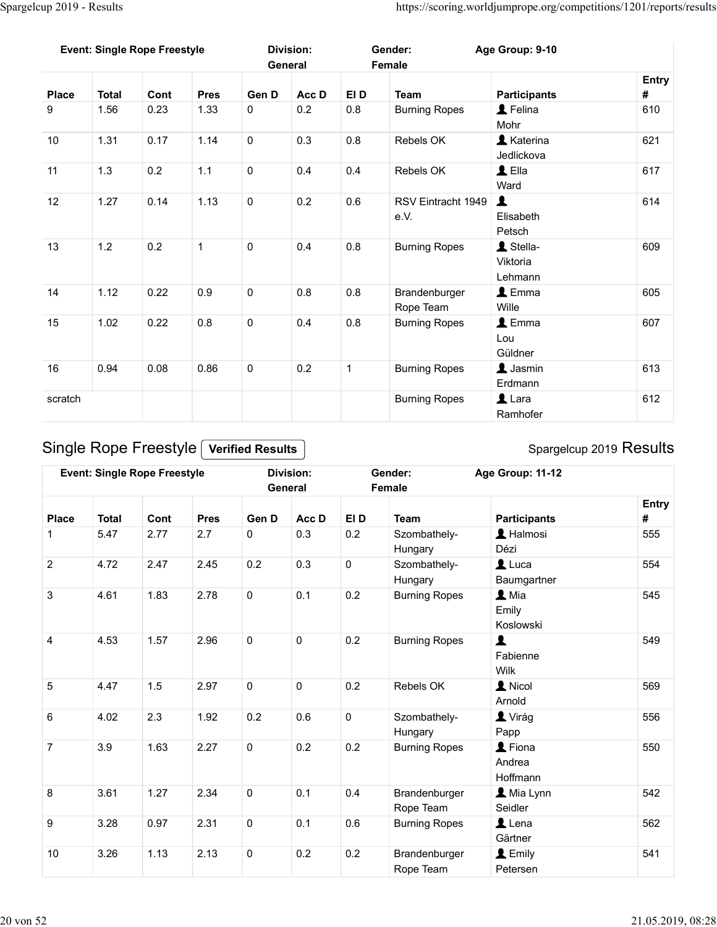| Spargelcup 2019 - Results<br><b>Event: Single Rope Freestyle</b><br><b>Division:</b><br>Age Group: 9-10<br>Gender:<br>General<br>Female<br>EI D<br>Acc D<br><b>Participants</b><br><b>Place</b><br><b>Total</b><br>Cont<br><b>Pres</b><br>Gen D<br><b>Team</b><br>L Felina<br>$0.8\,$<br>9<br>1.56<br>1.33<br>$\mathbf 0$<br>0.2<br><b>Burning Ropes</b><br>0.23<br>Mohr<br>10<br>$\mathsf 0$<br>0.3<br>0.8<br><b>A</b> Katerina<br>1.31<br>0.17<br>1.14<br>Rebels OK<br>Jedlickova<br>11<br>$\triangle$ Ella<br>1.1<br>$\mathbf 0$<br>0.4<br>1.3<br>0.2<br>0.4<br>Rebels OK<br>Ward<br>$\mathbf 0$<br>RSV Eintracht 1949<br>12<br>1.27<br>1.13<br>0.2<br>0.6<br>0.14<br>e.V.<br>Elisabeth<br>Petsch<br>1 Stella-<br>13<br>$\mathsf{O}\xspace$<br>1.2<br>0.2<br>$\mathbf{1}$<br>0.4<br>0.8<br><b>Burning Ropes</b><br>Viktoria<br>Lehmann<br>14<br>$\mathbf 0$<br>$\triangle$ Emma<br>1.12<br>0.22<br>0.9<br>0.8<br>$0.8\,$<br>Brandenburger<br>Wille<br>Rope Team<br>15<br>0.8<br>$\mathbf 0$<br>0.4<br>$\triangle$ Emma<br>1.02<br>0.8<br>0.22<br><b>Burning Ropes</b><br>Lou<br>Güldner<br>$\blacktriangle$ Jasmin<br>16<br>0.94<br>$\mathsf{O}\xspace$<br>0.2<br>$\mathbf{1}$<br><b>Burning Ropes</b><br>0.08<br>0.86<br>Erdmann<br>$\blacktriangle$ Lara<br>scratch<br><b>Burning Ropes</b><br>Ramhofer |              |      |      |      |             |     |             |                      |                       |     |
|--------------------------------------------------------------------------------------------------------------------------------------------------------------------------------------------------------------------------------------------------------------------------------------------------------------------------------------------------------------------------------------------------------------------------------------------------------------------------------------------------------------------------------------------------------------------------------------------------------------------------------------------------------------------------------------------------------------------------------------------------------------------------------------------------------------------------------------------------------------------------------------------------------------------------------------------------------------------------------------------------------------------------------------------------------------------------------------------------------------------------------------------------------------------------------------------------------------------------------------------------------------------------------------------------------------|--------------|------|------|------|-------------|-----|-------------|----------------------|-----------------------|-----|
| #                                                                                                                                                                                                                                                                                                                                                                                                                                                                                                                                                                                                                                                                                                                                                                                                                                                                                                                                                                                                                                                                                                                                                                                                                                                                                                            |              |      |      |      |             |     |             |                      |                       |     |
| 610<br>621<br>617<br>614<br>609                                                                                                                                                                                                                                                                                                                                                                                                                                                                                                                                                                                                                                                                                                                                                                                                                                                                                                                                                                                                                                                                                                                                                                                                                                                                              |              |      |      |      |             |     |             |                      |                       |     |
|                                                                                                                                                                                                                                                                                                                                                                                                                                                                                                                                                                                                                                                                                                                                                                                                                                                                                                                                                                                                                                                                                                                                                                                                                                                                                                              |              |      |      |      |             |     |             |                      |                       |     |
|                                                                                                                                                                                                                                                                                                                                                                                                                                                                                                                                                                                                                                                                                                                                                                                                                                                                                                                                                                                                                                                                                                                                                                                                                                                                                                              |              |      |      |      |             |     |             |                      |                       |     |
|                                                                                                                                                                                                                                                                                                                                                                                                                                                                                                                                                                                                                                                                                                                                                                                                                                                                                                                                                                                                                                                                                                                                                                                                                                                                                                              |              |      |      |      |             |     |             |                      |                       |     |
| 605<br>607<br>613<br>612                                                                                                                                                                                                                                                                                                                                                                                                                                                                                                                                                                                                                                                                                                                                                                                                                                                                                                                                                                                                                                                                                                                                                                                                                                                                                     |              |      |      |      |             |     |             |                      |                       |     |
| https://scoring.worldjumprope.org/competitions/1201/reports/results<br>Entry                                                                                                                                                                                                                                                                                                                                                                                                                                                                                                                                                                                                                                                                                                                                                                                                                                                                                                                                                                                                                                                                                                                                                                                                                                 |              |      |      |      |             |     |             |                      |                       |     |
|                                                                                                                                                                                                                                                                                                                                                                                                                                                                                                                                                                                                                                                                                                                                                                                                                                                                                                                                                                                                                                                                                                                                                                                                                                                                                                              |              |      |      |      |             |     |             |                      |                       |     |
|                                                                                                                                                                                                                                                                                                                                                                                                                                                                                                                                                                                                                                                                                                                                                                                                                                                                                                                                                                                                                                                                                                                                                                                                                                                                                                              |              |      |      |      |             |     |             |                      |                       |     |
|                                                                                                                                                                                                                                                                                                                                                                                                                                                                                                                                                                                                                                                                                                                                                                                                                                                                                                                                                                                                                                                                                                                                                                                                                                                                                                              |              |      |      |      |             |     |             |                      |                       |     |
|                                                                                                                                                                                                                                                                                                                                                                                                                                                                                                                                                                                                                                                                                                                                                                                                                                                                                                                                                                                                                                                                                                                                                                                                                                                                                                              |              |      |      |      |             |     |             |                      |                       |     |
|                                                                                                                                                                                                                                                                                                                                                                                                                                                                                                                                                                                                                                                                                                                                                                                                                                                                                                                                                                                                                                                                                                                                                                                                                                                                                                              |              |      |      |      |             |     |             |                      |                       |     |
|                                                                                                                                                                                                                                                                                                                                                                                                                                                                                                                                                                                                                                                                                                                                                                                                                                                                                                                                                                                                                                                                                                                                                                                                                                                                                                              |              |      |      |      |             |     |             |                      |                       |     |
|                                                                                                                                                                                                                                                                                                                                                                                                                                                                                                                                                                                                                                                                                                                                                                                                                                                                                                                                                                                                                                                                                                                                                                                                                                                                                                              |              |      |      |      |             |     |             |                      |                       |     |
|                                                                                                                                                                                                                                                                                                                                                                                                                                                                                                                                                                                                                                                                                                                                                                                                                                                                                                                                                                                                                                                                                                                                                                                                                                                                                                              |              |      |      |      |             |     |             |                      |                       |     |
|                                                                                                                                                                                                                                                                                                                                                                                                                                                                                                                                                                                                                                                                                                                                                                                                                                                                                                                                                                                                                                                                                                                                                                                                                                                                                                              |              |      |      |      |             |     |             |                      |                       |     |
|                                                                                                                                                                                                                                                                                                                                                                                                                                                                                                                                                                                                                                                                                                                                                                                                                                                                                                                                                                                                                                                                                                                                                                                                                                                                                                              |              |      |      |      |             |     |             |                      |                       |     |
|                                                                                                                                                                                                                                                                                                                                                                                                                                                                                                                                                                                                                                                                                                                                                                                                                                                                                                                                                                                                                                                                                                                                                                                                                                                                                                              |              |      |      |      |             |     |             |                      |                       |     |
|                                                                                                                                                                                                                                                                                                                                                                                                                                                                                                                                                                                                                                                                                                                                                                                                                                                                                                                                                                                                                                                                                                                                                                                                                                                                                                              |              |      |      |      |             |     |             |                      |                       |     |
|                                                                                                                                                                                                                                                                                                                                                                                                                                                                                                                                                                                                                                                                                                                                                                                                                                                                                                                                                                                                                                                                                                                                                                                                                                                                                                              |              |      |      |      |             |     |             |                      |                       |     |
|                                                                                                                                                                                                                                                                                                                                                                                                                                                                                                                                                                                                                                                                                                                                                                                                                                                                                                                                                                                                                                                                                                                                                                                                                                                                                                              |              |      |      |      |             |     |             |                      |                       |     |
|                                                                                                                                                                                                                                                                                                                                                                                                                                                                                                                                                                                                                                                                                                                                                                                                                                                                                                                                                                                                                                                                                                                                                                                                                                                                                                              |              |      |      |      |             |     |             |                      |                       |     |
|                                                                                                                                                                                                                                                                                                                                                                                                                                                                                                                                                                                                                                                                                                                                                                                                                                                                                                                                                                                                                                                                                                                                                                                                                                                                                                              |              |      |      |      |             |     |             |                      |                       |     |
|                                                                                                                                                                                                                                                                                                                                                                                                                                                                                                                                                                                                                                                                                                                                                                                                                                                                                                                                                                                                                                                                                                                                                                                                                                                                                                              |              |      |      |      |             |     |             |                      |                       |     |
|                                                                                                                                                                                                                                                                                                                                                                                                                                                                                                                                                                                                                                                                                                                                                                                                                                                                                                                                                                                                                                                                                                                                                                                                                                                                                                              |              |      |      |      |             |     |             |                      |                       |     |
|                                                                                                                                                                                                                                                                                                                                                                                                                                                                                                                                                                                                                                                                                                                                                                                                                                                                                                                                                                                                                                                                                                                                                                                                                                                                                                              |              |      |      |      |             |     |             |                      |                       |     |
|                                                                                                                                                                                                                                                                                                                                                                                                                                                                                                                                                                                                                                                                                                                                                                                                                                                                                                                                                                                                                                                                                                                                                                                                                                                                                                              |              |      |      |      |             |     |             |                      |                       |     |
|                                                                                                                                                                                                                                                                                                                                                                                                                                                                                                                                                                                                                                                                                                                                                                                                                                                                                                                                                                                                                                                                                                                                                                                                                                                                                                              |              |      |      |      |             |     |             |                      |                       |     |
| <b>Verified Results</b>                                                                                                                                                                                                                                                                                                                                                                                                                                                                                                                                                                                                                                                                                                                                                                                                                                                                                                                                                                                                                                                                                                                                                                                                                                                                                      |              |      |      |      |             |     |             |                      |                       |     |
| Single Rope Freestyle<br>Age Group: 11-12<br><b>Event: Single Rope Freestyle</b><br><b>Division:</b><br>Gender:                                                                                                                                                                                                                                                                                                                                                                                                                                                                                                                                                                                                                                                                                                                                                                                                                                                                                                                                                                                                                                                                                                                                                                                              |              |      |      |      |             |     |             |                      |                       |     |
| Spargelcup 2019 Results<br>Female<br>General                                                                                                                                                                                                                                                                                                                                                                                                                                                                                                                                                                                                                                                                                                                                                                                                                                                                                                                                                                                                                                                                                                                                                                                                                                                                 |              |      |      |      |             |     |             |                      |                       |     |
| Entry                                                                                                                                                                                                                                                                                                                                                                                                                                                                                                                                                                                                                                                                                                                                                                                                                                                                                                                                                                                                                                                                                                                                                                                                                                                                                                        | 1            | 5.47 | 2.77 | 2.7  | $\mathbf 0$ | 0.3 | 0.2         | Szombathely-         | L Halmosi             | 555 |
| <b>Total</b><br>Gen D<br>Acc D<br>EI D<br><b>Place</b><br>Cont<br><b>Pres</b><br><b>Team</b><br><b>Participants</b><br>#                                                                                                                                                                                                                                                                                                                                                                                                                                                                                                                                                                                                                                                                                                                                                                                                                                                                                                                                                                                                                                                                                                                                                                                     |              |      |      |      |             |     |             | Hungary              | Dézi                  |     |
|                                                                                                                                                                                                                                                                                                                                                                                                                                                                                                                                                                                                                                                                                                                                                                                                                                                                                                                                                                                                                                                                                                                                                                                                                                                                                                              |              | 4.72 | 2.47 | 2.45 | $0.2\,$     | 0.3 | $\mathbf 0$ | Szombathely-         | $\blacktriangle$ Luca | 554 |
| $\overline{2}$                                                                                                                                                                                                                                                                                                                                                                                                                                                                                                                                                                                                                                                                                                                                                                                                                                                                                                                                                                                                                                                                                                                                                                                                                                                                                               | $\mathbf{3}$ | 4.61 | 1.83 | 2.78 | $\mathbf 0$ | 0.1 | 0.2         | <b>Burning Ropes</b> | $\blacktriangle$ Mia  | 545 |
| Baumgartner<br>Hungary                                                                                                                                                                                                                                                                                                                                                                                                                                                                                                                                                                                                                                                                                                                                                                                                                                                                                                                                                                                                                                                                                                                                                                                                                                                                                       |              |      |      |      |             |     |             |                      |                       |     |

|                |              |                                     |              |                                    |                             |              |                            | Viktoria<br>Lehmann                         |                   |
|----------------|--------------|-------------------------------------|--------------|------------------------------------|-----------------------------|--------------|----------------------------|---------------------------------------------|-------------------|
| 14             | 1.12         | 0.22                                | 0.9          | $\mathbf 0$                        | 0.8                         | 0.8          | Brandenburger<br>Rope Team | $\triangle$ Emma<br>Wille                   | 605               |
| 15             | 1.02         | 0.22                                | 0.8          | $\mathbf 0$                        | 0.4                         | $0.8\,$      | <b>Burning Ropes</b>       | $\triangle$ Emma<br>Lou<br>Güldner          | 607               |
| 16             | 0.94         | 0.08                                | 0.86         | $\mathbf 0$                        | 0.2                         | $\mathbf{1}$ | <b>Burning Ropes</b>       | $\blacktriangle$ Jasmin<br>Erdmann          | 613               |
| scratch        |              |                                     |              |                                    |                             |              | <b>Burning Ropes</b>       | $\mathbf 1$ Lara<br>Ramhofer                | 612               |
|                |              | Single Rope Freestyle               |              | <b>Verified Results</b>            |                             |              |                            | Spargelcup 2019 Results                     |                   |
|                |              | <b>Event: Single Rope Freestyle</b> |              |                                    | <b>Division:</b><br>General |              | Gender:<br>Female          | Age Group: 11-12                            |                   |
| <b>Place</b>   | <b>Total</b> | Cont                                | <b>Pres</b>  | Gen D                              | Acc D                       | EI D         | <b>Team</b>                | <b>Participants</b>                         | <b>Entry</b><br># |
|                | 5.47         | 2.77                                | 2.7          | $\mathbf 0$                        | 0.3                         | 0.2          | Szombathely-<br>Hungary    | L Halmosi<br>Dézi                           | 555               |
| $\overline{2}$ | 4.72         | 2.47                                | 2.45         | 0.2                                | 0.3                         | $\mathbf 0$  | Szombathely-<br>Hungary    | $\mathbf 1$ Luca<br>Baumgartner             | 554               |
| 3              | 4.61         | 1.83                                | 2.78         | $\mathbf 0$                        | 0.1                         | 0.2          | <b>Burning Ropes</b>       | $\mathbf{\Omega}$ Mia<br>Emily<br>Koslowski | 545               |
| $\overline{4}$ | 4.53         | 1.57                                | 2.96         | $\mathbf 0$                        | $\mathbf 0$                 | 0.2          | <b>Burning Ropes</b>       | $\blacktriangle$<br>Fabienne<br>Wilk        | 549               |
| 5              | 4.47         | 1.5                                 | 2.97         | $\mathbf 0$                        | $\mathbf 0$                 | 0.2          | Rebels OK                  | 1 Nicol<br>Arnold                           | 569               |
| 6              | 4.02         | 2.3                                 | 1.92         | 0.2                                | 0.6                         | $\mathbf 0$  | Szombathely-<br>Hungary    | Virág<br>Papp                               | 556               |
| $\overline{7}$ | 3.9          | 1.63                                | 2.27         | $\mathsf{O}\xspace$                | 0.2                         | 0.2          | <b>Burning Ropes</b>       | L Fiona<br>Andrea<br>Hoffmann               | 550               |
|                | 3.61         | 1.27                                | 2.34         | $\mathsf{O}\xspace$                | 0.1                         | 0.4          | Brandenburger<br>Rope Team | Mia Lynn<br>Seidler                         | 542               |
| 8              |              |                                     |              |                                    |                             | 0.6          | <b>Burning Ropes</b>       | $\blacktriangle$ Lena                       | 562               |
| 9<br>10        | 3.28<br>3.26 | 0.97<br>1.13                        | 2.31<br>2.13 | $\mathbf 0$<br>$\mathsf{O}\xspace$ | 0.1<br>0.2                  | 0.2          | Brandenburger              | Gärtner<br>L Emily                          | 541               |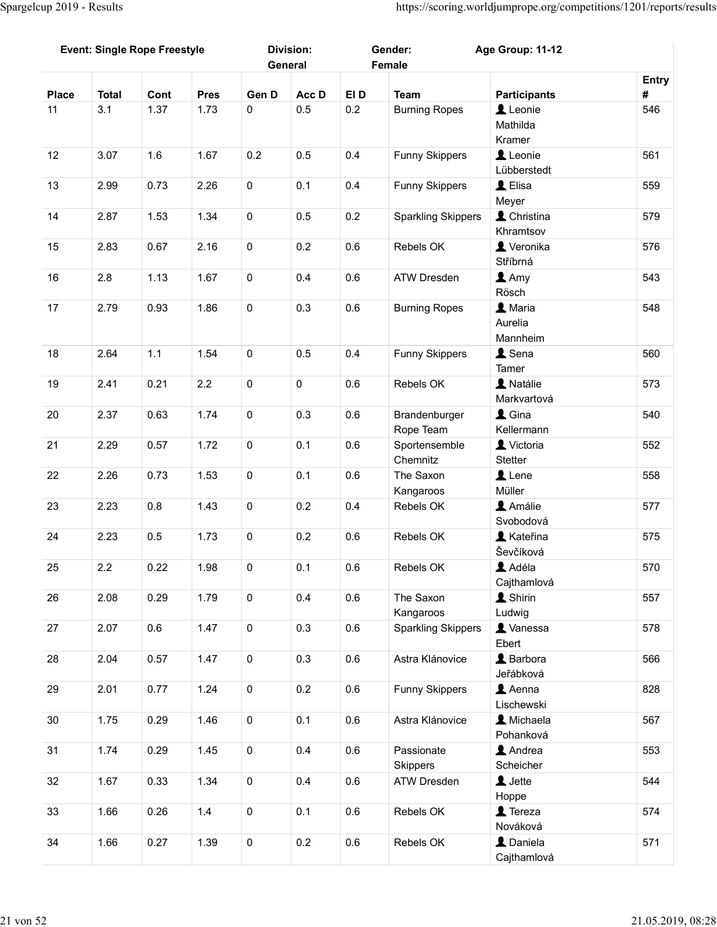|              | <b>Event: Single Rope Freestyle</b> |         |             |                     | <b>Division:</b><br>General |         | Gender:<br>Female                      | Age Group: 11-12                      |            |
|--------------|-------------------------------------|---------|-------------|---------------------|-----------------------------|---------|----------------------------------------|---------------------------------------|------------|
| <b>Place</b> | <b>Total</b>                        | Cont    | <b>Pres</b> | Gen D               | Acc D                       | EI D    | <b>Team</b>                            | <b>Participants</b>                   | Entry<br># |
| 11           | 3.1                                 | 1.37    | 1.73        | $\mathbf 0$         | 0.5                         | 0.2     | <b>Burning Ropes</b>                   | Leonie<br>Mathilda<br>Kramer          | 546        |
| 12           | 3.07                                | 1.6     | 1.67        | 0.2                 | 0.5                         | 0.4     | Funny Skippers                         | Leonie<br>Lübberstedt                 | 561        |
| 13           | 2.99                                | 0.73    | 2.26        | $\mathsf{O}\xspace$ | 0.1                         | 0.4     | Funny Skippers                         | L Elisa<br>Meyer                      | 559        |
| 14           | 2.87                                | 1.53    | 1.34        | $\mathbf 0$         | 0.5                         | 0.2     | <b>Sparkling Skippers</b>              | L Christina<br>Khramtsov              | 579        |
| 15           | 2.83                                | 0.67    | 2.16        | $\mathsf{O}\xspace$ | 0.2                         | 0.6     | Rebels OK                              | Veronika<br>Stříbrná                  | 576        |
| $16\,$       | 2.8                                 | 1.13    | 1.67        | $\mathbf 0$         | 0.4                         | 0.6     | ATW Dresden                            | $\blacktriangle$ Amy<br>Rösch         | 543        |
| 17           | 2.79                                | 0.93    | 1.86        | $\overline{0}$      | 0.3                         | 0.6     | <b>Burning Ropes</b>                   | <b>A</b> Maria<br>Aurelia<br>Mannheim | 548        |
| 18           | 2.64                                | $1.1$   | 1.54        | $\mathbf 0$         | $0.5\,$                     | 0.4     | Funny Skippers                         | $\triangle$ Sena<br>Tamer             | 560        |
| 19           | 2.41                                | 0.21    | $2.2\,$     | $\mathbf 0$         | $\mathbf 0$                 | 0.6     | Rebels OK                              | A Natálie<br>Markvartová              | 573        |
| 20           | 2.37                                | 0.63    | 1.74        | $\mathsf{O}\xspace$ | 0.3                         | 0.6     | Brandenburger<br>Rope Team             | $\triangle$ Gina<br>Kellermann        | 540        |
| 21           | 2.29                                | 0.57    | 1.72        | $\mathsf{O}$        | 0.1                         | 0.6     | Sportensemble<br>Chemnitz              | Victoria<br>Stetter                   | 552        |
| 22           | 2.26                                | 0.73    | 1.53        | $\overline{0}$      | 0.1                         | 0.6     | The Saxon<br>Kangaroos                 | $\mathbf 1$ Lene<br>Müller            | 558        |
| 23           | 2.23                                | 0.8     | 1.43        | $\mathbf 0$         | 0.2                         | 0.4     | Rebels OK                              | Amálie<br>Svobodová                   | 577        |
| 24           | 2.23                                | $0.5\,$ | 1.73        | $\mathbf 0$         | 0.2                         | 0.6     | Rebels OK                              | <b>A</b> Kateřina<br>Ševčíková        | 575        |
| 25           | $2.2\,$                             | 0.22    | 1.98        | $\mathbf 0$         | 0.1                         | 0.6     | Rebels OK                              | Adéla<br>Cajthamlová                  | 570        |
| 26           | 2.08                                | 0.29    | 1.79        | $\overline{0}$      | 0.4                         | 0.6     | The Saxon                              | <b>1</b> Shirin                       | 557        |
| 27           | 2.07                                | 0.6     | 1.47        | $\mathsf{O}$        | 0.3                         | $0.6\,$ | Kangaroos<br><b>Sparkling Skippers</b> | Ludwig<br><b>L</b> Vanessa            | 578        |
| 28           | 2.04                                | 0.57    | 1.47        | $\mathsf{O}$        | 0.3                         | 0.6     | Astra Klánovice                        | Ebert<br>L Barbora<br>Jeřábková       | 566        |
| 29           | 2.01                                | 0.77    | 1.24        | $\mathsf{O}$        | 0.2                         | $0.6\,$ | Funny Skippers                         | $\triangle$ Aenna<br>Lischewski       | 828        |
| 30           | 1.75                                | 0.29    | 1.46        | $\mathbf 0$         | 0.1                         | 0.6     | Astra Klánovice                        | A Michaela<br>Pohanková               | 567        |
| 31           | 1.74                                | 0.29    | 1.45        | $\mathsf{O}\xspace$ | 0.4                         | 0.6     | Passionate<br>Skippers                 | $\triangle$ Andrea<br>Scheicher       | 553        |
| 32           | 1.67                                | 0.33    | 1.34        | $\mathbf 0$         | 0.4                         | 0.6     | ATW Dresden                            | L Jette<br>Hoppe                      | 544        |
| 33           | 1.66                                | 0.26    | $1.4$       | $\mathbf 0$         | 0.1                         | 0.6     | Rebels OK                              | $\blacktriangle$ Tereza<br>Nováková   | 574        |
| $34\,$       | 1.66                                | 0.27    | 1.39        | $\mathbf 0$         | $0.2\,$                     | 0.6     | Rebels OK                              | L Daniela<br>Cajthamlová              | 571        |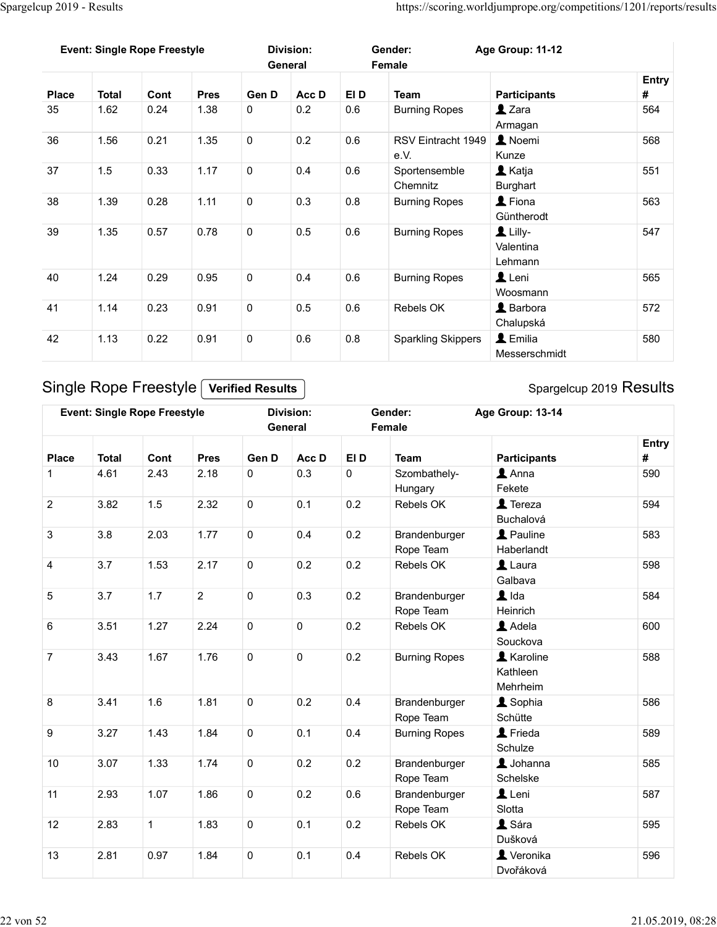| Spargelcup 2019 - Results |                                     |              |                     |                              |                             |                     |                                  | https://scoring.worldjumprope.org/competitions/1201/reports/results |          |
|---------------------------|-------------------------------------|--------------|---------------------|------------------------------|-----------------------------|---------------------|----------------------------------|---------------------------------------------------------------------|----------|
|                           |                                     |              |                     |                              |                             |                     |                                  |                                                                     |          |
|                           | <b>Event: Single Rope Freestyle</b> |              |                     |                              | <b>Division:</b>            |                     | Gender:                          | Age Group: 11-12                                                    |          |
|                           |                                     |              |                     |                              | General                     |                     | Female                           |                                                                     | Entry    |
| <b>Place</b>              | <b>Total</b>                        | Cont         | <b>Pres</b>         | Gen D                        | Acc D                       | EI D                | <b>Team</b>                      | <b>Participants</b>                                                 | #        |
| 35                        | 1.62                                | 0.24         | 1.38                | $\mathbf 0$                  | 0.2                         | $0.6\,$             | <b>Burning Ropes</b>             | $2$ Zara                                                            | 564      |
| 36                        | 1.56                                | 0.21         | 1.35                | $\mathbf 0$                  | 0.2                         | 0.6                 | RSV Eintracht 1949               | Armagan<br>L Noemi                                                  | 568      |
|                           |                                     |              |                     |                              |                             |                     | e.V.                             | Kunze                                                               |          |
| 37                        | 1.5                                 | 0.33         | 1.17                | $\mathsf{O}\xspace$          | 0.4                         | 0.6                 | Sportensemble                    | <b>L</b> Katja                                                      | 551      |
| 38                        | 1.39                                | 0.28         | 1.11                | $\mathbf 0$                  | 0.3                         | 0.8                 | Chemnitz<br><b>Burning Ropes</b> | Burghart<br>$\blacktriangle$ Fiona                                  | 563      |
|                           |                                     |              |                     |                              |                             |                     |                                  | Güntherodt                                                          |          |
| 39                        | 1.35                                | 0.57         | 0.78                | 0                            | 0.5                         | 0.6                 | <b>Burning Ropes</b>             | $\mathbf 1$ Lilly-                                                  | 547      |
|                           |                                     |              |                     |                              |                             |                     |                                  | Valentina<br>Lehmann                                                |          |
| $40\,$                    | 1.24                                | 0.29         | 0.95                | $\pmb{0}$                    | 0.4                         | $0.6\,$             | <b>Burning Ropes</b>             | $\mathbf 1$ Leni                                                    | 565      |
| 41                        |                                     |              |                     |                              |                             |                     |                                  | Woosmann                                                            |          |
|                           | 1.14                                | 0.23         | 0.91                | $\mathsf{O}\xspace$          | 0.5                         | 0.6                 | Rebels OK                        | <b>L</b> Barbora<br>Chalupská                                       | 572      |
| 42                        | 1.13                                | 0.22         | 0.91                | $\mathsf{O}\xspace$          | $0.6\,$                     | $0.8\,$             | <b>Sparkling Skippers</b>        | $\blacktriangle$ Emilia                                             | 580      |
|                           |                                     |              |                     |                              |                             |                     |                                  | Messerschmidt                                                       |          |
|                           | Single Rope Freestyle               |              |                     | <b>Verified Results</b>      |                             |                     |                                  | Spargelcup 2019 Results                                             |          |
|                           |                                     |              |                     |                              |                             |                     |                                  |                                                                     |          |
|                           | <b>Event: Single Rope Freestyle</b> |              |                     |                              | <b>Division:</b><br>General |                     | Gender:<br>Female                | Age Group: 13-14                                                    |          |
|                           |                                     |              |                     |                              |                             |                     |                                  |                                                                     | Entry    |
| <b>Place</b><br>1         | <b>Total</b><br>4.61                | Cont<br>2.43 | <b>Pres</b><br>2.18 | Gen D<br>$\mathsf{O}\xspace$ | Acc D<br>0.3                | EI D<br>$\mathbf 0$ | Team<br>Szombathely-             | <b>Participants</b><br>$\triangle$ Anna                             | #<br>590 |
|                           |                                     |              |                     |                              |                             |                     | Hungary                          | Fekete                                                              |          |
| $\overline{2}$            | 3.82                                | 1.5          | 2.32                | $\mathsf{O}\xspace$          | 0.1                         | 0.2                 | Rebels OK                        | $\blacktriangle$ Tereza                                             | 594      |
|                           | $3.8\,$                             | 2.03         | 1.77                | $\mathbf 0$                  | 0.4                         | $0.2\,$             | Brandenburger                    | Buchalová<br><b>2</b> Pauline                                       | 583      |
| $\mathbf{3}$              |                                     |              |                     |                              |                             |                     |                                  |                                                                     |          |

| 38              | 1.39         | 0.28                                | 1.11           | 0                                  | 0.3                         | 0.8            | <b>Burning Ropes</b>                    | $\blacktriangle$ Fiona<br>Güntherodt        | 563        |
|-----------------|--------------|-------------------------------------|----------------|------------------------------------|-----------------------------|----------------|-----------------------------------------|---------------------------------------------|------------|
| 39              | 1.35         | 0.57                                | 0.78           | $\mathbf 0$                        | 0.5                         | 0.6            | <b>Burning Ropes</b>                    | $L$ Lilly-<br>Valentina<br>Lehmann          | 547        |
| 40              | 1.24         | 0.29                                | 0.95           | $\mathsf{O}\xspace$                | 0.4                         | 0.6            | <b>Burning Ropes</b>                    | $\mathbf 1$ Leni<br>Woosmann                | 565        |
| 41              | 1.14         | 0.23                                | 0.91           | $\mathbf 0$                        | 0.5                         | 0.6            | Rebels OK                               | L Barbora<br>Chalupská                      | 572        |
| 42              | 1.13         | 0.22                                | 0.91           | $\mathbf 0$                        | 0.6                         | $0.8\,$        | <b>Sparkling Skippers</b>               | L Emilia<br>Messerschmidt                   | 580        |
|                 |              | Single Rope Freestyle               |                | <b>Verified Results</b>            |                             |                |                                         | Spargelcup 2019 Results                     |            |
|                 |              | <b>Event: Single Rope Freestyle</b> |                |                                    | <b>Division:</b><br>General |                | Gender:<br>Female                       | Age Group: 13-14                            |            |
| <b>Place</b>    | <b>Total</b> | Cont                                | <b>Pres</b>    | Gen D                              | Acc D                       | EI D           | <b>Team</b>                             | <b>Participants</b>                         | Entry<br># |
| -1              | 4.61         | 2.43                                | 2.18           | $\mathbf 0$                        | 0.3                         | $\mathbf 0$    | Szombathely-<br>Hungary                 | $\blacktriangle$ Anna<br>Fekete             | 590        |
| $\overline{2}$  | 3.82         | 1.5                                 | 2.32           | $\mathsf{O}\xspace$                | 0.1                         | 0.2            | Rebels OK                               | $\sqrt{2}$ Tereza<br>Buchalová              | 594        |
| $\mathbf{3}$    | 3.8          | 2.03                                | 1.77           | $\mathbf 0$                        | 0.4                         | 0.2            | Brandenburger<br>Rope Team              | Pauline<br>Haberlandt                       | 583        |
| 4               | 3.7          | 1.53                                | 2.17           | $\mathbf 0$                        | 0.2                         | 0.2            | Rebels OK                               | $\blacktriangle$ Laura<br>Galbava           | 598        |
| $5\phantom{.0}$ | 3.7          | 1.7                                 | $\overline{2}$ | $\mathbf 0$                        | 0.3                         | 0.2            | Brandenburger<br>Rope Team              | $\blacktriangle$ Ida<br>Heinrich            | 584        |
| 6               | 3.51         | 1.27                                | 2.24           | $\mathbf 0$                        | $\mathsf 0$                 | 0.2            | Rebels OK                               | Adela<br>Souckova                           | 600        |
| $\overline{7}$  | 3.43         | 1.67                                | 1.76           | $\mathbf 0$                        | $\mathsf 0$                 | 0.2            | <b>Burning Ropes</b>                    | <b>A</b> Karoline<br>Kathleen<br>Mehrheim   | 588        |
| 8               | 3.41         | 1.6                                 | 1.81           | $\mathbf 0$                        | 0.2                         | 0.4            | Brandenburger<br>Rope Team              | Sophia<br>Schütte                           | 586        |
| 9               | 3.27         | 1.43                                | 1.84           | $\mathbf 0$                        | 0.1                         | 0.4            | <b>Burning Ropes</b>                    | <b>1</b> Frieda<br>Schulze                  | 589        |
| 10              | 3.07         | 1.33                                | 1.74           | $\mathbf 0$                        | 0.2                         | 0.2            | Brandenburger<br>Rope Team              | $\blacktriangle$ Johanna<br>Schelske        | 585        |
| 11              | 2.93         | 1.07<br>$\mathbf{1}$                | 1.86<br>1.83   | $\mathsf{O}\xspace$<br>$\mathbf 0$ | 0.2<br>0.1                  | $0.6\,$<br>0.2 | Brandenburger<br>Rope Team<br>Rebels OK | $\mathbf 1$ Leni<br>Slotta<br><b>A</b> Sára | 587<br>595 |
|                 | 2.83         |                                     |                |                                    |                             |                |                                         | Dušková                                     | 596        |
| 12<br>13        | 2.81         | 0.97                                | 1.84           | $\mathsf{O}\xspace$                | 0.1                         | 0.4            | Rebels OK                               | Veronika                                    |            |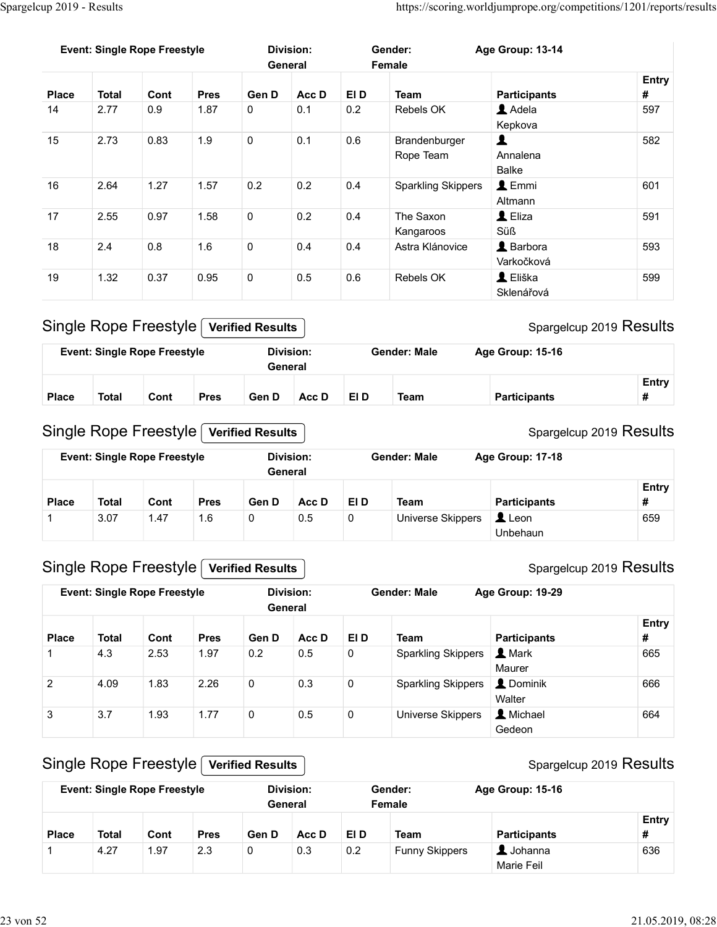| Spargelcup 2019 - Results |              |                                                              |             |                         |                             |             |                              |                                                                     |                         |
|---------------------------|--------------|--------------------------------------------------------------|-------------|-------------------------|-----------------------------|-------------|------------------------------|---------------------------------------------------------------------|-------------------------|
|                           |              |                                                              |             |                         |                             |             |                              |                                                                     |                         |
|                           |              |                                                              |             |                         |                             |             |                              |                                                                     |                         |
|                           |              |                                                              |             |                         |                             |             |                              |                                                                     |                         |
|                           |              |                                                              |             |                         |                             |             |                              |                                                                     |                         |
|                           |              |                                                              |             |                         |                             |             |                              | https://scoring.worldjumprope.org/competitions/1201/reports/results |                         |
|                           |              |                                                              |             |                         |                             |             |                              |                                                                     |                         |
|                           |              | <b>Event: Single Rope Freestyle</b>                          |             |                         | <b>Division:</b><br>General |             | Gender:<br>Female            | Age Group: 13-14                                                    |                         |
| <b>Place</b>              | <b>Total</b> | Cont                                                         | <b>Pres</b> | Gen D                   | Acc D                       | EI D        | <b>Team</b>                  | <b>Participants</b>                                                 | Entry<br>#              |
| 14                        | 2.77         | 0.9                                                          | 1.87        | $\pmb{0}$               | 0.1                         | $0.2\,$     | Rebels OK                    | Adela<br>Kepkova                                                    | 597                     |
| 15                        | 2.73         | 0.83                                                         | 1.9         | $\mathbf 0$             | 0.1                         | 0.6         | Brandenburger<br>Rope Team   | $\blacktriangle$<br>Annalena<br>Balke                               | 582                     |
| 16                        | 2.64         | 1.27                                                         | 1.57        | $0.2\,$                 | 0.2                         | 0.4         | <b>Sparkling Skippers</b>    | $\triangle$ Emmi<br>Altmann                                         | 601                     |
| 17                        | 2.55         | 0.97                                                         | 1.58        | $\mathbf 0$             | 0.2                         | 0.4         | The Saxon                    | $\triangle$ Eliza                                                   | 591                     |
| 18                        | 2.4          | $0.8\,$                                                      | 1.6         | $\pmb{0}$               | 0.4                         | 0.4         | Kangaroos<br>Astra Klánovice | Süß<br>L Barbora<br>Varkočková                                      | 593                     |
| 19                        | 1.32         | 0.37                                                         | 0.95        | $\mathbf 0$             | 0.5                         | $0.6\,$     | Rebels OK                    | L Eliška<br>Sklenářová                                              | 599                     |
|                           |              | Single Rope Freestyle                                        |             | <b>Verified Results</b> |                             |             |                              | Spargelcup 2019 Results                                             |                         |
|                           |              | <b>Event: Single Rope Freestyle</b>                          |             |                         | <b>Division:</b>            |             | <b>Gender: Male</b>          | Age Group: 15-16                                                    |                         |
|                           |              |                                                              |             |                         | General                     |             |                              |                                                                     |                         |
| <b>Place</b>              | <b>Total</b> | Cont                                                         | <b>Pres</b> | Gen D                   | Acc D                       | EI D        | <b>Team</b>                  | <b>Participants</b>                                                 | #                       |
|                           |              |                                                              |             |                         |                             |             |                              |                                                                     | Entry                   |
|                           |              | Single Rope Freestyle<br><b>Event: Single Rope Freestyle</b> |             | <b>Verified Results</b> | <b>Division:</b>            |             | <b>Gender: Male</b>          | Age Group: 17-18                                                    | Spargelcup 2019 Results |
|                           |              |                                                              |             |                         | General                     |             |                              |                                                                     |                         |
| <b>Place</b>              | <b>Total</b> | Cont                                                         | <b>Pres</b> | Gen D                   | Acc D                       | EI D        | Team                         | <b>Participants</b>                                                 | Entry<br>#              |
|                           | 3.07         | 1.47                                                         | 1.6         | $\mathbf 0$             | $0.5\,$                     | $\mathsf 0$ | Universe Skippers            | Leon<br>Unbehaun                                                    | 659                     |

| General                                                                                                             | <b>Event: Single Rope Freestyle</b> |  | Division: |  | Gender: Male | Age Group: 15-16 |       |
|---------------------------------------------------------------------------------------------------------------------|-------------------------------------|--|-----------|--|--------------|------------------|-------|
|                                                                                                                     |                                     |  |           |  |              |                  |       |
|                                                                                                                     |                                     |  |           |  |              |                  | Entry |
| <b>Team</b><br><b>Total</b><br>EI D<br>Gen D<br><b>Place</b><br><b>Participants</b><br>Acc D<br>Cont<br><b>Pres</b> |                                     |  |           |  |              |                  |       |

## Single Rope Freestyle Verified Results

| 17           | 2.55                                | 0.97 | 1.58        | $\mathbf 0$             | 0.2                         | 0.4         | The Saxon                 | $\mathbf 1$ Eliza            | 591                     |
|--------------|-------------------------------------|------|-------------|-------------------------|-----------------------------|-------------|---------------------------|------------------------------|-------------------------|
|              |                                     |      |             |                         |                             |             | Kangaroos                 | Süß                          |                         |
| 18           | 2.4                                 | 0.8  | 1.6         | 0                       | 0.4                         | 0.4         | Astra Klánovice           | L Barbora<br>Varkočková      | 593                     |
| 19           | 1.32                                | 0.37 | 0.95        | $\mathbf 0$             | 0.5                         | 0.6         | Rebels OK                 | L Eliška<br>Sklenářová       | 599                     |
|              | <b>Single Rope Freestyle</b>        |      |             | <b>Verified Results</b> |                             |             |                           |                              | Spargelcup 2019 Results |
|              | <b>Event: Single Rope Freestyle</b> |      |             |                         | <b>Division:</b><br>General |             | <b>Gender: Male</b>       | Age Group: 15-16             |                         |
|              |                                     |      |             |                         |                             |             |                           |                              | Entry                   |
| <b>Place</b> | <b>Total</b>                        | Cont | <b>Pres</b> | Gen D                   | Acc D                       | EI D        | <b>Team</b>               | <b>Participants</b>          | #                       |
|              | <b>Event: Single Rope Freestyle</b> |      |             |                         | <b>Division:</b><br>General |             | <b>Gender: Male</b>       | Age Group: 17-18             |                         |
| <b>Place</b> | <b>Total</b>                        | Cont | <b>Pres</b> | Gen D                   | Acc D                       | EI D        | <b>Team</b>               | <b>Participants</b>          | Entry<br>#              |
| 1            | 3.07                                | 1.47 | 1.6         | 0                       | 0.5                         | 0           | Universe Skippers         | $\triangle$ Leon<br>Unbehaun | 659                     |
|              | <b>Single Rope Freestyle</b>        |      |             | <b>Verified Results</b> |                             |             |                           |                              | Spargelcup 2019 Results |
|              | <b>Event: Single Rope Freestyle</b> |      |             |                         | <b>Division:</b><br>General |             | <b>Gender: Male</b>       | Age Group: 19-29             |                         |
| Place        | <b>Total</b>                        | Cont | <b>Pres</b> | Gen D                   | Acc D                       | EI D        | <b>Team</b>               | <b>Participants</b>          | Entry<br>#              |
|              | 4.3                                 | 2.53 | 1.97        | 0.2                     | 0.5                         | $\mathbf 0$ | <b>Sparkling Skippers</b> | 1 Mark                       | 665                     |
|              |                                     |      |             |                         |                             |             |                           | $M$ ouror                    |                         |

## Single Rope Freestyle Verified Results

|                | $\cdots$ $\cdots$ $\cdots$          |      |             |                         |                  |             |                           |                                        | $S1$ and $S2$ and $S3$ and $S4$ and $S5$ and $S6$ and $S7$ and $S8$ and $S1$ and $S1$ and $S1$ and $S1$ and $S2$ and $S1$ and $S2$ |
|----------------|-------------------------------------|------|-------------|-------------------------|------------------|-------------|---------------------------|----------------------------------------|------------------------------------------------------------------------------------------------------------------------------------|
|                | <b>Event: Single Rope Freestyle</b> |      |             | General                 | <b>Division:</b> |             | <b>Gender: Male</b>       | Age Group: 15-16                       |                                                                                                                                    |
| <b>Place</b>   | <b>Total</b>                        | Cont | <b>Pres</b> | Gen D                   | Acc D            | EI D        | <b>Team</b>               | <b>Participants</b>                    | Entry<br>#                                                                                                                         |
|                | <b>Single Rope Freestyle</b>        |      |             | <b>Verified Results</b> |                  |             |                           |                                        | Spargelcup 2019 Results                                                                                                            |
|                | <b>Event: Single Rope Freestyle</b> |      |             | General                 | Division:        |             | <b>Gender: Male</b>       | Age Group: 17-18                       |                                                                                                                                    |
| <b>Place</b>   | <b>Total</b>                        | Cont | <b>Pres</b> | Gen D                   | Acc D            | EI D        | <b>Team</b>               | <b>Participants</b>                    | Entry<br>#                                                                                                                         |
| $\mathbf{1}$   | 3.07                                | 1.47 | 1.6         | $\mathbf 0$             | 0.5              | $\pmb{0}$   | Universe Skippers         | $\triangle$ Leon<br>Unbehaun           | 659                                                                                                                                |
|                | <b>Single Rope Freestyle</b>        |      |             | <b>Verified Results</b> |                  |             |                           |                                        | Spargelcup 2019 Results                                                                                                            |
|                | <b>Event: Single Rope Freestyle</b> |      |             | General                 | <b>Division:</b> |             | <b>Gender: Male</b>       | Age Group: 19-29                       |                                                                                                                                    |
| <b>Place</b>   | <b>Total</b>                        | Cont | <b>Pres</b> | Gen D                   | Acc D            | EI D        | <b>Team</b>               | <b>Participants</b>                    | Entry<br>#                                                                                                                         |
| $\mathbf{1}$   | 4.3                                 | 2.53 | 1.97        | 0.2                     | 0.5              | $\mathbf 0$ | <b>Sparkling Skippers</b> | 1 Mark<br>Maurer                       | 665                                                                                                                                |
| $\overline{2}$ | 4.09                                | 1.83 | 2.26        | $\mathbf 0$             | 0.3              | $\pmb{0}$   | <b>Sparkling Skippers</b> | L Dominik<br>Walter                    | 666                                                                                                                                |
| 3              | 3.7                                 | 1.93 | 1.77        | $\pmb{0}$               | 0.5              | $\mathbf 0$ | Universe Skippers         | L Michael<br>Gedeon                    | 664                                                                                                                                |
|                | <b>Single Rope Freestyle</b>        |      |             | <b>Verified Results</b> |                  |             |                           |                                        | Spargelcup 2019 Results                                                                                                            |
|                | <b>Event: Single Rope Freestyle</b> |      |             | General                 | <b>Division:</b> |             | Gender:<br>Female         | Age Group: 15-16                       |                                                                                                                                    |
| <b>Place</b>   | <b>Total</b>                        | Cont | <b>Pres</b> | Gen D                   | Acc D            | EI D        | <b>Team</b>               | <b>Participants</b>                    | Entry<br>#                                                                                                                         |
| -1             | 4.27                                | 1.97 | 2.3         | $\mathbf 0$             | 0.3              | $0.2\,$     | <b>Funny Skippers</b>     | $\blacktriangle$ Johanna<br>Marie Feil | 636                                                                                                                                |

## Single Rope Freestyle Verified Results

|              |              | <b>Event: Single Rope Freestyle</b> |             |       | Division:<br>General |      | Gender:<br>Female     | <b>Age Group: 15-16</b>                     |                   |
|--------------|--------------|-------------------------------------|-------------|-------|----------------------|------|-----------------------|---------------------------------------------|-------------------|
| <b>Place</b> | <b>Total</b> | Cont                                | <b>Pres</b> | Gen D | Acc D                | EI D | <b>Team</b>           | <b>Participants</b>                         | <b>Entry</b><br># |
|              | 4.27         | 1.97                                | 2.3         |       | 0.3                  | 0.2  | <b>Funny Skippers</b> | $\blacksquare$ Johanna<br><b>Marie Feil</b> | 636               |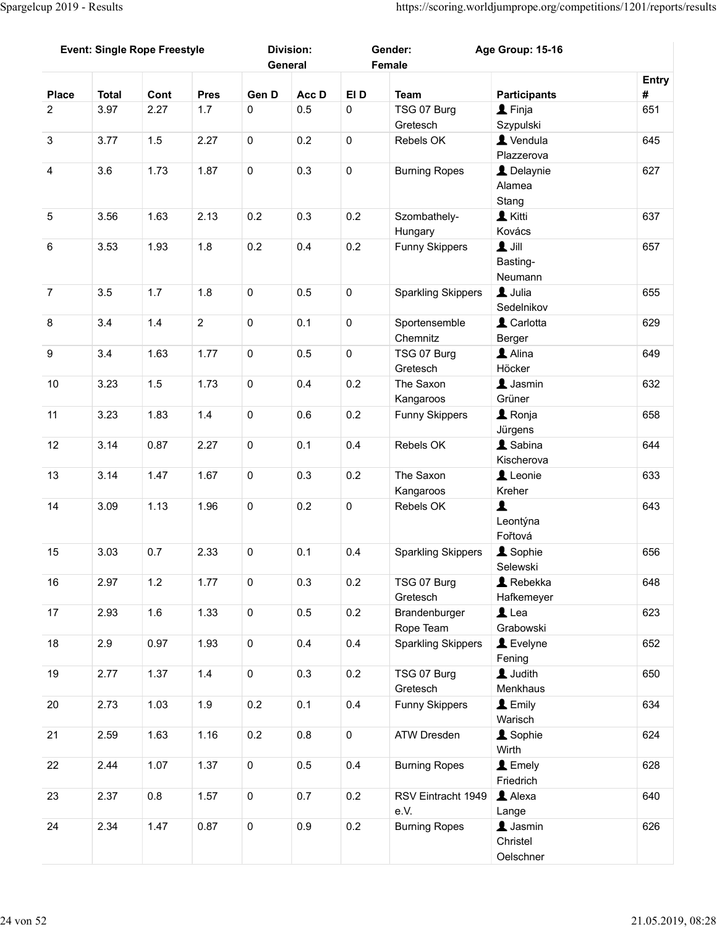|                 | <b>Event: Single Rope Freestyle</b> |         |                |                     | <b>Division:</b> |             | Gender:                                | Age Group: 15-16                                 |       |
|-----------------|-------------------------------------|---------|----------------|---------------------|------------------|-------------|----------------------------------------|--------------------------------------------------|-------|
|                 |                                     |         |                |                     | General          |             | Female                                 |                                                  | Entry |
| <b>Place</b>    | <b>Total</b>                        | Cont    | <b>Pres</b>    | Gen D               | Acc D            | EI D        | <b>Team</b>                            | <b>Participants</b>                              | #     |
| $\overline{2}$  | 3.97                                | 2.27    | 1.7            | $\mathbf 0$         | 0.5              | $\mathsf 0$ | TSG 07 Burg<br>Gretesch                | $\blacktriangle$ Finja<br>Szypulski              | 651   |
| $\mathbf{3}$    | 3.77                                | 1.5     | 2.27           | $\mathsf 0$         | 0.2              | $\mathbf 0$ | Rebels OK                              | L Vendula                                        | 645   |
| $\overline{4}$  | 3.6                                 | 1.73    | 1.87           | $\mathbf 0$         | 0.3              | $\mathbf 0$ | <b>Burning Ropes</b>                   | Plazzerova<br>L Delaynie<br>Alamea               | 627   |
| $5\phantom{.0}$ | 3.56                                | 1.63    | 2.13           | 0.2                 | 0.3              | 0.2         | Szombathely-<br>Hungary                | Stang<br><b>L</b> Kitti<br>Kovács                | 637   |
| $6\phantom{.}6$ | 3.53                                | 1.93    | 1.8            | 0.2                 | 0.4              | 0.2         | <b>Funny Skippers</b>                  | $\mathbf 1$ Jill<br>Basting-<br>Neumann          | 657   |
| $\overline{7}$  | 3.5                                 | 1.7     | 1.8            | $\mathbf 0$         | $0.5\,$          | $\mathbf 0$ | <b>Sparkling Skippers</b>              | L Julia                                          | 655   |
| 8               | 3.4                                 | 1.4     | $\overline{2}$ | $\mathbf 0$         | 0.1              | $\mathbf 0$ | Sportensemble                          | Sedelnikov<br>L Carlotta                         | 629   |
|                 |                                     |         |                |                     |                  |             | Chemnitz                               | Berger                                           |       |
| $9\,$           | 3.4                                 | 1.63    | 1.77           | $\mathbf 0$         | $0.5\,$          | $\mathbf 0$ | TSG 07 Burg<br>Gretesch                | Alina<br>Höcker                                  | 649   |
| 10              | 3.23                                | 1.5     | 1.73           | $\mathsf{O}$        | 0.4              | $0.2\,$     | The Saxon<br>Kangaroos                 | $\blacktriangle$ Jasmin<br>Grüner                | 632   |
| 11              | 3.23                                | 1.83    | 1.4            | $\mathbf 0$         | 0.6              | $0.2\,$     | <b>Funny Skippers</b>                  | <b>1</b> Ronja<br>Jürgens                        | 658   |
| 12              | 3.14                                | 0.87    | 2.27           | $\mathsf{O}$        | 0.1              | 0.4         | Rebels OK                              | & Sabina<br>Kischerova                           | 644   |
| 13              | 3.14                                | 1.47    | 1.67           | $\mathsf{O}$        | 0.3              | $0.2\,$     | The Saxon<br>Kangaroos                 | Leonie<br>Kreher                                 | 633   |
| 14              | 3.09                                | 1.13    | 1.96           | $\mathsf{O}$        | 0.2              | $\mathbf 0$ | Rebels OK                              | $\blacktriangle$<br>Leontýna<br>Fořtová          | 643   |
| 15              | 3.03                                | 0.7     | 2.33           | $\mathbf 0$         | 0.1              | 0.4         | <b>Sparkling Skippers</b>              | <b>1</b> Sophie                                  | 656   |
| 16              | 2.97                                | 1.2     | 1.77           | $\mathsf{O}$        | 0.3              | $0.2\,$     | TSG 07 Burg                            | Selewski<br>$\blacktriangle$ Rebekka             | 648   |
| 17              | 2.93                                | 1.6     | 1.33           | $\mathsf{O}\xspace$ | 0.5              | $0.2\,$     | Gretesch<br>Brandenburger              | Hafkemeyer<br>$\mathbf 1$ Lea                    | 623   |
| 18              | 2.9                                 | 0.97    | 1.93           | $\mathsf{O}$        | 0.4              | 0.4         | Rope Team<br><b>Sparkling Skippers</b> | Grabowski<br>Levelyne                            | 652   |
| 19              | 2.77                                | 1.37    | 1.4            | $\mathsf{O}$        | 0.3              | $0.2\,$     | TSG 07 Burg                            | Fening<br><b>L</b> Judith                        | 650   |
| 20              | 2.73                                | 1.03    | 1.9            | 0.2                 | 0.1              | 0.4         | Gretesch<br><b>Funny Skippers</b>      | Menkhaus<br>$L$ Emily                            | 634   |
|                 |                                     |         |                |                     |                  |             |                                        | Warisch                                          |       |
| 21              | 2.59                                | 1.63    | 1.16           | $0.2\,$             | $0.8\,$          | $\mathbf 0$ | ATW Dresden                            | <b>A</b> Sophie<br>Wirth                         | 624   |
| 22              | 2.44                                | 1.07    | 1.37           | $\mathbf 0$         | $0.5\,$          | 0.4         | <b>Burning Ropes</b>                   | $\blacktriangle$ Emely<br>Friedrich              | 628   |
| 23              | 2.37                                | $0.8\,$ | 1.57           | $\mathbf 0$         | 0.7              | 0.2         | RSV Eintracht 1949<br>e.V.             | Alexa<br>Lange                                   | 640   |
| 24              | 2.34                                | 1.47    | 0.87           | $\mathsf{O}$        | $0.9\,$          | 0.2         | <b>Burning Ropes</b>                   | $\blacktriangle$ Jasmin<br>Christel<br>Oelschner | 626   |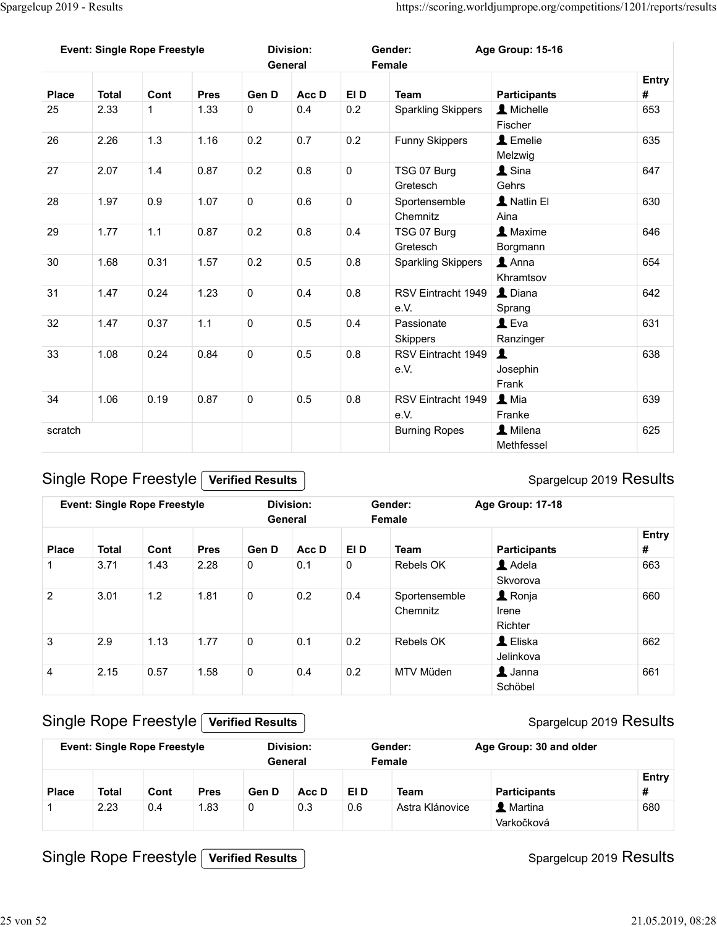|                   | Spargelcup 2019 - Results           |              |                     |                         |                             |                     |                                    | https://scoring.worldjumprope.org/competitions/1201/reports/results |            |
|-------------------|-------------------------------------|--------------|---------------------|-------------------------|-----------------------------|---------------------|------------------------------------|---------------------------------------------------------------------|------------|
|                   |                                     |              |                     |                         |                             |                     |                                    |                                                                     |            |
|                   | <b>Event: Single Rope Freestyle</b> |              |                     |                         | <b>Division:</b>            |                     | Gender:                            | Age Group: 15-16                                                    |            |
|                   |                                     |              |                     |                         | General                     |                     | Female                             |                                                                     |            |
| <b>Place</b>      | <b>Total</b>                        | Cont         | <b>Pres</b>         | Gen D                   | Acc D                       | EI D                | <b>Team</b>                        | <b>Participants</b>                                                 | Entry<br># |
| 25                | 2.33                                | $\mathbf{1}$ | 1.33                | $\mathbf 0$             | 0.4                         | $0.2\,$             | <b>Sparkling Skippers</b>          | A Michelle<br>Fischer                                               | 653        |
| 26                | 2.26                                | 1.3          | 1.16                | 0.2                     | 0.7                         | $0.2\,$             | <b>Funny Skippers</b>              | L Emelie<br>Melzwig                                                 | 635        |
| 27                | 2.07                                | 1.4          | 0.87                | 0.2                     | 0.8                         | $\mathbf 0$         | TSG 07 Burg                        | $\blacktriangle$ Sina                                               | 647        |
| 28                | 1.97                                | 0.9          | 1.07                | $\mathbf 0$             | 0.6                         | $\mathbf 0$         | Gretesch<br>Sportensemble          | Gehrs<br>L Natlin El                                                | 630        |
|                   |                                     |              |                     |                         |                             |                     | Chemnitz                           | Aina                                                                |            |
| 29                | 1.77                                | 1.1          | 0.87                | $0.2\,$                 | 0.8                         | 0.4                 | TSG 07 Burg<br>Gretesch            | <b>A</b> Maxime<br>Borgmann                                         | 646        |
| 30                | 1.68                                | 0.31         | 1.57                | 0.2                     | $0.5\,$                     | $0.8\,$             | <b>Sparkling Skippers</b>          | $\triangle$ Anna<br>Khramtsov                                       | 654        |
| 31                | 1.47                                | 0.24         | 1.23                | $\mathbf 0$             | $0.4\,$                     | $0.8\,$             | RSV Eintracht 1949   Diana<br>e.V. | Sprang                                                              | 642        |
| $32\,$            | 1.47                                | 0.37         | $1.1$               | $\mathbf 0$             | 0.5                         | 0.4                 | Passionate                         | $\triangle$ Eva                                                     | 631        |
| 33                | 1.08                                | 0.24         | 0.84                | $\mathbf 0$             | $0.5\,$                     | 0.8                 | Skippers<br>RSV Eintracht 1949     | Ranzinger<br>$\vert$ 1                                              | 638        |
|                   |                                     |              |                     |                         |                             |                     | e.V.                               | Josephin<br>Frank                                                   |            |
| 34                | 1.06                                | 0.19         | 0.87                | $\mathsf 0$             | 0.5                         | 0.8                 | RSV Eintracht 1949<br>e.V.         | $\blacktriangle$ Mia<br>Franke                                      | 639        |
| scratch           |                                     |              |                     |                         |                             |                     | <b>Burning Ropes</b>               | 1 Milena                                                            | 625        |
|                   |                                     |              |                     |                         |                             |                     |                                    | Methfessel                                                          |            |
|                   | Single Rope Freestyle               |              |                     | <b>Verified Results</b> |                             |                     |                                    | Spargelcup 2019 Results                                             |            |
|                   | <b>Event: Single Rope Freestyle</b> |              |                     |                         | <b>Division:</b><br>General |                     | Gender:<br>Female                  | Age Group: 17-18                                                    |            |
|                   |                                     |              |                     |                         |                             |                     |                                    |                                                                     | Entry      |
| <b>Place</b><br>1 | <b>Total</b><br>3.71                | Cont<br>1.43 | <b>Pres</b><br>2.28 | Gen D<br>$\mathbf 0$    | Acc D<br>0.1                | EI D<br>$\mathbf 0$ | Team<br>Rebels OK                  | <b>Participants</b><br>Adela                                        | #<br>663   |
|                   |                                     |              |                     |                         |                             |                     |                                    | Skvorova                                                            |            |
| $\overline{2}$    | 3.01                                | 1.2          | 1.81                | $\mathsf{O}\xspace$     | 0.2                         | 0.4                 | Sportensemble<br>Chemnitz          | <b>1</b> Ronja<br>Irene<br>Richter                                  | 660        |
|                   | 20                                  | 4.42         | 177                 | $\sim$                  | $\bigcap$ 1                 |                     |                                    | $\bullet$ Elioko                                                    |            |

| 31             | 1.47         | 0.24                                                         | 1.23        | 0                       | 0.4                         | 0.8         | RSV Eintracht 1949<br>e.V. | L Diana<br>Sprang                  | 642                     |
|----------------|--------------|--------------------------------------------------------------|-------------|-------------------------|-----------------------------|-------------|----------------------------|------------------------------------|-------------------------|
| 32             | 1.47         | 0.37                                                         | 1.1         | $\mathbf 0$             | 0.5                         | 0.4         | Passionate<br>Skippers     | $L$ Eva<br>Ranzinger               | 631                     |
| 33             | 1.08         | 0.24                                                         | 0.84        | $\mathbf 0$             | 0.5                         | 0.8         | RSV Eintracht 1949<br>e.V. | Josephin<br>Frank                  | 638                     |
| 34             | 1.06         | 0.19                                                         | 0.87        | $\mathbf 0$             | 0.5                         | 0.8         | RSV Eintracht 1949<br>e.V. | L Mia<br>Franke                    | 639                     |
| scratch        |              |                                                              |             |                         |                             |             | <b>Burning Ropes</b>       | 1 Milena<br>Methfessel             | 625                     |
|                |              | Single Rope Freestyle                                        |             | <b>Verified Results</b> |                             |             |                            |                                    | Spargelcup 2019 Results |
|                |              | <b>Event: Single Rope Freestyle</b>                          |             |                         | <b>Division:</b><br>General |             | Gender:<br>Female          | Age Group: 17-18                   |                         |
|                |              |                                                              |             |                         |                             |             |                            |                                    | <b>Entry</b>            |
| <b>Place</b>   | <b>Total</b> | Cont                                                         | <b>Pres</b> | Gen D                   | Acc D                       | EI D        | <b>Team</b>                | <b>Participants</b>                | #                       |
| $\mathbf{1}$   | 3.71         | 1.43                                                         | 2.28        | $\mathbf 0$             | 0.1                         | $\mathbf 0$ | Rebels OK                  | Adela<br>Skvorova                  | 663                     |
| $\overline{2}$ | 3.01         | 1.2                                                          | 1.81        | $\mathbf 0$             | 0.2                         | 0.4         | Sportensemble<br>Chemnitz  | <b>A</b> Ronja<br>Irene<br>Richter | 660                     |
| $\mathbf{3}$   | 2.9          | 1.13                                                         | 1.77        | $\mathbf 0$             | 0.1                         | 0.2         | Rebels OK                  | L Eliska<br>Jelinkova              | 662                     |
| 4              | 2.15         | 0.57                                                         | 1.58        | $\mathbf 0$             | 0.4                         | 0.2         | MTV Müden                  | $\blacktriangle$ Janna<br>Schöbel  | 661                     |
|                |              | Single Rope Freestyle<br><b>Event: Single Rope Freestyle</b> |             | <b>Verified Results</b> | <b>Division:</b>            |             | Gender:                    | Age Group: 30 and older            | Spargelcup 2019 Results |
|                |              |                                                              |             |                         | General                     |             | Female                     |                                    |                         |
| <b>Place</b>   | <b>Total</b> | Cont                                                         | <b>Pres</b> | Gen D                   | Acc D                       | EI D        | <b>Team</b>                | <b>Participants</b>                | Entry<br>#              |
| $\overline{1}$ | 2.23         | 0.4                                                          | 1.83        | 0                       | 0.3                         | 0.6         | Astra Klánovice            | <b>1</b> Martina<br>Varkočková     | 680                     |

#### Single Rope Freestyle Verified Results

#### Entry  $\#$   $\qquad$ **General** Gender: Age Group: 30 and older Female **A** Martina 680 Varkočková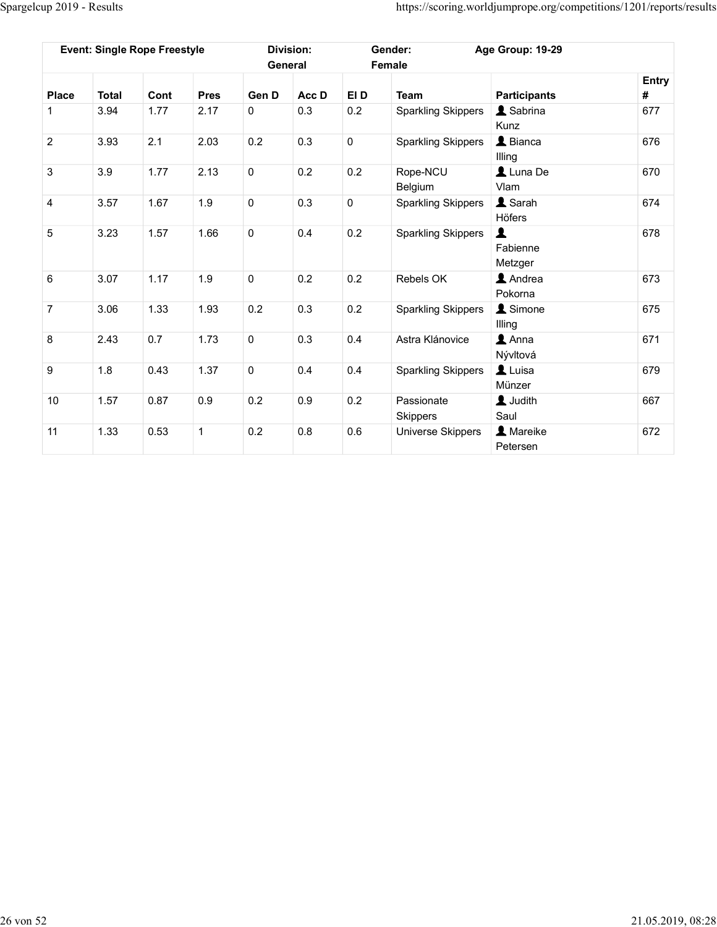|                | Spargelcup 2019 - Results |                                     |             |                     |                             |             |                               |                                                                     |            |
|----------------|---------------------------|-------------------------------------|-------------|---------------------|-----------------------------|-------------|-------------------------------|---------------------------------------------------------------------|------------|
|                |                           |                                     |             |                     |                             |             |                               | https://scoring.worldjumprope.org/competitions/1201/reports/results |            |
|                |                           | <b>Event: Single Rope Freestyle</b> |             |                     | <b>Division:</b><br>General |             | Gender:<br>Female             | Age Group: 19-29                                                    |            |
| <b>Place</b>   | <b>Total</b>              | Cont                                | <b>Pres</b> | Gen D               | Acc D                       | EI D        | <b>Team</b>                   | <b>Participants</b>                                                 | Entry<br># |
| 1              | 3.94                      | 1.77                                | 2.17        | $\overline{0}$      | 0.3                         | 0.2         | <b>Sparkling Skippers</b>     | <b>A</b> Sabrina<br>Kunz                                            | 677        |
| $\overline{2}$ | 3.93                      | 2.1                                 | 2.03        | 0.2                 | 0.3                         | $\mathbf 0$ | <b>Sparkling Skippers</b>     | $\triangle$ Bianca<br>Illing                                        | 676        |
| $\mathbf{3}$   | 3.9                       | 1.77                                | 2.13        | $\mathsf{O}\xspace$ | 0.2                         | 0.2         | Rope-NCU<br>Belgium           | $\triangle$ Luna De<br>Vlam                                         | 670        |
| $\overline{4}$ | 3.57                      | 1.67                                | 1.9         | $\mathsf 0$         | 0.3                         | $\mathbf 0$ | <b>Sparkling Skippers</b>     | L Sarah<br>Höfers                                                   | 674        |
| $\overline{5}$ | 3.23                      | $1.57$                              | 1.66        | $\overline{0}$      | 0.4                         | 0.2         | <b>Sparkling Skippers</b>     | $\mathbf{L}$<br>Fabienne<br>Metzger                                 | 678        |
| $\,6\,$        | 3.07                      | 1.17                                | 1.9         | $\overline{0}$      | $0.2\,$                     | 0.2         | Rebels OK                     | <b>1</b> Andrea<br>Pokorna                                          | 673        |
| $\overline{7}$ | 3.06                      | 1.33                                | 1.93        | 0.2                 | 0.3                         | 0.2         | <b>Sparkling Skippers</b>     | <b>1</b> Simone<br>Illing                                           | 675        |
| 8              | 2.43                      | 0.7                                 | 1.73        | $\mathbf 0$         | 0.3                         | 0.4         | Astra Klánovice               | $\blacktriangle$ Anna<br>Nývltová                                   | 671        |
| $9\,$          | 1.8                       | 0.43                                | 1.37        | $\overline{0}$      | 0.4                         | 0.4         | <b>Sparkling Skippers</b>     | Luisa<br>Münzer                                                     | 679        |
| 10             | 1.57                      | 0.87                                | $0.9\,$     | 0.2                 | 0.9                         | 0.2         | Passionate                    | <b>1</b> Judith                                                     | 667        |
|                | 1.33                      | 0.53                                | $\vert$ 1   | 0.2                 | $0.8\,$                     | 0.6         | Skippers<br>Universe Skippers | Saul<br><b>A</b> Mareike<br>Petersen                                | 672        |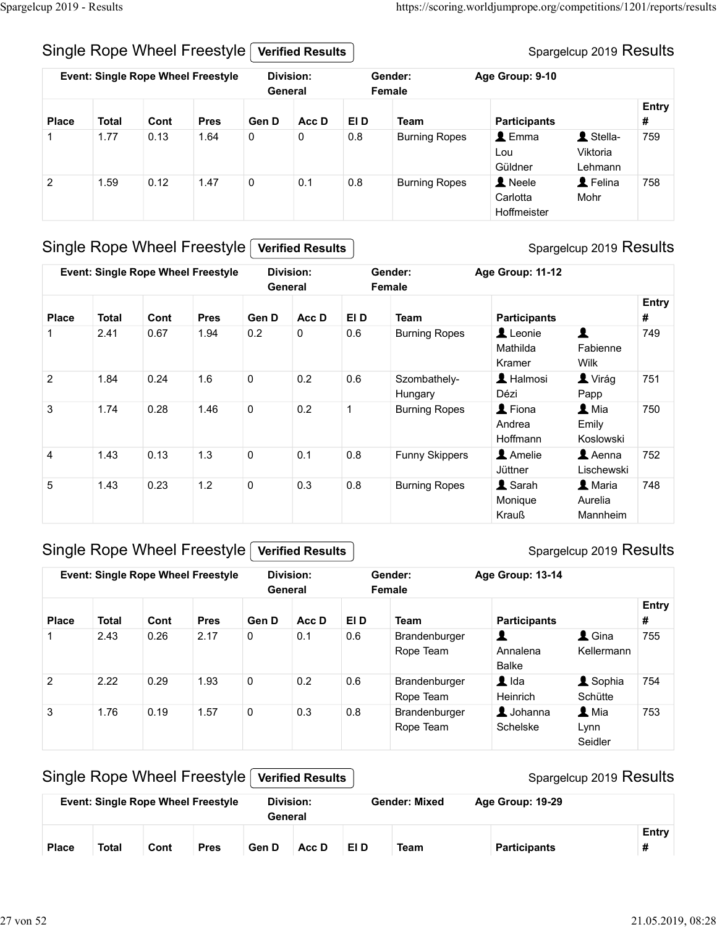#### Spargelcup 2019 Results

| Spargelcup 2019 - Results                                                                                                                                                                               |  |  |  |  |  |                |                     |  |
|---------------------------------------------------------------------------------------------------------------------------------------------------------------------------------------------------------|--|--|--|--|--|----------------|---------------------|--|
| Single Rope Wheel Freestyle<br><b>Verified Results</b>                                                                                                                                                  |  |  |  |  |  |                |                     |  |
| https://scoring.worldjumprope.org/competitions/1201/reports/results<br>Spargelcup 2019 Results<br><b>Event: Single Rope Wheel Freestyle</b><br><b>Division:</b><br>Gender:<br>Age Group: 9-10           |  |  |  |  |  |                |                     |  |
| General<br>Female<br>Entry                                                                                                                                                                              |  |  |  |  |  |                |                     |  |
| #<br><b>Place</b><br><b>Total</b><br>Gen D<br>Acc D<br>EI D<br><b>Participants</b><br>Cont<br><b>Pres</b><br><b>Team</b>                                                                                |  |  |  |  |  | Lou<br>Güldner | Viktoria<br>Lehmann |  |
| $\triangle$ Emma<br>L Stella-<br>1.77<br>0.13<br>$\mathbf 0$<br>$\mathbf 0$<br>0.8<br>759<br>1.64<br><b>Burning Ropes</b><br>1                                                                          |  |  |  |  |  |                |                     |  |
| 1.59<br>0.12<br>$\mathsf{O}\xspace$<br>0.1<br>0.8<br>A Neele<br>L Felina<br>$\overline{2}$<br>1.47<br><b>Burning Ropes</b><br>758<br>Carlotta<br>Mohr<br>Hoffmeister                                    |  |  |  |  |  |                |                     |  |
| Single Rope Wheel Freestyle<br><b>Verified Results</b>                                                                                                                                                  |  |  |  |  |  |                |                     |  |
| <b>Event: Single Rope Wheel Freestyle</b><br>Division:<br>Gender:<br>Age Group: 11-12<br>General<br>Female                                                                                              |  |  |  |  |  |                |                     |  |
| Acc D<br>EI D<br><b>Participants</b><br>#<br><b>Place</b><br><b>Total</b><br>Cont<br><b>Pres</b><br>Gen D<br><b>Team</b>                                                                                |  |  |  |  |  |                |                     |  |
| $\blacktriangle$<br>Leonie<br>2.41<br>0.2<br>0.67<br>0<br>0.6<br>749<br>1.94<br><b>Burning Ropes</b><br>1<br>Mathilda<br>Fabienne<br>Wilk<br>Kramer                                                     |  |  |  |  |  |                |                     |  |
| Spargelcup 2019 Results<br>Entry<br>$\overline{2}$<br>1.6<br>$\mathsf{O}\xspace$<br>$0.2\,$<br>$0.6\,$<br>L Halmosi<br><b>L</b> Virág<br>1.84<br>0.24<br>Szombathely-<br>751<br>Dézi<br>Hungary<br>Papp |  |  |  |  |  |                |                     |  |

#### Single Rope Wheel Freestyle Verified Results

#### Spargelcup 2019 Results

| Entry<br>Gen D<br>Acc D<br>EI D<br><b>Team</b><br><b>Participants</b><br>#<br>Place<br><b>Total</b><br>Cont<br><b>Pres</b><br>L Stella-<br>1.77<br>0<br>$0.8\,$<br>$\triangle$ Emma<br>0.13<br>1.64<br>$\mathbf 0$<br><b>Burning Ropes</b><br>759<br>Lou<br>Viktoria<br>Güldner<br>Lehmann<br><b>A</b> Neele<br>L Felina<br>0.12<br>1.47<br>0<br>0.1<br>0.8<br>758<br>$\overline{2}$<br>1.59<br><b>Burning Ropes</b><br>Carlotta<br>Mohr<br>Hoffmeister<br><b>Verified Results</b><br><b>Event: Single Rope Wheel Freestyle</b><br><b>Division:</b><br>Gender:<br>Age Group: 11-12<br>General<br>Female<br>Entry<br>Cont<br><b>Pres</b><br>Gen D<br>Acc D<br>EI D<br><b>Team</b><br><b>Place</b><br><b>Total</b><br><b>Participants</b><br>#<br>1<br>0.2<br>0<br>0.6<br>749<br>2.41<br>0.67<br>1.94<br><b>Burning Ropes</b><br>Leonie<br>Mathilda<br>Fabienne<br>Wilk<br>Kramer<br>1.6<br>0.2<br>0.6<br>L Halmosi<br><b>A</b> Virág<br>$\overline{2}$<br>1.84<br>0.24<br>0<br>Szombathely-<br>751<br>Hungary<br>Dézi<br>Papp<br>$\overline{1}$ |                |      |      | <b>Event: Single Rope Wheel Freestyle</b> |                | <b>Division:</b><br>General |         | Gender:<br>Female          | Age Group: 9-10                       |                            |     |
|------------------------------------------------------------------------------------------------------------------------------------------------------------------------------------------------------------------------------------------------------------------------------------------------------------------------------------------------------------------------------------------------------------------------------------------------------------------------------------------------------------------------------------------------------------------------------------------------------------------------------------------------------------------------------------------------------------------------------------------------------------------------------------------------------------------------------------------------------------------------------------------------------------------------------------------------------------------------------------------------------------------------------------------------|----------------|------|------|-------------------------------------------|----------------|-----------------------------|---------|----------------------------|---------------------------------------|----------------------------|-----|
|                                                                                                                                                                                                                                                                                                                                                                                                                                                                                                                                                                                                                                                                                                                                                                                                                                                                                                                                                                                                                                                |                |      |      |                                           |                |                             |         |                            |                                       |                            |     |
| Single Rope Wheel Freestyle<br>Spargelcup 2019 Results                                                                                                                                                                                                                                                                                                                                                                                                                                                                                                                                                                                                                                                                                                                                                                                                                                                                                                                                                                                         |                |      |      |                                           |                |                             |         |                            |                                       |                            |     |
|                                                                                                                                                                                                                                                                                                                                                                                                                                                                                                                                                                                                                                                                                                                                                                                                                                                                                                                                                                                                                                                |                |      |      |                                           |                |                             |         |                            |                                       |                            |     |
|                                                                                                                                                                                                                                                                                                                                                                                                                                                                                                                                                                                                                                                                                                                                                                                                                                                                                                                                                                                                                                                |                |      |      |                                           |                |                             |         |                            |                                       |                            |     |
|                                                                                                                                                                                                                                                                                                                                                                                                                                                                                                                                                                                                                                                                                                                                                                                                                                                                                                                                                                                                                                                |                |      |      |                                           |                |                             |         |                            |                                       |                            |     |
|                                                                                                                                                                                                                                                                                                                                                                                                                                                                                                                                                                                                                                                                                                                                                                                                                                                                                                                                                                                                                                                |                |      |      |                                           |                |                             |         |                            |                                       |                            |     |
|                                                                                                                                                                                                                                                                                                                                                                                                                                                                                                                                                                                                                                                                                                                                                                                                                                                                                                                                                                                                                                                |                |      |      |                                           |                |                             |         |                            |                                       |                            |     |
|                                                                                                                                                                                                                                                                                                                                                                                                                                                                                                                                                                                                                                                                                                                                                                                                                                                                                                                                                                                                                                                |                |      |      |                                           |                |                             |         |                            |                                       |                            |     |
|                                                                                                                                                                                                                                                                                                                                                                                                                                                                                                                                                                                                                                                                                                                                                                                                                                                                                                                                                                                                                                                |                |      |      |                                           |                |                             |         |                            |                                       |                            |     |
|                                                                                                                                                                                                                                                                                                                                                                                                                                                                                                                                                                                                                                                                                                                                                                                                                                                                                                                                                                                                                                                |                |      |      |                                           |                |                             |         |                            |                                       |                            |     |
| Emily<br>Andrea<br>Hoffmann<br>Koslowski                                                                                                                                                                                                                                                                                                                                                                                                                                                                                                                                                                                                                                                                                                                                                                                                                                                                                                                                                                                                       | 3              | 1.74 | 0.28 | 1.46                                      | 0              | 0.2                         |         | <b>Burning Ropes</b>       | L Fiona                               | 1 Mia                      | 750 |
| 0.13<br>1.3<br>$\mathbf 0$<br>0.8<br>Amelie<br>$\triangle$ Aenna<br>752<br>1.43<br>0.1<br><b>Funny Skippers</b><br>4<br>Lischewski<br>Jüttner                                                                                                                                                                                                                                                                                                                                                                                                                                                                                                                                                                                                                                                                                                                                                                                                                                                                                                  |                |      |      |                                           |                |                             |         |                            |                                       |                            |     |
| 1.2<br><b>1</b> Sarah<br>0.23<br>0<br>0.3<br>0.8<br>L Maria<br>748<br>5<br>1.43<br><b>Burning Ropes</b><br>Aurelia<br>Monique<br>Krauß<br>Mannheim                                                                                                                                                                                                                                                                                                                                                                                                                                                                                                                                                                                                                                                                                                                                                                                                                                                                                             |                |      |      |                                           |                |                             |         |                            |                                       |                            |     |
|                                                                                                                                                                                                                                                                                                                                                                                                                                                                                                                                                                                                                                                                                                                                                                                                                                                                                                                                                                                                                                                |                |      |      |                                           |                |                             |         |                            | Age Group: 13-14                      |                            |     |
| <b>Event: Single Rope Wheel Freestyle</b><br><b>Division:</b><br>Gender:<br>General<br>Female                                                                                                                                                                                                                                                                                                                                                                                                                                                                                                                                                                                                                                                                                                                                                                                                                                                                                                                                                  |                |      |      |                                           |                |                             |         |                            |                                       |                            |     |
| Entry                                                                                                                                                                                                                                                                                                                                                                                                                                                                                                                                                                                                                                                                                                                                                                                                                                                                                                                                                                                                                                          |                | 2.43 | 0.26 | 2.17                                      | $\overline{0}$ | 0.1                         | 0.6     | Brandenburger<br>Rope Team | $\blacktriangle$<br>Annalena<br>Balke | $\triangle$ Gina           | 755 |
| Acc D<br>EI D<br>#<br>Cont<br><b>Pres</b><br>Gen D<br><b>Team</b><br><b>Participants</b><br><b>Place</b><br><b>Total</b><br>Kellermann                                                                                                                                                                                                                                                                                                                                                                                                                                                                                                                                                                                                                                                                                                                                                                                                                                                                                                         | $\overline{2}$ | 2.22 | 0.29 | 1.93                                      | $\mathbf 0$    | 0.2                         | 0.6     | Rope Team                  | $\blacktriangle$ Ida<br>Heinrich      | <b>1</b> Sophia<br>Schütte | 754 |
| Brandenburger                                                                                                                                                                                                                                                                                                                                                                                                                                                                                                                                                                                                                                                                                                                                                                                                                                                                                                                                                                                                                                  |                | 1.7C | 0.10 | 1.57                                      | $\sqrt{2}$     | $\circ$                     | $\circ$ | <b>Drandonhurgor</b>       | $\bullet$ lobonno                     | $\bullet$ Mio              | 752 |

## Single Rope Wheel Freestyle Verified Results

#### Spargelcup 2019 Results

| $\overline{2}$ | 1.84         | 0.24 | 1.6                                       | 0           | 0.2                         | 0.6          | Szombathely-<br>Hungary    | L Halmosi<br>Dézi                     | $\blacksquare$ Virág<br>Papp            | 751        |
|----------------|--------------|------|-------------------------------------------|-------------|-----------------------------|--------------|----------------------------|---------------------------------------|-----------------------------------------|------------|
| $\mathbf{3}$   | 1.74         | 0.28 | 1.46                                      | $\mathbf 0$ | 0.2                         | $\mathbf{1}$ | <b>Burning Ropes</b>       | L Fiona<br>Andrea<br>Hoffmann         | 1 Mia<br>Emily<br>Koslowski             | 750        |
| 4              | 1.43         | 0.13 | 1.3                                       | 0           | 0.1                         | 0.8          | <b>Funny Skippers</b>      | Amelie<br>Jüttner                     | $\triangle$ Aenna<br>Lischewski         | 752        |
| 5              | 1.43         | 0.23 | 1.2                                       | $\pmb{0}$   | 0.3                         | 0.8          | <b>Burning Ropes</b>       | 1 Sarah<br>Monique<br>Krauß           | 1 Maria<br>Aurelia<br>Mannheim          | 748        |
|                |              |      | Single Rope Wheel Freestyle               |             | <b>Verified Results</b>     |              |                            |                                       | Spargelcup 2019 Results                 |            |
|                |              |      | <b>Event: Single Rope Wheel Freestyle</b> |             | <b>Division:</b><br>General |              | Gender:<br>Female          | Age Group: 13-14                      |                                         |            |
| <b>Place</b>   | <b>Total</b> | Cont | <b>Pres</b>                               | Gen D       | Acc D                       | EI D         | <b>Team</b>                | <b>Participants</b>                   |                                         | Entry<br># |
| $\mathbf{1}$   | 2.43         | 0.26 | 2.17                                      | $\mathsf 0$ | 0.1                         | 0.6          | Brandenburger<br>Rope Team | $\blacktriangle$<br>Annalena<br>Balke | $\triangle$ Gina<br>Kellermann          | 755        |
| $\overline{2}$ | 2.22         | 0.29 | 1.93                                      | $\pmb{0}$   | 0.2                         | 0.6          | Brandenburger<br>Rope Team | $\blacksquare$ Ida<br>Heinrich        | L Sophia<br>Schütte                     | 754        |
| 3              | 1.76         | 0.19 | 1.57                                      | $\pmb{0}$   | 0.3                         | 0.8          | Brandenburger<br>Rope Team | $\triangle$ Johanna<br>Schelske       | $\blacktriangle$ Mia<br>Lynn<br>Seidler | 753        |
|                |              |      | Single Rope Wheel Freestyle               |             | <b>Verified Results</b>     |              |                            |                                       | Spargelcup 2019 Results                 |            |
|                |              |      | <b>Event: Single Rope Wheel Freestyle</b> |             | <b>Division:</b><br>General |              | <b>Gender: Mixed</b>       | Age Group: 19-29                      |                                         |            |
|                |              | Cont | <b>Pres</b>                               | Gen D       | Acc D                       | EI D         | <b>Team</b>                | <b>Participants</b>                   |                                         | Entry<br># |

#### Single Rope Wheel Freestyle Verified Results

|              |       |      | <b>Event: Single Rope Wheel Freestyle</b> | Division:<br>General |       |      | <b>Gender: Mixed</b> | Age Group: 19-29    |       |
|--------------|-------|------|-------------------------------------------|----------------------|-------|------|----------------------|---------------------|-------|
| <b>Place</b> | Total | Cont | <b>Pres</b>                               | Gen D                | Acc D | EI D | Team                 | <b>Participants</b> | Entry |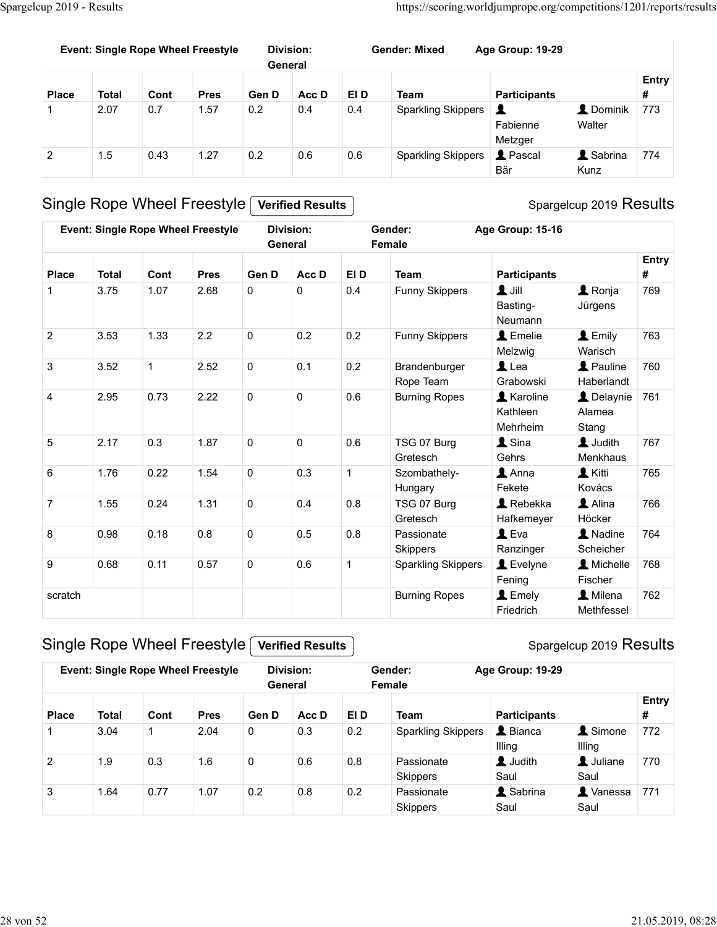|                       | Spargelcup 2019 - Results                 |              |                     |                                              |                             |             | https://scoring.worldjumprope.org/competitions/1201/reports/results |                                         |                              |            |
|-----------------------|-------------------------------------------|--------------|---------------------|----------------------------------------------|-----------------------------|-------------|---------------------------------------------------------------------|-----------------------------------------|------------------------------|------------|
|                       |                                           |              |                     |                                              |                             |             |                                                                     |                                         |                              |            |
|                       | <b>Event: Single Rope Wheel Freestyle</b> |              |                     |                                              | <b>Division:</b><br>General |             | <b>Gender: Mixed</b>                                                | Age Group: 19-29                        |                              |            |
| <b>Place</b>          | <b>Total</b>                              | Cont         | <b>Pres</b>         | Gen D                                        | Acc D                       | EI D        | <b>Team</b>                                                         | <b>Participants</b>                     |                              | Entry<br># |
| 1                     | 2.07                                      | 0.7          | 1.57                | 0.2                                          | 0.4                         | 0.4         | <b>Sparkling Skippers</b>                                           | $\blacktriangle$<br>Fabienne<br>Metzger | <b>L</b> Dominik<br>Walter   | 773        |
|                       |                                           |              | 1.27                | 0.2                                          | $0.6\,$                     | 0.6         | <b>Sparkling Skippers</b>                                           | <b>1</b> Pascal<br>Bär                  | <b>1</b> Sabrina<br>Kunz     | 774        |
| $\overline{2}$        | 1.5                                       | 0.43         |                     |                                              |                             |             |                                                                     |                                         |                              |            |
|                       |                                           |              |                     |                                              | <b>Verified Results</b>     |             |                                                                     |                                         |                              |            |
|                       | Single Rope Wheel Freestyle [             |              |                     | Event: Single Rope Wheel Freestyle Division: |                             |             | Gender:                                                             | Age Group: 15-16                        | Spargelcup 2019 Results      |            |
|                       |                                           |              |                     |                                              | General                     |             | Female                                                              |                                         |                              | Entry      |
| Place<br>$\mathbf{1}$ | <b>Total</b><br>3.75                      | Cont<br>1.07 | <b>Pres</b><br>2.68 | Gen D<br>$\mathsf{O}$                        | Acc D<br>$\mathsf 0$        | EI D<br>0.4 | <b>Team</b><br>Funny Skippers                                       | <b>Participants</b><br>$\mathbf 1$ lill | $\triangle$ Ronja            | #<br>769   |
| $\overline{2}$        | 3.53                                      | 1.33         | 2.2                 | $\mathbf 0$                                  | 0.2                         | $0.2\,$     | Funny Skippers                                                      | Basting-<br>Neumann<br>Emelie           | Jürgens<br>$\triangle$ Emily | 763        |

#### Spargelcup 2019 Results

|                |                      |              | <b>Event: Single Rope Wheel Freestyle</b> | General      | <b>Division:</b>        |              | <b>Gender: Mixed</b>                              | Age Group: 19-29                          |                                   |                   |
|----------------|----------------------|--------------|-------------------------------------------|--------------|-------------------------|--------------|---------------------------------------------------|-------------------------------------------|-----------------------------------|-------------------|
|                |                      |              |                                           |              |                         |              |                                                   |                                           |                                   | Entry             |
| <b>Place</b>   | <b>Total</b><br>2.07 | Cont<br>0.7  | <b>Pres</b><br>1.57                       | Gen D<br>0.2 | Acc D<br>0.4            | EI D<br>0.4  | <b>Team</b>                                       | <b>Participants</b>                       | <b>2</b> Dominik                  | #<br>773          |
| 1              |                      |              |                                           |              |                         |              | <b>Sparkling Skippers</b>                         | $\mathbf{r}$<br>Fabienne<br>Metzger       | Walter                            |                   |
| $\overline{c}$ | 1.5                  | 0.43         | 1.27                                      | 0.2          | 0.6                     | 0.6          | <b>Sparkling Skippers</b>                         | <b>1</b> Pascal<br>Bär                    | <b>1</b> Sabrina<br>Kunz          | 774               |
|                |                      |              | Single Rope Wheel Freestyle               |              | <b>Verified Results</b> |              |                                                   |                                           | Spargelcup 2019 Results           |                   |
|                |                      |              | <b>Event: Single Rope Wheel Freestyle</b> | General      | <b>Division:</b>        |              | Gender:<br>Female                                 | Age Group: 15-16                          |                                   |                   |
|                |                      |              |                                           |              |                         |              |                                                   |                                           |                                   | <b>Entry</b>      |
| <b>Place</b>   | <b>Total</b>         | Cont         | <b>Pres</b>                               | Gen D        | Acc D                   | EI D         | <b>Team</b>                                       | <b>Participants</b>                       |                                   | #                 |
| $\mathbf{1}$   | 3.75                 | 1.07         | 2.68                                      | 0            | $\pmb{0}$               | 0.4          | <b>Funny Skippers</b>                             | $\mathbf{1}$ Jill<br>Basting-<br>Neumann  | $\triangle$ Ronja<br>Jürgens      | 769               |
| $\overline{c}$ | 3.53                 | 1.33         | 2.2                                       | $\pmb{0}$    | 0.2                     | 0.2          | Funny Skippers                                    | L Emelie<br>Melzwig                       | L Emily<br>Warisch                | 763               |
| 3              | 3.52                 | $\mathbf{1}$ | 2.52                                      | 0            | 0.1                     | 0.2          | Brandenburger<br>Rope Team                        | $L$ Lea<br>Grabowski                      | <b>1</b> Pauline<br>Haberlandt    | 760               |
| 4              | 2.95                 | 0.73         | 2.22                                      | $\mathbf 0$  | $\mathbf 0$             | 0.6          | <b>Burning Ropes</b>                              | <b>1</b> Karoline<br>Kathleen<br>Mehrheim | L Delaynie<br>Alamea<br>Stang     | 761               |
| 5              | 2.17                 | 0.3          | 1.87                                      | $\mathbf 0$  | $\pmb{0}$               | 0.6          | TSG 07 Burg<br>Gretesch                           | $\blacktriangle$ Sina<br>Gehrs            | 1 Judith<br>Menkhaus              | 767               |
| 6              | 1.76                 | 0.22         | 1.54                                      | 0            | 0.3                     | $\mathbf{1}$ | Szombathely-<br>Hungary                           | $\blacktriangle$ Anna<br>Fekete           | <b>L</b> Kitti<br>Kovács          | 765               |
| $\overline{7}$ | 1.55                 | 0.24         | 1.31                                      | $\mathbf 0$  | 0.4                     | 0.8          | TSG 07 Burg<br>Gretesch                           | Rebekka<br>Hafkemeyer                     | Alina<br>Höcker                   | 766               |
| 8              | 0.98                 | 0.18         | $0.8\,$                                   | $\mathbf 0$  | 0.5                     | 0.8          | Passionate<br><b>Skippers</b>                     | $L$ Eva<br>Ranzinger                      | A Nadine<br>Scheicher             | 764               |
| 9<br>scratch   | 0.68                 | 0.11         | 0.57                                      | $\mathbf 0$  | 0.6                     | $\mathbf{1}$ | <b>Sparkling Skippers</b><br><b>Burning Ropes</b> | L Evelyne<br>Fening<br>L Emely            | A Michelle<br>Fischer<br>L Milena | 768<br>762        |
|                |                      |              |                                           |              |                         |              |                                                   | Friedrich                                 | Methfessel                        |                   |
|                |                      |              | Single Rope Wheel Freestyle               |              | <b>Verified Results</b> |              |                                                   |                                           | Spargelcup 2019 Results           |                   |
|                |                      |              | <b>Event: Single Rope Wheel Freestyle</b> | General      | <b>Division:</b>        |              | Gender:<br>Female                                 | Age Group: 19-29                          |                                   |                   |
| <b>Place</b>   | <b>Total</b>         | Cont         | <b>Pres</b>                               | Gen D        | Acc D                   | EI D         | <b>Team</b>                                       | <b>Participants</b>                       |                                   | <b>Entry</b><br># |
| 1              | 3.04                 | $\mathbf{1}$ | 2.04                                      | 0            | 0.3                     | $0.2\,$      | <b>Sparkling Skippers</b>                         | L Bianca<br>Illing                        | <b>1</b> Simone<br>Illing         | 772               |
| $\sqrt{2}$     | 1.9                  | 0.3          | 1.6                                       | $\mathsf{O}$ | 0.6                     | 0.8          | Passionate<br>Skippers                            | L Judith<br>Saul                          | L Juliane<br>Saul                 | 770               |
| 3              | 1.64                 | 0.77         | 1.07                                      | $0.2\,$      | $0.8\,$                 | 0.2          | Passionate<br>Skippers                            | & Sabrina<br>Saul                         | <b>A</b> Vanessa<br>Saul          | 771               |

## Single Rope Wheel Freestyle Verified Results

|                                |              |      |                                                                          |                      |                                             |      | Hungary                   | Fekete                   | Kovács                    |            |
|--------------------------------|--------------|------|--------------------------------------------------------------------------|----------------------|---------------------------------------------|------|---------------------------|--------------------------|---------------------------|------------|
| $\overline{7}$                 | 1.55         | 0.24 | 1.31                                                                     | $\mathbf 0$          | 0.4                                         | 0.8  | TSG 07 Burg               | Rebekka                  | Alina                     | 766        |
|                                |              |      |                                                                          |                      |                                             |      | Gretesch                  | Hafkemeyer               | Höcker                    |            |
| 8                              | 0.98         | 0.18 | 0.8                                                                      | $\mathbf 0$          | 0.5                                         | 0.8  | Passionate                | $\mathbf 1$ Eva          | A Nadine                  | 764        |
|                                |              |      |                                                                          |                      |                                             |      | <b>Skippers</b>           | Ranzinger                | Scheicher                 |            |
| 9                              | 0.68         | 0.11 | 0.57                                                                     | $\mathbf 0$          | 0.6                                         |      | <b>Sparkling Skippers</b> | $\blacktriangle$ Evelyne | Michelle                  | 768        |
|                                |              |      |                                                                          |                      |                                             |      |                           | Fening                   | Fischer                   |            |
| scratch                        |              |      |                                                                          |                      |                                             |      | <b>Burning Ropes</b>      | $\blacktriangle$ Emely   | <b>1</b> Milena           | 762        |
|                                |              |      |                                                                          |                      |                                             |      |                           | Friedrich                | Methfessel                |            |
|                                |              |      | Single Rope Wheel Freestyle<br><b>Event: Single Rope Wheel Freestyle</b> |                      | <b>Verified Results</b><br><b>Division:</b> |      | Gender:                   | Age Group: 19-29         | Spargelcup 2019 Results   |            |
|                                |              |      |                                                                          |                      | General                                     |      | Female                    |                          |                           |            |
|                                | <b>Total</b> |      | <b>Pres</b>                                                              |                      |                                             |      |                           |                          |                           | Entry<br># |
|                                |              | Cont |                                                                          | Gen D<br>$\mathbf 0$ | Acc D<br>0.3                                | EI D | <b>Team</b>               | <b>Participants</b>      |                           |            |
| $\mathbf 1$                    | 3.04         |      | 2.04                                                                     |                      |                                             | 0.2  | <b>Sparkling Skippers</b> | L Bianca<br>Illing       | <b>1</b> Simone<br>Illing | 772        |
|                                | 1.9          | 0.3  | 1.6                                                                      | $\mathsf 0$          | 0.6                                         | 0.8  | Passionate                | <b>1</b> Judith          | L Juliane                 | 770        |
| <b>Place</b><br>$\overline{2}$ |              |      |                                                                          |                      |                                             |      | <b>Skippers</b>           | Saul                     | Saul                      |            |
| 3                              | 1.64         | 0.77 | 1.07                                                                     | 0.2                  | 0.8                                         | 0.2  | Passionate                | & Sabrina                | <b>A</b> Vanessa          | 771        |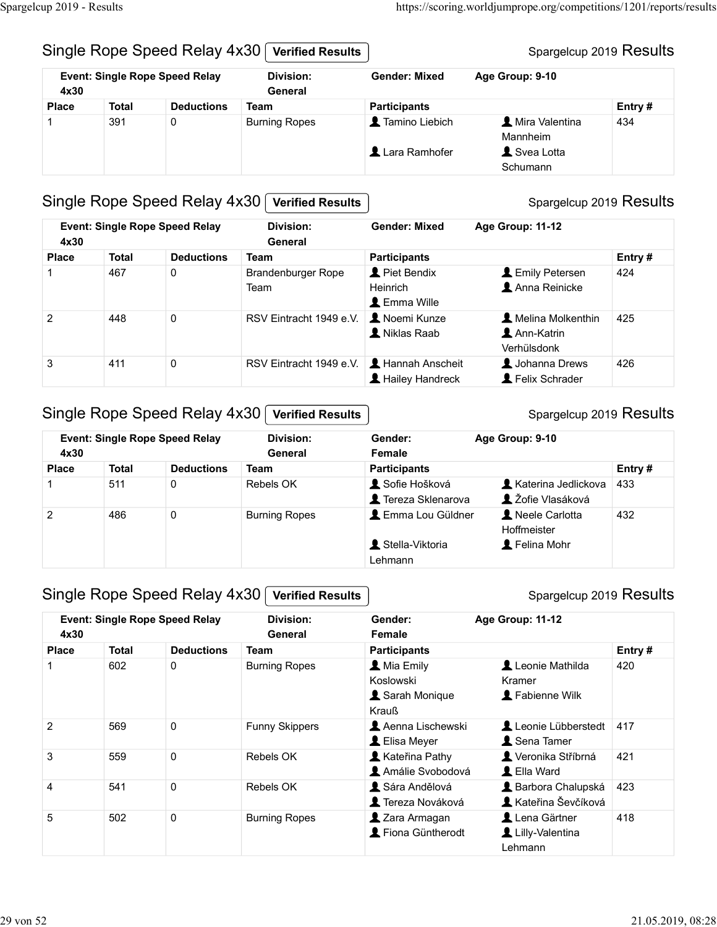#### Spargelcup 2019 Results

| Spargelcup 2019 - Results                                                                                                                                 |  |  |  |  |
|-----------------------------------------------------------------------------------------------------------------------------------------------------------|--|--|--|--|
| https://scoring.worldjumprope.org/competitions/1201/reports/results<br>Single Rope Speed Relay 4x30<br>Spargelcup 2019 Results<br><b>Verified Results</b> |  |  |  |  |
| <b>Event: Single Rope Speed Relay</b><br><b>Division:</b><br>Age Group: 9-10<br><b>Gender: Mixed</b><br>4x30<br>General                                   |  |  |  |  |
| <b>Deductions</b><br><b>Participants</b><br>Entry#<br><b>Total</b><br><b>Team</b><br><b>Place</b>                                                         |  |  |  |  |
| Tamino Liebich<br>391<br><b>1</b> Mira Valentina<br>$\mathbf 0$<br><b>Burning Ropes</b><br>434<br>1<br>Mannheim                                           |  |  |  |  |
| Lara Ramhofer<br>Svea Lotta<br>Schumann                                                                                                                   |  |  |  |  |
| <b>Verified Results</b>                                                                                                                                   |  |  |  |  |
| Single Rope Speed Relay 4x30<br><b>Event: Single Rope Speed Relay</b><br><b>Division:</b><br>Age Group: 11-12<br><b>Gender: Mixed</b>                     |  |  |  |  |
| Spargelcup 2019 Results<br>4x30<br>General<br><b>Total</b><br><b>Deductions</b><br><b>Participants</b><br>Entry#<br><b>Place</b><br>Team                  |  |  |  |  |

## Single Rope Speed Relay 4x30 Verified Results

|                | up 2019 - Results | Single Rope Speed Relay 4x30          | <b>Verified Results</b>           |                                       | https://scoring.worldjumprope.org/competitions/1201/reports/results<br>Spargelcup 2019 Results |        |
|----------------|-------------------|---------------------------------------|-----------------------------------|---------------------------------------|------------------------------------------------------------------------------------------------|--------|
| 4x30           |                   | <b>Event: Single Rope Speed Relay</b> | <b>Division:</b><br>General       | <b>Gender: Mixed</b>                  | Age Group: 9-10                                                                                |        |
| <b>Place</b>   | <b>Total</b>      | <b>Deductions</b>                     | <b>Team</b>                       | <b>Participants</b>                   |                                                                                                | Entry# |
| -1             | 391               | 0                                     | <b>Burning Ropes</b>              | Tamino Liebich<br>Lara Ramhofer       | Mira Valentina<br>Mannheim<br>Svea Lotta                                                       | 434    |
|                |                   |                                       |                                   |                                       | Schumann                                                                                       |        |
| 4x30           |                   | <b>Event: Single Rope Speed Relay</b> | <b>Division:</b><br>General       | <b>Gender: Mixed</b>                  | Age Group: 11-12                                                                               |        |
| <b>Place</b>   | <b>Total</b>      | <b>Deductions</b>                     | <b>Team</b>                       | <b>Participants</b>                   |                                                                                                | Entry# |
| -1             | 467               | 0                                     | <b>Brandenburger Rope</b><br>Team | Piet Bendix<br>Heinrich<br>Emma Wille | Lemily Petersen<br>Anna Reinicke                                                               | 424    |
| $\overline{2}$ | 448               | 0                                     | RSV Eintracht 1949 e.V.           | <b>A</b> Noemi Kunze<br>Kiklas Raab   | A Melina Molkenthin<br>Ann-Katrin<br>Verhülsdonk                                               | 425    |
| 3              | 411               | 0                                     | RSV Eintracht 1949 e.V.           | Hannah Anscheit<br>Hailey Handreck    | Johanna Drews<br>Felix Schrader                                                                | 426    |
|                |                   | Single Rope Speed Relay 4x30          | <b>Verified Results</b>           |                                       | Spargelcup 2019 Results                                                                        |        |
| 4x30           |                   | <b>Event: Single Rope Speed Relay</b> | <b>Division:</b><br>General       | Gender:<br>Female                     | Age Group: 9-10                                                                                |        |
|                | <b>Total</b>      | <b>Deductions</b>                     | Team                              | <b>Participants</b>                   |                                                                                                | Entry# |
| <b>Place</b>   | 511               | $\pmb{0}$                             | Rebels OK                         | Sofie Hošková<br>Tereza Sklenarova    | Katerina Jedlickova   433<br>L Žofie Vlasáková                                                 |        |
| $\mathbf{1}$   |                   |                                       | <b>Burning Ropes</b>              | L Emma Lou Güldner                    | Neele Carlotta                                                                                 | 432    |
| $\overline{c}$ | 486               | $\pmb{0}$                             |                                   | Stella-Viktoria                       | Hoffmeister<br>Felina Mohr                                                                     |        |

## Single Rope Speed Relay 4x30 Verified Results

#### Spargelcup 2019 Results

|                |              |                                       |                         |                       | Verhülsdonk                  |        |
|----------------|--------------|---------------------------------------|-------------------------|-----------------------|------------------------------|--------|
| 3              | 411          | 0                                     | RSV Eintracht 1949 e.V. | Hannah Anscheit       | Johanna Drews                | 426    |
|                |              |                                       |                         | Hailey Handreck       | Felix Schrader               |        |
|                |              |                                       |                         |                       |                              |        |
|                |              | Single Rope Speed Relay 4x30          | <b>Verified Results</b> |                       | Spargelcup 2019 Results      |        |
|                |              | <b>Event: Single Rope Speed Relay</b> | <b>Division:</b>        | Gender:               | Age Group: 9-10              |        |
| 4x30           |              |                                       | General                 | Female                |                              |        |
| <b>Place</b>   | <b>Total</b> | <b>Deductions</b>                     | Team                    | <b>Participants</b>   |                              | Entry# |
|                | 511          | 0                                     | Rebels OK               | Sofie Hošková         | <b>A</b> Katerina Jedlickova | 433    |
|                |              |                                       |                         | Tereza Sklenarova     | L Žofie Vlasáková            |        |
| $\overline{2}$ | 486          | $\mathbf 0$                           | <b>Burning Ropes</b>    | Emma Lou Güldner      | Neele Carlotta               | 432    |
|                |              |                                       |                         |                       | Hoffmeister                  |        |
|                |              |                                       |                         | Stella-Viktoria       | Felina Mohr                  |        |
|                |              |                                       |                         | Lehmann               |                              |        |
|                |              |                                       |                         |                       |                              |        |
|                |              | Single Rope Speed Relay 4x30          | <b>Verified Results</b> |                       | Spargelcup 2019 Results      |        |
|                |              | <b>Event: Single Rope Speed Relay</b> | <b>Division:</b>        | Gender:               | Age Group: 11-12             |        |
| 4x30           |              |                                       | General                 | Female                |                              |        |
| <b>Place</b>   | <b>Total</b> | <b>Deductions</b>                     | <b>Team</b>             | <b>Participants</b>   |                              | Entry# |
|                | 602          | $\mathbf 0$                           | <b>Burning Ropes</b>    | <b>A</b> Mia Emily    | Leonie Mathilda              | 420    |
|                |              |                                       |                         | Koslowski             | Kramer                       |        |
|                |              |                                       |                         | Sarah Monique         | Fabienne Wilk                |        |
|                |              |                                       |                         | <b>Krauß</b>          |                              |        |
| 2              | 569          | $\pmb{0}$                             | Funny Skippers          | Aenna Lischewski      | Leonie Lübberstedt           | 417    |
|                |              |                                       |                         | $\bullet$ Elico Mover | Sang Tamer                   |        |

#### Single Rope Speed Relay 4x30 Verified Results

| 4x30           |              | <b>Event: Single Rope Speed Relay</b> | <b>Division:</b><br>General | Gender:<br>Female                                         | Age Group: 9-10                              |        |
|----------------|--------------|---------------------------------------|-----------------------------|-----------------------------------------------------------|----------------------------------------------|--------|
| <b>Place</b>   | <b>Total</b> | <b>Deductions</b>                     | <b>Team</b>                 | <b>Participants</b>                                       |                                              | Entry# |
|                | 511          | 0                                     | Rebels OK                   | Sofie Hošková<br>Tereza Sklenarova                        | Katerina Jedlickova<br>L Žofie Vlasáková     | 433    |
| 2              | 486          | 0                                     | <b>Burning Ropes</b>        | Emma Lou Güldner<br>Stella-Viktoria<br>Lehmann            | Neele Carlotta<br>Hoffmeister<br>Felina Mohr | 432    |
|                |              | Single Rope Speed Relay 4x30          | <b>Verified Results</b>     |                                                           | Spargelcup 2019 Results                      |        |
| 4x30           |              | <b>Event: Single Rope Speed Relay</b> | <b>Division:</b><br>General | Gender:<br>Female                                         | Age Group: 11-12                             |        |
| <b>Place</b>   | <b>Total</b> | <b>Deductions</b>                     | <b>Team</b>                 | <b>Participants</b>                                       |                                              | Entry# |
|                | 602          | $\mathbf 0$                           | <b>Burning Ropes</b>        | L Mia Emily<br>Koslowski<br>Sarah Monique<br><b>Krauß</b> | Leonie Mathilda<br>Kramer<br>Fabienne Wilk   | 420    |
| 2              | 569          | $\mathbf 0$                           | Funny Skippers              | Aenna Lischewski<br>LElisa Meyer                          | Leonie Lübberstedt<br>Sena Tamer             | 417    |
|                | 559          | $\mathbf 0$                           | Rebels OK                   | Kateřina Pathy<br>Amálie Svobodová                        | Veronika Stříbrná<br>L Ella Ward             | 421    |
| $\mathbf{3}$   |              |                                       |                             | Sára Andělová                                             | <b>A</b> Barbora Chalupská                   | 423    |
| $\overline{a}$ | 541          | $\mathbf 0$                           | Rebels OK                   | <b>A</b> Tereza Nováková                                  | Kateřina Ševčíková                           |        |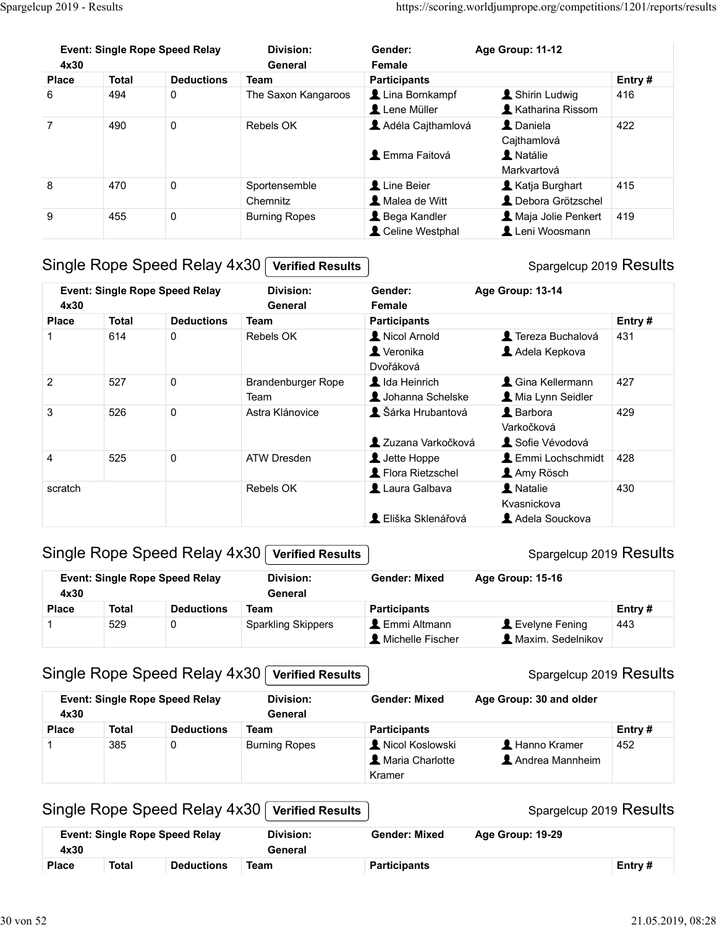| Spargelcup 2019 - Results |              |                                       |                            |                                       | https://scoring.worldjumprope.org/competitions/1201/reports/results |        |
|---------------------------|--------------|---------------------------------------|----------------------------|---------------------------------------|---------------------------------------------------------------------|--------|
|                           |              |                                       |                            |                                       |                                                                     |        |
|                           |              |                                       |                            |                                       |                                                                     |        |
|                           |              | <b>Event: Single Rope Speed Relay</b> | <b>Division:</b>           | Gender:                               | Age Group: 11-12                                                    |        |
| 4x30                      | <b>Total</b> | <b>Deductions</b>                     | General                    | Female                                |                                                                     |        |
|                           |              |                                       | <b>Team</b>                | <b>Participants</b><br>Lina Bornkampf | Shirin Ludwig                                                       | Entry# |
| <b>Place</b>              |              |                                       |                            |                                       |                                                                     | 416    |
| 6                         | 494          | $\mathbf 0$                           | The Saxon Kangaroos        |                                       |                                                                     |        |
|                           |              |                                       |                            | Lene Müller                           | Katharina Rissom                                                    |        |
| $\overline{7}$            | 490          | $\mathbf 0$                           | Rebels OK                  | Adéla Cajthamlová                     | L Daniela                                                           | 422    |
|                           |              |                                       |                            |                                       | Cajthamlová                                                         |        |
|                           |              |                                       |                            | <b>L</b> Emma Faitová                 | A Natálie                                                           |        |
|                           |              |                                       |                            |                                       | Markvartová                                                         |        |
| 8                         | 470          | $\pmb{0}$                             | Sportensemble              | Line Beier                            | Katja Burghart                                                      | 415    |
|                           |              |                                       | Chemnitz                   | Malea de Witt                         | L Debora Grötzschel                                                 |        |
| 9                         | 455          | 0                                     | <b>Burning Ropes</b>       | Bega Kandler                          | A Maja Jolie Penkert                                                | 419    |
|                           |              |                                       |                            | Celine Westphal                       | Leni Woosmann                                                       |        |
|                           |              |                                       |                            |                                       |                                                                     |        |
|                           |              | Single Rope Speed Relay 4x30          | <b>Verified Results</b>    |                                       | Spargelcup 2019 Results                                             |        |
|                           |              |                                       |                            |                                       |                                                                     |        |
|                           |              | <b>Event: Single Rope Speed Relay</b> | <b>Division:</b>           | Gender:                               | Age Group: 13-14                                                    |        |
| 4x30                      |              |                                       | General                    | Female                                |                                                                     |        |
| <b>Place</b>              | <b>Total</b> | <b>Deductions</b>                     | <b>Team</b>                | <b>Participants</b>                   |                                                                     | Entry# |
|                           | 614          | $\mathbf 0$                           | Rebels OK                  | Nicol Arnold                          | Tereza Buchalová                                                    | 431    |
|                           |              |                                       |                            | Veronika                              | Adela Kepkova                                                       |        |
| $\overline{c}$            |              |                                       |                            | Dvořáková                             |                                                                     |        |
|                           | 527          | $\pmb{0}$                             | Brandenburger Rope<br>Team | Ida Heinrich<br>Johanna Schelske      | & Gina Kellermann<br>Mia Lynn Seidler                               | 427    |

# Frace Total Deductions Team<br>
3 6 494 0 The Saxon Kangaroos Liuna Bonkhamp f<br>
2 Liene Müller Listahanna Risson<br>
42 Adela Cajthamlová Liene Muller<br>
3 470 0 Sportansemble Line Beier Listahanna Risson<br>
42 Emma Faltová Listahan Team **A** Johanna Schelske 427 7 490 0 Rebels OK **1** Lene Muller **1** Katharina Risson<br>
422 **1** Astra Californiová **2** Astra Klánovice 422<br>
436 0 Soottensemble<br>
45 0 Soottensemble<br>
45 0 Soottensemble<br>
45 0 Soottensemble<br>
45 0 Soottensemble<br>
420 Astra Kl 4 4 525 0 ATW Dresden<br>
4 525 0 ATW Dresden<br>
4 526 0 ATW Dresden<br>
4 526 0 Burning Ropes<br>
4 526 Denne Westphal 1 Leni Woosmann<br>
3 Angle Rope Speed Relay 4x30 <u>Verified Results</u><br>
4 429 Mais Jolie Penkert 419<br>
3 Atward 1 Ded s 470 0 Spartenting Repes Liter Beier<br>
Single Rope Speed Relay 4x30 [verified Results |<br>
Single Rope Speed Relay 4x30 [verified Results |<br>
scribe and the strategy and the strategy and the strategy and the strategy and th Place Total Deductions Team Participants For Branch<br>
1 614 0 Rebels OK **Δ** Norol And **Δ** Teneza Buchavia<br>
2 527 0 Brandenburger Rope **Δ** Madelen Acela Kepkova<br>
3 526 0 Astra Kalanovice **Δ** Later Hoppe<br>
525 0 ATW Dresden Place Total Deductions Teams (Contained Technique Representation of the Maximum Contained Technique Representation of the Maximum Contained Technique Contained Technique Science of the Maximum Contained Technique Science 4<br>
2 SCS 0 ATW Dresden **1** 2012ama Varkočková 1 Sche Vévodová<br>
2 Elistin Sche Vévodová 1 Debutes International<br>
2 Elistin Schem Mixed Associations 1 Amg Rosen<br>
3 Single Rope Speed Relay 4x30 [Verified Results | Spargelcu Event: Single Rope Speed Relay Division: Gender: 4x30 Division: General Female Gender: Age Group: 13-14 1 Nicol Arnold **1. 19. Nicol Arnold** Tereza Buchalová Veronika Adela Kepkova Dvořáková 1427 Ida Heinrich **Carl Adama Contains 1427 A** Mia Lynn Seidler 1 Šárka Hrubantová 129 Barbora (429 Varkočková **2** Zuzana Varkočková **CE** Sofie Vévodová 1 Jette Hoppe **Lemmi Lochschmidt** 428 **A** Flora Rietzschel **A** Amy Rösch 1 Laura Galbava 1 Natalie 1430 Kvasnickova **A** Eliška Sklenářová **Adela Souckova** Gender: Age Group: 13-14<br>
Female<br>
Participants<br> **A** Nicol Arnold<br> **A** Veronika<br> **A** Veronika<br> **A** Cheral Adela Kepkova<br> **A** Adela Kepkova<br> **A** Adela Kepkova<br> **A** Adela Kepkova<br> **A** Chia Kellermann<br>
A Sofic Vévodová<br> **A** Ch Usiana Schelske Unia Lynn Seidler<br>
1 Šárka Hrubantová Usarbočková Varkočková Usarbočková<br>
1 Luzra Varkočková Usarbočková<br>
1 Luzra Galbava Usarbočková Usarbočková<br>
1 Luzra Galbava Usarbočková Spargelcup 2019 Results<br>
1 Eliš

## Single Rope Speed Relay 4x30 Verified Results

#### Spargelcup 2019 Results

| 4x30         |              | <b>Event: Single Rope Speed Relay</b> | Division:<br>General      | <b>Gender: Mixed</b>                           | <b>Age Group: 15-16</b>                            |         |
|--------------|--------------|---------------------------------------|---------------------------|------------------------------------------------|----------------------------------------------------|---------|
| <b>Place</b> | <b>Total</b> | <b>Deductions</b>                     | Team                      | <b>Participants</b>                            |                                                    | Entry # |
|              | 529          |                                       | <b>Sparkling Skippers</b> | L Emmi Altmann<br>$\mathsf L$ Michelle Fischer | $\blacksquare$ Evelyne Fening<br>Maxim. Sedelnikov | 443     |

#### Single Rope Speed Relay 4x30 | Verified Results

|                    |                     |                                       |                             | ▲ Zuzana Varkočková                    | Sofie Vévodová                         |               |
|--------------------|---------------------|---------------------------------------|-----------------------------|----------------------------------------|----------------------------------------|---------------|
| 4                  | 525                 | 0                                     | ATW Dresden                 | Jette Hoppe                            | <b>L</b> Emmi Lochschmidt              | 428           |
|                    |                     |                                       |                             | Flora Rietzschel                       | Amy Rösch                              |               |
| scratch            |                     |                                       | Rebels OK                   | Laura Galbava                          | A Natalie<br>Kvasnickova               | 430           |
|                    |                     |                                       |                             | L Eliška Sklenářová                    | Adela Souckova                         |               |
|                    |                     | Single Rope Speed Relay 4x30          | <b>Verified Results</b>     |                                        | Spargelcup 2019 Results                |               |
| 4x30               |                     | <b>Event: Single Rope Speed Relay</b> | <b>Division:</b><br>General | <b>Gender: Mixed</b>                   | Age Group: 15-16                       |               |
| <b>Place</b>       | <b>Total</b>        | <b>Deductions</b>                     | <b>Team</b>                 | <b>Participants</b>                    |                                        | Entry#        |
| $\mathbf 1$        | 529                 | 0                                     | <b>Sparkling Skippers</b>   | L Emmi Altmann<br>Michelle Fischer     | Levelyne Fening<br>A Maxim. Sedelnikov | 443           |
|                    |                     | Single Rope Speed Relay 4x30          | <b>Verified Results</b>     |                                        | Spargelcup 2019 Results                |               |
|                    |                     | <b>Event: Single Rope Speed Relay</b> | <b>Division:</b>            | <b>Gender: Mixed</b>                   | Age Group: 30 and older                |               |
| 4x30               |                     |                                       | General                     |                                        |                                        |               |
| <b>Place</b><br>-1 | <b>Total</b><br>385 | <b>Deductions</b><br>0                | <b>Team</b>                 | <b>Participants</b><br>Nicol Koslowski | Hanno Kramer                           | Entry#<br>452 |
|                    |                     |                                       | <b>Burning Ropes</b>        | A Maria Charlotte<br>Kramer            | Andrea Mannheim                        |               |
|                    |                     | Single Rope Speed Relay 4x30          | <b>Verified Results</b>     |                                        | Spargelcup 2019 Results                |               |
| 4x30               |                     | <b>Event: Single Rope Speed Relay</b> | <b>Division:</b><br>General | <b>Gender: Mixed</b>                   | Age Group: 19-29                       |               |

#### Single Rope Speed Relay 4x30 Verified Results

| 4x30         | <b>Event: Single Rope Speed Relay</b> |                   | Division:<br>General | <b>Gender: Mixed</b> | Age Group: 19-29 |         |
|--------------|---------------------------------------|-------------------|----------------------|----------------------|------------------|---------|
| <b>Place</b> | Total                                 | <b>Deductions</b> | Team                 | <b>Participants</b>  |                  | Entry # |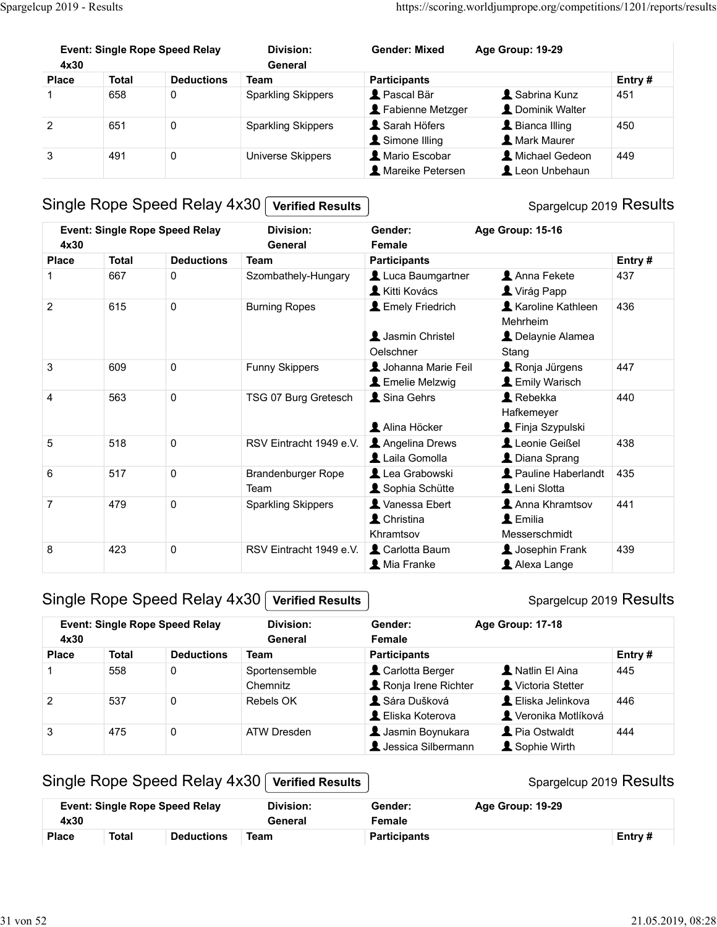| Spargelcup 2019 - Results                     |                     |                                       |                                    |                                                         | https://scoring.worldjumprope.org/competitions/1201/reports/results |               |
|-----------------------------------------------|---------------------|---------------------------------------|------------------------------------|---------------------------------------------------------|---------------------------------------------------------------------|---------------|
|                                               |                     |                                       |                                    |                                                         |                                                                     |               |
| 4x30                                          |                     | <b>Event: Single Rope Speed Relay</b> | <b>Division:</b><br>General        | <b>Gender: Mixed</b>                                    | Age Group: 19-29                                                    |               |
| <b>Place</b>                                  | <b>Total</b>        | <b>Deductions</b>                     | <b>Team</b>                        | <b>Participants</b>                                     |                                                                     | Entry#        |
|                                               | 658                 | $\mathbf 0$                           | <b>Sparkling Skippers</b>          | Pascal Bär<br>Fabienne Metzger                          | Sabrina Kunz<br>L Dominik Walter                                    | 451           |
|                                               | 651                 | $\mathbf 0$                           | <b>Sparkling Skippers</b>          | Sarah Höfers                                            | Bianca Illing                                                       | 450           |
|                                               |                     |                                       |                                    | Simone Illing                                           | <b>A</b> Mark Maurer                                                |               |
| $\boldsymbol{2}$<br>$\ensuremath{\mathsf{3}}$ | 491                 | $\mathbf 0$                           | Universe Skippers                  | Mario Escobar<br><b>A</b> Mareike Petersen              | Michael Gedeon<br>Leon Unbehaun                                     | 449           |
|                                               |                     | Single Rope Speed Relay 4x30          | <b>Verified Results</b>            |                                                         | Spargelcup 2019 Results                                             |               |
|                                               |                     | <b>Event: Single Rope Speed Relay</b> | <b>Division:</b>                   | Gender:                                                 | Age Group: 15-16                                                    |               |
| 4x30                                          |                     |                                       | General                            | Female                                                  |                                                                     |               |
| <b>Place</b><br>1                             | <b>Total</b><br>667 | <b>Deductions</b><br>$\mathbf 0$      | <b>Team</b><br>Szombathely-Hungary | <b>Participants</b><br>Luca Baumgartner<br>Kitti Kovács | Anna Fekete<br>Virág Papp                                           | Entry#<br>437 |
| $\overline{c}$                                | 615                 | $\mathbf 0$                           | <b>Burning Ropes</b>               | <b>L</b> Emely Friedrich<br>Jasmin Christel             | Karoline Kathleen<br>Mehrheim<br>L Delaynie Alamea                  | 436           |

#### Spargelcup 2019 Results

| 4x30           |              | <b>Event: Single Rope Speed Relay</b> | Division:<br>General        | <b>Gender: Mixed</b>                      | Age Group: 19-29                                           |        |
|----------------|--------------|---------------------------------------|-----------------------------|-------------------------------------------|------------------------------------------------------------|--------|
| <b>Place</b>   | <b>Total</b> | <b>Deductions</b>                     | <b>Team</b>                 | <b>Participants</b>                       |                                                            | Entry# |
|                | 658          | 0                                     | <b>Sparkling Skippers</b>   | Pascal Bär<br>Fabienne Metzger            | Sabrina Kunz<br>L Dominik Walter                           | 451    |
| $\overline{2}$ | 651          | 0                                     | <b>Sparkling Skippers</b>   | Sarah Höfers<br>Simone Illing             | Bianca Illing<br><b>A</b> Mark Maurer                      | 450    |
| 3              | 491          | 0                                     | Universe Skippers           | A Mario Escobar<br>Mareike Petersen       | Michael Gedeon<br>Leon Unbehaun                            | 449    |
|                |              | Single Rope Speed Relay 4x30          | <b>Verified Results</b>     |                                           | Spargelcup 2019 Results                                    |        |
| 4x30           |              | <b>Event: Single Rope Speed Relay</b> | <b>Division:</b><br>General | Gender:<br>Female                         | Age Group: 15-16                                           |        |
| <b>Place</b>   | <b>Total</b> | <b>Deductions</b>                     | <b>Team</b>                 | <b>Participants</b>                       |                                                            | Entry# |
|                | 667          | 0                                     | Szombathely-Hungary         | Luca Baumgartner<br>Kitti Kovács          | Anna Fekete<br>Virág Papp                                  | 437    |
| $\overline{2}$ | 615          | 0                                     | <b>Burning Ropes</b>        | <b>L</b> Emely Friedrich                  | Karoline Kathleen<br>Mehrheim                              | 436    |
|                |              |                                       |                             | Jasmin Christel<br>Oelschner              | L Delaynie Alamea<br>Stang                                 |        |
| 3              | 609          | 0                                     | Funny Skippers              | Johanna Marie Feil<br>Emelie Melzwig      | Ronja Jürgens<br>Emily Warisch                             | 447    |
| $\overline{4}$ | 563          | $\mathbf 0$                           | TSG 07 Burg Gretesch        | Sina Gehrs                                | <b>A</b> Rebekka<br>Hafkemeyer                             | 440    |
|                |              |                                       |                             | Alina Höcker                              | Finja Szypulski<br>Leonie Geißel                           |        |
| $\overline{5}$ | 518          | 0                                     | RSV Eintracht 1949 e.V.     | Angelina Drews<br>Laila Gomolla           | L Diana Sprang                                             | 438    |
| 6              | 517          | 0                                     | Brandenburger Rope<br>Team  | Lea Grabowski<br>Sophia Schütte           | Pauline Haberlandt<br>Leni Slotta                          | 435    |
| $\overline{7}$ | 479          | 0                                     | <b>Sparkling Skippers</b>   | Vanessa Ebert<br>L Christina<br>Khramtsov | Anna Khramtsov<br>$\blacktriangle$ Emilia<br>Messerschmidt | 441    |
| 8              | 423          | 0                                     | RSV Eintracht 1949 e.V.     | Carlotta Baum<br>Mia Franke               | <b>1</b> Josephin Frank<br>Alexa Lange                     | 439    |
|                |              | Single Rope Speed Relay 4x30          | <b>Verified Results</b>     |                                           | Spargelcup 2019 Results                                    |        |
| 4x30           |              | <b>Event: Single Rope Speed Relay</b> | <b>Division:</b><br>General | Gender:<br>Female                         | Age Group: 17-18                                           |        |
| <b>Place</b>   | <b>Total</b> | <b>Deductions</b>                     | <b>Team</b>                 | <b>Participants</b>                       |                                                            | Entry# |
|                | 558          | 0                                     | Sportensemble<br>Chemnitz   | Carlotta Berger<br>Ronja Irene Richter    | A Natlin El Aina<br>Victoria Stetter                       | 445    |
| $\overline{2}$ | 537          | 0                                     | Rebels OK                   | Sára Dušková<br>L Eliska Koterova         | L Eliska Jelinkova<br>Veronika Motlíková                   | 446    |
| 3              | 475          | 0                                     | <b>ATW Dresden</b>          | Jasmin Boynukara<br>Jessica Silbermann    | Pia Ostwaldt<br>Sophie Wirth                               | 444    |

## Single Rope Speed Relay 4x30 Verified Results

#### Spargelcup 2019 Results

|                |              |                                                                       |                                                        | Khramtsov                                | Messerschmidt                               |        |
|----------------|--------------|-----------------------------------------------------------------------|--------------------------------------------------------|------------------------------------------|---------------------------------------------|--------|
| 8              | 423          | 0                                                                     | RSV Eintracht 1949 e.V.                                | Carlotta Baum                            | Josephin Frank                              | 439    |
|                |              |                                                                       |                                                        | Mia Franke                               | Alexa Lange                                 |        |
|                |              |                                                                       |                                                        |                                          |                                             |        |
|                |              | Single Rope Speed Relay 4x30                                          | <b>Verified Results</b>                                |                                          | Spargelcup 2019 Results                     |        |
| 4x30           |              | <b>Event: Single Rope Speed Relay</b>                                 | <b>Division:</b><br>General                            | Gender:<br>Female                        | Age Group: 17-18                            |        |
| <b>Place</b>   | <b>Total</b> | <b>Deductions</b>                                                     | <b>Team</b>                                            | <b>Participants</b>                      |                                             | Entry# |
|                | 558          | 0                                                                     | Sportensemble<br>Chemnitz                              | Carlotta Berger<br>Ronja Irene Richter   | Natlin El Aina<br>Victoria Stetter          | 445    |
| $\overline{2}$ | 537          | $\pmb{0}$                                                             | Rebels OK                                              | Sára Dušková<br>L Eliska Koterova        | L Eliska Jelinkova<br>Veronika Motlíková    | 446    |
| $\mathbf{3}$   | 475          | $\pmb{0}$                                                             | <b>ATW Dresden</b>                                     | Jasmin Boynukara<br>L Jessica Silbermann | Pia Ostwaldt<br>Sophie Wirth                | 444    |
|                |              | Single Rope Speed Relay 4x30<br><b>Event: Single Rope Speed Relay</b> | <b>Verified Results</b><br><b>Division:</b><br>General | Gender:<br>Female                        | Spargelcup 2019 Results<br>Age Group: 19-29 |        |
| 4x30           |              |                                                                       |                                                        | <b>Participants</b>                      |                                             | Entry# |

## Single Rope Speed Relay 4x30 Verified Results

|              | Event: Single Rope Speed Relay |                   | <b>Division:</b><br>Gender: |                     | Age Group: 19-29 |           |  |
|--------------|--------------------------------|-------------------|-----------------------------|---------------------|------------------|-----------|--|
| 4x30         |                                |                   | General                     | Female              |                  |           |  |
| <b>Place</b> | Total                          | <b>Deductions</b> | Team                        | <b>Participants</b> |                  | Entry $#$ |  |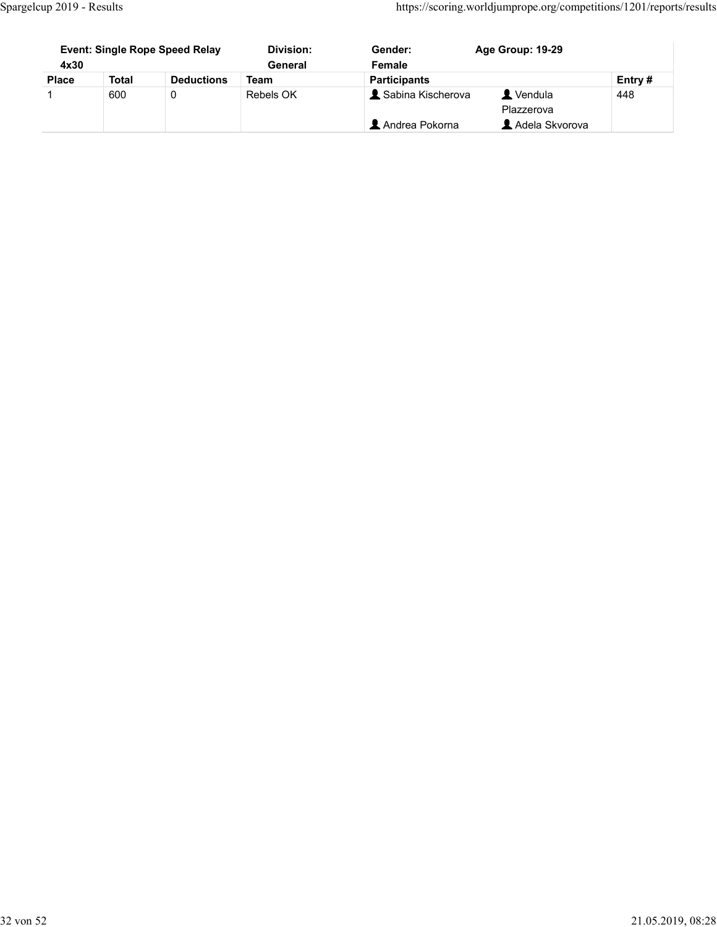|                                |                     |                                       |                          |                     | https://scoring.worldjumprope.org/competitions/1201/reports/results |               |  |
|--------------------------------|---------------------|---------------------------------------|--------------------------|---------------------|---------------------------------------------------------------------|---------------|--|
|                                |                     |                                       |                          |                     |                                                                     |               |  |
| Spargelcup 2019 - Results      |                     |                                       |                          |                     |                                                                     |               |  |
|                                |                     |                                       |                          |                     |                                                                     |               |  |
|                                |                     | <b>Event: Single Rope Speed Relay</b> | <b>Division:</b>         | Gender:             | Age Group: 19-29                                                    |               |  |
| 4x30                           |                     |                                       | General                  | Female              |                                                                     |               |  |
| <b>Place</b><br>$\overline{1}$ | <b>Total</b><br>600 | <b>Deductions</b><br>$\mathbf 0$      | <b>Team</b><br>Rebels OK | <b>Participants</b> | Vendula                                                             | Entry#<br>448 |  |
|                                |                     |                                       |                          | Sabina Kischerova   | Plazzerova                                                          |               |  |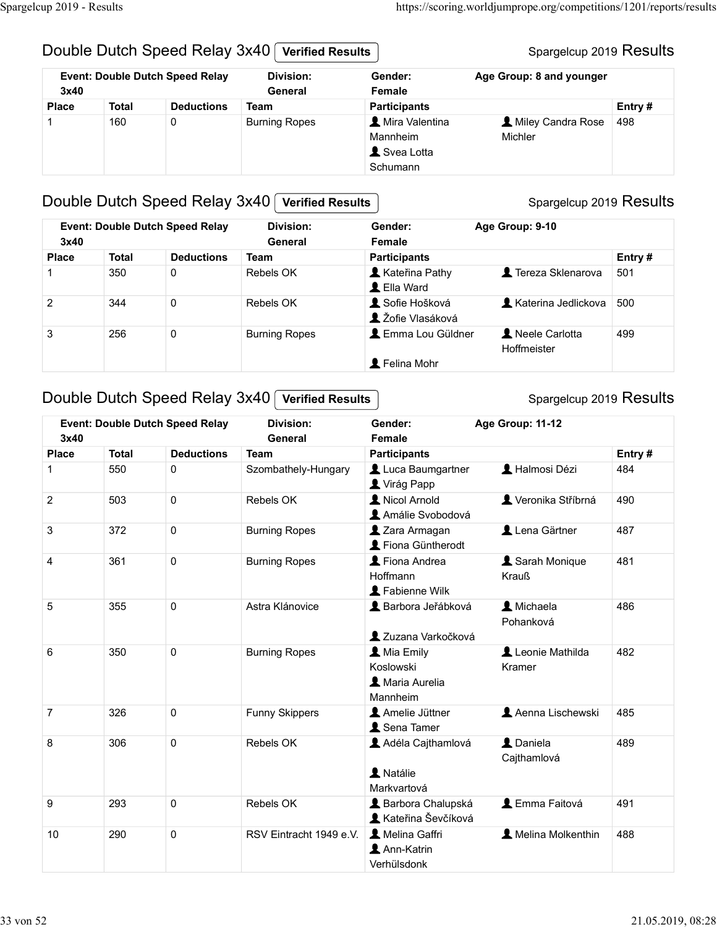#### Double Dutch Speed Relay 3x40 Verified Results

#### Spargelcup 2019 Results

| Spargelcup 2019 - Results |              |                                        |                             |                        | https://scoring.worldjumprope.org/competitions/1201/reports/results |        |  |
|---------------------------|--------------|----------------------------------------|-----------------------------|------------------------|---------------------------------------------------------------------|--------|--|
|                           |              |                                        |                             |                        |                                                                     |        |  |
|                           |              | Double Dutch Speed Relay 3x40          | <b>Verified Results</b>     |                        | Spargelcup 2019 Results                                             |        |  |
| 3x40                      |              | <b>Event: Double Dutch Speed Relay</b> | <b>Division:</b><br>General | Gender:<br>Female      | Age Group: 8 and younger                                            |        |  |
| <b>Place</b>              | <b>Total</b> | <b>Deductions</b>                      | <b>Team</b>                 | <b>Participants</b>    |                                                                     | Entry# |  |
|                           | 160          | $\mathbf 0$                            | <b>Burning Ropes</b>        | Mira Valentina         | Miley Candra Rose 498                                               |        |  |
|                           |              |                                        |                             | Mannheim<br>Svea Lotta | Michler                                                             |        |  |

#### Double Dutch Speed Relay 3x40 Verified Results

# Provide Dutch Speed Relay 3x40 <del>Verified Results</del><br>
Place Total Deductions Team Division: Gender: Age Group: 9 and younger<br>
These Total Deductions Team Participants<br>
Place Total Deductions Team Participants Michler<br>
Develo 1 350 0<br>
2019 Results<br>
1 350 0 Burning Ropes<br>
21 2014 Butch Speed Relay 3x40 <u>[verified Results</u><br>
1 350 8 Burning Ropes<br>
21 2016 Butch Speed Relay 3x40 [verified Results<br>
21 2 3 2 3 2 3 2 3 2 3 2 3 3 3 2 3 3 3 2 3 3 3 2 3 2 344 0 Rebels OK 500 Couble Dutch Speed Relay 3x40 | Verified Results<br>
3 256 0 Burning Ropes **Ential**<br>
3 256 0 Burning Ropes 2019 Results<br>
3 256 0 Burning Ropes 2019<br>
2 256 Dutch Speed Relay 3x40 | Verified Results<br>
2 256 Dutch Speed Relay 3x Place Total Deviced Relay 3x40 [verified Results<br>
Schumann Spargeloup 2019 Results<br>
Scheme Total Deductions Team Participants<br>
1 350 0 Europe Team Participants Team Participants<br>
256 0 Europes Liel Word Liel Word<br>
256 0 E 36humann<br>
1 Schumann<br>
1 Solution Speed Relay 3x40 | Verified Results<br>
1 3x40<br>
1 3x40<br>
1 3x40<br>
1 3x40<br>
1 3x40<br>
1 3x40<br>
1 3x40<br>
1 3x40<br>
1 3x40<br>
1 3x40<br>
1 3x40<br>
2 344<br>
2 3x40<br>
2 3x40<br>
2 3x40<br>
2 3x40<br>
2 3x40<br>
2 3x40<br>
2 3x40<br> Event: Double Dutch Speed Relay Division: Gender: 3x40 General Division: General Female Gender: Age Group: 9-10 **A** Kateřina Pathy **A** Tereza Sklenarova 501 **L** Ella Ward **1** Sofie Hošková **K**aterina Jedlickova 500  $\triangle$  Žofie Vlasáková **1** Emma Lou Güldner **1** Neele Carlotta | 499 Hoffmeister **L** Felina Mohr

#### Double Dutch Speed Relay  $3x40$  Verified Results

| 3x40           |              | <b>Event: Double Dutch Speed Relay</b> | <b>Division:</b><br>General                      | Gender:<br>Female                                                     | Age Group: 9-10               |        |  |
|----------------|--------------|----------------------------------------|--------------------------------------------------|-----------------------------------------------------------------------|-------------------------------|--------|--|
| <b>Place</b>   | <b>Total</b> | <b>Deductions</b>                      | <b>Team</b>                                      | <b>Participants</b>                                                   |                               | Entry# |  |
|                | 350          | $\mathbf 0$                            | Rebels OK                                        | Kateřina Pathy<br>LElla Ward                                          | Tereza Sklenarova             | 501    |  |
| $\overline{2}$ | 344          | 0                                      | Rebels OK                                        | Sofie Hošková<br>L Žofie Vlasáková                                    | <b>A</b> Katerina Jedlickova  | 500    |  |
| 3              | 256          | $\pmb{0}$                              | <b>Burning Ropes</b>                             | L Emma Lou Güldner<br>L Felina Mohr                                   | Neele Carlotta<br>Hoffmeister | 499    |  |
|                |              |                                        | Double Dutch Speed Relay 3x40   Verified Results |                                                                       | Spargelcup 2019 Results       |        |  |
| 3x40           |              | <b>Event: Double Dutch Speed Relay</b> | <b>Division:</b><br>General                      | Age Group: 11-12<br>Gender:<br>Female                                 |                               |        |  |
| <b>Place</b>   | <b>Total</b> | <b>Deductions</b>                      | <b>Team</b>                                      | <b>Participants</b>                                                   |                               | Entry# |  |
|                | 550          | 0                                      | Szombathely-Hungary                              | Luca Baumgartner<br>Virág Papp                                        | Halmosi Dézi                  | 484    |  |
| $\overline{2}$ | 503          | $\mathbf 0$                            | Rebels OK                                        | Nicol Arnold<br>Amálie Svobodová                                      | Veronika Stříbrná             | 490    |  |
| 3              | 372          | $\pmb{0}$                              | <b>Burning Ropes</b>                             | 2 Zara Armagan<br>Fiona Güntherodt                                    | Lena Gärtner                  | 487    |  |
| 4              | 361          | $\mathbf 0$                            | <b>Burning Ropes</b>                             | Fiona Andrea<br>Hoffmann<br>Fabienne Wilk                             | Sarah Monique<br><b>Krauß</b> | 481    |  |
| $\sqrt{5}$     | 355          | $\mathbf 0$                            | Astra Klánovice                                  | Barbora Jeřábková<br>Zuzana Varkočková                                | L Michaela<br>Pohanková       | 486    |  |
| 6              | 350          | $\mathbf 0$                            | <b>Burning Ropes</b>                             | <b>A</b> Mia Emily<br>Koslowski<br><b>1</b> Maria Aurelia<br>Mannheim | Leonie Mathilda<br>Kramer     | 482    |  |
| $\overline{7}$ | 326          | 0                                      | <b>Funny Skippers</b>                            | Amelie Jüttner<br>Sena Tamer                                          | Aenna Lischewski              | 485    |  |
| 8              | 306          | $\mathbf 0$                            | Rebels OK                                        | Adéla Cajthamlová<br>A Natálie<br>Markvartová                         | L Daniela<br>Cajthamlová      | 489    |  |
| $9\,$          | 293          | $\pmb{0}$                              | Rebels OK                                        | Barbora Chalupská<br><b>A</b> Kateřina Ševčíková                      | <b>L</b> Emma Faitová         | 491    |  |
| 10             | 290          | $\pmb{0}$                              | RSV Eintracht 1949 e.V.                          | A Melina Gaffri<br>Ann-Katrin<br>Verhülsdonk                          | A Melina Molkenthin           | 488    |  |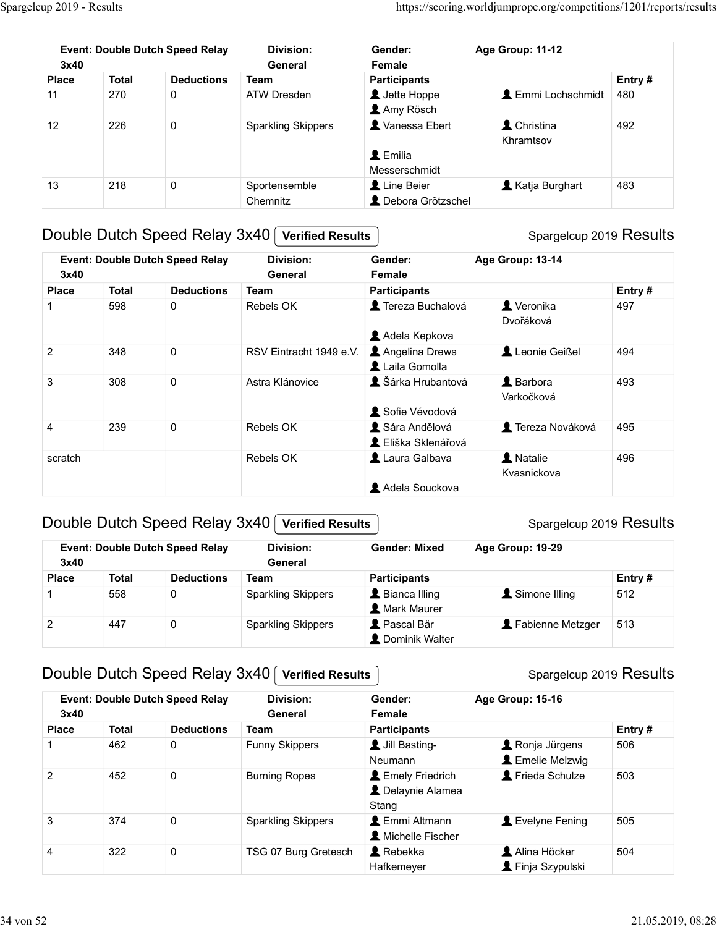| Spargelcup 2019 - Results |              |                                        |                             |                                                             | https://scoring.worldjumprope.org/competitions/1201/reports/results |        |
|---------------------------|--------------|----------------------------------------|-----------------------------|-------------------------------------------------------------|---------------------------------------------------------------------|--------|
| 3x40                      |              | <b>Event: Double Dutch Speed Relay</b> | <b>Division:</b><br>General | Gender:<br>Female                                           | Age Group: 11-12                                                    |        |
| Place                     | <b>Total</b> | <b>Deductions</b>                      | <b>Team</b>                 | <b>Participants</b>                                         |                                                                     | Entry# |
| 11                        | 270          | $\mathbf 0$                            | ATW Dresden                 | L Jette Hoppe<br>Amy Rösch                                  | <b>L</b> Emmi Lochschmidt                                           | 480    |
| 12                        | 226          | $\mathbf 0$                            | <b>Sparkling Skippers</b>   | X Vanessa Ebert<br>$\blacktriangle$ Emilia<br>Messerschmidt | L Christina<br>Khramtsov                                            | 492    |
| 13                        | 218          | $\pmb{0}$                              | Sportensemble<br>Chemnitz   | Line Beier<br>L Debora Grötzschel                           | Katja Burghart                                                      | 483    |
|                           |              |                                        |                             |                                                             |                                                                     |        |
|                           |              | Double Dutch Speed Relay 3x40          | <b>Verified Results</b>     |                                                             | Spargelcup 2019 Results                                             |        |
| 3x40                      |              | <b>Event: Double Dutch Speed Relay</b> | <b>Division:</b><br>General | Gender:<br>Female                                           | Age Group: 13-14                                                    |        |
| <b>Place</b>              | <b>Total</b> | <b>Deductions</b>                      | <b>Team</b>                 | <b>Participants</b>                                         |                                                                     | Entry# |
|                           | 598          | $\mathbf 0$                            | Rebels OK                   | Tereza Buchalová                                            | Veronika<br>Dvořáková                                               | 497    |
|                           | 348          | $\mathbf 0$                            | RSV Eintracht 1949 e.V.     | Adela Kepkova<br>Angelina Drews<br>Laila Gomolla            | Leonie Geißel                                                       | 494    |
| $\overline{c}$            |              | $\mathbf 0$                            | Astra Klánovice             | & Šárka Hrubantová                                          | <b>A</b> Barbora<br>Varkočková                                      | 493    |
| $\ensuremath{\mathsf{3}}$ | 308          |                                        |                             | Sofie Vévodová                                              |                                                                     |        |

## Double Dutch Speed Relay 3x40 Verified Results

## Event: Double Dutch Speed Relay Gender: Age Group: 13-14 Female 1 Tereza Buchalová 1 Veronika (1971)

| <b>Place</b>   | <b>Total</b> | <b>Deductions</b>                      | <b>Team</b>                 | <b>Participants</b>                                  |                           | Entry# |  |
|----------------|--------------|----------------------------------------|-----------------------------|------------------------------------------------------|---------------------------|--------|--|
| 11             | 270          | $\pmb{0}$                              | <b>ATW Dresden</b>          | Jette Hoppe<br>Amy Rösch                             | <b>L</b> Emmi Lochschmidt | 480    |  |
| 12             | 226          | $\pmb{0}$                              | <b>Sparkling Skippers</b>   | Vanessa Ebert<br>$\triangle$ Emilia<br>Messerschmidt | L Christina<br>Khramtsov  | 492    |  |
| 13             | 218          | $\pmb{0}$                              | Sportensemble<br>Chemnitz   | Line Beier<br>L Debora Grötzschel                    | Katja Burghart            | 483    |  |
|                |              | Double Dutch Speed Relay 3x40          | <b>Verified Results</b>     |                                                      | Spargelcup 2019 Results   |        |  |
| 3x40           |              | <b>Event: Double Dutch Speed Relay</b> | <b>Division:</b><br>General | Gender:<br>Female                                    | Age Group: 13-14          |        |  |
| <b>Place</b>   | <b>Total</b> | <b>Deductions</b>                      | <b>Team</b>                 | <b>Participants</b>                                  |                           | Entry# |  |
|                | 598          | $\mathbf 0$                            | Rebels OK                   | Tereza Buchalová<br>Adela Kepkova                    | Veronika<br>Dvořáková     | 497    |  |
| $\overline{2}$ | 348          | $\pmb{0}$                              | RSV Eintracht 1949 e.V.     | Angelina Drews<br>Laila Gomolla                      | Leonie Geißel             | 494    |  |
| 3              | 308          | $\pmb{0}$                              | Astra Klánovice             | & Šárka Hrubantová<br>Sofie Vévodová                 | L Barbora<br>Varkočková   | 493    |  |
| 4              | 239          | $\pmb{0}$                              | Rebels OK                   | Sára Andělová<br>L Eliška Sklenářová                 | Tereza Nováková           | 495    |  |
| scratch        |              |                                        | Rebels OK                   | Laura Galbava<br>Adela Souckova                      | A Natalie<br>Kvasnickova  | 496    |  |
|                |              | Double Dutch Speed Relay 3x40          | <b>Verified Results</b>     |                                                      | Spargelcup 2019 Results   |        |  |
| 3x40           |              | <b>Event: Double Dutch Speed Relay</b> | <b>Division:</b><br>General | <b>Gender: Mixed</b>                                 | Age Group: 19-29          |        |  |
| <b>Place</b>   | <b>Total</b> | <b>Deductions</b>                      | <b>Team</b>                 | <b>Participants</b>                                  |                           | Entry# |  |
| $\mathbf 1$    | 558          | 0                                      | <b>Sparkling Skippers</b>   | Bianca Illing<br><b>A</b> Mark Maurer                | Simone Illing             | 512    |  |
| $\overline{2}$ | 447          | $\pmb{0}$                              | <b>Sparkling Skippers</b>   | Pascal Bär<br>L Dominik Walter                       | Fabienne Metzger          | 513    |  |
|                |              | Double Dutch Speed Relay 3x40          | <b>Verified Results</b>     |                                                      | Spargelcup 2019 Results   |        |  |
|                |              | <b>Event: Double Dutch Speed Relay</b> | Division:                   | Gender:                                              | $Ans$ Group: 15-16        |        |  |

#### Double Dutch Speed Relay 3x40 Verified Results

#### Spargelcup 2019 Results

| 3x40         | <b>Event: Double Dutch Speed Relay</b> |                   | Division:<br>General      | <b>Gender: Mixed</b>                    | Age Group: 19-29 |           |  |
|--------------|----------------------------------------|-------------------|---------------------------|-----------------------------------------|------------------|-----------|--|
| <b>Place</b> | <b>Total</b>                           | <b>Deductions</b> | Team                      | <b>Participants</b>                     |                  | Entry $#$ |  |
|              | 558                                    | 0                 | <b>Sparkling Skippers</b> | Bianca Illing<br>Mark Maurer            | Simone Illing    | 512       |  |
| 2            | 447                                    |                   | <b>Sparkling Skippers</b> | <b>L</b> Pascal Bär<br>L Dominik Walter | Fabienne Metzger | 513       |  |

## Double Dutch Speed Relay 3x40 Verified Results

| 4              | 239          | $\mathbf 0$                                | Rebels OK                                            | Sára Andělová<br>L Eliška Sklenářová            | <b>1</b> Tereza Nováková                 | 495    |
|----------------|--------------|--------------------------------------------|------------------------------------------------------|-------------------------------------------------|------------------------------------------|--------|
| scratch        |              |                                            | Rebels OK                                            | Laura Galbava                                   | A Natalie<br>Kvasnickova                 | 496    |
|                |              | Double Dutch Speed Relay 3x40              | <b>Verified Results</b>                              | Adela Souckova                                  | Spargelcup 2019 Results                  |        |
| 3x40           |              | <b>Event: Double Dutch Speed Relay</b>     | <b>Division:</b><br><b>General</b>                   | <b>Gender: Mixed</b>                            | Age Group: 19-29                         |        |
| <b>Place</b>   | <b>Total</b> | <b>Deductions</b>                          | <b>Team</b>                                          | <b>Participants</b>                             |                                          | Entry# |
|                | 558          | 0                                          | <b>Sparkling Skippers</b>                            | L Bianca Illing<br><b>2</b> Mark Maurer         | Simone Illing                            | 512    |
|                |              |                                            |                                                      |                                                 | Fabienne Metzger                         | 513    |
| $\overline{c}$ | 447          | $\pmb{0}$<br>Double Dutch Speed Relay 3x40 | <b>Sparkling Skippers</b><br><b>Verified Results</b> | Pascal Bär<br>L Dominik Walter                  | Spargelcup 2019 Results                  |        |
| 3x40           |              | <b>Event: Double Dutch Speed Relay</b>     | <b>Division:</b><br>General                          | Gender:<br>Female                               | Age Group: 15-16                         |        |
| <b>Place</b>   | <b>Total</b> | <b>Deductions</b>                          | <b>Team</b>                                          | <b>Participants</b>                             |                                          | Entry# |
|                | 462          | $\mathbf 0$                                | <b>Funny Skippers</b>                                | Jill Basting-<br>Neumann                        | Ronja Jürgens<br><b>L</b> Emelie Melzwig | 506    |
| $\overline{2}$ | 452          | $\mathbf 0$                                | <b>Burning Ropes</b>                                 | L Emely Friedrich<br>L Delaynie Alamea<br>Stang | Frieda Schulze                           | 503    |
| $\mathbf{3}$   | 374          | $\mathbf 0$                                | <b>Sparkling Skippers</b>                            | L Emmi Altmann<br>Michelle Fischer              | Levelyne Fening                          | 505    |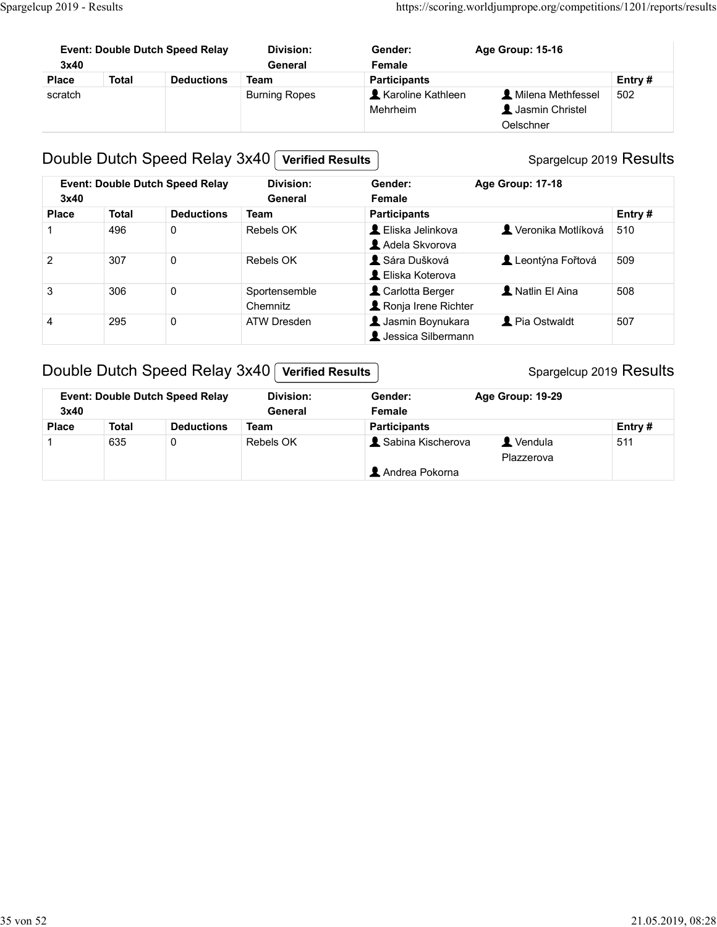| Spargelcup 2019 - Results |              |                                        |                      |                     | https://scoring.worldjumprope.org/competitions/1201/reports/results |               |  |
|---------------------------|--------------|----------------------------------------|----------------------|---------------------|---------------------------------------------------------------------|---------------|--|
|                           |              |                                        |                      |                     |                                                                     |               |  |
|                           |              |                                        |                      |                     |                                                                     |               |  |
| 3x40                      |              | <b>Event: Double Dutch Speed Relay</b> | Division:<br>General | Gender:<br>Female   | Age Group: 15-16                                                    |               |  |
| <b>Place</b>              | <b>Total</b> | <b>Deductions</b>                      | <b>Team</b>          | <b>Participants</b> |                                                                     |               |  |
| scratch                   |              |                                        | <b>Burning Ropes</b> | Karoline Kathleen   | L Milena Methfessel                                                 | Entry#<br>502 |  |

## Double Dutch Speed Relay 3x40 Verified Results

## Spargelcup 2019 Results

|                | up 2019 - Results |                                        |                             |                                                   | https://scoring.worldjumprope.org/competitions/1201/reports/results |        |
|----------------|-------------------|----------------------------------------|-----------------------------|---------------------------------------------------|---------------------------------------------------------------------|--------|
| 3x40           |                   | <b>Event: Double Dutch Speed Relay</b> | <b>Division:</b><br>General | Gender:<br>Female                                 | Age Group: 15-16                                                    |        |
| <b>Place</b>   | <b>Total</b>      | <b>Deductions</b>                      | <b>Team</b>                 | <b>Participants</b>                               |                                                                     | Entry# |
| scratch        |                   |                                        | <b>Burning Ropes</b>        | Karoline Kathleen<br>Mehrheim                     | Milena Methfessel<br>Jasmin Christel<br>Oelschner                   | 502    |
|                |                   | Double Dutch Speed Relay 3x40          | <b>Verified Results</b>     |                                                   | Spargelcup 2019 Results                                             |        |
| 3x40           |                   | <b>Event: Double Dutch Speed Relay</b> | Division:<br>General        | Gender:<br>Female                                 | Age Group: 17-18                                                    |        |
| <b>Place</b>   | <b>Total</b>      | <b>Deductions</b>                      | <b>Team</b>                 | <b>Participants</b>                               |                                                                     | Entry# |
| $\mathbf 1$    | 496               | $\mathbf 0$                            | Rebels OK                   | L Eliska Jelinkova<br>Adela Skvorova              | Veronika Motlíková                                                  | 510    |
| 2              | 307               | $\mathsf{O}$                           | Rebels OK                   | Sára Dušková<br>L Eliska Koterova                 | Leontýna Fořtová                                                    | 509    |
| 3              | 306               | $\mathbf 0$                            | Sportensemble<br>Chemnitz   | Carlotta Berger<br>Ronja Irene Richter            | A Natlin El Aina                                                    | 508    |
| $\overline{4}$ | 295               | 0                                      | <b>ATW Dresden</b>          | <b>1</b> Jasmin Boynukara<br>L Jessica Silbermann | Pia Ostwaldt                                                        | 507    |
|                |                   | Double Dutch Speed Relay 3x40          | <b>Verified Results</b>     |                                                   | Spargelcup 2019 Results                                             |        |
| 3x40           |                   | <b>Event: Double Dutch Speed Relay</b> | Division:<br>General        | Gender:<br>Female                                 | Age Group: 19-29                                                    |        |
|                | <b>Total</b>      | <b>Deductions</b>                      | <b>Team</b>                 | <b>Participants</b>                               |                                                                     | Entry# |
| <b>Place</b>   |                   |                                        | Rebels OK                   | Sabina Kischerova                                 | Vendula                                                             | 511    |

## Double Dutch Speed Relay 3x40 Verified Results

| 3x40         |              | <b>Event: Double Dutch Speed Relay</b> | Division:<br>General | Age Group: 19-29<br>Gender:<br>Female |                               |
|--------------|--------------|----------------------------------------|----------------------|---------------------------------------|-------------------------------|
| <b>Place</b> | <b>Total</b> | <b>Deductions</b>                      | Team                 | <b>Participants</b>                   | Entry $#$                     |
|              | 635          |                                        | Rebels OK            | Sabina Kischerova                     | $\blacksquare$ Vendula<br>511 |
|              |              |                                        |                      |                                       | Plazzerova                    |
|              |              |                                        |                      | Andrea Pokorna                        |                               |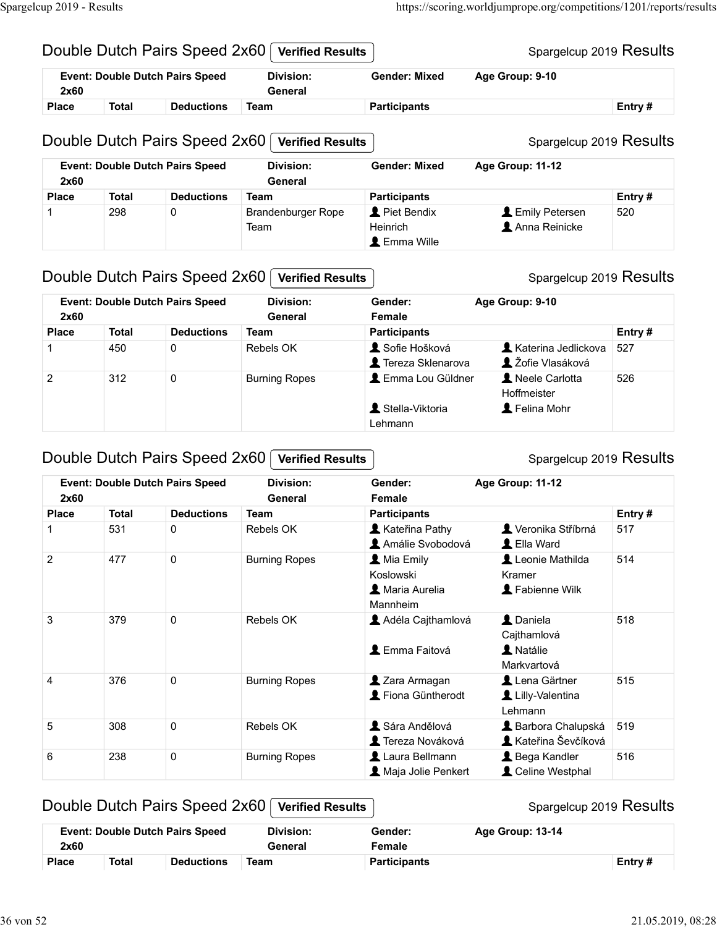# Spargelcup 2019 Results Spargelcup 2019 Results Double Dutch Pairs Speed 2x60 Verified Results Provided Dutch Pairs Speed 2x60 [Verified Results | Microsofted Device Total | Deductions Team Participants | Participants | Event: Double Dutch Pairs Speed 2x60 [Verified Results | Gender: Mixed Age Group: 9-10<br>Place Tota Double Dutch Pairs Speed 2x60 Verified Results P2019 - Results<br>
Pouble Dutch Pairs Speed 2x60 **Verified Results**<br>
Event: Double Dutch Pairs Speed 2x60 **Verified Results**<br>
Place Total Deductions Team Participants Age Group: 9-10<br>
Place Total Deductions Team Participants 1 298 Double Dutch Pairs Speed 2x60 <u>Verified Results</u><br>
1 298 Double Dutch Pairs Speed 2x60 <u>Verified Results</u><br>
2019 - Results<br>
2019 Double Dutch Pairs Speed 2x60 Verified Results<br>
2019 Fernt: Double Dutch Pairs Speed 2x6 Team Heinrich Anna Reinicke 520 Double Dutch Pairs Speed 2x60 **(Verified Results and The Couple Participants** Spargeloup 2019 Results<br>
Place Total Deductions Team Participants Age Group: 9-10<br>
Place Total Deductions Team Center Mixed Age Group: 11-12<br>
E Couple Dutch Pairs Speed 2x60 [Verified Results<br>
Event: Double Dutch Pairs Speed<br>
2x60 Dutvision: General Participants Age Group: 9-10<br>
Piace Total Deductions Team<br>
Double Dutch Pairs Speed 2x60 [Verified Results<br>
Event: Event: Double Dutch Pairs Speed 2x60 [Verified Results<br>
Place Total Deductions Team<br>
2 2 312 0 Burning Ropes 11-10 Pairs Speed 2x60 [Verified Results<br>
2 2 312 0 Burning Ropes 1<br>
2 3 314 0 Burning Ropes 1<br>
2 3 3 14 0 2 3 2 Event: Double Dutch Pairs Speed 2x60 **Gender: Mixed** General https://scoring.worldjumprope.org/competitions/1201/reports/results<br>
Gender: Mixed Age Group: 9-10<br>
Participants Entry #<br>
Spargelcup 2019 Results Event: Double Dutch Pairs Speed 2x60 General **Gender: Mixed** https://scoring.worldjumprope.org/competitions/1201/reports/results<br>
Gender: Mixed Age Group: 9-10<br>
Participants Entry #<br>
Spargelcup 2019 Results<br>
Gender: Mixed Age Group: 11-12<br>
Participants Entry #<br>
Piet Bendix Lemily Pe Piet Bendix **Emily Petersen** 520 Spargelcup 2019 - Results<br>
Double Dutch Pairs Speed 2x60 *Verified Results*<br>
Event: Double Dutch Pairs Speed 2x60 *Verified Results*<br>
Event: Double Dutch Pairs Speed Division: Gender: Mixed Age Group: 9-10

## Double Dutch Pairs Speed 2x60 Verified Results

#### Spargelcup 2019 Results

| $\overline{1}$ | 298          | $\Omega$                                                                | <b>Brandenburger Rope</b><br>Team           | Piet Bendix<br>Heinrich<br><b>L</b> Emma Wille        | Emily Petersen<br>Anna Reinicke                 | 520    |
|----------------|--------------|-------------------------------------------------------------------------|---------------------------------------------|-------------------------------------------------------|-------------------------------------------------|--------|
|                |              | Double Dutch Pairs Speed 2x60                                           | <b>Verified Results</b>                     |                                                       | Spargelcup 2019 Results                         |        |
| 2x60           |              | <b>Event: Double Dutch Pairs Speed</b>                                  | <b>Division:</b><br>General                 | Gender:<br>Female                                     | Age Group: 9-10                                 |        |
| <b>Place</b>   | <b>Total</b> | <b>Deductions</b>                                                       | <b>Team</b>                                 | <b>Participants</b>                                   |                                                 | Entry# |
|                | 450          | $\mathbf 0$                                                             | <b>Rebels OK</b>                            | Sofie Hošková<br>Tereza Sklenarova                    | <b>Katerina Jedlickova</b><br>L Žofie Vlasáková | 527    |
| $\overline{2}$ | 312          | $\pmb{0}$                                                               | <b>Burning Ropes</b>                        | Lemma Lou Güldner<br>Stella-Viktoria<br>Lehmann       | Neele Carlotta<br>Hoffmeister<br>Felina Mohr    | 526    |
|                |              | Double Dutch Pairs Speed 2x60<br><b>Event: Double Dutch Pairs Speed</b> | <b>Verified Results</b><br><b>Division:</b> | Gender:                                               | Spargelcup 2019 Results<br>Age Group: 11-12     |        |
| 2x60           |              |                                                                         | General                                     | Female                                                |                                                 |        |
| <b>Place</b>   | <b>Total</b> | <b>Deductions</b>                                                       | <b>Team</b>                                 | <b>Participants</b>                                   |                                                 | Entry# |
|                | 531          | $\mathbf 0$                                                             | Rebels OK                                   | Kateřina Pathy<br>Amálie Svobodová                    | Veronika Stříbrná<br>L Ella Ward                | 517    |
| $\overline{2}$ | 477          | $\pmb{0}$                                                               | <b>Burning Ropes</b>                        | L Mia Emily<br>Koslowski<br>Maria Aurelia<br>Monnhoim | Leonie Mathilda<br>Kramer<br>Fabienne Wilk      | 514    |

## Double Dutch Pairs Speed 2x60 Verified Results

## Chapter Charles Space of Total Charles Space of Total Charles Space of Total Charles Team of Team of Charles Charles Space of Total Deductions Team Participants<br>
2 312 0 Burning Ropes 1 Charles Charles Charles Charles Ch 2 2 312 0 General Participants<br>
1 2 2 312 0 Burning Ropes **1** Fendal Coldistoval S27<br>
2 312 0 Burning Ropes **1** Energa Stenarova **1** Zofie Vlasáková<br>
1 Rebels Oct 1013<br>
2 3 0 Burning Ropes **1** Emma Lou Guldner **1** Neele 2 312 0 Burning Ropes **1** Emma Lou Güldner Hotelariota 526<br> **1** Scelar-Viktoria **1** Hoffmeister<br> **2** 2010 Dutch Pairs Speed 2x60 **Verified Results**<br>
2x60 **Content Conder:** Age Group: 11-12<br>
2x60 **Conder:** Age Group: 11-12 Lehmann<br>
Space Dutch Pairs Speed 2x60 Verified Results<br>
2x60<br>
2x60<br>
2x60<br>
2x60<br>
2x60<br>
2x60<br>
2x60<br>
2x60<br>
2x60<br>
2x60<br>
2x60<br>
2x60<br>
2x60<br>
2x60<br>
2x60<br>
2x60<br>
2x60<br>
2x60<br>
2x60<br>
2x60<br>
2x60<br>
2x60<br>
2x60<br>
2x60<br>
2x60<br>
2x60<br>
2x60<br>
2x6 Couple Dutch Pairs Speed 2x60 (Verified Results<br>
Exect Double Dutch Pairs Speed<br>
2x60 Detections Team<br>
2x60 Detections Team<br>
2x60 Detections Team<br>
2x60 Detections Team<br>
2x60 Detections Team<br>
2x60 Detections Team<br>
2x60 Det 2 477 0 Burning Ropes<br> **Excluding Hotel Monder:**<br>
Monder Mandaudia Kramer<br>
Mandaudia Architects<br>
2 Daniels 518<br>
2 Daniels 518<br>
2 Daniels State Columbus<br>
2 Daniels State Columbus<br>
2 Daniels Columbus<br>
2 Daniels Columbus<br>
2 Event: Double Dutch Pairs Speed 2x60 Division: General Female Gender: Age Group: 11-12 **A** Kateřina Pathy **A** Veronika Stříbrná 517 **Amálie Svobodová AL Ella Ward** Mia Emily **Leonie Mathilda** 514 Koslowski Kramer Maria Aurelia Fabienne Wilk Mannheim Adéla Cajthamlová Daniela (518 **Cajthamlová A** Emma Faitová **A** Natálie Markvartová **L** Zara Armagan Lena Gärtner | 515 **1** Fiona Güntherodt **L** Lilly-Valentina Lehmann **A** Sára Andělová **Barbora Chalupská** 519 **1** Tereza Nováková **Kateřina Ševčíková L** Laura Bellmann **B** Bega Kandler 516 A Maja Jolie Penkert **A** Celine Westphal

#### Double Dutch Pairs Speed 2x60 | Verified Results

|              |              | <b>Event: Double Dutch Pairs Speed</b> | Division: | Gender:             | Age Group: 13-14 |        |
|--------------|--------------|----------------------------------------|-----------|---------------------|------------------|--------|
| 2x60         |              |                                        | General   | Female              |                  |        |
| <b>Place</b> | <b>Total</b> | <b>Deductions</b>                      | Team      | <b>Participants</b> |                  | Entry# |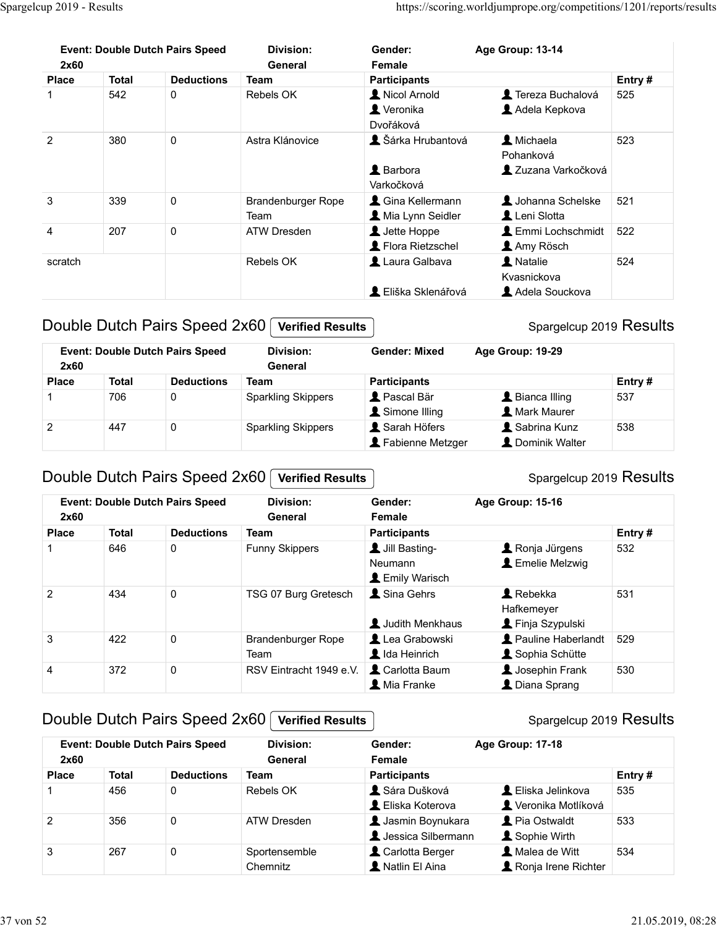| Spargelcup 2019 - Results |              |                                        |                           |                                 |                                                                     |        |
|---------------------------|--------------|----------------------------------------|---------------------------|---------------------------------|---------------------------------------------------------------------|--------|
|                           |              |                                        |                           |                                 |                                                                     |        |
|                           |              |                                        |                           |                                 |                                                                     |        |
|                           |              |                                        |                           |                                 |                                                                     |        |
|                           |              |                                        |                           |                                 |                                                                     |        |
|                           |              |                                        |                           |                                 |                                                                     |        |
|                           |              |                                        |                           |                                 |                                                                     |        |
|                           |              |                                        |                           |                                 |                                                                     |        |
|                           |              |                                        |                           |                                 |                                                                     |        |
|                           |              |                                        |                           |                                 |                                                                     |        |
|                           |              |                                        |                           |                                 |                                                                     |        |
|                           |              |                                        |                           |                                 | https://scoring.worldjumprope.org/competitions/1201/reports/results |        |
|                           |              |                                        |                           |                                 |                                                                     |        |
|                           |              | <b>Event: Double Dutch Pairs Speed</b> | <b>Division:</b>          | Gender:                         | Age Group: 13-14                                                    |        |
| 2x60                      |              |                                        | General                   | Female                          |                                                                     |        |
| <b>Place</b>              | <b>Total</b> | <b>Deductions</b>                      | <b>Team</b>               | <b>Participants</b>             |                                                                     | Entry# |
|                           | 542          | $\mathbf 0$                            | Rebels OK                 | Kicol Arnold                    | Tereza Buchalová                                                    | 525    |
|                           |              |                                        |                           | Veronika<br>Dvořáková           | Adela Kepkova                                                       |        |
| $\boldsymbol{2}$          | 380          | $\mathbf 0$                            | Astra Klánovice           | Sárka Hrubantová                | L Michaela                                                          | 523    |
|                           |              |                                        |                           |                                 | Pohanková                                                           |        |
|                           |              |                                        |                           | L Barbora                       | 2 Zuzana Varkočková                                                 |        |
|                           |              |                                        |                           | Varkočková                      |                                                                     |        |
| 3                         | 339          | 0                                      | Brandenburger Rope        | Cina Kellermann                 | Johanna Schelske                                                    | 521    |
|                           |              |                                        | Team                      | Mia Lynn Seidler                | Leni Slotta<br>Emmi Lochschmidt 522                                 |        |
| 4                         | 207          | $\mathbf{0}$                           | ATW Dresden               | Jette Hoppe<br>Flora Rietzschel | Amy Rösch                                                           |        |
| scratch                   |              |                                        | Rebels OK                 | Laura Galbava                   | <i>L</i> Natalie                                                    | 524    |
|                           |              |                                        |                           |                                 | Kvasnickova                                                         |        |
|                           |              |                                        |                           | L Eliška Sklenářová             | Adela Souckova                                                      |        |
|                           |              |                                        |                           |                                 |                                                                     |        |
|                           |              |                                        |                           |                                 | Spargelcup 2019 Results                                             |        |
|                           |              | Double Dutch Pairs Speed 2x60          | <b>Verified Results</b>   |                                 |                                                                     |        |
|                           |              |                                        | <b>Division:</b>          | <b>Gender: Mixed</b>            | Age Group: 19-29                                                    |        |
| 2x60                      |              | <b>Event: Double Dutch Pairs Speed</b> | General                   |                                 |                                                                     |        |
| <b>Place</b>              | <b>Total</b> | <b>Deductions</b>                      | <b>Team</b>               | <b>Participants</b>             |                                                                     | Entry# |
|                           | 706          | 0                                      | <b>Sparkling Skippers</b> | Pascal Bär                      | L Bianca Illing                                                     | 537    |
| $\overline{c}$            | 447          | $\mathbf 0$                            | <b>Sparkling Skippers</b> | Simone Illing<br>Sarah Höfers   | <b>A</b> Mark Maurer<br>Sabrina Kunz                                | 538    |

#### Double Dutch Pairs Speed 2x60 Verified Results

| 2x60         |              | <b>Event: Double Dutch Pairs Speed</b> | Division:<br>General      | <b>Gender: Mixed</b>                 | Age Group: 19-29                                |           |
|--------------|--------------|----------------------------------------|---------------------------|--------------------------------------|-------------------------------------------------|-----------|
| <b>Place</b> | <b>Total</b> | <b>Deductions</b>                      | Team                      | <b>Participants</b>                  |                                                 | Entry $#$ |
|              | 706          |                                        | <b>Sparkling Skippers</b> | <b>A</b> Pascal Bär<br>Simone Illing | $\blacktriangle$ Bianca Illing<br>Mark Maurer   | 537       |
| 2            | 447          |                                        | <b>Sparkling Skippers</b> | Sarah Höfers<br>Fabienne Metzger     | $\blacksquare$ Sabrina Kunz<br>L Dominik Walter | 538       |

#### Double Dutch Pairs Speed 2x60 Verified Results

# 207 0<br>
Scratch Rebels OK **E** Liska Sklenařová **E** Marticlar Scratch<br>
Rebels OK **E** Liska Sklenařová **E** Laura Galbava **E** Martial<br>
2 Cliska Sklenařová **E** Liska Sklenařová **E** Liska Sklenačkova<br>
2 200<br>
Place Total Deducti Scratch<br>
2 Elista Skienářová **1** Andale Scratch Indian S24<br>
2 Functional Mada Souckova<br>
2 Function Pairs Speed 2x60 (Verified Results)<br>
2 Georgeticup 2019 Results<br>
2 Georgeticup 2019 Results<br>
2 Georgeticup Skippers and Ded 2 434 0 TSG 07 Burg Greence 1<br>
2 434 0 TSG 07 Burg Greence 1<br>
2 434 0 Total Demonstration Centers (Mate Southern Strengton 1938)<br>
2 434 0 Total Demonstration Centers (Mate Southern Strengton 2019 Results<br>
2 434 0 Total Pu Event: Double Dutch Pairs Speed<br>
1 Deductions Team<br>
1 706 0 Sparkling Skippers Participants<br>
2 447 0 Sparkling Skippers Participants<br>
2 447 0 Sparkling Skippers Participants<br>
3 Sparkling Skippers Speed<br>
3 Sparkling Skipper Team Ida Heinrich Sophia Schütte 529 **Place**<br> **Process Total Deductions Team Participants**<br> **Process Total Deductions Team Participants**<br> **2** 2 447 0 Spartking Skippers **1.** Simone Bling **1.** Mark Maurer<br> **2** Subtracht 1949 e.<br> **2** Rations Music Conder: Age Double Dutch Pairs Speed 2x60 (Verified Results<br>
Face Total Deductions Team Participants<br>
Place Total Deductions Team Participants<br>
Place Total Deductions Team Participants<br>
Place Total Deductions Team Participants<br>
Place Event: Double Dutch Pairs Speed<br>
2 as the Content of Texas of the Content of the Content of the Content of the Content of the Content of the Content of the Content of the Content of the Content of the Content of the Cont 2 2 356 0 ATW Dresden 2 2 356 0 ATW Dresden 2 2 356 0 ATW Dresden 2 2 356 0 ATW Dresden 2 2 356 0 ATW Dresden 2 2 356 0 ATW Dresden 2 2 3 2 3 2 3 2 3 2 2 3 356 0 ATW Dresden 2 2 3 356 0 ATW Dresden 2 2 3 2 3 2 3 2 3 2 3 1 646 0 Funny Skippers<br>
Neumann<br>
1 Emily Warisch<br>
1 Emily Warisch<br>
1 Emily Warisch<br>
1 Emily Warisch<br>
1 Emily Warisch<br>
1 Emily Warisch<br>
1 Emily Skippers<br>
1 Rebekka<br>
1 Sportersemble<br>
2 0 Brandenburger Rope 1 Lea Grabowski<br> Event: Double Dutch Pairs Speed 2x60 Division: **General** Gender: Age Group: 15-16 Female **L** Jill Basting-Neumann Emelie Melzwig Ronja Jürgens | 532 **L** Emily Warisch **1** Sina Gehrs **Rebekka** 531 Hafkemeyer **1** Judith Menkhaus **A** Finja Szypulski Lea Grabowski Learne Haberlandt | 529 **1** Carlotta Baum **1** Josephin Frank 530 **A** Mia Franke **Diana Sprang**

## Double Dutch Pairs Speed 2x60 Verified Results

#### Spargelcup 2019 Results

|               |              | <b>Event: Double Dutch Pairs Speed</b> | Division:                 | Gender:                                          | Age Group: 17-18                         |         |
|---------------|--------------|----------------------------------------|---------------------------|--------------------------------------------------|------------------------------------------|---------|
| 2x60          |              |                                        | General                   | Female                                           |                                          |         |
| <b>Place</b>  | <b>Total</b> | <b>Deductions</b>                      | Team                      | <b>Participants</b>                              |                                          | Entry # |
|               | 456          | 0                                      | Rebels OK                 | Sára Dušková<br>L Eliska Koterova                | L Eliska Jelinkova<br>Veronika Motlíková | 535     |
| $\mathcal{P}$ | 356          | 0                                      | ATW Dresden               | <b>1</b> Jasmin Boynukara<br>Luessica Silbermann | Pia Ostwaldt<br>Sophie Wirth             | 533     |
| 3             | 267          | 0                                      | Sportensemble<br>Chemnitz | Carlotta Berger<br>Natlin El Aina                | Malea de Witt<br>Ronja Irene Richter     | 534     |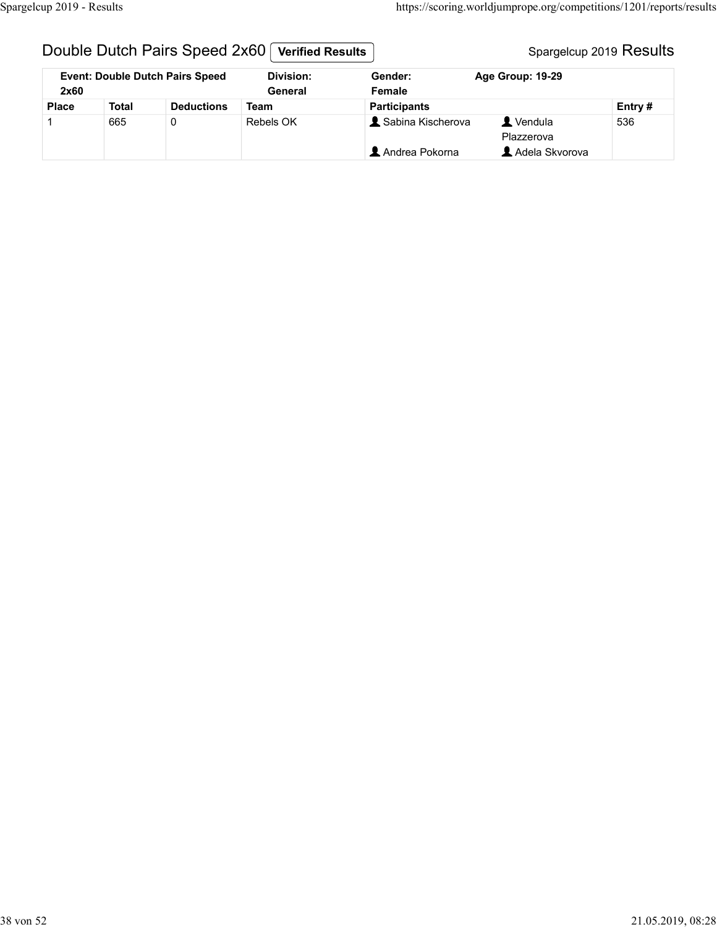## Double Dutch Pairs Speed 2x60 | Verified Results | Spargelcup 2019 Results Spargelcup 2019 Results

| Spargelcup 2019 - Results |              |                                        |                             |                     |                         | https://scoring.worldjumprope.org/competitions/1201/reports/results |  |
|---------------------------|--------------|----------------------------------------|-----------------------------|---------------------|-------------------------|---------------------------------------------------------------------|--|
|                           |              |                                        |                             |                     |                         |                                                                     |  |
|                           |              | Double Dutch Pairs Speed 2x60          | <b>Verified Results</b>     |                     |                         | Spargelcup 2019 Results                                             |  |
| 2x60                      |              | <b>Event: Double Dutch Pairs Speed</b> | <b>Division:</b><br>General | Gender:<br>Female   | Age Group: 19-29        |                                                                     |  |
| <b>Place</b>              | <b>Total</b> | <b>Deductions</b>                      | <b>Team</b>                 | <b>Participants</b> |                         | Entry #                                                             |  |
|                           | 665          | $\mathbf 0$                            | Rebels OK                   | & Sabina Kischerova | L Vendula<br>Plazzerova | 536                                                                 |  |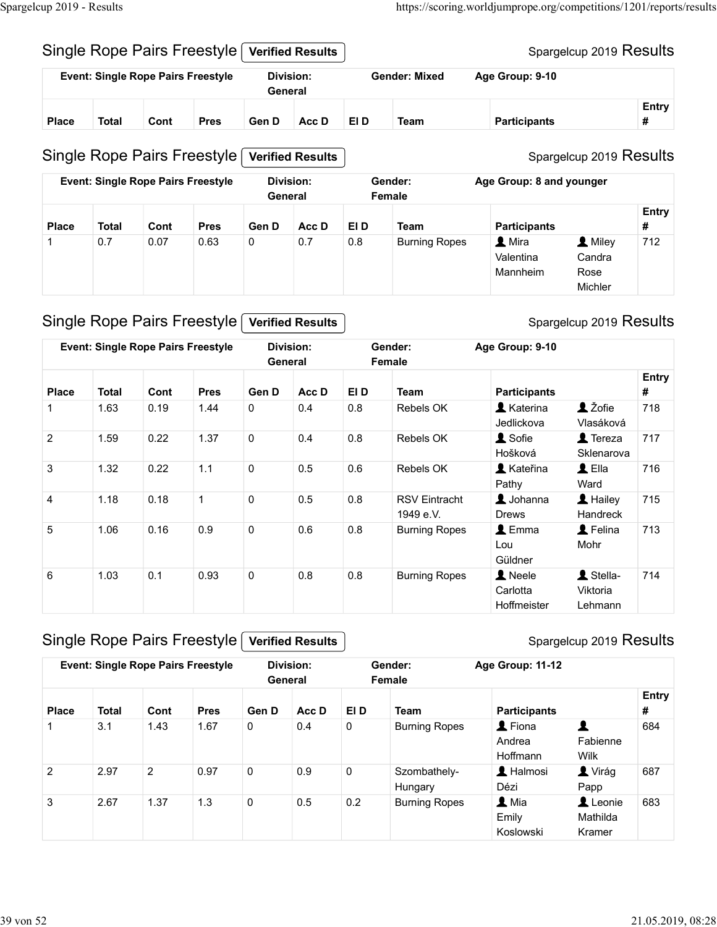## Single Rope Pairs Freestyle Verified Results

|                           |              |      |                                           |                             |                         |      |                      | https://scoring.worldjumprope.org/competitions/1201/reports/results |                         |  |
|---------------------------|--------------|------|-------------------------------------------|-----------------------------|-------------------------|------|----------------------|---------------------------------------------------------------------|-------------------------|--|
| Spargelcup 2019 - Results |              |      |                                           |                             |                         |      |                      |                                                                     |                         |  |
|                           |              |      | Single Rope Pairs Freestyle               |                             | <b>Verified Results</b> |      |                      |                                                                     | Spargelcup 2019 Results |  |
|                           |              |      | <b>Event: Single Rope Pairs Freestyle</b> | <b>Division:</b><br>General |                         |      | <b>Gender: Mixed</b> | Age Group: 9-10                                                     |                         |  |
| <b>Place</b>              | <b>Total</b> | Cont | <b>Pres</b>                               | Gen D                       | Acc D                   | EI D | <b>Team</b>          |                                                                     | Entry<br>#              |  |
|                           |              |      | Single Rope Pairs Freestyle               |                             | <b>Verified Results</b> |      |                      | <b>Participants</b>                                                 | Spargelcup 2019 Results |  |

## Single Rope Pairs Freestyle Verified Results

|                |                |                                           | Single Rope Pairs Freestyle |                             | <b>Verified Results</b> |         |                        |                                   | Spargelcup 2019 Results              |                   |
|----------------|----------------|-------------------------------------------|-----------------------------|-----------------------------|-------------------------|---------|------------------------|-----------------------------------|--------------------------------------|-------------------|
|                |                | <b>Event: Single Rope Pairs Freestyle</b> |                             | <b>Division:</b>            |                         |         | <b>Gender: Mixed</b>   | Age Group: 9-10                   |                                      |                   |
|                |                |                                           |                             | General                     |                         |         |                        |                                   |                                      |                   |
| <b>Place</b>   | <b>Total</b>   | Cont                                      | <b>Pres</b>                 | Gen D                       | Acc D                   | EI D    | <b>Team</b>            | <b>Participants</b>               |                                      | Entry<br>#        |
|                |                |                                           | Single Rope Pairs Freestyle |                             | <b>Verified Results</b> |         |                        |                                   | Spargelcup 2019 Results              |                   |
|                |                | <b>Event: Single Rope Pairs Freestyle</b> |                             | <b>Division:</b><br>General |                         |         | Gender:<br>Female      | Age Group: 8 and younger          |                                      |                   |
| <b>Place</b>   | <b>Total</b>   | Cont                                      | <b>Pres</b>                 | Gen D                       | Acc D                   | EI D    | <b>Team</b>            | <b>Participants</b>               |                                      | <b>Entry</b><br># |
| $\mathbf{1}$   | 0.7            | 0.07                                      | 0.63                        | 0                           | 0.7                     | 0.8     | <b>Burning Ropes</b>   | 1 Mira<br>Valentina<br>Mannheim   | 1 Miley<br>Candra<br>Rose<br>Michler | 712               |
|                |                |                                           | Single Rope Pairs Freestyle |                             | <b>Verified Results</b> |         |                        |                                   | Spargelcup 2019 Results              |                   |
|                |                | <b>Event: Single Rope Pairs Freestyle</b> |                             | <b>Division:</b><br>General |                         |         | Gender:<br>Female      | Age Group: 9-10                   |                                      |                   |
| <b>Place</b>   | Total          | Cont                                      | <b>Pres</b>                 | Gen D                       | Acc D                   | EI D    | Team                   | <b>Participants</b>               |                                      | Entry<br>#        |
| -1             | 1.63           | 0.19                                      | 1.44                        | 0                           | 0.4                     | $0.8\,$ | Rebels OK              | <b>1</b> Katerina<br>Jedlickova   | L Žofie<br>Vlasáková                 | 718               |
| $\overline{2}$ | 1.59           | 0.22                                      | 1.37                        | $\mathsf{O}$                | 0.4                     | 0.8     | Rebels OK              | <b>1</b> Sofie<br>Hošková         | $\triangle$ Tereza<br>Sklenarova     | 717               |
| $\sim$         | $\overline{A}$ | 0.22                                      | $\overline{A}$              | $\sim$                      | $\cap$ $\Gamma$         | $\sim$  | $D = k = 1 - \sqrt{N}$ | $\blacksquare$ $1/2 + 2$ $\ldots$ | $\bullet$ $\sim$                     | 74C               |

#### Single Rope Pairs Freestyle Verified Results

| Place          | <b>Total</b> | Cont           | <b>Pres</b>                               | Gen D       | Acc D                   | EI D          | <b>Team</b>                       | <b>Participants</b>                       |                                       | <b>Entry</b><br># |
|----------------|--------------|----------------|-------------------------------------------|-------------|-------------------------|---------------|-----------------------------------|-------------------------------------------|---------------------------------------|-------------------|
|                |              |                | Single Rope Pairs Freestyle               |             | <b>Verified Results</b> |               |                                   |                                           | Spargelcup 2019 Results               |                   |
|                |              |                | <b>Event: Single Rope Pairs Freestyle</b> | General     | <b>Division:</b>        |               | Gender:<br>Female                 | Age Group: 8 and younger                  |                                       |                   |
| <b>Place</b>   | <b>Total</b> | Cont           | <b>Pres</b>                               | Gen D       | Acc D                   | EI D          | <b>Team</b>                       | <b>Participants</b>                       |                                       | <b>Entry</b><br># |
|                | 0.7          | 0.07           | 0.63                                      | 0           | 0.7                     | $0.8\,$       | <b>Burning Ropes</b>              | 1 Mira<br>Valentina<br>Mannheim           | 1 Miley<br>Candra<br>Rose<br>Michler  | 712               |
|                |              |                | Single Rope Pairs Freestyle               |             | <b>Verified Results</b> |               |                                   |                                           | Spargelcup 2019 Results               |                   |
|                |              |                | <b>Event: Single Rope Pairs Freestyle</b> | General     | <b>Division:</b>        |               | Gender:<br>Female                 | Age Group: 9-10                           |                                       |                   |
| <b>Place</b>   | <b>Total</b> | Cont           | <b>Pres</b>                               | Gen D       | Acc D                   | EI D          | <b>Team</b>                       | <b>Participants</b>                       |                                       | <b>Entry</b><br># |
| $\mathbf{1}$   | 1.63         | 0.19           | 1.44                                      | 0           | 0.4                     | 0.8           | Rebels OK                         | <b>A</b> Katerina<br>Jedlickova           | 1 Žofie<br>Vlasáková                  | 718               |
| $\overline{2}$ | 1.59         | 0.22           | 1.37                                      | $\mathbf 0$ | 0.4                     | 0.8           | Rebels OK                         | L Sofie<br>Hošková                        | $\blacktriangle$ Tereza<br>Sklenarova | 717               |
| $\mathbf{3}$   | 1.32         | 0.22           | 1.1                                       | 0           | 0.5                     | 0.6           | Rebels OK                         | <b>A</b> Kateřina<br>Pathy                | $\triangle$ Ella<br>Ward              | 716               |
| $\overline{4}$ | 1.18         | 0.18           | $\mathbf{1}$                              | $\mathbf 0$ | 0.5                     | 0.8           | <b>RSV Eintracht</b><br>1949 e.V. | L Johanna<br><b>Drews</b>                 | $\blacktriangle$ Hailey<br>Handreck   | 715               |
| 5              | 1.06         | 0.16           | 0.9                                       | 0           | 0.6                     | $0.8\,$       | <b>Burning Ropes</b>              | $\mathbf 1$ Emma<br>Lou<br>Güldner        | L Felina<br>Mohr                      | 713               |
| 6              | 1.03         | 0.1            | 0.93                                      | 0           | 0.8                     | 0.8           | <b>Burning Ropes</b>              | <b>A</b> Neele<br>Carlotta<br>Hoffmeister | 1 Stella-<br>Viktoria<br>Lehmann      | 714               |
|                |              |                | Single Rope Pairs Freestyle               |             | <b>Verified Results</b> |               |                                   |                                           | Spargelcup 2019 Results               |                   |
|                |              |                | <b>Event: Single Rope Pairs Freestyle</b> | General     | Division:               |               | Gender:<br>Female                 | Age Group: 11-12                          |                                       |                   |
| <b>Place</b>   | <b>Total</b> | Cont           | <b>Pres</b>                               | Gen D       | Acc D                   | EI D          | <b>Team</b>                       | <b>Participants</b>                       |                                       | <b>Entry</b><br># |
| -1             | 3.1          | 1.43           | 1.67                                      | $\mathbf 0$ | 0.4                     | $\mathbf 0$   | <b>Burning Ropes</b>              | L Fiona<br>Andrea<br>Hoffmann             | $\blacktriangle$<br>Fabienne<br>Wilk  | 684               |
| $\overline{2}$ | 2.97         | $\overline{2}$ | 0.97                                      | $\mathbf 0$ | 0.9                     | $\mathbf 0$   | Szombathely-<br>Hungary           | L Halmosi<br>Dézi                         | <b>L</b> Virág<br>Papp                | 687               |
|                | 267          | 1.27           | 12                                        |             | $\cap$ $\mathsf{E}$     | $\cap$ $\cap$ | <b>Durning Donoo</b>              | $\bullet$ Mio                             | $\bullet$ Loopia                      | 000               |

## Single Rope Pairs Freestyle Verified Results

| 3                | 1.32         | 0.22           | 1.1                                       | 0           | 0.5                         | 0.6                 | Rebels OK                         | <b>X</b> Kateřina<br>Pathy                | $\blacktriangle$ Ella<br>Ward    | 716               |
|------------------|--------------|----------------|-------------------------------------------|-------------|-----------------------------|---------------------|-----------------------------------|-------------------------------------------|----------------------------------|-------------------|
| $\boldsymbol{4}$ | 1.18         | 0.18           | $\mathbf{1}$                              | $\mathbf 0$ | $0.5\,$                     | $0.8\,$             | <b>RSV Eintracht</b><br>1949 e.V. | $\triangle$ Johanna<br><b>Drews</b>       | L Hailey<br>Handreck             | 715               |
| $\sqrt{5}$       | 1.06         | 0.16           | 0.9                                       | $\pmb{0}$   | 0.6                         | $0.8\,$             | <b>Burning Ropes</b>              | $\triangle$ Emma<br>Lou<br>Güldner        | <b>1</b> Felina<br>Mohr          | 713               |
| 6                | 1.03         | 0.1            | 0.93                                      | 0           | $0.8\,$                     | $0.8\,$             | <b>Burning Ropes</b>              | <b>A</b> Neele<br>Carlotta<br>Hoffmeister | L Stella-<br>Viktoria<br>Lehmann | 714               |
|                  |              |                | Single Rope Pairs Freestyle               |             | <b>Verified Results</b>     |                     |                                   |                                           | Spargelcup 2019 Results          |                   |
|                  |              |                | <b>Event: Single Rope Pairs Freestyle</b> |             | <b>Division:</b><br>General |                     | Gender:<br>Female                 | Age Group: 11-12                          |                                  |                   |
| <b>Place</b>     | <b>Total</b> | Cont           | <b>Pres</b>                               | Gen D       | Acc D                       | EI D                | <b>Team</b>                       | <b>Participants</b>                       |                                  | <b>Entry</b><br># |
|                  | 3.1          | 1.43           | 1.67                                      | $\mathbf 0$ | 0.4                         | 0                   | <b>Burning Ropes</b>              | L Fiona<br>Andrea<br>Hoffmann             | 2<br>Fabienne<br>Wilk            | 684               |
|                  |              | $\overline{2}$ | 0.97                                      | $\mathbf 0$ | 0.9                         | $\mathsf{O}\xspace$ | Szombathely-<br>Hungary           | L Halmosi<br>Dézi                         | <b>L</b> Virág<br>Papp           | 687               |
| 2                | 2.97         |                |                                           |             |                             |                     |                                   |                                           |                                  |                   |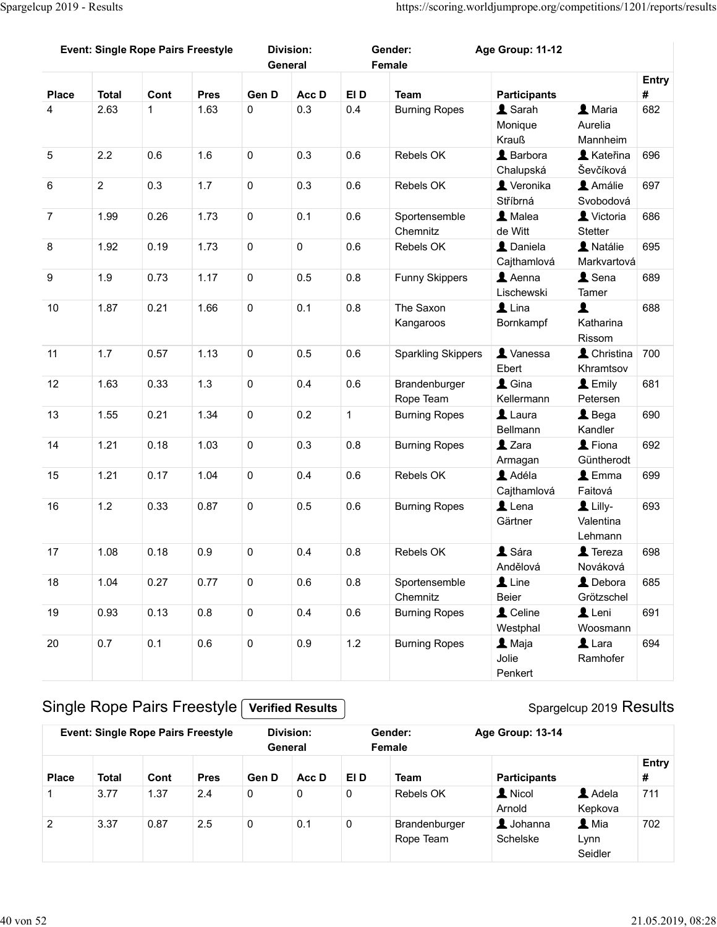| Spargelcup 2019 - Results |                      |              |                                           |                      |                         |                     |                                                                     |                                       |                               |            |
|---------------------------|----------------------|--------------|-------------------------------------------|----------------------|-------------------------|---------------------|---------------------------------------------------------------------|---------------------------------------|-------------------------------|------------|
|                           |                      |              |                                           |                      |                         |                     |                                                                     |                                       |                               |            |
|                           |                      |              |                                           |                      |                         |                     |                                                                     |                                       |                               |            |
|                           |                      |              |                                           |                      |                         |                     |                                                                     |                                       |                               |            |
|                           |                      |              |                                           |                      |                         |                     |                                                                     |                                       |                               |            |
|                           |                      |              |                                           |                      |                         |                     |                                                                     |                                       |                               |            |
|                           |                      |              |                                           |                      |                         |                     | https://scoring.worldjumprope.org/competitions/1201/reports/results |                                       |                               |            |
|                           |                      |              | <b>Event: Single Rope Pairs Freestyle</b> |                      | <b>Division:</b>        |                     | Gender:                                                             | Age Group: 11-12                      |                               |            |
|                           |                      |              |                                           |                      | General                 |                     | Female                                                              |                                       |                               |            |
| <b>Place</b>              | <b>Total</b>         | Cont         | <b>Pres</b>                               | Gen D                | Acc D                   | EI D                | <b>Team</b>                                                         | <b>Participants</b>                   |                               | Entry<br># |
| 4                         | 2.63                 | $\mathbf 1$  | 1.63                                      | $\mathbf 0$          | 0.3                     | 0.4                 | <b>Burning Ropes</b>                                                | L Sarah                               | L Maria                       | 682        |
|                           |                      |              |                                           |                      |                         |                     |                                                                     | Monique<br>Krauß                      | Aurelia<br>Mannheim           |            |
| $5\phantom{.0}$           | 2.2                  | 0.6          | 1.6                                       | $\mathbf 0$          | 0.3                     | 0.6                 | Rebels OK                                                           | L Barbora                             | <b>A</b> Kateřina             | 696        |
| $6\phantom{1}6$           | $\overline{2}$       | 0.3          | 1.7                                       | $\mathbf 0$          | 0.3                     | 0.6                 | Rebels OK                                                           | Chalupská<br>Veronika                 | Ševčíková<br>Amálie           | 697        |
|                           |                      |              |                                           |                      |                         |                     |                                                                     | Stříbrná                              | Svobodová                     |            |
| $\overline{7}$            | 1.99                 | 0.26         | 1.73                                      | $\mathbf 0$          | 0.1                     | 0.6                 | Sportensemble<br>Chemnitz                                           | L Malea<br>de Witt                    | Victoria<br>Stetter           | 686        |
| 8                         | 1.92                 | 0.19         | 1.73                                      | $\mathsf{O}\xspace$  | $\mathsf 0$             | 0.6                 | Rebels OK                                                           | $\overline{\mathbf{1}}$ Daniela       | A Natálie                     | 695        |
| $\boldsymbol{9}$          | 1.9                  | 0.73         | 1.17                                      | $\mathbf 0$          | $0.5\,$                 | $0.8\,$             | <b>Funny Skippers</b>                                               | Cajthamlová<br>$\blacktriangle$ Aenna | Markvartová<br>L Sena         | 689        |
|                           |                      |              |                                           |                      |                         |                     |                                                                     | Lischewski                            | Tamer                         |            |
| 10                        | 1.87                 | 0.21         | 1.66                                      | $\mathsf{O}\xspace$  | 0.1                     | $0.8\,$             | The Saxon<br>Kangaroos                                              | $\mathbf 1$ Lina<br>Bornkampf         | $\blacktriangle$<br>Katharina | 688        |
|                           |                      |              |                                           |                      |                         |                     |                                                                     |                                       | Rissom                        |            |
| 11                        | 1.7                  | 0.57         | 1.13                                      | $\mathsf{O}\xspace$  | 0.5                     | $0.6\,$             | <b>Sparkling Skippers</b>                                           | Vanessa<br>Ebert                      | Christina 700<br>Khramtsov    |            |
| 12                        | 1.63                 | 0.33         | 1.3                                       | $\mathsf{O}\xspace$  | 0.4                     | $0.6\,$             | Brandenburger                                                       | $\triangle$ Gina                      | L Emily                       | 681        |
| 13                        | 1.55                 | 0.21         | 1.34                                      | $\mathsf{O}\xspace$  | 0.2                     | $\mathbf{1}$        | Rope Team<br><b>Burning Ropes</b>                                   | Kellermann<br>$\mathbf 1$ Laura       | Petersen<br>$\triangle$ Bega  | 690        |
|                           |                      |              |                                           |                      |                         |                     |                                                                     | Bellmann                              | Kandler                       |            |
| 14                        | 1.21                 | 0.18         | 1.03                                      | $\mathsf{O}\xspace$  | 0.3                     | $0.8\,$             | <b>Burning Ropes</b>                                                | $2$ Zara                              | L Fiona<br>Güntherodt         | 692        |
| 15                        | 1.21                 | 0.17         | 1.04                                      | $\mathsf{O}\xspace$  | 0.4                     | $0.6\,$             | Rebels OK                                                           | Armagan<br>Adéla                      | $\triangle$ Emma              | 699        |
|                           |                      |              |                                           |                      |                         |                     |                                                                     | Cajthamlová                           | Faitová                       |            |
| 16                        | 1.2                  | 0.33         | 0.87                                      | $\mathbf 0$          | 0.5                     | $0.6\,$             | <b>Burning Ropes</b>                                                | $\mathbf 1$ Lena<br>Gärtner           | $L$ Lilly-<br>Valentina       | 693        |
| 17                        | 1.08                 | 0.18         | 0.9                                       | $\pmb{0}$            | 0.4                     | $0.8\,$             | Rebels OK                                                           | L Sára                                | Lehmann<br><b>1</b> Tereza    | 698        |
|                           |                      |              |                                           |                      |                         |                     |                                                                     | Andělová                              | Nováková                      |            |
| 18                        | 1.04                 | 0.27         | 0.77                                      | $\mathsf{O}\xspace$  | $0.6\,$                 | 0.8                 | Sportensemble<br>Chemnitz                                           | $\mathbf 1$ Line<br>Beier             | L Debora<br>Grötzschel        | 685        |
| 19                        | 0.93                 | 0.13         | 0.8                                       | $\mathsf 0$          | 0.4                     | $0.6\,$             | <b>Burning Ropes</b>                                                | L Celine                              | Leni                          | 691        |
| 20                        | 0.7                  | 0.1          | 0.6                                       | $\mathsf{O}\xspace$  | 0.9                     | $1.2$               |                                                                     | Westphal<br>$\blacktriangle$ Maja     | Woosmann<br>$\mathbf 1$ Lara  | 694        |
|                           |                      |              |                                           |                      |                         |                     | <b>Burning Ropes</b>                                                | Jolie                                 | Ramhofer                      |            |
|                           |                      |              |                                           |                      |                         |                     |                                                                     | Penkert                               |                               |            |
|                           |                      |              | Single Rope Pairs Freestyle               |                      | <b>Verified Results</b> |                     |                                                                     |                                       | Spargelcup 2019 Results       |            |
|                           |                      |              |                                           |                      | <b>Division:</b>        |                     | Gender:                                                             |                                       |                               |            |
|                           |                      |              | <b>Event: Single Rope Pairs Freestyle</b> | General              |                         |                     | Female                                                              | Age Group: 13-14                      |                               |            |
|                           |                      |              |                                           |                      |                         |                     |                                                                     |                                       |                               | Entry      |
| <b>Place</b>              | <b>Total</b><br>3.77 | Cont<br>1.37 | <b>Pres</b><br>2.4                        | Gen D<br>$\mathbf 0$ | Acc D<br>$\mathbf 0$    | EI D<br>$\mathbf 0$ | <b>Team</b><br>Rebels OK                                            | <b>Participants</b><br><b>A</b> Nicol | Adela                         | #<br>711   |
|                           |                      |              |                                           |                      |                         |                     |                                                                     | Arnold                                | Kepkova                       |            |
| $\overline{2}$            | 3.37                 | 0.87         | 2.5                                       | $\mathbf 0$          | 0.1                     | $\mathbf 0$         | Brandenburger<br>Rope Team                                          | $\blacktriangle$ Johanna<br>Schelske  | $\blacktriangle$ Mia<br>Lynn  | 702        |

|              |              |      | <b>Event: Single Rope Pairs Freestyle</b> |       | Division:<br>General |      | Gender:<br>Female          | Age Group: 13-14                |                                                   |            |
|--------------|--------------|------|-------------------------------------------|-------|----------------------|------|----------------------------|---------------------------------|---------------------------------------------------|------------|
| <b>Place</b> | <b>Total</b> | Cont | <b>Pres</b>                               | Gen D | Acc D                | EI D | <b>Team</b>                | <b>Participants</b>             |                                                   | Entry<br># |
|              | 3.77         | 1.37 | 2.4                                       | 0     | 0                    | 0    | Rebels OK                  | <b>A</b> Nicol<br>Arnold        | $\blacktriangle$ Adela<br>Kepkova                 | 711        |
| 2            | 3.37         | 0.87 | 2.5                                       | 0     | 0.1                  | 0    | Brandenburger<br>Rope Team | $\triangle$ Johanna<br>Schelske | $\mathbf{\mathbf{\Omega}}$ Mia<br>Lynn<br>Seidler | 702        |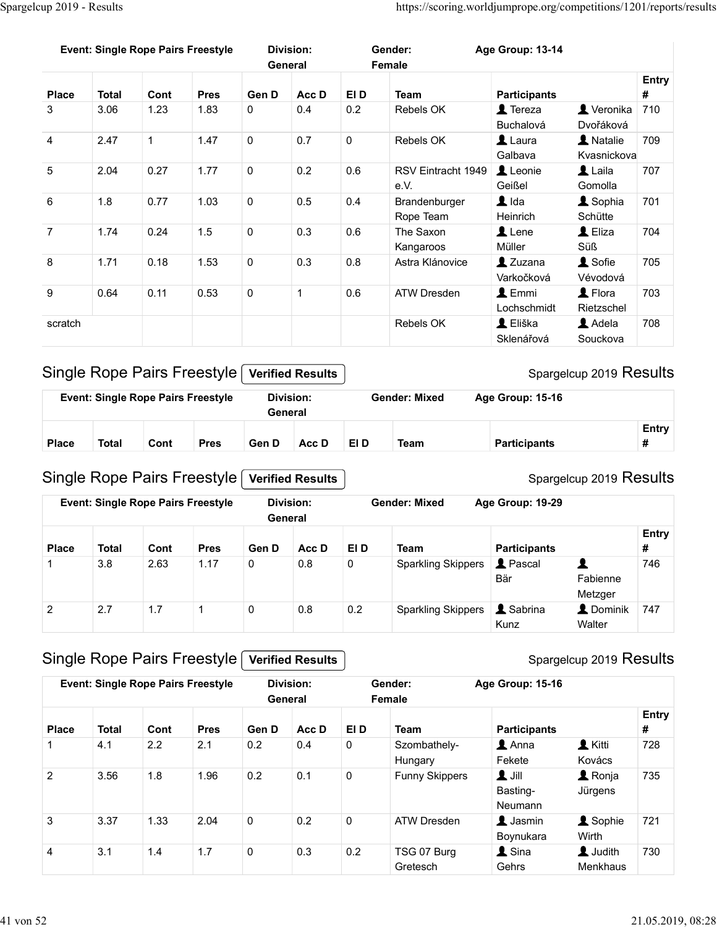| Spargelcup 2019 - Results    |                         |              |                                           |                     |                             |             | https://scoring.worldjumprope.org/competitions/1201/reports/results |                                                             |                                       |                   |
|------------------------------|-------------------------|--------------|-------------------------------------------|---------------------|-----------------------------|-------------|---------------------------------------------------------------------|-------------------------------------------------------------|---------------------------------------|-------------------|
|                              |                         |              |                                           |                     |                             |             |                                                                     |                                                             |                                       |                   |
|                              |                         |              | <b>Event: Single Rope Pairs Freestyle</b> |                     | <b>Division:</b><br>General |             | Gender:<br>Female                                                   | Age Group: 13-14                                            |                                       |                   |
|                              | <b>Total</b>            | Cont         |                                           | Gen D               | Acc D                       | EI D        |                                                                     |                                                             |                                       | <b>Entry</b><br># |
| <b>Place</b><br>$\mathbf{3}$ | 3.06                    | 1.23         | <b>Pres</b><br>1.83                       | $\mathbf 0$         | 0.4                         | 0.2         | <b>Team</b><br>Rebels OK                                            | <b>Participants</b><br>$\blacktriangle$ Tereza<br>Buchalová | Veronika 710<br>Dvořáková             |                   |
| $\overline{4}$               | 2.47                    | $\mathbf{1}$ | 1.47                                      | $\mathbf 0$         | 0.7                         | $\mathbf 0$ | Rebels OK                                                           | $\mathbf 1$ Laura                                           | A Natalie                             | 709               |
| $5\phantom{.0}$              | 2.04                    | 0.27         | 1.77                                      | $\mathbf 0$         | 0.2                         | 0.6         | RSV Eintracht 1949<br>e.V.                                          | Galbava<br>Leonie                                           | Kvasnickova<br>$\blacktriangle$ Laila | 707               |
| 6                            | 1.8                     | 0.77         | 1.03                                      | $\mathbf 0$         | 0.5                         | 0.4         | Brandenburger                                                       | Geißel<br>$\blacktriangle$ Ida                              | Gomolla<br><b>1</b> Sophia            | 701               |
| 7                            | 1.74                    | 0.24         | 1.5                                       | 0                   | 0.3                         | 0.6         | Rope Team<br>The Saxon                                              | Heinrich<br>Lene                                            | Schütte<br>L Eliza                    | 704               |
| 8                            | 1.71                    | 0.18         | 1.53                                      | $\mathsf{O}\xspace$ | 0.3                         | 0.8         | Kangaroos<br>Astra Klánovice                                        | Müller<br>$2$ Zuzana                                        | Süß<br><b>1</b> Sofie                 | 705               |
| 9                            | 0.64                    | 0.11         | 0.53                                      | $\mathsf{O}\xspace$ | $\overline{1}$              | 0.6         | ATW Dresden                                                         | Varkočková<br>$\blacktriangle$ Emmi                         | Vévodová<br>$\blacktriangle$ Flora    | 703               |
| scratch                      |                         |              |                                           |                     |                             |             | Rebels OK                                                           | Lochschmidt<br>L Eliška                                     | Rietzschel<br>Adela                   | 708               |
|                              |                         |              |                                           |                     |                             |             |                                                                     | Sklenářová                                                  | Souckova                              |                   |
|                              |                         |              | Single Rope Pairs Freestyle               |                     | <b>Verified Results</b>     |             |                                                                     |                                                             | Spargelcup 2019 Results               |                   |
|                              |                         |              | <b>Event: Single Rope Pairs Freestyle</b> |                     | <b>Division:</b><br>General |             | <b>Gender: Mixed</b>                                                | Age Group: 15-16                                            |                                       |                   |
|                              |                         |              |                                           |                     |                             |             |                                                                     |                                                             |                                       | Entry             |
| <b>Place</b>                 | <b>Total</b>            | Cont         | <b>Pres</b>                               | Gen D               | Acc D                       | EI D        | <b>Team</b>                                                         | <b>Participants</b>                                         |                                       | #                 |
|                              |                         |              | Single Rope Pairs Freestyle               |                     | <b>Verified Results</b>     |             |                                                                     |                                                             | Spargelcup 2019 Results               |                   |
|                              |                         |              | <b>Event: Single Rope Pairs Freestyle</b> |                     | <b>Division:</b>            |             | <b>Gender: Mixed</b>                                                | Age Group: 19-29                                            |                                       |                   |
|                              |                         |              |                                           |                     | General                     |             |                                                                     |                                                             |                                       | Entry             |
| <b>Place</b>                 | <b>Total</b><br>$3.8\,$ | Cont         | <b>Pres</b>                               | Gen D               | Acc D                       | EI D        | <b>Team</b><br><b>Sparkling Skippers</b>                            | <b>Participants</b><br><b>1</b> Pascal                      | $\blacktriangle$                      | #<br>746          |
| 1                            |                         | 2.63         | 1.17                                      | $\mathbf 0$         | $0.8\,$                     | $\mathbf 0$ |                                                                     |                                                             |                                       |                   |

| ar: Mivad | $Ans$ Group: $15-16$    |
|-----------|-------------------------|
|           | Spargelcup 2019 Results |

|              |       | <b>Event: Single Rope Pairs Freestyle</b> |             | Division:<br>General |       |      | Gender: Mixed | Age Group: 15-16    |       |
|--------------|-------|-------------------------------------------|-------------|----------------------|-------|------|---------------|---------------------|-------|
|              |       |                                           |             |                      |       |      |               |                     | Entry |
| <b>Place</b> | Total | Cont                                      | <b>Pres</b> | Gen D                | Acc D | EI D | Team          | <b>Participants</b> |       |

#### Single Rope Pairs Freestyle Verified Results

8 1.71 0.18 1.53 0 0.3 0.8 Asta Kangaroovic Muller Successor<br>
9 0.64 0.11 0.53 0 1 0.6 ATW Dreader Machineshovic Vévorová Vévorová Vévorová vévorová vévorová vévorová vévorová vévorová vévorová vévorová vévorová vévorová v **Entry**  $\#$   $\qquad$ 1.71 0.18 1.53 0 0.3 0.8 Astra Kianovice **Σ** 2.7 1.7 1 0.18 1.53 0 0.3 0.8 Astra Kianovice **Σ** 2.63 1.17 0 0.8 0.2 Sparkling Skippers **Σ** Sharing Skippers **Σ** Chemina **Ending** Skippers **Example 1.1** 2.63 1.17 1 0 0.8 0.2 Scratch<br>
Single Rope Pairs Freestyle **Ventied Results**<br>
Eliska Shenafova<br>
Shenafova Souckova<br>
21 2019 Results<br>
Event: Single Rope Pairs Freestyle Division:<br>
22 2.7 1.7 1 0 0.8 0.2 Sparkling Skippers Tension<br>
22 2.7 1.7 1 0 Place Total Cont Pres Gen D Acc D El D Team Participants Firsty<br>
Event: Single Rope Pairs Freestyle Werlford Results<br>
Place Total Cont Pres Gen D Acc D El D Team Participants and Entry<br>
Place Total Cont Pres Gen D Acc D El **General Q** Pascal **Q** Bär Fabienne Metzger Sabrina **L**Dominik 747 Kunz Walter Event: Single Rope Pairs Freestyle **Control Containers**<br>
Event: Single Rope Pairs Freestyle **Contributions**<br>
Event: Single Rope Pairs Freestyle **Contributions**<br>
Sparecup 2019 Res<br>
Event: Single Rope Pairs Freestyle **Divisi** 

#### Single Rope Pairs Freestyle Verified Results

#### Spargelcup 2019 Results

| <b>Place</b>   | <b>Total</b>        | Cont        | <b>Pres</b>                               | Gen D        | Acc D                       | EI D                | <b>Team</b>                     | <b>Participants</b>                       |                            | #                 |
|----------------|---------------------|-------------|-------------------------------------------|--------------|-----------------------------|---------------------|---------------------------------|-------------------------------------------|----------------------------|-------------------|
|                |                     |             | Single Rope Pairs Freestyle               |              | <b>Verified Results</b>     |                     |                                 |                                           | Spargelcup 2019 Results    |                   |
|                |                     |             | <b>Event: Single Rope Pairs Freestyle</b> |              | <b>Division:</b><br>General |                     | <b>Gender: Mixed</b>            | Age Group: 19-29                          |                            |                   |
| <b>Place</b>   | <b>Total</b>        | Cont        | <b>Pres</b>                               | Gen D        | Acc D                       | EI D                | <b>Team</b>                     | <b>Participants</b>                       |                            | <b>Entry</b><br># |
|                | 3.8                 | 2.63        | 1.17                                      | 0            | 0.8                         | $\mathbf 0$         | <b>Sparkling Skippers</b>       | <b>1</b> Pascal<br>Bär                    | 2<br>Fabienne<br>Metzger   | 746               |
| 2              | 2.7                 | 1.7         | $\mathbf{1}$                              | 0            | $0.8\,$                     | 0.2                 | <b>Sparkling Skippers</b>       | & Sabrina<br>Kunz                         | <b>L</b> Dominik<br>Walter | 747               |
|                |                     |             | Single Rope Pairs Freestyle               |              | <b>Verified Results</b>     |                     |                                 | Spargelcup 2019 Results                   |                            |                   |
|                |                     |             | <b>Event: Single Rope Pairs Freestyle</b> |              | <b>Division:</b><br>General |                     | Gender:<br>Female               | Age Group: 15-16                          |                            |                   |
|                |                     |             |                                           |              |                             |                     |                                 |                                           |                            | <b>Entry</b>      |
| Place<br>-1    | <b>Total</b><br>4.1 | Cont<br>2.2 | <b>Pres</b><br>2.1                        | Gen D<br>0.2 | Acc D<br>0.4                | EI D<br>$\mathbf 0$ | Team<br>Szombathely-<br>Hungary | <b>Participants</b><br>$2$ Anna<br>Fekete | <b>A</b> Kitti<br>Kovács   | #<br>728          |
| $\overline{2}$ | 3.56                | 1.8         | 1.96                                      | 0.2          | 0.1                         | $\mathsf 0$         | <b>Funny Skippers</b>           | $\mathbf 1$ Jill<br>Basting-<br>Neumann   | <b>A</b> Ronja<br>Jürgens  | 735               |
| 3              | 3.37                | 1.33        | 2.04                                      | $\mathbf 0$  | 0.2                         | $\mathsf 0$         | <b>ATW Dresden</b>              | L Jasmin<br>Boynukara                     | <b>1</b> Sophie<br>Wirth   | 721               |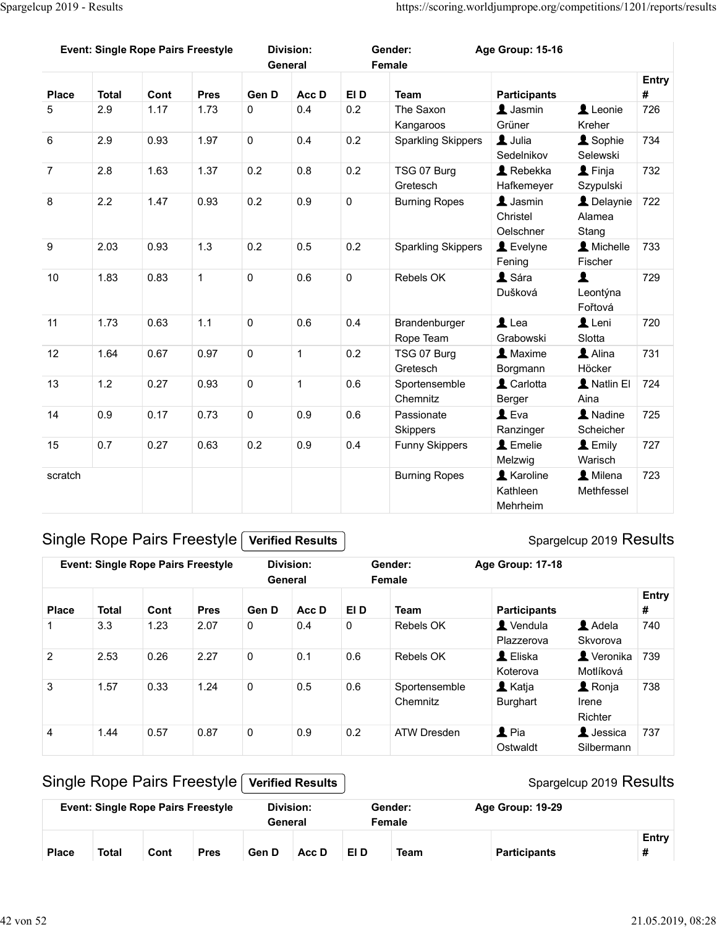|                   | Spargelcup 2019 - Results |              |                                           |                      |                             |             | https://scoring.worldjumprope.org/competitions/1201/reports/results |                                                |                                     |                   |
|-------------------|---------------------------|--------------|-------------------------------------------|----------------------|-----------------------------|-------------|---------------------------------------------------------------------|------------------------------------------------|-------------------------------------|-------------------|
|                   |                           |              |                                           |                      |                             |             |                                                                     |                                                |                                     |                   |
|                   |                           |              | <b>Event: Single Rope Pairs Freestyle</b> |                      | <b>Division:</b><br>General |             | Gender:<br>Female                                                   | Age Group: 15-16                               |                                     |                   |
|                   |                           |              |                                           |                      |                             |             |                                                                     |                                                |                                     | <b>Entry</b>      |
| <b>Place</b><br>5 | <b>Total</b><br>2.9       | Cont<br>1.17 | <b>Pres</b><br>1.73                       | Gen D<br>$\mathbf 0$ | Acc D<br>0.4                | EI D<br>0.2 | <b>Team</b><br>The Saxon                                            | <b>Participants</b><br>$\blacktriangle$ Jasmin | Leonie                              | #<br>726          |
|                   |                           |              |                                           |                      |                             |             | Kangaroos                                                           | Grüner                                         | Kreher                              |                   |
| $6\phantom{1}6$   | 2.9                       | 0.93         | 1.97                                      | $\mathbf 0$          | 0.4                         | 0.2         | <b>Sparkling Skippers</b>                                           | L Julia<br>Sedelnikov                          | <b>A</b> Sophie<br>Selewski         | 734               |
| $\overline{7}$    | 2.8                       | 1.63         | 1.37                                      | 0.2                  | 0.8                         | 0.2         | TSG 07 Burg<br>Gretesch                                             | $\triangle$ Rebekka<br>Hafkemeyer              | $\blacktriangle$ Finja<br>Szypulski | 732               |
| 8                 | 2.2                       | 1.47         | 0.93                                      | 0.2                  | 0.9                         | $\mathbf 0$ | <b>Burning Ropes</b>                                                | $\blacktriangle$ Jasmin                        | Delaynie 722                        |                   |
|                   |                           |              |                                           |                      |                             |             |                                                                     | Christel<br>Oelschner                          | Alamea<br>Stang                     |                   |
| 9                 | 2.03                      | 0.93         | $1.3$                                     | 0.2                  | 0.5                         | $0.2\,$     | <b>Sparkling Skippers</b>                                           | L Evelyne                                      | <b>A</b> Michelle                   | 733               |
| 10                | 1.83                      | 0.83         | $\mathbf{1}$                              | $\mathsf{O}\xspace$  | $0.6\,$                     | $\mathbf 0$ | Rebels OK                                                           | Fening<br>L Sára                               | Fischer<br>1                        | 729               |
|                   |                           |              |                                           |                      |                             |             |                                                                     | Dušková                                        | Leontýna                            |                   |
| 11                | 1.73                      | 0.63         | $1.1$                                     | $\mathsf{O}\xspace$  | 0.6                         | 0.4         | Brandenburger                                                       | $\mathbf 1$ Lea                                | Fořtová<br>Leni                     | 720               |
|                   |                           |              |                                           |                      |                             |             | Rope Team                                                           | Grabowski                                      | Slotta                              |                   |
| 12                | 1.64                      | 0.67         | 0.97                                      | $\mathbf 0$          | $\overline{1}$              | 0.2         | TSG 07 Burg<br>Gretesch                                             | 1 Maxime<br>Borgmann                           | Alina<br>Höcker                     | 731               |
| 13                | 1.2                       | 0.27         | 0.93                                      | $\mathsf{O}\xspace$  | $\overline{1}$              | 0.6         | Sportensemble<br>Chemnitz                                           | L Carlotta<br>Berger                           | A Natlin El<br>Aina                 | 724               |
| 14                | 0.9                       | 0.17         | 0.73                                      | $\mathsf 0$          | 0.9                         | 0.6         | Passionate                                                          | $\mathbf 1$ Eva                                | A Nadine                            | 725               |
| 15                | 0.7                       | 0.27         | 0.63                                      | $0.2\,$              | 0.9                         | 0.4         | Skippers<br><b>Funny Skippers</b>                                   | Ranzinger<br>$L$ Emelie                        | Scheicher<br>L Emily                | 727               |
|                   |                           |              |                                           |                      |                             |             |                                                                     | Melzwig                                        | Warisch                             |                   |
| scratch           |                           |              |                                           |                      |                             |             | <b>Burning Ropes</b>                                                | <b>A</b> Karoline<br>Kathleen                  | <b>A</b> Milena<br>Methfessel       | 723               |
|                   |                           |              |                                           |                      |                             |             |                                                                     | Mehrheim                                       |                                     |                   |
|                   |                           |              | Single Rope Pairs Freestyle               |                      | <b>Verified Results</b>     |             |                                                                     |                                                | Spargelcup 2019 Results             |                   |
|                   |                           |              |                                           |                      | <b>Division:</b>            |             | Gender:                                                             |                                                |                                     |                   |
|                   |                           |              | <b>Event: Single Rope Pairs Freestyle</b> |                      | General                     |             | Female                                                              | Age Group: 17-18                               |                                     |                   |
| <b>Place</b>      | <b>Total</b>              | Cont         | <b>Pres</b>                               | Gen D                | Acc D                       | EI D        | <b>Team</b>                                                         | <b>Participants</b>                            |                                     | <b>Entry</b><br># |
| 1                 | 3.3                       | 1.23         | 2.07                                      | $\mathbf 0$          | 0.4                         | 0           | Rebels OK                                                           | Vendula                                        | Adela                               | 740               |
| $\overline{2}$    | 2.53                      | 0.26         | 2.27                                      | $\mathbf 0$          | 0.1                         | $0.6\,$     | Rebels OK                                                           | Plazzerova<br>$\triangle$ Eliska               | Skvorova<br>Veronika 739            |                   |
|                   |                           |              |                                           |                      |                             |             |                                                                     | Koterova                                       | Motlíková                           |                   |
| $\mathbf{3}$      | 1.57                      | 0.33         | 1.24                                      | $\mathbf 0$          | 0.5                         | 0.6         | Sportensemble                                                       | L Katja                                        | <b>1</b> Ronja                      | 738               |

#### Spargelcup 2019 Results

| 12             | 1.64         | 0.67 | 0.97                                      | $\mathbf 0$         | -1                          | 0.2                 | TSG 07 Burg<br>Gretesch   | <b>A</b> Maxime<br>Borgmann               | Alina<br>Höcker                    | 731        |
|----------------|--------------|------|-------------------------------------------|---------------------|-----------------------------|---------------------|---------------------------|-------------------------------------------|------------------------------------|------------|
| 13             | 1.2          | 0.27 | 0.93                                      | $\mathsf{O}\xspace$ | $\mathbf{1}$                | 0.6                 | Sportensemble<br>Chemnitz | L Carlotta<br>Berger                      | L Natlin El<br>Aina                | 724        |
| 14             | 0.9          | 0.17 | 0.73                                      | $\mathbf 0$         | 0.9                         | 0.6                 | Passionate<br>Skippers    | $L$ Eva<br>Ranzinger                      | A Nadine<br>Scheicher              | 725        |
| 15             | 0.7          | 0.27 | 0.63                                      | 0.2                 | $0.9\,$                     | 0.4                 | <b>Funny Skippers</b>     | L Emelie<br>Melzwig                       | L Emily<br>Warisch                 | 727        |
| scratch        |              |      |                                           |                     |                             |                     | <b>Burning Ropes</b>      | <b>A</b> Karoline<br>Kathleen<br>Mehrheim | <b>1</b> Milena<br>Methfessel      | 723        |
|                |              |      | Single Rope Pairs Freestyle               |                     | <b>Verified Results</b>     |                     |                           |                                           | Spargelcup 2019 Results            |            |
|                |              |      | <b>Event: Single Rope Pairs Freestyle</b> |                     | <b>Division:</b><br>General |                     | Gender:<br>Female         | Age Group: 17-18                          |                                    |            |
| <b>Place</b>   | <b>Total</b> | Cont | <b>Pres</b>                               | Gen D               | Acc D                       | EI D                | <b>Team</b>               | <b>Participants</b>                       |                                    | Entry<br># |
| $\mathbf{1}$   | 3.3          | 1.23 | 2.07                                      | $\mathsf{O}\xspace$ | 0.4                         | $\mathsf{O}\xspace$ | Rebels OK                 | L Vendula<br>Plazzerova                   | Adela<br>Skvorova                  | 740        |
| $\overline{2}$ | 2.53         | 0.26 | 2.27                                      | $\mathbf 0$         | 0.1                         | 0.6                 | Rebels OK                 | L Eliska<br>Koterova                      | <b>L</b> Veronika<br>Motlíková     | 739        |
| $\mathbf{3}$   | 1.57         | 0.33 | 1.24                                      | $\mathsf{O}\xspace$ | 0.5                         | 0.6                 | Sportensemble<br>Chemnitz | <b>1</b> Katja<br><b>Burghart</b>         | <b>1</b> Ronja<br>Irene<br>Richter | 738        |
| $\overline{4}$ | 1.44         | 0.57 | 0.87                                      | $\mathsf{O}\xspace$ | 0.9                         | 0.2                 | <b>ATW Dresden</b>        | $2$ Pia<br>Ostwaldt                       | <b>L</b> Jessica<br>Silbermann     | 737        |
|                |              |      | Single Rope Pairs Freestyle               |                     | <b>Verified Results</b>     |                     |                           |                                           | Spargelcup 2019 Results            |            |
|                |              |      | <b>Event: Single Rope Pairs Freestyle</b> |                     | <b>Division:</b><br>General |                     | Gender:<br>Female         | Age Group: 19-29                          |                                    |            |
|                | <b>Total</b> | Cont | <b>Pres</b>                               | Gen D               | Acc D                       | EI D                | <b>Team</b>               | <b>Participants</b>                       |                                    | Entry<br># |

## Single Rope Pairs Freestyle [Verified Results]

|              |              |      | <b>Event: Single Rope Pairs Freestyle</b> | Division:<br>General |       |      | Gender:<br>Female | Age Group: 19-29    |       |
|--------------|--------------|------|-------------------------------------------|----------------------|-------|------|-------------------|---------------------|-------|
| <b>Place</b> | <b>Total</b> | Cont | <b>Pres</b>                               | Gen D                | Acc D | EI D | Team              | <b>Participants</b> | Entry |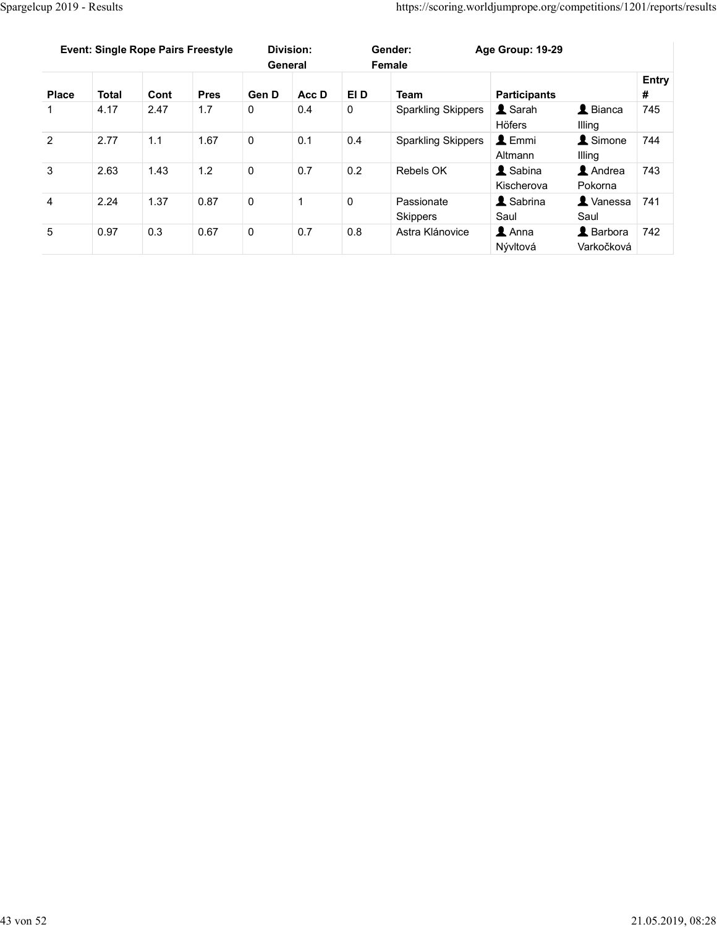|                | Spargelcup 2019 - Results                 |      |             |                     |                  |                     | https://scoring.worldjumprope.org/competitions/1201/reports/results |                              |                                   |       |
|----------------|-------------------------------------------|------|-------------|---------------------|------------------|---------------------|---------------------------------------------------------------------|------------------------------|-----------------------------------|-------|
|                |                                           |      |             |                     |                  |                     |                                                                     |                              |                                   |       |
|                |                                           |      |             |                     |                  |                     |                                                                     |                              |                                   |       |
|                |                                           |      |             |                     |                  |                     |                                                                     |                              |                                   |       |
|                | <b>Event: Single Rope Pairs Freestyle</b> |      |             |                     | <b>Division:</b> |                     | Gender:                                                             | Age Group: 19-29             |                                   |       |
|                |                                           |      |             |                     | General          |                     | Female                                                              |                              |                                   | Entry |
| <b>Place</b>   | <b>Total</b>                              | Cont | <b>Pres</b> | Gen D               | Acc D            | EI D                | <b>Team</b>                                                         | <b>Participants</b>          |                                   | $\#$  |
| $\mathbf{1}$   | 4.17                                      | 2.47 | 1.7         | $\mathbf 0$         | 0.4              | $\mathsf{O}\xspace$ | <b>Sparkling Skippers</b>                                           | Sarah<br>Höfers              | $\blacktriangle$ Bianca<br>Illing | 745   |
| $\overline{2}$ | 2.77                                      | 1.1  | 1.67        | $\overline{0}$      | 0.1              | 0.4                 | <b>Sparkling Skippers</b>                                           | L Emmi                       | Simone                            | 744   |
| $\mathbf{3}$   | 2.63                                      | 1.43 | 1.2         | $\mathsf{O}\xspace$ | 0.7              | 0.2                 | Rebels OK                                                           | Altmann<br><b>1</b> Sabina   | Illing<br>Andrea                  | 743   |
|                |                                           |      |             |                     |                  |                     |                                                                     | Kischerova                   | Pokorna                           |       |
| $\overline{4}$ | 2.24                                      | 1.37 | 0.87        | $\mathsf 0$         | $\mathbf{1}$     | $\mathbf 0$         | Passionate<br>Skippers                                              | <b>1</b> Sabrina<br>Saul     | X Vanessa 741<br>Saul             |       |
| $\overline{5}$ | 0.97                                      | 0.3  | 0.67        | $\mathsf 0$         | 0.7              | 0.8                 | Astra Klánovice                                                     | $\triangle$ Anna<br>Nývltová | Barbora 742<br>Varkočková         |       |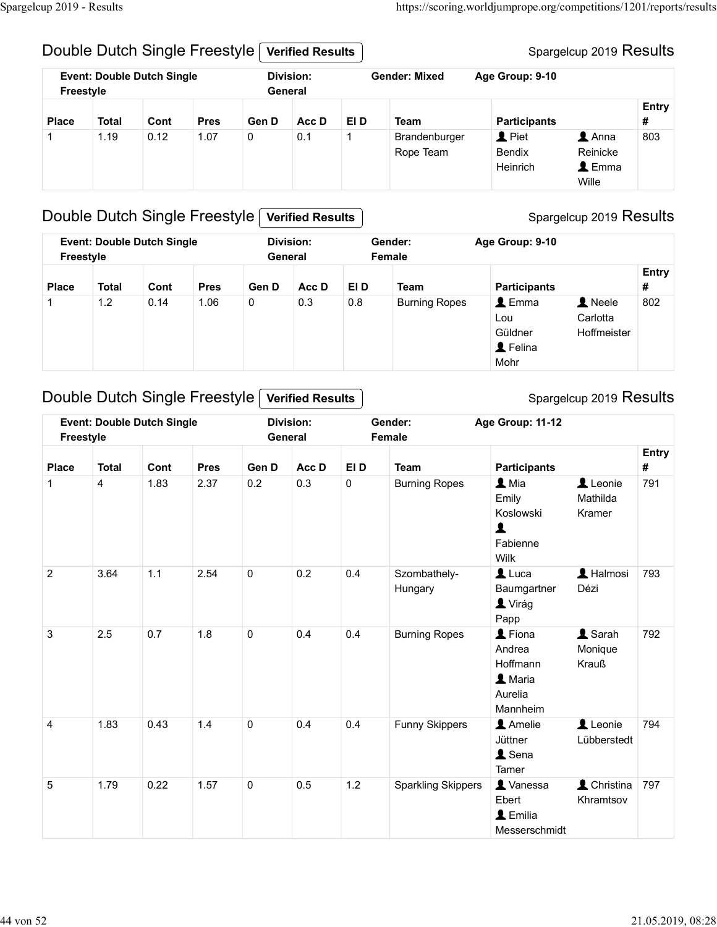#### Double Dutch Single Freestyle Verified Results

#### Spargelcup 2019 Results

|                              | Spargelcup 2019 - Results         |              |                               |                      |                             |                      |                              | https://scoring.worldjumprope.org/competitions/1201/reports/results |                         |              |
|------------------------------|-----------------------------------|--------------|-------------------------------|----------------------|-----------------------------|----------------------|------------------------------|---------------------------------------------------------------------|-------------------------|--------------|
|                              |                                   |              |                               |                      |                             |                      |                              |                                                                     |                         |              |
|                              |                                   |              | Double Dutch Single Freestyle |                      | <b>Verified Results</b>     |                      |                              |                                                                     | Spargelcup 2019 Results |              |
| Freestyle                    | <b>Event: Double Dutch Single</b> |              |                               |                      | <b>Division:</b><br>General |                      | <b>Gender: Mixed</b>         | Age Group: 9-10                                                     |                         |              |
|                              |                                   |              |                               |                      |                             |                      |                              |                                                                     |                         | <b>Entry</b> |
| <b>Place</b><br>$\mathbf{1}$ | <b>Total</b><br>1.19              | Cont<br>0.12 | <b>Pres</b><br>1.07           | Gen D<br>$\mathbf 0$ | Acc D<br>0.1                | EI D<br>$\mathbf{1}$ | <b>Team</b><br>Brandenburger | <b>Participants</b><br>$\blacktriangle$ Piet                        | $\blacktriangle$ Anna   | #<br>803     |

## Double Dutch Single Freestyle Verified Results

| $\exp 2\overline{019}$ - Results |              |                                   |                               |              |                             |              |                            | https://scoring.worldjumprope.org/competitions/1201/reports/results            |                                                           |                   |
|----------------------------------|--------------|-----------------------------------|-------------------------------|--------------|-----------------------------|--------------|----------------------------|--------------------------------------------------------------------------------|-----------------------------------------------------------|-------------------|
|                                  |              |                                   | Double Dutch Single Freestyle |              | <b>Verified Results</b>     |              |                            |                                                                                | Spargelcup 2019 Results                                   |                   |
| Freestyle                        |              | <b>Event: Double Dutch Single</b> |                               |              | <b>Division:</b><br>General |              | <b>Gender: Mixed</b>       | Age Group: 9-10                                                                |                                                           |                   |
| <b>Place</b>                     | <b>Total</b> | Cont                              | <b>Pres</b>                   | Gen D        | Acc D                       | EI D         | <b>Team</b>                | <b>Participants</b>                                                            |                                                           | <b>Entry</b><br># |
|                                  | 1.19         | 0.12                              | 1.07                          | $\mathbf{0}$ | 0.1                         | $\mathbf{1}$ | Brandenburger<br>Rope Team | <b>1</b> Piet<br><b>Bendix</b><br>Heinrich                                     | $\triangle$ Anna<br>Reinicke<br>$\triangle$ Emma<br>Wille | 803               |
|                                  |              |                                   | Double Dutch Single Freestyle |              | <b>Verified Results</b>     |              |                            |                                                                                | Spargelcup 2019 Results                                   |                   |
| Freestyle                        |              | <b>Event: Double Dutch Single</b> |                               |              | <b>Division:</b><br>General |              | Gender:<br>Female          | Age Group: 9-10                                                                |                                                           |                   |
| <b>Place</b>                     | <b>Total</b> | Cont                              | <b>Pres</b>                   | Gen D        | Acc D                       | EI D         | <b>Team</b>                | <b>Participants</b>                                                            |                                                           | Entry<br>#        |
| -1                               | 1.2          | 0.14                              | 1.06                          | $\Omega$     | 0.3                         | 0.8          | <b>Burning Ropes</b>       | $\triangle$ Emma<br>Lou<br>Güldner<br>L Felina<br>Mohr                         | 1 Neele<br>Carlotta<br>Hoffmeister                        | 802               |
|                                  |              |                                   | Double Dutch Single Freestyle |              | <b>Verified Results</b>     |              |                            |                                                                                | Spargelcup 2019 Results                                   |                   |
| Freestyle                        |              | <b>Event: Double Dutch Single</b> |                               |              | <b>Division:</b><br>General |              | Gender:<br>Female          | Age Group: 11-12                                                               |                                                           |                   |
| <b>Place</b>                     | <b>Total</b> | Cont                              | <b>Pres</b>                   | Gen D        | Acc D                       | EI D         | <b>Team</b>                | <b>Participants</b>                                                            |                                                           | <b>Entry</b><br># |
|                                  | 4            | 1.83                              | 2.37                          | 0.2          | 0.3                         | $\mathbf 0$  | <b>Burning Ropes</b>       | $\mathbf{\mathbf{\underline{I}}}$ Mia<br>Emily<br>Koslowski<br><b>Echionno</b> | Leonie<br>Mathilda<br>Kramer                              | 791               |

#### Double Dutch Single Freestyle Verified Results

**Entry**  $\#$   $\qquad$ Ville<br>
1 2 1.83 2.37 0.2 0.3 0 Burning Ropes 1<br>
Freestyle Central Contributed Results<br>
Freestyle Central Contribution: Age Group: 9-10<br>
1 1.2 0.14 1.06 0 3.3 0.8 Burning Ropes 1<br>
2 Felina Hoffmeister<br>
2 Duble Dutch Single Piace Total Cont Pres Gen D Acc D EID Team Participants at the second of the second of the second of the second of the second of the second of the second of the second of the second of the second of the second of the seco Hungary Baumgartner 793 3 2.5 0.7 1.8 0 0.4 0.4 Burning Ropes **Σ** Andrea Monique<br>
3 2.5 0.7 1.8 0 0.4 0.4 Burning Ropes **Andre Monique 792.19 Results**<br>
3 2.5 0.7 1.8 0 0.4 0.4 Burning Ropes **A**ndre Monique Hoffmania<br>
3 2.5 0.7 1.8 0 0.4 0.4 Bur Event Double Dutch Single District Counter Counter 1.83 0.43 1.4 0 0.4 0.4 Funny Skippers **1.4** Ministrate Machine<br>
1.83 0.43 1.4 0 0.4 0.4 Funny Skippers **1.4** Ministrate Machine<br>
1.83 0.43 1.4 0 0.4 0.4 Euming Ropes **2.** 1 4 1.83 2.37 0.2 0.3 0 Burning Repes **E**mily Mathilda Koslovski Kramer<br>
5 1.79 0.22 1.57 0 0.5 1.2 Sparkling Skippers **1.**<br>
1.79 0.22 1.57 0 0.5 1.2 Sparkling Skippers **1.**<br>
1.79 0.22 1.57 0 0.5 1.2 Sparkling Skippers **1.** Event: Double Dutch Single **Example 20** Division: **Canadiation** Gender: Freestyle Division: **General** Gender: Age Group: 11-12 Female Mia **Leonie** 791 Emily Mathilda Koslowski Kramer Fabienne Wilk Luca **L** Halmosi 1793 Dézi **1** Virág Papp Fiona Sarah Andrea Monique Hoffmann Krauß **A** Maria Aurelia Mannheim Amelie **Leonie** 794 Jüttner Lübberstedt **1** Sena **Tamer** Vanessa **L** Christina 797 Ebert Khramtsov **1** Emilia Messerschmidt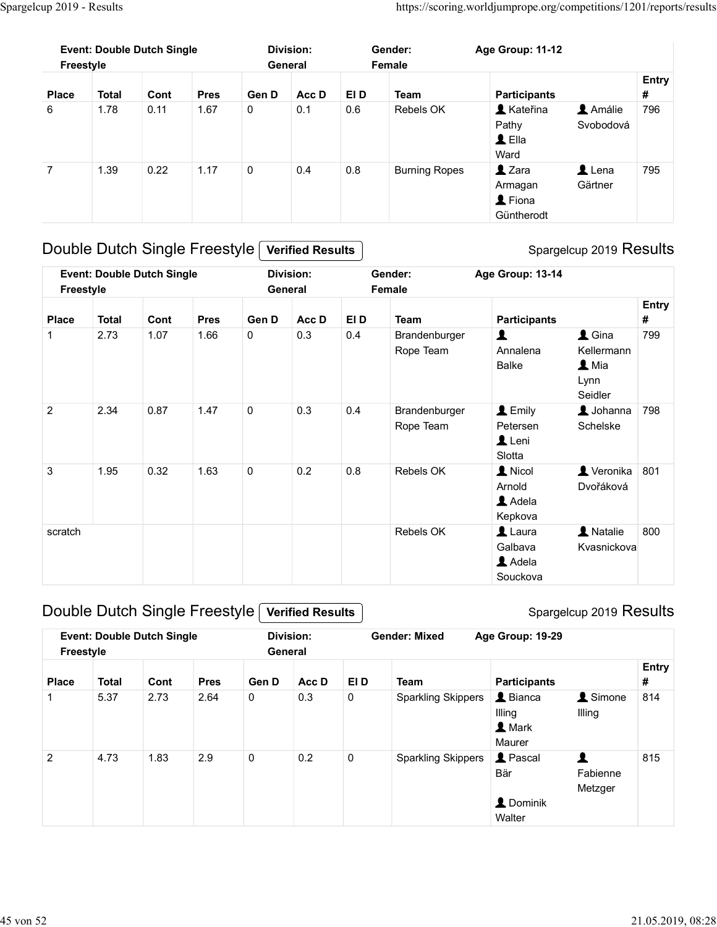| Spargelcup 2019 - Results |                                                |              |                     |                                                |                             |             |                            |                                                                                         |                                                        |                   |
|---------------------------|------------------------------------------------|--------------|---------------------|------------------------------------------------|-----------------------------|-------------|----------------------------|-----------------------------------------------------------------------------------------|--------------------------------------------------------|-------------------|
|                           | <b>Event: Double Dutch Single</b><br>Freestyle |              |                     |                                                | <b>Division:</b><br>General |             | Gender:<br>Female          | https://scoring.worldjumprope.org/competitions/1201/reports/results<br>Age Group: 11-12 |                                                        | Entry             |
| <b>Place</b><br>6         | <b>Total</b><br>1.78                           | Cont<br>0.11 | <b>Pres</b><br>1.67 | Gen D<br>$\mathsf{O}\xspace$                   | Acc D<br>0.1                | EI D<br>0.6 | <b>Team</b><br>Rebels OK   | <b>Participants</b><br><b>A</b> Kateřina<br>Pathy<br>$\triangle$ Ella<br>Ward           | Amálie<br>Svobodová                                    | $\pmb{\#}$<br>796 |
| $\overline{7}$            | 1.39                                           | 0.22         | 1.17                | $\mathbf 0$                                    | 0.4                         | $0.8\,$     | <b>Burning Ropes</b>       | $2$ Zara<br>Armagan<br>L Fiona<br>Güntherodt                                            | $\mathbf 1$ Lena<br>Gärtner                            | 795               |
|                           |                                                |              |                     | Double Dutch Single Freestyle Verified Results |                             |             |                            |                                                                                         | Spargelcup 2019 Results                                |                   |
|                           | <b>Event: Double Dutch Single</b><br>Freestyle |              |                     |                                                | <b>Division:</b><br>General |             | Gender:<br>Female          | Age Group: 13-14                                                                        |                                                        |                   |
|                           |                                                |              | <b>Pres</b>         | Gen D                                          | Acc D                       | EI D        | Team                       | <b>Participants</b>                                                                     |                                                        | Entry<br>#        |
| <b>Place</b>              | <b>Total</b>                                   | Cont         |                     | $\mathbf 0$                                    | 0.3                         | 0.4         | Brandenburger<br>Rope Team | $\blacktriangle$<br>Annalena<br>Balke                                                   | $\triangle$ Gina<br>Kellermann<br>$\blacktriangle$ Mia | 799               |
|                           | 2.73                                           | 1.07         | 1.66                |                                                |                             |             |                            |                                                                                         | Lynn<br>Seidler                                        |                   |

## Double Dutch Single Freestyle Verified Results

| $\,6\,$        | 1.78         | 0.11                              | 1.67        | 0                                              | 0.1                         | 0.6         | Rebels OK                  | <b>A</b> Kateřina<br>Pathy<br>$\triangle$ Ella<br>Ward | Amálie<br>Svobodová                                                        | 796        |
|----------------|--------------|-----------------------------------|-------------|------------------------------------------------|-----------------------------|-------------|----------------------------|--------------------------------------------------------|----------------------------------------------------------------------------|------------|
| $\overline{7}$ | 1.39         | 0.22                              | 1.17        | $\mathsf{O}$                                   | 0.4                         | $0.8\,$     | <b>Burning Ropes</b>       | $2$ Zara<br>Armagan<br>L Fiona<br>Güntherodt           | $\blacktriangle$ Lena<br>Gärtner                                           | 795        |
|                |              | Double Dutch Single Freestyle [   |             |                                                | <b>Verified Results</b>     |             |                            |                                                        | Spargelcup 2019 Results                                                    |            |
| Freestyle      |              | <b>Event: Double Dutch Single</b> |             |                                                | <b>Division:</b><br>General |             | Gender:<br>Female          | Age Group: 13-14                                       |                                                                            |            |
| <b>Place</b>   | <b>Total</b> | Cont                              | <b>Pres</b> | Gen D                                          | Acc D                       | EI D        | Team                       | <b>Participants</b>                                    |                                                                            | Entry<br># |
| -1             | 2.73         | 1.07                              | 1.66        | 0                                              | 0.3                         | 0.4         | Brandenburger<br>Rope Team | $\blacktriangle$<br>Annalena<br><b>Balke</b>           | $\triangle$ Gina<br>Kellermann<br>$\mathbf{\Omega}$ Mia<br>Lynn<br>Seidler | 799        |
| $\overline{2}$ | 2.34         | 0.87                              | 1.47        | 0                                              | 0.3                         | 0.4         | Brandenburger<br>Rope Team | $L$ Emily<br>Petersen<br>Leni<br>Slotta                | $\triangle$ Johanna<br>Schelske                                            | 798        |
| $\mathbf{3}$   | 1.95         | 0.32                              | 1.63        | $\mathbf 0$                                    | 0.2                         | $0.8\,$     | Rebels OK                  | 1 Nicol<br>Arnold<br>Adela<br>Kepkova                  | Veronika 801<br>Dvořáková                                                  |            |
| scratch        |              |                                   |             |                                                |                             |             | Rebels OK                  | $\triangle$ Laura<br>Galbava<br>Adela<br>Souckova      | <b>A</b> Natalie<br>Kvasnickova                                            | 800        |
|                |              |                                   |             | Double Dutch Single Freestyle Verified Results |                             |             |                            |                                                        | Spargelcup 2019 Results                                                    |            |
| Freestyle      |              | <b>Event: Double Dutch Single</b> |             |                                                | <b>Division:</b><br>General |             | <b>Gender: Mixed</b>       | Age Group: 19-29                                       |                                                                            |            |
| <b>Place</b>   | <b>Total</b> | Cont                              | <b>Pres</b> | Gen D                                          | Acc D                       | EI D        | <b>Team</b>                | <b>Participants</b>                                    |                                                                            | Entry<br># |
| $\mathbf{1}$   | 5.37         | 2.73                              | 2.64        | 0                                              | 0.3                         | $\mathbf 0$ | <b>Sparkling Skippers</b>  | L Bianca<br>Illing<br>1 Mark<br>Maurer                 | <b>1</b> Simone<br>Illing                                                  | 814        |
| $\overline{2}$ | 4.73         | 1.83                              | 2.9         | $\pmb{0}$                                      | 0.2                         | $\mathbf 0$ | <b>Sparkling Skippers</b>  | <b>1</b> Pascal<br>Där                                 | $\blacktriangle$<br>Eobioppo                                               | 815        |

## Double Dutch Single Freestyle Verified Results

|                    |              |                                   |                     |             |                         |                   |                                          | Slotta                                                                                 |                                        |          |
|--------------------|--------------|-----------------------------------|---------------------|-------------|-------------------------|-------------------|------------------------------------------|----------------------------------------------------------------------------------------|----------------------------------------|----------|
| 3                  | 1.95         | 0.32                              | 1.63                | $\mathbf 0$ | 0.2                     | 0.8               | Rebels OK                                | 1 Nicol<br>Arnold<br>Adela<br>Kepkova                                                  | $\blacktriangle$ Veronika<br>Dvořáková | 801      |
| scratch            |              |                                   |                     |             |                         |                   | Rebels OK                                | $\blacktriangle$ Laura<br>Galbava<br>Adela<br>Souckova                                 | <b>A</b> Natalie<br>Kvasnickova        | 800      |
|                    |              | Double Dutch Single Freestyle     |                     |             | <b>Verified Results</b> |                   |                                          |                                                                                        | Spargelcup 2019 Results                |          |
|                    |              | <b>Event: Double Dutch Single</b> |                     |             | <b>Division:</b>        |                   | <b>Gender: Mixed</b>                     | Age Group: 19-29                                                                       |                                        |          |
| Freestyle          |              |                                   |                     |             | General                 |                   |                                          |                                                                                        |                                        |          |
|                    | <b>Total</b> |                                   |                     |             |                         |                   |                                          |                                                                                        |                                        | Entry    |
| <b>Place</b><br>-1 | 5.37         | Cont<br>2.73                      | <b>Pres</b><br>2.64 | Gen D<br>0  | Acc D<br>0.3            | EI D<br>$\pmb{0}$ | <b>Team</b><br><b>Sparkling Skippers</b> | <b>Participants</b><br>$\triangle$ Bianca<br>Illing<br>$\blacktriangle$ Mark<br>Maurer | <b>1</b> Simone<br>Illing              | #<br>814 |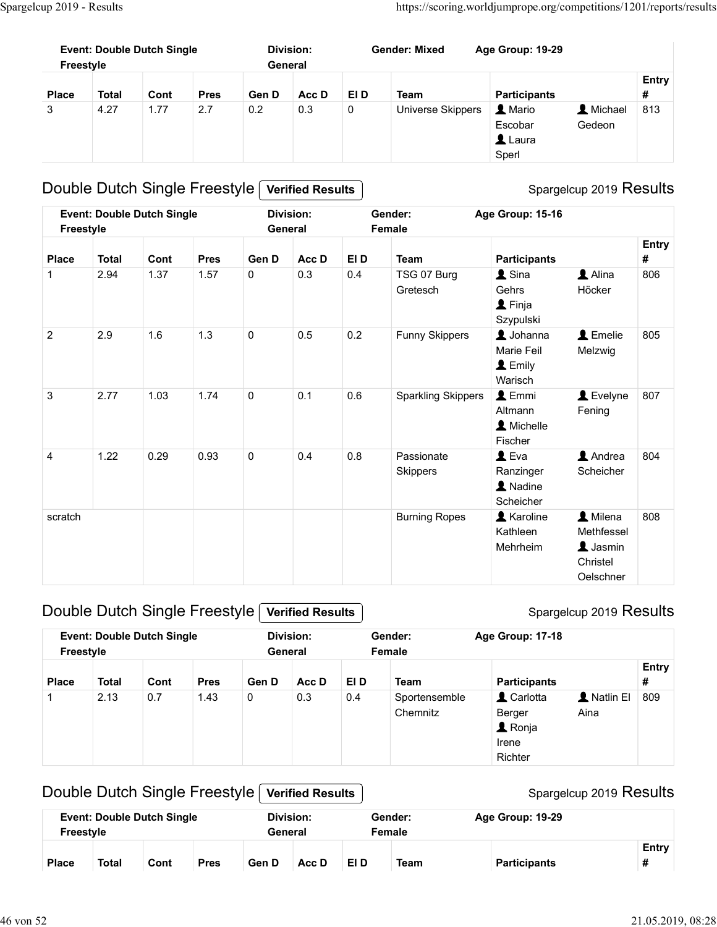|                                    | https://scoring.worldjumprope.org/competitions/1201/reports/results |            |  |
|------------------------------------|---------------------------------------------------------------------|------------|--|
| <b>Gender: Mixed</b>               | Age Group: 19-29                                                    |            |  |
| Acc D<br><b>EID</b><br><b>Team</b> | <b>Participants</b>                                                 | Entry<br># |  |
|                                    |                                                                     |            |  |

## Double Dutch Single Freestyle Verified Results

## Spargelcup 2019 Results

|                | <b>Event: Double Dutch Single</b><br>Freestyle |      |             |             | <b>Division:</b><br>General |                     | <b>Gender: Mixed</b>          | Age Group: 19-29                                                  |                                                                    |                   |
|----------------|------------------------------------------------|------|-------------|-------------|-----------------------------|---------------------|-------------------------------|-------------------------------------------------------------------|--------------------------------------------------------------------|-------------------|
| <b>Place</b>   | <b>Total</b>                                   | Cont | <b>Pres</b> | Gen D       | Acc D                       | EI D                | <b>Team</b>                   | <b>Participants</b>                                               |                                                                    | <b>Entry</b><br># |
| 3              | 4.27                                           | 1.77 | 2.7         | 0.2         | 0.3                         | $\mathsf{O}\xspace$ | Universe Skippers             | 1 Mario<br>Escobar<br>$\triangle$ Laura<br>Sperl                  | L Michael<br>Gedeon                                                | 813               |
|                | Double Dutch Single Freestyle                  |      |             |             | <b>Verified Results</b>     |                     |                               |                                                                   | Spargelcup 2019 Results                                            |                   |
|                | <b>Event: Double Dutch Single</b><br>Freestyle |      |             |             | <b>Division:</b><br>General |                     | Gender:<br>Female             | Age Group: 15-16                                                  |                                                                    |                   |
| <b>Place</b>   | <b>Total</b>                                   | Cont | <b>Pres</b> | Gen D       | Acc D                       | EI D                | <b>Team</b>                   | <b>Participants</b>                                               |                                                                    | <b>Entry</b><br># |
| $\mathbf{1}$   | 2.94                                           | 1.37 | 1.57        | $\mathbf 0$ | 0.3                         | 0.4                 | TSG 07 Burg<br>Gretesch       | $\triangle$ Sina<br>Gehrs<br><b>1</b> Finja<br>Szypulski          | Alina<br>Höcker                                                    | 806               |
| $\overline{2}$ | 2.9                                            | 1.6  | 1.3         | $\mathbf 0$ | 0.5                         | 0.2                 | Funny Skippers                | $\triangle$ Johanna<br>Marie Feil<br>$\triangle$ Emily<br>Warisch | L Emelie<br>Melzwig                                                | 805               |
| 3              | 2.77                                           | 1.03 | 1.74        | $\mathbf 0$ | 0.1                         | 0.6                 | <b>Sparkling Skippers</b>     | $\triangle$ Emmi<br>Altmann<br>A Michelle<br>Fischer              | Levelyne<br>Fening                                                 | 807               |
| 4              | 1.22                                           | 0.29 | 0.93        | $\mathbf 0$ | 0.4                         | 0.8                 | Passionate<br><b>Skippers</b> | $L$ Eva<br>Ranzinger<br>A Nadine<br>Scheicher                     | Andrea<br>Scheicher                                                | 804               |
| scratch        |                                                |      |             |             |                             |                     | <b>Burning Ropes</b>          | <b>A</b> Karoline<br>Kathleen<br>Mehrheim                         | A Milena<br>Methfessel<br><b>1</b> Jasmin<br>Christel<br>Oelschner | 808               |
|                | Double Dutch Single Freestyle                  |      |             |             | <b>Verified Results</b>     |                     |                               |                                                                   | Spargelcup 2019 Results                                            |                   |
|                | <b>Event: Double Dutch Single</b><br>Freestyle |      |             |             | <b>Division:</b><br>General |                     | Gender:<br>Female             | Age Group: 17-18                                                  |                                                                    |                   |
| <b>Place</b>   | <b>Total</b>                                   | Cont | <b>Pres</b> | Gen D       | Acc D                       | EI D                | <b>Team</b>                   | <b>Participants</b>                                               |                                                                    | Entry<br>#        |
| -1             | 2.13                                           | 0.7  | 1.43        | $\mathbf 0$ | 0.3                         | 0.4                 | Sportensemble<br>Chemnitz     | L Carlotta<br>Berger<br><b>1</b> Ronja<br>Irene<br>Richter        | A Natlin El<br>Aina                                                | 809               |

#### Double Dutch Single Freestyle Verified Results

#### Spargelcup 2019 Results

|                  |              |                                   |             |         |                         |      |                           |                                                            | Christel<br>Oelschner   |                   |
|------------------|--------------|-----------------------------------|-------------|---------|-------------------------|------|---------------------------|------------------------------------------------------------|-------------------------|-------------------|
|                  |              | Double Dutch Single Freestyle     |             |         | <b>Verified Results</b> |      |                           |                                                            | Spargelcup 2019 Results |                   |
| <b>Freestyle</b> |              | <b>Event: Double Dutch Single</b> |             | General | <b>Division:</b>        |      | Gender:<br>Female         | Age Group: 17-18                                           |                         |                   |
| <b>Place</b>     | <b>Total</b> | Cont                              | <b>Pres</b> | Gen D   | Acc D                   | EI D | <b>Team</b>               | <b>Participants</b>                                        |                         | Entry<br>#        |
| 1                | 2.13         | 0.7                               | 1.43        | 0       | 0.3                     | 0.4  | Sportensemble<br>Chemnitz | L Carlotta<br>Berger<br><b>1</b> Ronja<br>Irene<br>Richter | A Natlin El<br>Aina     | 809               |
|                  |              | Double Dutch Single Freestyle     |             |         | <b>Verified Results</b> |      |                           |                                                            | Spargelcup 2019 Results |                   |
| <b>Freestyle</b> |              | <b>Event: Double Dutch Single</b> |             | General | <b>Division:</b>        |      | Gender:<br>Female         | Age Group: 19-29                                           |                         |                   |
| <b>Place</b>     | <b>Total</b> | Cont                              | <b>Pres</b> | Gen D   | Acc D                   | EI D | <b>Team</b>               | <b>Participants</b>                                        |                         | <b>Entry</b><br># |

## Double Dutch Single Freestyle Verified Results

| Freestyle    | <b>Event: Double Dutch Single</b> |      |             | Division:<br>General |       | Female | Gender:     | Age Group: 19-29    |            |
|--------------|-----------------------------------|------|-------------|----------------------|-------|--------|-------------|---------------------|------------|
| <b>Place</b> | <b>Total</b>                      | Cont | <b>Pres</b> | Gen D                | Acc D | EI D   | <b>Team</b> | <b>Participants</b> | Entry<br>π |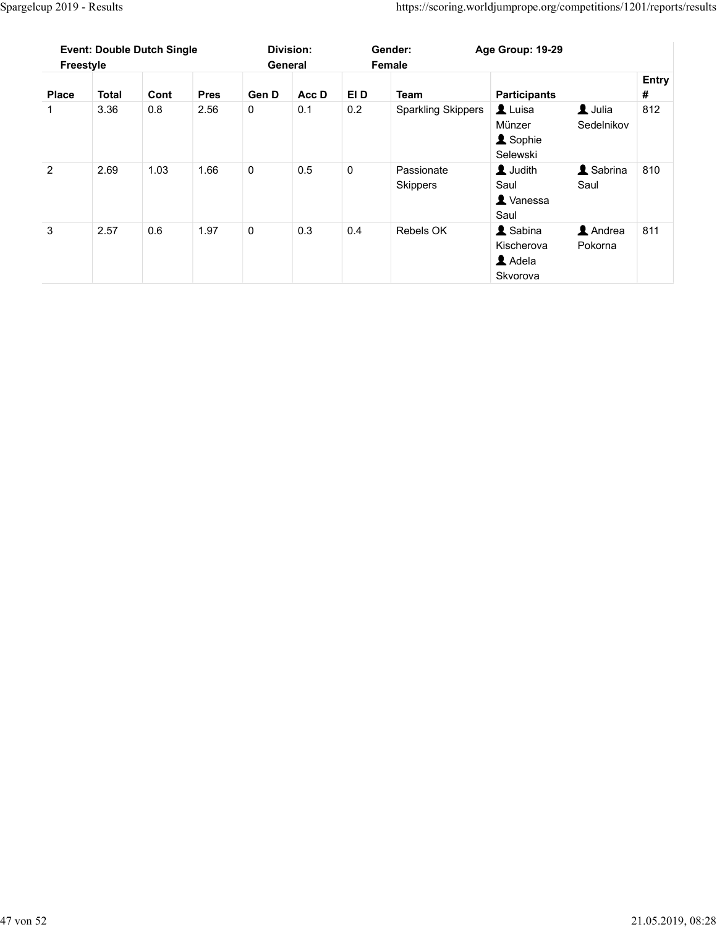|                |      |      |      |  |  |             |      |                                   | Spargelcup 2019 - Results |  |
|----------------|------|------|------|--|--|-------------|------|-----------------------------------|---------------------------|--|
|                |      |      |      |  |  |             |      | <b>Event: Double Dutch Single</b> | Freestyle                 |  |
|                |      |      |      |  |  | <b>Pres</b> | Cont |                                   | <b>Total</b>              |  |
| <b>Place</b>   |      |      |      |  |  |             |      |                                   |                           |  |
| $\mathbf{1}$   | 3.36 | 0.8  | 2.56 |  |  |             |      |                                   |                           |  |
| $\overline{2}$ | 2.69 | 1.03 | 1.66 |  |  |             |      |                                   |                           |  |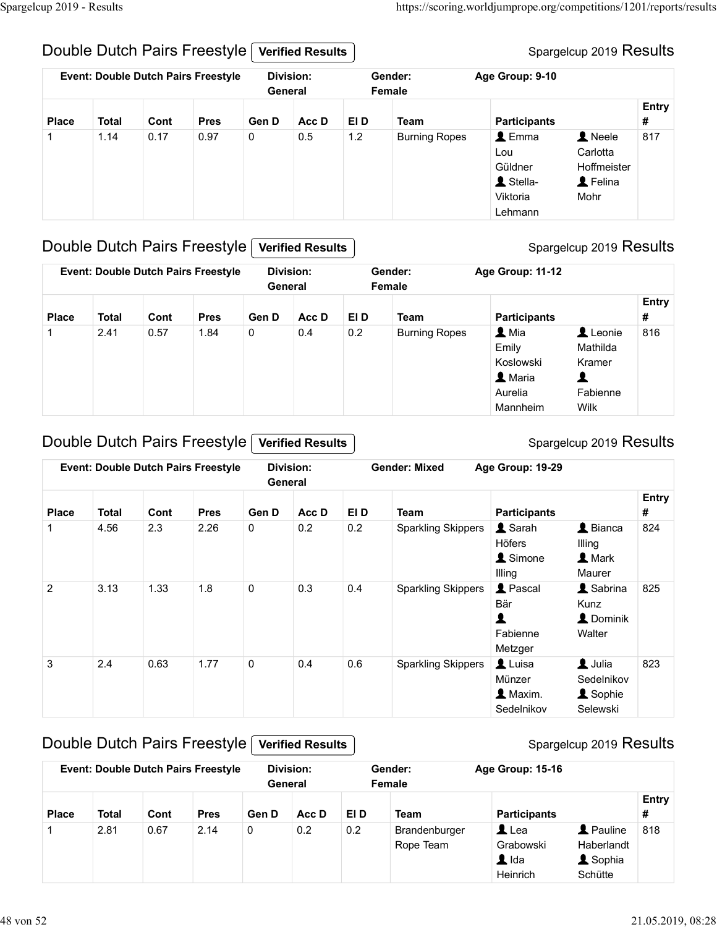#### Double Dutch Pairs Freestyle Verified Results

#### Spargelcup 2019 Results

|                   | Spargelcup 2019 - Results | Double Dutch Pairs Freestyle<br><b>Event: Double Dutch Pairs Freestyle</b> |                                            | General                                       | <b>Verified Results</b><br><b>Division:</b> |             | Gender:<br>Female            | https://scoring.worldjumprope.org/competitions/1201/reports/results<br>Age Group: 9-10        | Spargelcup 2019 Results                                |          |
|-------------------|---------------------------|----------------------------------------------------------------------------|--------------------------------------------|-----------------------------------------------|---------------------------------------------|-------------|------------------------------|-----------------------------------------------------------------------------------------------|--------------------------------------------------------|----------|
|                   |                           |                                                                            |                                            |                                               |                                             |             |                              |                                                                                               |                                                        | Entry    |
| <b>Place</b><br>1 | <b>Total</b><br>1.14      | Cont<br>0.17                                                               | <b>Pres</b><br>0.97                        | Gen D<br>$\overline{0}$                       | Acc D<br>$0.5\,$                            | EI D<br>1.2 | Team<br><b>Burning Ropes</b> | <b>Participants</b><br>$\triangle$ Emma<br>Lou<br>Güldner<br>L Stella-<br>Viktoria<br>Lehmann | 1 Neele<br>Carlotta<br>Hoffmeister<br>L Felina<br>Mohr | #<br>817 |
|                   |                           |                                                                            |                                            | Double Dutch Pairs Freestyle Verified Results |                                             |             |                              |                                                                                               | Spargelcup 2019 Results                                |          |
|                   |                           |                                                                            | <b>Event: Double Dutch Pairs Freestyle</b> | General                                       | <b>Division:</b>                            |             | Gender:<br>Female            | Age Group: 11-12                                                                              |                                                        |          |
|                   |                           |                                                                            |                                            |                                               |                                             |             |                              |                                                                                               |                                                        | Entry    |
| <b>Place</b>      | <b>Total</b>              | Cont                                                                       | <b>Pres</b>                                | Gen D                                         | Acc D                                       | EI D        | <b>Team</b>                  | <b>Participants</b>                                                                           |                                                        | #        |

#### Double Dutch Pairs Freestyle Verified Results

#### Spargelcup 2019 Results

|              |              |      |                                            |              |                             |      |                           | Güldner<br>1 Stella-<br>Viktoria<br>Lehmann                                  | Hoffmeister<br>L Felina<br>Mohr                         |            |
|--------------|--------------|------|--------------------------------------------|--------------|-----------------------------|------|---------------------------|------------------------------------------------------------------------------|---------------------------------------------------------|------------|
|              |              |      | Double Dutch Pairs Freestyle               |              | <b>Verified Results</b>     |      |                           |                                                                              | Spargelcup 2019 Results                                 |            |
|              |              |      | <b>Event: Double Dutch Pairs Freestyle</b> |              | <b>Division:</b><br>General |      | Gender:<br>Female         | Age Group: 11-12                                                             |                                                         |            |
| Place        | <b>Total</b> | Cont | <b>Pres</b>                                | Gen D        | Acc D                       | EI D | <b>Team</b>               | <b>Participants</b>                                                          |                                                         | Entry<br># |
|              | 2.41         | 0.57 | 1.84                                       | 0            | 0.4                         | 0.2  | <b>Burning Ropes</b>      | $\blacktriangle$ Mia<br>Emily<br>Koslowski<br>1 Maria<br>Aurelia<br>Mannheim | Leonie<br>Mathilda<br>Kramer<br>1<br>Fabienne<br>Wilk   | 816        |
|              |              |      | Double Dutch Pairs Freestyle               |              | <b>Verified Results</b>     |      |                           |                                                                              | Spargelcup 2019 Results                                 |            |
|              |              |      | <b>Event: Double Dutch Pairs Freestyle</b> |              | <b>Division:</b><br>General |      | <b>Gender: Mixed</b>      | Age Group: 19-29                                                             |                                                         |            |
| <b>Place</b> | <b>Total</b> | Cont | <b>Pres</b>                                | Gen D        | Acc D                       | EI D | <b>Team</b>               | <b>Participants</b>                                                          |                                                         | Entry<br># |
| 1            | 4.56         | 2.3  | 2.26                                       | $\mathsf{O}$ | 0.2                         | 0.2  | <b>Sparkling Skippers</b> | Sarah<br>Höfers<br>1 Simone<br>Illing                                        | $\triangle$ Bianca<br>Illing<br><b>L</b> Mark<br>Maurer | 824        |
| 2            | 3.13         | 1.33 | 1.8                                        | $\mathbf 0$  | 0.3                         | 0.4  | <b>Sparkling Skippers</b> | <b>L</b> Pascal<br>Där                                                       | & Sabrina<br>$\mathbf{v}$                               | 825        |

#### Double Dutch Pairs Freestyle Verified Results

#### Spargelcup 2019 Results

| Entry<br>Cont<br><b>Pres</b><br>Gen D<br>Acc D<br>EI D<br>Team<br><b>Participants</b><br>#<br><b>Total</b><br><b>Place</b><br>Leonie<br>0.2<br>$\blacktriangle$ Mia<br>816<br>2.41<br>0.57<br>1.84<br>0<br>0.4<br><b>Burning Ropes</b><br>-1<br>Emily<br>Mathilda<br>Koslowski<br>Kramer<br>L Maria<br>1<br>Aurelia<br>Fabienne<br>Wilk<br>Mannheim<br>Double Dutch Pairs Freestyle<br>Spargelcup 2019 Results<br><b>Verified Results</b><br><b>Division:</b><br><b>Event: Double Dutch Pairs Freestyle</b><br><b>Gender: Mixed</b><br>Age Group: 19-29<br>General<br>Entry<br>EI D<br>Cont<br><b>Pres</b><br>Gen D<br>Acc D<br><b>Team</b><br><b>Participants</b><br>#<br>Place<br><b>Total</b><br>$\triangle$ Bianca<br>2.26<br>0.2<br>0.2<br><b>1</b> Sarah<br>824<br>4.56<br>2.3<br>0<br><b>Sparkling Skippers</b><br>Höfers<br>Illing<br>& Simone<br><b>L</b> Mark<br>Maurer<br>Illing<br><b>1</b> Pascal<br>1.8<br><b>Sparkling Skippers</b><br>& Sabrina<br>825<br>$\overline{2}$<br>3.13<br>1.33<br>$\mathbf 0$<br>0.3<br>0.4<br>Bär<br>Kunz<br>1<br>L Dominik<br>Fabienne<br>Walter<br>Metzger<br>$\blacktriangle$ Julia<br>823<br>2.4<br>0.63<br>1.77<br>0.6<br><b>Sparkling Skippers</b><br>Luisa<br>3<br>0<br>0.4<br>Münzer<br>Sedelnikov<br>1 Maxim.<br><b>1</b> Sophie<br>Sedelnikov<br>Selewski |              |              |      |             | General     |       |      | Female                     |                                                                                        |                                                       |     |
|----------------------------------------------------------------------------------------------------------------------------------------------------------------------------------------------------------------------------------------------------------------------------------------------------------------------------------------------------------------------------------------------------------------------------------------------------------------------------------------------------------------------------------------------------------------------------------------------------------------------------------------------------------------------------------------------------------------------------------------------------------------------------------------------------------------------------------------------------------------------------------------------------------------------------------------------------------------------------------------------------------------------------------------------------------------------------------------------------------------------------------------------------------------------------------------------------------------------------------------------------------------------------------------------------------------|--------------|--------------|------|-------------|-------------|-------|------|----------------------------|----------------------------------------------------------------------------------------|-------------------------------------------------------|-----|
|                                                                                                                                                                                                                                                                                                                                                                                                                                                                                                                                                                                                                                                                                                                                                                                                                                                                                                                                                                                                                                                                                                                                                                                                                                                                                                                |              |              |      |             |             |       |      |                            |                                                                                        |                                                       |     |
|                                                                                                                                                                                                                                                                                                                                                                                                                                                                                                                                                                                                                                                                                                                                                                                                                                                                                                                                                                                                                                                                                                                                                                                                                                                                                                                |              |              |      |             |             |       |      |                            |                                                                                        |                                                       |     |
|                                                                                                                                                                                                                                                                                                                                                                                                                                                                                                                                                                                                                                                                                                                                                                                                                                                                                                                                                                                                                                                                                                                                                                                                                                                                                                                |              |              |      |             |             |       |      |                            |                                                                                        |                                                       |     |
|                                                                                                                                                                                                                                                                                                                                                                                                                                                                                                                                                                                                                                                                                                                                                                                                                                                                                                                                                                                                                                                                                                                                                                                                                                                                                                                |              |              |      |             |             |       |      |                            |                                                                                        |                                                       |     |
|                                                                                                                                                                                                                                                                                                                                                                                                                                                                                                                                                                                                                                                                                                                                                                                                                                                                                                                                                                                                                                                                                                                                                                                                                                                                                                                |              |              |      |             |             |       |      |                            |                                                                                        |                                                       |     |
|                                                                                                                                                                                                                                                                                                                                                                                                                                                                                                                                                                                                                                                                                                                                                                                                                                                                                                                                                                                                                                                                                                                                                                                                                                                                                                                |              |              |      |             |             |       |      |                            |                                                                                        |                                                       |     |
|                                                                                                                                                                                                                                                                                                                                                                                                                                                                                                                                                                                                                                                                                                                                                                                                                                                                                                                                                                                                                                                                                                                                                                                                                                                                                                                |              |              |      |             |             |       |      |                            |                                                                                        |                                                       |     |
|                                                                                                                                                                                                                                                                                                                                                                                                                                                                                                                                                                                                                                                                                                                                                                                                                                                                                                                                                                                                                                                                                                                                                                                                                                                                                                                |              |              |      |             |             |       |      |                            |                                                                                        |                                                       |     |
|                                                                                                                                                                                                                                                                                                                                                                                                                                                                                                                                                                                                                                                                                                                                                                                                                                                                                                                                                                                                                                                                                                                                                                                                                                                                                                                |              |              |      |             |             |       |      |                            |                                                                                        |                                                       |     |
| Female<br>General                                                                                                                                                                                                                                                                                                                                                                                                                                                                                                                                                                                                                                                                                                                                                                                                                                                                                                                                                                                                                                                                                                                                                                                                                                                                                              | <b>Place</b> | <b>Total</b> | Cont | <b>Pres</b> | Gen D       | Acc D | EI D | <b>Team</b>                | <b>Participants</b>                                                                    |                                                       | #   |
| <b>Entry</b>                                                                                                                                                                                                                                                                                                                                                                                                                                                                                                                                                                                                                                                                                                                                                                                                                                                                                                                                                                                                                                                                                                                                                                                                                                                                                                   | -1           | 2.81         | 0.67 | 2.14        | $\mathbf 0$ | 0.2   | 0.2  | Brandenburger<br>Rope Team | $\mathbf{\mathbf{\underline{I}}}$ Lea<br>Grabowski<br>$\blacktriangle$ Ida<br>Heinrich | <b>1</b> Pauline<br>Haberlandt<br>& Sophia<br>Schütte | 818 |

## Double Dutch Pairs Freestyle Verified Results

|              |              |      | <b>Event: Double Dutch Pairs Freestyle</b> |       | Division:<br>General |      | Gender:<br>Female          | Age Group: 15-16                                                                  |                                                                      |                   |
|--------------|--------------|------|--------------------------------------------|-------|----------------------|------|----------------------------|-----------------------------------------------------------------------------------|----------------------------------------------------------------------|-------------------|
| <b>Place</b> | <b>Total</b> | Cont | <b>Pres</b>                                | Gen D | Acc D                | EI D | <b>Team</b>                | <b>Participants</b>                                                               |                                                                      | <b>Entry</b><br># |
|              | 2.81         | 0.67 | 2.14                                       | 0     | 0.2                  | 0.2  | Brandenburger<br>Rope Team | $\mathbf{\mathbb{L}}$ Lea<br>Grabowski<br>$\blacktriangle$ Ida<br><b>Heinrich</b> | <b>A</b> Pauline<br>Haberlandt<br>$\blacktriangle$ Sophia<br>Schütte | 818               |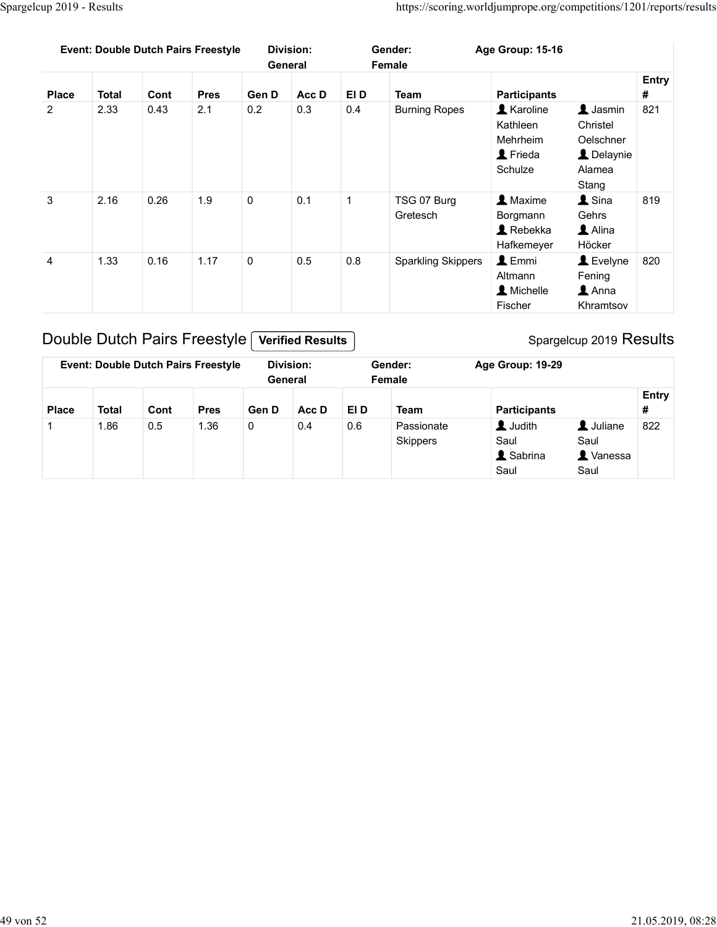|                | Spargelcup 2019 - Results |      |                                            |             |                             |              |                                                                     |                                                                         |                                                                                   |                            |
|----------------|---------------------------|------|--------------------------------------------|-------------|-----------------------------|--------------|---------------------------------------------------------------------|-------------------------------------------------------------------------|-----------------------------------------------------------------------------------|----------------------------|
|                |                           |      |                                            |             |                             |              |                                                                     |                                                                         |                                                                                   |                            |
|                |                           |      |                                            |             |                             |              |                                                                     |                                                                         |                                                                                   |                            |
|                |                           |      |                                            |             |                             |              |                                                                     |                                                                         |                                                                                   |                            |
|                |                           |      |                                            |             |                             |              |                                                                     |                                                                         |                                                                                   |                            |
|                |                           |      |                                            |             |                             |              |                                                                     |                                                                         |                                                                                   |                            |
|                |                           |      |                                            |             |                             |              |                                                                     |                                                                         |                                                                                   |                            |
|                |                           |      |                                            |             |                             |              | https://scoring.worldjumprope.org/competitions/1201/reports/results |                                                                         |                                                                                   |                            |
|                |                           |      | <b>Event: Double Dutch Pairs Freestyle</b> |             | <b>Division:</b><br>General |              | Gender:<br>Female                                                   | Age Group: 15-16                                                        |                                                                                   |                            |
| <b>Place</b>   | <b>Total</b>              | Cont | <b>Pres</b>                                | Gen D       | Acc D                       | EI D         | <b>Team</b>                                                         | <b>Participants</b>                                                     |                                                                                   | <b>Entry</b><br>$\pmb{\#}$ |
| $\overline{2}$ | 2.33                      | 0.43 | 2.1                                        | 0.2         | 0.3                         | 0.4          | <b>Burning Ropes</b>                                                | <b>A</b> Karoline<br>Kathleen<br>Mehrheim<br><b>1</b> Frieda<br>Schulze | $\blacktriangle$ Jasmin<br>Christel<br>Oelschner<br>L Delaynie<br>Alamea<br>Stang | 821                        |
| $\mathbf{3}$   | 2.16                      | 0.26 | 1.9                                        | $\mathbf 0$ | 0.1                         | $\mathbf{1}$ | TSG 07 Burg<br>Gretesch                                             | 1 Maxime<br>Borgmann<br>$\blacktriangle$ Rebekka<br>Hafkemeyer          | $\blacktriangle$ Sina<br>Gehrs<br>$\triangle$ Alina<br>Höcker                     | 819                        |
| $\overline{4}$ | 1.33                      | 0.16 | 1.17                                       | $\mathsf 0$ | 0.5                         | 0.8          | <b>Sparkling Skippers</b>                                           | $L$ Emmi<br>Altmann<br>A Michelle<br>Fischer                            | Levelyne<br>Fening<br>$\blacktriangle$ Anna<br>Khramtsov                          | 820                        |
|                |                           |      | Double Dutch Pairs Freestyle               |             | <b>Verified Results</b>     |              |                                                                     |                                                                         | Spargelcup 2019 Results                                                           |                            |
|                |                           |      | <b>Event: Double Dutch Pairs Freestyle</b> |             | Division:                   |              | Gender:                                                             | Age Group: 19-29                                                        |                                                                                   |                            |
|                |                           |      |                                            |             | General                     |              | Female                                                              |                                                                         |                                                                                   |                            |
| <b>Place</b>   | <b>Total</b>              | Cont | <b>Pres</b>                                | Gen D       | Acc D                       | EI D         | <b>Team</b>                                                         | <b>Participants</b>                                                     |                                                                                   | Entry<br>#                 |
| 1              | 1.86                      | 0.5  | 1.36                                       | $\mathsf 0$ | 0.4                         | 0.6          | Passionate<br>Skippers                                              | <b>L</b> Judith<br>Saul<br>& Sabrina<br>Saul                            | <b>1</b> Juliane<br>Saul<br><b>A</b> Vanessa<br>Saul                              | 822                        |

## Double Dutch Pairs Freestyle Verified Results

|              |              |      | <b>Event: Double Dutch Pairs Freestyle</b> | General | Division: |      | Gender:<br>Female             | Age Group: 19-29                           |                                               |            |
|--------------|--------------|------|--------------------------------------------|---------|-----------|------|-------------------------------|--------------------------------------------|-----------------------------------------------|------------|
| <b>Place</b> | <b>Total</b> | Cont | <b>Pres</b>                                | Gen D   | Acc D     | EI D | <b>Team</b>                   | <b>Participants</b>                        |                                               | Entry<br># |
|              | 1.86         | 0.5  | 1.36                                       | 0       | 0.4       | 0.6  | Passionate<br><b>Skippers</b> | <b>L</b> Judith<br>Saul<br>Sabrina<br>Saul | L Juliane<br>Saul<br><b>L</b> Vanessa<br>Saul | 822        |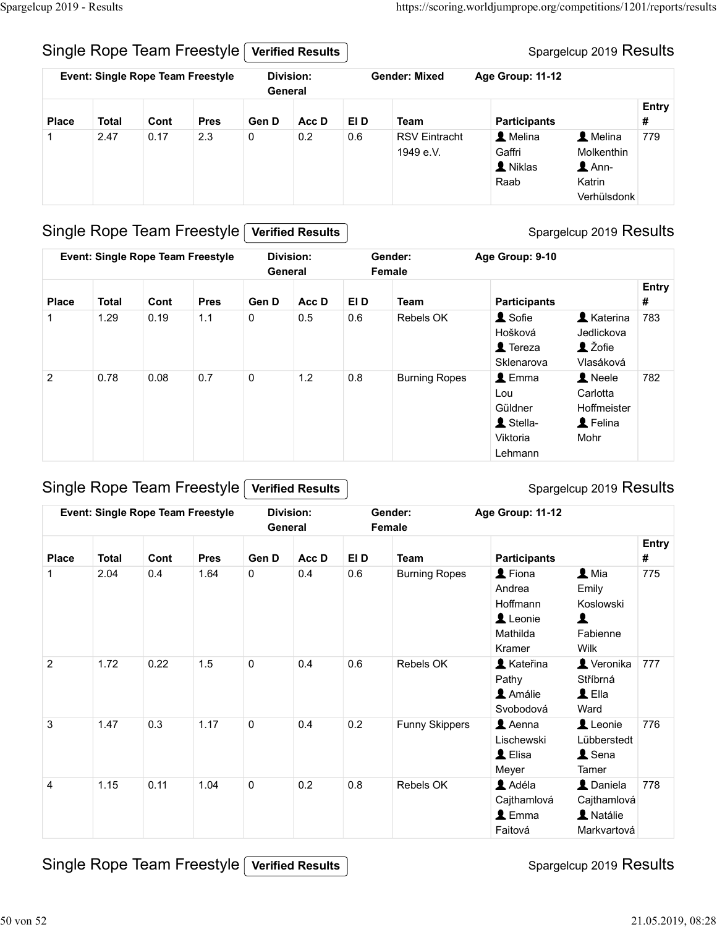#### Spargelcup 2019 Results

| Place<br>$\mathbf{1}$ | <b>Total</b><br>2.47 | Cont<br>0.17 | Single Rope Team Freestyle<br><b>Event: Single Rope Team Freestyle</b><br><b>Pres</b><br>2.3 | General<br>Gen D<br>$\mathbf 0$ | <b>Verified Results</b><br><b>Division:</b><br>Acc D<br>0.2 | EI D<br>0.6 | <b>Gender: Mixed</b><br><b>Team</b><br><b>RSV Eintracht</b><br>1949 e.V. | Age Group: 11-12<br><b>Participants</b><br>A Melina<br>Gaffri | Spargelcup 2019 Results<br>L Melina<br>Molkenthin | <b>Entry</b><br>#<br>779 |
|-----------------------|----------------------|--------------|----------------------------------------------------------------------------------------------|---------------------------------|-------------------------------------------------------------|-------------|--------------------------------------------------------------------------|---------------------------------------------------------------|---------------------------------------------------|--------------------------|
|-----------------------|----------------------|--------------|----------------------------------------------------------------------------------------------|---------------------------------|-------------------------------------------------------------|-------------|--------------------------------------------------------------------------|---------------------------------------------------------------|---------------------------------------------------|--------------------------|

#### Single Rope Team Freestyle Verified Results

#### Spargelcup 2019 Results

|                |              |      | Single Rope Team Freestyle               |             | <b>Verified Results</b> |      |                                   |                                                                        | Spargelcup 2019 Results                                                                   |            |
|----------------|--------------|------|------------------------------------------|-------------|-------------------------|------|-----------------------------------|------------------------------------------------------------------------|-------------------------------------------------------------------------------------------|------------|
|                |              |      | <b>Event: Single Rope Team Freestyle</b> | General     | <b>Division:</b>        |      | <b>Gender: Mixed</b>              | Age Group: 11-12                                                       |                                                                                           |            |
| <b>Place</b>   | <b>Total</b> | Cont | <b>Pres</b>                              | Gen D       | Acc D                   | EI D | <b>Team</b>                       | <b>Participants</b>                                                    |                                                                                           | Entry<br># |
| -1             | 2.47         | 0.17 | 2.3                                      | $\mathbf 0$ | 0.2                     | 0.6  | <b>RSV Eintracht</b><br>1949 e.V. | L Melina<br>Gaffri<br><b>A</b> Niklas<br>Raab                          | L Melina<br>Molkenthin<br>$2$ Ann-<br>Katrin<br>Verhülsdonk                               | 779        |
|                |              |      | Single Rope Team Freestyle               |             | <b>Verified Results</b> |      |                                   |                                                                        | Spargelcup 2019 Results                                                                   |            |
|                |              |      | <b>Event: Single Rope Team Freestyle</b> | General     | <b>Division:</b>        |      | Gender:<br>Female                 | Age Group: 9-10                                                        |                                                                                           |            |
| <b>Place</b>   | <b>Total</b> | Cont | <b>Pres</b>                              | Gen D       | Acc D                   | EI D | Team                              | <b>Participants</b>                                                    |                                                                                           | Entry<br># |
| $\mathbf{1}$   | 1.29         | 0.19 | 1.1                                      | 0           | 0.5                     | 0.6  | Rebels OK                         | & Sofie<br>Hošková<br>$\triangle$ Tereza<br>Sklenarova                 | <b>A</b> Katerina<br>Jedlickova<br>L Žofie<br>Vlasáková                                   | 783        |
| $\overline{2}$ | 0.78         | 0.08 | 0.7                                      | $\mathbf 0$ | $1.2$                   | 0.8  | <b>Burning Ropes</b>              | $\triangle$ Emma<br>Lou<br>Güldner<br>L Stella-<br>Viktoria<br>Lehmann | <b>A</b> Neele<br>Carlotta<br>Hoffmeister<br>L Felina<br>Mohr                             | 782        |
|                |              |      | Single Rope Team Freestyle               |             | <b>Verified Results</b> |      |                                   |                                                                        | Spargelcup 2019 Results                                                                   |            |
|                |              |      | Event: Single Rope Team Freestyle        | General     | <b>Division:</b>        |      | Gender:<br>Female                 | Age Group: 11-12                                                       |                                                                                           |            |
| <b>Place</b>   | <b>Total</b> | Cont | <b>Pres</b>                              | Gen D       | Acc D                   | EI D | Team                              | <b>Participants</b>                                                    |                                                                                           | Entry<br># |
| $\mathbf{1}$   | 2.04         | 0.4  | 1.64                                     | $\mathbf 0$ | 0.4                     | 0.6  | <b>Burning Ropes</b>              | L Fiona<br>Andrea<br>Hoffmann<br>Leonie<br>Mathilda<br>Kramer          | $\blacktriangle$ Mia<br>Emily<br>Koslowski<br>$\blacktriangle$<br>Fabienne<br><b>Milk</b> | 775        |

## Single Rope Team Freestyle Verified Results

#### Spargelcup 2019 Results

|                |                                          |      |                            |         |                         |         |                      | Sklenarova                                                             | Vlasáková                                                             |            |
|----------------|------------------------------------------|------|----------------------------|---------|-------------------------|---------|----------------------|------------------------------------------------------------------------|-----------------------------------------------------------------------|------------|
| $\overline{2}$ | 0.78                                     | 0.08 | 0.7                        | 0       | $1.2$                   | 0.8     | <b>Burning Ropes</b> | $\triangle$ Emma<br>Lou<br>Güldner<br>L Stella-<br>Viktoria<br>Lehmann | $\blacktriangle$ Neele<br>Carlotta<br>Hoffmeister<br>L Felina<br>Mohr | 782        |
|                |                                          |      | Single Rope Team Freestyle |         | <b>Verified Results</b> |         |                      |                                                                        | Spargelcup 2019 Results                                               |            |
|                | <b>Event: Single Rope Team Freestyle</b> |      |                            | General | <b>Division:</b>        |         | Gender:<br>Female    | Age Group: 11-12                                                       |                                                                       |            |
| <b>Place</b>   | <b>Total</b>                             | Cont | <b>Pres</b>                | Gen D   | Acc D                   | EI D    | <b>Team</b>          | <b>Participants</b>                                                    |                                                                       | Entry<br># |
| $\overline{1}$ | 2.04                                     | 0.4  | 1.64                       | 0       | 0.4                     | 0.6     | <b>Burning Ropes</b> | L Fiona<br>Andrea<br>Hoffmann<br>Leonie<br>Mathilda<br>Kramer          | $\blacktriangle$ Mia<br>Emily<br>Koslowski<br>1<br>Fabienne<br>Wilk   | 775        |
| $\overline{2}$ | 1.72                                     | 0.22 | 1.5                        | 0       | 0.4                     | 0.6     | Rebels OK            | <b>A</b> Kateřina<br>Pathy<br>Amálie<br>Svobodová                      | Veronika<br>Stříbrná<br>$\triangle$ Ella<br>Ward                      | 777        |
| 3              | 1.47                                     | 0.3  | 1.17                       | 0       | 0.4                     | $0.2\,$ | Funny Skippers       | $\triangle$ Aenna<br>Lischewski<br>L Elisa<br>Meyer                    | Leonie<br>Lübberstedt<br>L Sena<br>Tamer                              | 776        |
| $\overline{4}$ | 1.15                                     | 0.11 | 1.04                       | 0       | 0.2                     | 0.8     | Rebels OK            | Adéla<br>Cajthamlová<br>$\triangle$ Emma<br>Faitová                    | L Daniela<br>Cajthamlová<br>A Natálie<br>Markvartová                  | 778        |

Single Rope Team Freestyle Verified Results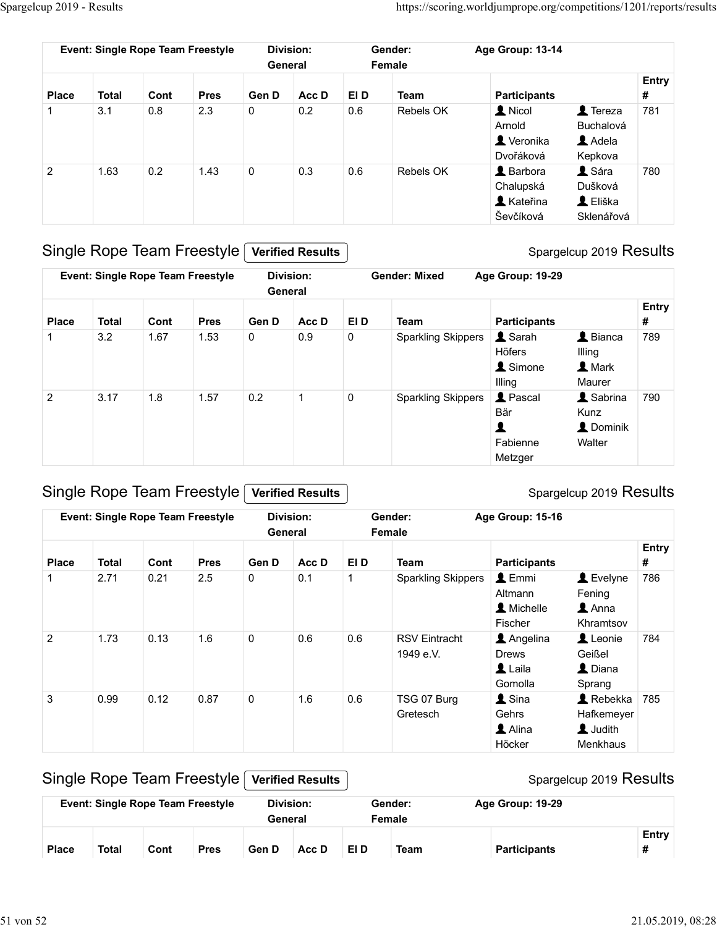|                   | Spargelcup 2019 - Results |                                   |                                             |                      |                  |             |                                                                                          |                                                                   |                                                                 |                   |
|-------------------|---------------------------|-----------------------------------|---------------------------------------------|----------------------|------------------|-------------|------------------------------------------------------------------------------------------|-------------------------------------------------------------------|-----------------------------------------------------------------|-------------------|
|                   |                           | Event: Single Rope Team Freestyle |                                             | General              | <b>Division:</b> |             | https://scoring.worldjumprope.org/competitions/1201/reports/results<br>Gender:<br>Female | Age Group: 13-14                                                  |                                                                 |                   |
|                   |                           |                                   |                                             |                      |                  |             |                                                                                          |                                                                   |                                                                 | Entry             |
| <b>Place</b><br>1 | <b>Total</b><br>3.1       | Cont<br>0.8                       | <b>Pres</b><br>2.3                          | Gen D<br>$\mathbf 0$ | Acc D<br>$0.2\,$ | EI D<br>0.6 | <b>Team</b><br>Rebels OK                                                                 | <b>Participants</b><br>1 Nicol<br>Arnold<br>Veronika<br>Dvořáková | $\triangle$ Tereza<br>Buchalová<br>$\triangle$ Adela<br>Kepkova | $\pmb{\#}$<br>781 |
| $\overline{2}$    | 1.63                      | 0.2                               | 1.43                                        | $\mathsf{O}\xspace$  | 0.3              | 0.6         | Rebels OK                                                                                | <b>A</b> Barbora<br>Chalupská<br><b>A</b> Kateřina<br>Ševčíková   | L Sára<br>Dušková<br>L Eliška<br>Sklenářová                     | 780               |
|                   |                           |                                   | Single Rope Team Freestyle Verified Results |                      |                  |             |                                                                                          |                                                                   | Spargelcup 2019 Results                                         |                   |
|                   |                           | Event: Single Rope Team Freestyle |                                             | General              | <b>Division:</b> |             | <b>Gender: Mixed</b>                                                                     | Age Group: 19-29                                                  |                                                                 |                   |
|                   |                           | Cont                              | <b>Pres</b>                                 | Gen D                | Acc D            | EI D        | Team                                                                                     | <b>Participants</b>                                               |                                                                 | Entry<br>#        |
|                   |                           |                                   | 1.53                                        | $\mathbf 0$          | $0.9\,$          | $\mathbf 0$ | <b>Sparkling Skippers</b>                                                                | L Sarah<br>Höfers<br><b>1</b> Simone                              | $\blacktriangle$ Bianca<br>Illing<br><b>L</b> Mark              | 789               |
| <b>Place</b>      | <b>Total</b><br>3.2       | 1.67                              |                                             |                      |                  |             |                                                                                          | Illing                                                            | Maurer                                                          |                   |

| <b>Place</b>            | <b>Total</b> | Cont | <b>Pres</b>                              | Gen D | Acc D                   | EI D         | <b>Team</b>               | <b>Participants</b> |                           | #     |
|-------------------------|--------------|------|------------------------------------------|-------|-------------------------|--------------|---------------------------|---------------------|---------------------------|-------|
| $\overline{\mathbf{1}}$ | 3.1          | 0.8  | 2.3                                      | 0     | 0.2                     | 0.6          | Rebels OK                 | <b>A</b> Nicol      | $\triangle$ Tereza        | 781   |
|                         |              |      |                                          |       |                         |              |                           | Arnold              | Buchalová                 |       |
|                         |              |      |                                          |       |                         |              |                           | Veronika            | Adela                     |       |
|                         |              |      |                                          |       |                         |              |                           | Dvořáková           | Kepkova                   |       |
| $\overline{2}$          | 1.63         | 0.2  | 1.43                                     | 0     | 0.3                     | 0.6          | Rebels OK                 | L Barbora           | A Sára                    | 780   |
|                         |              |      |                                          |       |                         |              |                           | Chalupská           | Dušková                   |       |
|                         |              |      |                                          |       |                         |              |                           | L Kateřina          | L Eliška                  |       |
|                         |              |      |                                          |       |                         |              |                           | Ševčíková           | Sklenářová                |       |
|                         |              |      | Single Rope Team Freestyle               |       | <b>Verified Results</b> |              |                           |                     | Spargelcup 2019 Results   |       |
|                         |              |      | <b>Event: Single Rope Team Freestyle</b> |       | <b>Division:</b>        |              | <b>Gender: Mixed</b>      | Age Group: 19-29    |                           |       |
|                         |              |      |                                          |       | General                 |              |                           |                     |                           |       |
|                         |              |      |                                          |       |                         |              |                           |                     |                           | Entry |
| <b>Place</b>            | <b>Total</b> | Cont | <b>Pres</b>                              | Gen D | Acc D                   | EI D         | <b>Team</b>               | <b>Participants</b> |                           | #     |
| -1                      | 3.2          | 1.67 | 1.53                                     | 0     | 0.9                     | $\pmb{0}$    | <b>Sparkling Skippers</b> | $\triangle$ Sarah   | L Bianca                  | 789   |
|                         |              |      |                                          |       |                         |              |                           | Höfers              | Illing                    |       |
|                         |              |      |                                          |       |                         |              |                           | <b>1</b> Simone     | 1 Mark                    |       |
|                         |              |      |                                          |       |                         |              |                           | Illing              | Maurer                    |       |
| $\overline{2}$          | 3.17         | 1.8  | 1.57                                     | 0.2   | $\mathbf{1}$            | $\mathbf 0$  | <b>Sparkling Skippers</b> | <b>1</b> Pascal     | & Sabrina                 | 790   |
|                         |              |      |                                          |       |                         |              |                           | Bär                 | Kunz                      |       |
|                         |              |      |                                          |       |                         |              |                           | 1                   | L Dominik                 |       |
|                         |              |      |                                          |       |                         |              |                           | Fabienne            | Walter                    |       |
|                         |              |      |                                          |       |                         |              |                           | Metzger             |                           |       |
|                         |              |      |                                          |       |                         |              |                           |                     |                           |       |
|                         |              |      | Single Rope Team Freestyle               |       | <b>Verified Results</b> |              |                           |                     | Spargelcup 2019 Results   |       |
|                         |              |      | <b>Event: Single Rope Team Freestyle</b> |       | <b>Division:</b>        |              | Gender:                   | Age Group: 15-16    |                           |       |
|                         |              |      |                                          |       | General                 |              | Female                    |                     |                           |       |
|                         |              |      |                                          |       |                         |              |                           |                     |                           | Entry |
| <b>Place</b>            | <b>Total</b> | Cont | <b>Pres</b>                              | Gen D | Acc D                   | EI D         | <b>Team</b>               | <b>Participants</b> |                           | #     |
| -1                      | 2.71         | 0.21 | 2.5                                      | 0     | 0.1                     | $\mathbf{1}$ | <b>Sparkling Skippers</b> | $\triangle$ Emmi    | Levelyne                  | 786   |
|                         |              |      |                                          |       |                         |              |                           | Altmann             | Fening                    |       |
|                         |              |      |                                          |       |                         |              |                           | A Michelle          | $\triangle$ Anna          |       |
|                         |              |      |                                          |       |                         |              |                           | Fischer             | Khramtsov                 |       |
| $\overline{2}$          | 1.73         | 0.13 | 1.6                                      | 0     | 0.6                     | 0.6          | <b>RSV Eintracht</b>      | Angelina            | Leonie                    | 784   |
|                         |              |      |                                          |       |                         |              | $1040 \times V$           | Dright              | $C_{\alpha}$ $D_{\alpha}$ |       |

## Single Rope Team Freestyle Verified Results

| $\mathbf{1}$   | 3.2          | 1.67 | 1.53                                     | 0           | 0.9                     | $\pmb{0}$    | <b>Sparkling Skippers</b>         | L Sarah<br>Höfers<br><b>1</b> Simone<br>Illing                    | $\triangle$ Bianca<br>Illing<br>1 Mark<br>Maurer          | 789        |
|----------------|--------------|------|------------------------------------------|-------------|-------------------------|--------------|-----------------------------------|-------------------------------------------------------------------|-----------------------------------------------------------|------------|
| $\overline{2}$ | 3.17         | 1.8  | 1.57                                     | 0.2         | $\mathbf{1}$            | $\pmb{0}$    | <b>Sparkling Skippers</b>         | <b>1</b> Pascal<br>Bär<br>$\blacktriangle$<br>Fabienne<br>Metzger | L Sabrina<br>Kunz<br>L Dominik<br>Walter                  | 790        |
|                |              |      | Single Rope Team Freestyle               |             | <b>Verified Results</b> |              |                                   |                                                                   | Spargelcup 2019 Results                                   |            |
|                |              |      | <b>Event: Single Rope Team Freestyle</b> | General     | Division:               |              | Gender:<br>Female                 | Age Group: 15-16                                                  |                                                           |            |
| <b>Place</b>   | <b>Total</b> | Cont | <b>Pres</b>                              | Gen D       | Acc D                   | EI D         | <b>Team</b>                       | <b>Participants</b>                                               |                                                           | Entry<br># |
| $\mathbf 1$    | 2.71         | 0.21 | 2.5                                      | 0           | 0.1                     | $\mathbf{1}$ | <b>Sparkling Skippers</b>         | $\triangle$ Emmi<br>Altmann<br>A Michelle<br>Fischer              | Levelyne<br>Fening<br>$\triangle$ Anna<br>Khramtsov       | 786        |
| $\overline{2}$ | 1.73         | 0.13 | 1.6                                      | $\mathbf 0$ | 0.6                     | $0.6\,$      | <b>RSV Eintracht</b><br>1949 e.V. | Angelina<br><b>Drews</b><br>Laila<br>Gomolla                      | Leonie<br>Geißel<br>L Diana<br>Sprang                     | 784        |
| 3              | 0.99         | 0.12 | 0.87                                     | 0           | 1.6                     | $0.6\,$      | TSG 07 Burg<br>Gretesch           | <b>1</b> Sina<br>Gehrs<br>Alina<br>Höcker                         | $\triangle$ Rebekka<br>Hafkemeyer<br>L Judith<br>Menkhaus | 785        |
|                |              |      | <b>Single Rope Team Freestyle</b>        |             | <b>Verified Results</b> |              |                                   |                                                                   | Spargelcup 2019 Results                                   |            |
|                |              |      | Event: Single Rope Team Freestyle        | General     | <b>Division:</b>        |              | Gender:<br>Female                 | Age Group: 19-29                                                  |                                                           |            |
| <b>Place</b>   | <b>Total</b> | Cont | <b>Pres</b>                              | Gen D       | Acc D                   | EI D         | <b>Team</b>                       | <b>Participants</b>                                               |                                                           | Entry<br># |

|              |              |      | <b>Event: Single Rope Team Freestyle</b> | Division: |       |      | Gender: | Age Group: 19-29    |       |
|--------------|--------------|------|------------------------------------------|-----------|-------|------|---------|---------------------|-------|
|              |              |      |                                          | General   |       |      | Female  |                     |       |
|              |              |      |                                          |           |       |      |         |                     | Entry |
| <b>Place</b> | <b>Total</b> | Cont | <b>Pres</b>                              | Gen D     | Acc D | EI D | Team    | <b>Participants</b> |       |